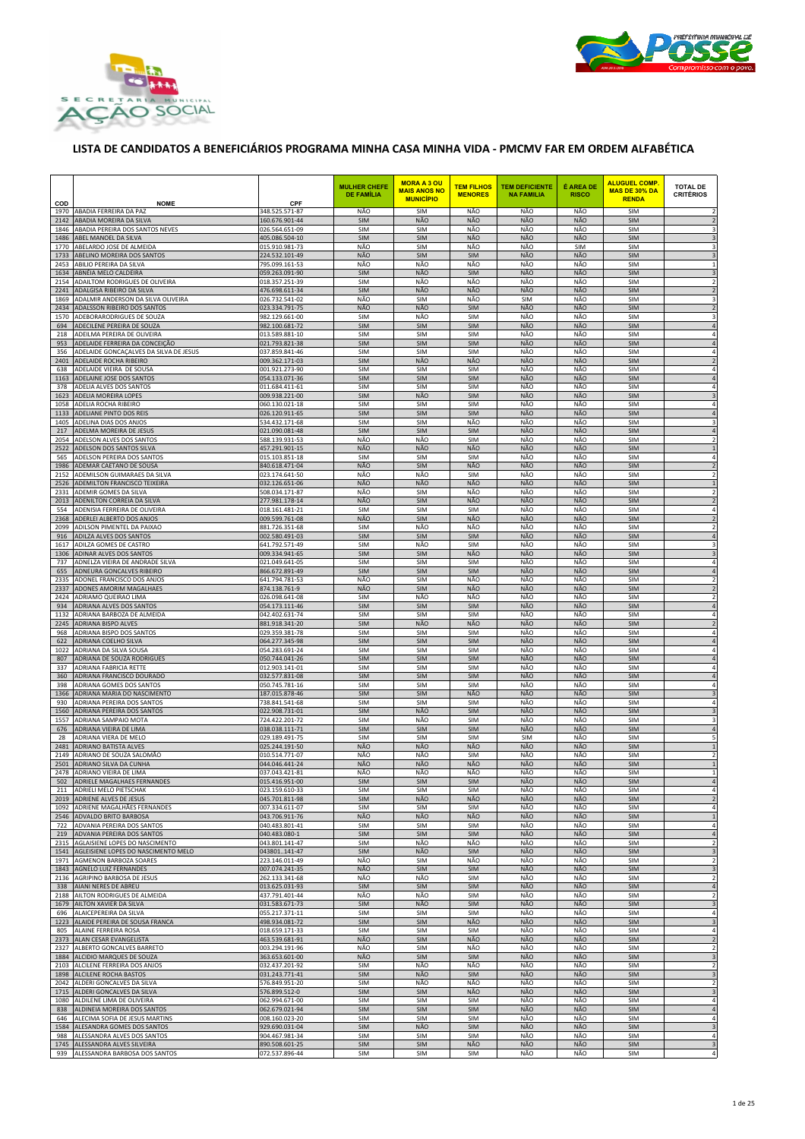



## **LISTA DE CANDIDATOS A BENEFICIÁRIOS PROGRAMA MINHA CASA MINHA VIDA - PMCMV FAR EM ORDEM ALFABÉTICA**

| COD          | <b>NOME</b>                                                           | CPF                              | <b>MULHER CHEFE</b><br><b>DE FAMÍLIA</b> | <b>MORA A 3 OU</b><br><b>MAIS ANOS NO</b><br><b>MUNICÍPIO</b> | <b>TEM FILHOS</b><br><b>MENORES</b> | <b>TEM DEFICIENTE</b><br><b>NA FAMILIA</b> | É AREA DE<br><b>RISCO</b> | <b>ALUGUEL COMP</b><br>MAS DE 30% DA<br><b>RENDA</b> | <b>TOTAL DE</b><br><b>CRITÉRIOS</b>                |
|--------------|-----------------------------------------------------------------------|----------------------------------|------------------------------------------|---------------------------------------------------------------|-------------------------------------|--------------------------------------------|---------------------------|------------------------------------------------------|----------------------------------------------------|
| 1970         | ABADIA FERREIRA DA PAZ                                                | 348.525.571-87                   | NÃO                                      | SIM                                                           | <b>NÃO</b>                          | <b>NÃO</b>                                 | <b>NÃO</b>                | SIM                                                  | $\overline{2}$                                     |
| 2142<br>1846 | ABADIA MOREIRA DA SILVA                                               | 160.676.901-44                   | SIM                                      | NÃO                                                           | NÃO                                 | NÃO<br>NÃO                                 | <b>NÃO</b>                | SIM                                                  | $\overline{2}$                                     |
| 1486         | ABADIA PEREIRA DOS SANTOS NEVES<br>ABEL MANOEL DA SILVA               | 026.564.651-09<br>405.086.504-10 | <b>SIM</b><br>SIM                        | <b>SIM</b><br>SIM                                             | NÃO<br>NÃO                          | NÃO                                        | NÃO<br>NÃO                | <b>SIM</b><br>SIM                                    | 3<br>3                                             |
| 1770         | ABELARDO JOSE DE ALMEIDA                                              | 015.910.981-73                   | NÃO                                      | <b>SIM</b>                                                    | NÃO                                 | NÃO                                        | <b>SIM</b>                | <b>SIM</b>                                           | 3                                                  |
| 1733         | ABELINO MOREIRA DOS SANTOS                                            | 224.532.101-49                   | NÃO                                      | SIM                                                           | SIM                                 | <b>NÃO</b>                                 | <b>NÃO</b>                | <b>SIM</b>                                           | $\overline{3}$                                     |
| 2453<br>1634 | ABILIO PEREIRA DA SILVA<br>ABNÉIA MELO CALDEIRA                       | 795.099.161-53<br>059.263.091-90 | NÃO<br><b>SIM</b>                        | NÃO<br><b>NÃO</b>                                             | NÃO<br>SIM                          | NÃO<br>NÃO                                 | NÃO<br>NÃO                | SIM<br><b>SIM</b>                                    |                                                    |
| 2154         | ADAILTOM RODRIGUES DE OLIVEIRA                                        | 018.357.251-39                   | <b>SIM</b>                               | NÃO                                                           | NÃO                                 | NÃO                                        | NÃO                       | <b>SIM</b>                                           | $\overline{\mathbf{c}}$                            |
| 2241         | ADALGISA RIBEIRO DA SILVA                                             | 476.698.611-34                   | <b>SIM</b>                               | NÃO                                                           | NÃO                                 | NÃO                                        | NÃO                       | <b>SIM</b>                                           | $\overline{2}$                                     |
| 1869         | ADALMIR ANDERSON DA SILVA OLIVEIRA                                    | 026.732.541-02                   | NÃO                                      | SIM                                                           | NÃO                                 | SIM                                        | NÃO                       | <b>SIM</b>                                           | 3                                                  |
| 2434<br>1570 | ADALSSON RIBEIRO DOS SANTOS<br>ADEBORARODRIGUES DE SOUZA              | 023.334.791-75                   | NÃO<br><b>SIM</b>                        | NÃO<br>NÃO                                                    | SIM                                 | NÃO<br>NÃO                                 | NÃO<br>NÃO                | <b>SIM</b><br><b>SIM</b>                             | $\overline{2}$<br>$\overline{3}$                   |
| 694          | ADECILENE PEREIRA DE SOUZA                                            | 982.129.661-00<br>982.100.681-72 | <b>SIM</b>                               | <b>SIM</b>                                                    | SIM<br><b>SIM</b>                   | NÃO                                        | NÃO                       | <b>SIM</b>                                           | $\overline{4}$                                     |
| 218          | ADEILMA PEREIRA DE OLIVEIRA                                           | 013.589.881-10                   | SIM                                      | SIM                                                           | SIM                                 | NÃO                                        | NÃO                       | SIM                                                  | 4                                                  |
| 953          | ADELAIDE FERREIRA DA CONCEIÇÃO                                        | 021.793.821-38                   | SIM                                      | SIM                                                           | SIM                                 | <b>NÃO</b>                                 | <b>NÃO</b>                | <b>SIM</b>                                           | $\sqrt{4}$                                         |
| 356<br>2401  | ADELAIDE GONCAÇALVES DA SILVA DE JESUS<br>ADELAIDE ROCHA RIBEIRO      | 037.859.841-46<br>009.362.171-03 | <b>SIM</b><br>SIM                        | <b>SIM</b><br>NÃO                                             | SIM<br>NÃO                          | NÃO<br>NÃO                                 | NÃO<br>NÃO                | <b>SIM</b><br>SIM                                    | $\sqrt{4}$<br>$\overline{2}$                       |
| 638          | ADELAIDE VIEIRA DE SOUSA                                              | 001.921.273-90                   | <b>SIM</b>                               | SIM                                                           | SIM                                 | NÃO                                        | NÃO                       | <b>SIM</b>                                           | $\sqrt{4}$                                         |
| 1163         | ADELAINE JOSE DOS SANTOS                                              | 054.133.071-36                   | SIM                                      | SIM                                                           | SIM                                 | NÃO                                        | <b>NÃO</b>                | SIM                                                  | $\overline{a}$                                     |
| 378          | ADELIA ALVES DOS SANTOS                                               | 011.684.411-61                   | SIM<br><b>SIM</b>                        | SIM<br>NÃO                                                    | SIM<br>SIM                          | NÃO<br><b>NÃO</b>                          | NÃO<br><b>NÃO</b>         | <b>SIM</b><br>SIM                                    | 4                                                  |
| 1623<br>1058 | ADELIA MOREIRA LOPES<br>ADELIA ROCHA RIBEIRO                          | 009.938.221-00<br>060.130.021-18 | SIM                                      | SIM                                                           | SIM                                 | NÃO                                        | NÃO                       | SIM                                                  | $\ensuremath{\mathsf{3}}$<br>$\overline{4}$        |
| 1133         | ADELIANE PINTO DOS REIS                                               | 026.120.911-65                   | SIM                                      | SIM                                                           | SIM                                 | NÃO                                        | NÃO                       | SIM                                                  | $\overline{4}$                                     |
| 1405         | ADELINA DIAS DOS ANJOS                                                | 534.432.171-68                   | <b>SIM</b>                               | SIM                                                           | NÃO                                 | NÃO                                        | NÃO                       | <b>SIM</b>                                           | $\overline{\mathbf{3}}$                            |
| 217<br>2054  | ADELMA MOREIRA DE JESUS<br>ADELSON ALVES DOS SANTOS                   | 021.090.081-48<br>588.139.931-53 | SIM<br>NÃO                               | SIM<br>NÃO                                                    | SIM<br>SIM                          | NÃO<br>NÃO                                 | NÃO<br>NÃO                | SIM<br><b>SIM</b>                                    | $\Delta$<br>$\overline{2}$                         |
| 2522         | ADELSON DOS SANTOS SILVA                                              | 457.291.901-15                   | NÃO                                      | NÃO                                                           | <b>NÃO</b>                          | <b>NÃO</b>                                 | NÃO                       | <b>SIM</b>                                           | $\mathbf 1$                                        |
| 565          | ADELSON PEREIRA DOS SANTOS                                            | 015.103.851-18                   | SIM                                      | SIM                                                           | SIM                                 | NÃO                                        | NÃO                       | SIM                                                  | 4                                                  |
| 1986         | ADEMAR CAETANO DE SOUSA                                               | 840.618.471-04                   | <b>NÃO</b>                               | SIM                                                           | NÃO                                 | NÃO                                        | NÃO                       | SIM                                                  | $\overline{2}$                                     |
| 2152<br>2526 | ADEMILSON GUIMARAES DA SILVA<br>ADEMILTON FRANCISCO TEIXEIRA          | 023.174.641-50<br>032.126.651-06 | NÃO<br>NÃO                               | NÃO<br>NÃO                                                    | SIM<br>NÃO                          | NÃO<br>NÃO                                 | NÃO<br>NÃO                | SIM<br><b>SIM</b>                                    | $\overline{\phantom{a}}$                           |
| 2331         | ADEMIR GOMES DA SILVA                                                 | 508.034.171-87                   | NÃO                                      | SIM                                                           | NÃO                                 | NÃO                                        | NÃO                       | SIM                                                  |                                                    |
| 2013         | ADENILTON CORREIA DA SILVA                                            | 277.981.178-14                   | NÃO                                      | SIM                                                           | NÃO                                 | NÃO                                        | NÃO                       | SIM                                                  | $\overline{2}$                                     |
| 554          | ADENISIA FERREIRA DE OLIVEIRA                                         | 018.161.481-21                   | SIM                                      | SIM                                                           | SIM<br>NÃO                          | NÃO<br>NÃO                                 | NÃO<br>NÃO                | <b>SIM</b>                                           | 4                                                  |
| 2368<br>2099 | ADERLEI ALBERTO DOS ANJOS<br>ADILSON PIMENTEL DA PAIXAO               | 009.599.761-08<br>881.726.351-68 | <b>NÃO</b><br><b>SIM</b>                 | SIM<br>NÃO                                                    | NÃO                                 | NÃO                                        | NÃO                       | <b>SIM</b><br><b>SIM</b>                             | $\overline{2}$<br>$\overline{2}$                   |
| 916          | ADILZA ALVES DOS SANTOS                                               | 002.580.491-03                   | <b>SIM</b>                               | SIM                                                           | SIM                                 | NÃO                                        | NÃO                       | <b>SIM</b>                                           | $\overline{4}$                                     |
| 1617         | ADILZA GOMES DE CASTRO                                                | 541.792.571-49                   | <b>SIM</b>                               | NÃO                                                           | <b>SIM</b>                          | NÃO                                        | NÃO                       | <b>SIM</b>                                           |                                                    |
| 1306<br>737  | ADINAR ALVES DOS SANTOS<br>ADNELZA VIEIRA DE ANDRADE SILVA            | 009.334.941-65<br>021.049.641-05 | <b>SIM</b><br><b>SIM</b>                 | SIM<br><b>SIM</b>                                             | NÃO<br>SIM                          | NÃO<br>NÃO                                 | NÃO<br>NÃO                | <b>SIM</b><br><b>SIM</b>                             | 3<br>4                                             |
| 655          | ADNEURA GONCALVES RIBEIRO                                             | 866.672.891-49                   | SIM                                      | SIM                                                           | SIM                                 | NÃO                                        | NÃO                       | SIM                                                  | $\sqrt{4}$                                         |
| 2335         | ADONEL FRANCISCO DOS ANJOS                                            | 641.794.781-53                   | NÃO                                      | SIM                                                           | NÃO                                 | NÃO                                        | NÃO                       | SIM                                                  | $\overline{2}$                                     |
| 2337<br>2424 | ADONES AMORIM MAGALHAES<br>ADRIAMO QUEIRAO LIMA                       | 874.138.761-9<br>026.098.641-08  | NÃO<br><b>SIM</b>                        | SIM<br>NÃO                                                    | NÃO<br>NÃO                          | NÃO<br>NÃO                                 | NÃO<br>NÃO                | SIM<br><b>SIM</b>                                    | $\overline{2}$                                     |
| 934          | ADRIANA ALVES DOS SANTOS                                              | 054.173.111-46                   | <b>SIM</b>                               | SIM                                                           | SIM                                 | NÃO                                        | NÃO                       | SIM                                                  | $\sqrt{4}$                                         |
| 1132         | ADRIANA BARBOZA DE ALMEIDA                                            | 042.402.631-74                   | <b>SIM</b>                               | <b>SIM</b>                                                    | SIM                                 | NÃO                                        | NÃO                       | <b>SIM</b>                                           | 4                                                  |
| 2245<br>968  | ADRIANA BISPO ALVES<br>ADRIANA BISPO DOS SANTOS                       | 881.918.341-20<br>029.359.381-78 | SIM<br><b>SIM</b>                        | NÃO<br>SIM                                                    | NÃO<br>SIM                          | NÃO<br>NÃO                                 | NÃO<br>NÃO                | SIM<br><b>SIM</b>                                    | $\overline{2}$<br>$\overline{4}$                   |
| 622          | ADRIANA COELHO SILVA                                                  | 064.277.345-98                   | <b>SIM</b>                               | SIM                                                           | SIM                                 | NÃO                                        | NÃO                       | <b>SIM</b>                                           | $\sqrt{4}$                                         |
| 1022         | ADRIANA DA SILVA SOUSA                                                | 054.283.691-24                   | SIM                                      | SIM                                                           | SIM                                 | NÃO                                        | NÃO                       | SIM                                                  | $\Delta$                                           |
| 807<br>337   | ADRIANA DE SOUZA RODRIGUES<br>ADRIANA FABRICIA RETTE                  | 050.744.041-26<br>012.903.141-01 | <b>SIM</b><br><b>SIM</b>                 | SIM<br><b>SIM</b>                                             | SIM<br><b>SIM</b>                   | NÃO<br>NÃO                                 | NÃO<br>NÃO                | <b>SIM</b><br><b>SIM</b>                             | $\overline{4}$                                     |
| 360          | ADRIANA FRANCISCO DOURADO                                             | 032.577.831-08                   | SIM                                      | SIM                                                           | SIM                                 | <b>NÃO</b>                                 | <b>NÃO</b>                | <b>SIM</b>                                           | 4<br>$\overline{4}$                                |
| 398          | ADRIANA GOMES DOS SANTOS                                              | 050.745.781-16                   | <b>SIM</b>                               | <b>SIM</b>                                                    | <b>SIM</b>                          | NÃO                                        | NÃO                       | <b>SIM</b>                                           | $\overline{4}$                                     |
| 1366         | ADRIANA MARIA DO NASCIMENTO                                           | 187.015.878-46                   | SIM                                      | SIM                                                           | <b>NÃO</b>                          | <b>NÃO</b>                                 | NÃO                       | <b>SIM</b>                                           | $\overline{3}$<br>$\Delta$                         |
| 930<br>1560  | ADRIANA PEREIRA DOS SANTOS<br>ADRIANA PEREIRA DOS SANTOS              | 738.841.541-68<br>022.908.731-01 | SIM<br>SIM                               | SIM<br>NÃO                                                    | SIM<br>SIM                          | NÃO<br>NÃO                                 | NÃO<br><b>NÃO</b>         | SIM<br>SIM                                           |                                                    |
| 1557         | ADRIANA SAMPAIO MOTA                                                  | 724.422.201-72                   | <b>SIM</b>                               | NÃO                                                           | <b>SIM</b>                          | NÃO                                        | NÃO                       | <b>SIM</b>                                           | 3                                                  |
| 676<br>28    | ADRIANA VIEIRA DE LIMA<br>ADRIANA VIERA DE MELO                       | 038.038.111-71<br>029.189.491-75 | SIM<br>SIM                               | SIM<br>SIM                                                    | SIM<br>SIM                          | NÃO<br>SIM                                 | NÃO<br>NÃO                | SIM<br><b>SIM</b>                                    | $\sqrt{4}$<br>5                                    |
| 2481         | <b>ADRIANO BATISTA ALVES</b>                                          | 025.244.191-50                   | NÃO                                      | NÃO                                                           | NÃO                                 | NÃO                                        | NÃO                       | <b>SIM</b>                                           | $\mathbf{1}$                                       |
| 2149         | ADRIANO DE SOUZA SALOMÃO                                              | 010.514.771-07                   | NÃO                                      | NÃO                                                           | SIM                                 | NÃO                                        | NÃO                       | SIM                                                  | $\overline{2}$                                     |
| 2501         | ADRIANO SILVA DA CUNHA                                                | 044.046.441-24                   | <b>NÃO</b>                               | NÃO                                                           | <b>NÃO</b>                          | NÃO                                        | NÃO                       | SIM                                                  |                                                    |
| 2478         | ADRIANO VIEIRA DE LIMA<br>502 ADRIELE MAGALHAES FERNANDES             | 037.043.421-81<br>015.416.951-00 | NÃO<br><b>SIM</b>                        | NÃO<br><b>SIM</b>                                             | NÃO<br><b>SIM</b>                   | NÃO<br>NAO                                 | NÃO<br><b>NAC</b>         | <b>SIM</b><br>SIM                                    | 1                                                  |
| 211          | ADRIELI MELO PIETSCHAK                                                | 023.159.610-33                   | SIM                                      | <b>SIM</b>                                                    | SIM                                 | NÃO                                        | NÃO                       | SIM                                                  | 4                                                  |
| 2019         | ADRIENE ALVES DE JESUS                                                | 045.701.811-98                   | SIM                                      | NÃO                                                           | NÃO                                 | NÃO                                        | NÃO                       | SIM                                                  | $\overline{2}$                                     |
| 1092<br>2546 | ADRIENE MAGALHÃES FERNANDES<br>ADVALDO BRITO BARBOSA                  | 007.334.611-07<br>043.706.911-76 | <b>SIM</b><br>NÃO                        | SIM<br>NÃO                                                    | SIM<br>NÃO                          | NÃO<br>NÃO                                 | NÃO<br>NÃO                | <b>SIM</b><br>SIM                                    | $\sqrt{4}$<br>$\mathbf 1$                          |
| 722          | ADVANIA PEREIRA DOS SANTOS                                            | 040.483.801-41                   | SIM                                      | SIM                                                           | SIM                                 | NÃO                                        | NÃO                       | SIM                                                  | $\overline{a}$                                     |
| 219          | ADVANIA PEREIRA DOS SANTOS                                            | 040.483.080-1                    | SIM                                      | SIM                                                           | SIM                                 | NÃO                                        | NÃO                       | SIM                                                  | $\sqrt{4}$                                         |
| 2315         | AGLAISIENE LOPES DO NASCIMENTO<br>AGLEISIENE LOPES DO NASCIMENTO MELO | 043.801.141-47                   | SIM<br>SIM                               | NÃO<br>NÃO                                                    | NÃO<br>SIM                          | NÃO<br>NÃO                                 | NÃO<br>NÃO                | SIM                                                  | $\overline{\mathbf{2}}$                            |
| 1541<br>1971 | AGMENON BARBOZA SOARES                                                | 043801141-47<br>223.146.011-49   | NÃO                                      | SIM                                                           | NÃO                                 | NÃO                                        | NÃO                       | SIM<br>SIM                                           | $\overline{\mathbf{3}}$<br>$\sqrt{2}$              |
| 1843         | <b>AGNELO LUIZ FERNANDES</b>                                          | 007.074.241-35                   | NÃO                                      | SIM                                                           | SIM                                 | NÃO                                        | NÃO                       | SIM                                                  | $\overline{\mathbf{3}}$                            |
| 2136         | AGRIPINO BARBOSA DE JESUS<br>AIANI NERES DE ABREU                     | 262.133.341-68                   | NÃO<br>SIM                               | NÃO<br>SIM                                                    | SIM<br>SIM                          | NÃO<br><b>NÃO</b>                          | NÃO<br><b>NÃO</b>         | SIM<br>SIM                                           | $\overline{2}$                                     |
| 338<br>2188  | AILTON RODRIGUES DE ALMEIDA                                           | 013.625.031-93<br>437.791.401-44 | NÃO                                      | NÃO                                                           | SIM                                 | NÃO                                        | NÃO                       | SIM                                                  | $\sqrt{4}$<br>$\overline{2}$                       |
| 1679         | AILTON XAVIER DA SILVA                                                | 031.583.671-73                   | SIM                                      | NÃO                                                           | SIM                                 | NÃO                                        | NÃO                       | SIM                                                  | $\overline{\mathbf{3}}$                            |
| 696          | ALAICEPEREIRA DA SILVA                                                | 055.217.371-11                   | SIM                                      | SIM                                                           | SIM                                 | NÃO                                        | NÃO                       | SIM                                                  | $\sqrt{4}$                                         |
| 1223<br>805  | ALAIDE PEREIRA DE SOUSA FRANCA<br>ALAINE FERREIRA ROSA                | 498.934.081-72<br>018.659.171-33 | SIM<br>SIM                               | SIM<br>SIM                                                    | <b>NÃO</b><br>SIM                   | <b>NÃO</b><br>NÃO                          | <b>NÃO</b><br>NÃO         | SIM<br>SIM                                           | $\overline{3}$<br>$\sqrt{4}$                       |
| 2373         | ALAN CESAR EVANGELISTA                                                | 463.539.681-91                   | NÃO                                      | SIM                                                           | NÃO                                 | NÃO                                        | NÃO                       | SIM                                                  | $\sqrt{2}$                                         |
| 2327         | ALBERTO GONCALVES BARRETO                                             | 003.294.191-96                   | NÃO<br>NÃO                               | SIM                                                           | NÃO<br>SIM                          | NÃO<br>NÃO                                 | NÃO<br>NÃO                | SIM<br>SIM                                           | $\overline{2}$                                     |
| 1884<br>2103 | ALCIDIO MARQUES DE SOUZA<br>ALCILENE FERREIRA DOS ANJOS               | 363.653.601-00<br>032.437.201-92 | SIM                                      | SIM<br>NÃO                                                    | NÃO                                 | NÃO                                        | NÃO                       | SIM                                                  | $\overline{\mathbf{3}}$<br>$\overline{\mathbf{2}}$ |
| 1898         | ALCILENE ROCHA BASTOS                                                 | 031.243.771-41                   | SIM                                      | NÃO                                                           | SIM                                 | NÃO                                        | NÃO                       | SIM                                                  | $\overline{3}$                                     |
| 2042         | ALDERI GONCALVES DA SILVA                                             | 576.849.951-20                   | SIM                                      | NÃO                                                           | NÃO                                 | NÃO                                        | NÃO                       | SIM                                                  | $\overline{2}$                                     |
| 1715<br>1080 | ALDERI GONCALVES DA SILVA<br>ALDILENE LIMA DE OLIVEIRA                | 576.899.512-0<br>062.994.671-00  | SIM<br><b>SIM</b>                        | SIM<br>SIM                                                    | NÃO<br>SIM                          | NÃO<br>NÃO                                 | NÃO<br>NÃO                | SIM<br>SIM                                           | $\overline{3}$<br>4                                |
| 838          | ALDINEIA MOREIRA DOS SANTOS                                           | 062.679.021-94                   | SIM                                      | SIM                                                           | SIM                                 | NÃO                                        | NÃO                       | SIM                                                  | $\overline{4}$                                     |
| 646          | ALECIMA SOFIA DE JESUS MARTINS                                        | 008.160.023-20                   | SIM                                      | SIM<br>NÃO                                                    | SIM                                 | NÃO<br>NÃO                                 | NÃO<br>NÃO                | SIM                                                  | $\sqrt{4}$<br>$\overline{3}$                       |
| 1584<br>988  | ALESANDRA GOMES DOS SANTOS<br>ALESSANDRA ALVES DOS SANTOS             | 929.690.031-04<br>904.467.981-34 | SIM<br>SIM                               | SIM                                                           | SIM<br>SIM                          | NÃO                                        | NÃO                       | SIM<br>SIM                                           | 4                                                  |
| 1745         | ALESSANDRA ALVES SILVEIRA                                             | 890.508.601-25                   | SIM                                      | SIM                                                           | NÃO                                 | NÃO                                        | NÃO                       | SIM                                                  | $\sqrt{3}$                                         |
|              | 939 ALESSANDRA BARBOSA DOS SANTOS                                     | 072.537.896-44                   | SIM                                      | SIM                                                           | SIM                                 | NÃO                                        | NÃO                       | SIM                                                  | $\sqrt{4}$                                         |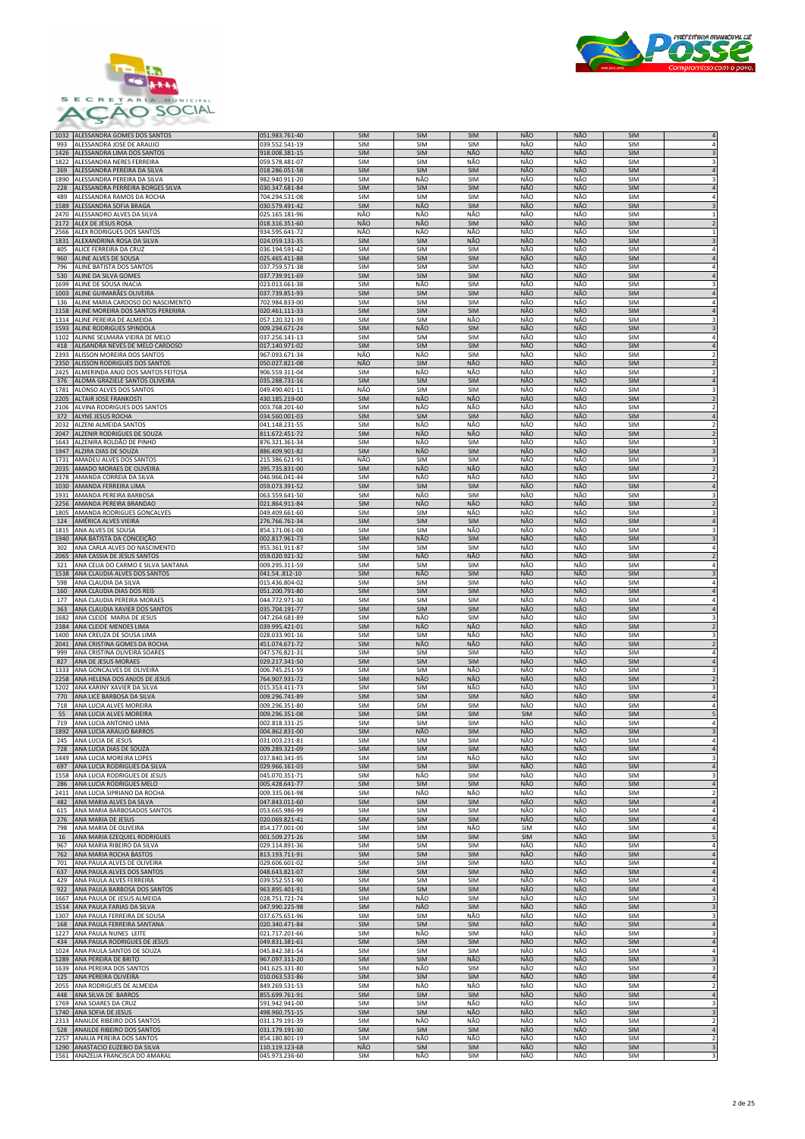



| 993          | ALESSANDRA JOSE DE ARAUJO                                  | 039.552.541-19                   | <b>SIM</b>               | <b>SIM</b>        | <b>SIM</b>        | NÃO               | NÃO        | <b>SIM</b>               | $\overline{4}$                            |
|--------------|------------------------------------------------------------|----------------------------------|--------------------------|-------------------|-------------------|-------------------|------------|--------------------------|-------------------------------------------|
| 1426         | ALESSANDRA LIMA DOS SANTOS                                 | 918.008.381-15                   | <b>SIM</b>               | <b>SIM</b>        | NÃO               | NÃO               | NÃO        | <b>SIM</b>               | $\overline{3}$                            |
| 1822         | ALESSANDRA NERES FERREIRA                                  | 059.578.481-07                   | <b>SIM</b>               | SIM               | NÃO               | NÃO               | NÃO        | <b>SIM</b>               | 3                                         |
| 269          | ALESSANDRA PEREIRA DA SILVA                                | 018.286.051-58                   | <b>SIM</b>               | SIM               | SIM               | NÃO               | NÃO        | SIM                      | $\overline{4}$                            |
| 1890         | ALESSANDRA PEREIRA DA SILVA                                | 982.940.911-20                   | <b>SIM</b>               | NÃO               | <b>SIM</b>        | NÃO               | NÃO        | <b>SIM</b>               | 3                                         |
| 228          | ALESSANDRA PERREIRA BORGES SILVA                           | 030.347.681-84                   | <b>SIM</b>               | SIM               | SIM               | NÃO               | NÃO        | <b>SIM</b>               | $\overline{4}$                            |
| 489          | ALESSANDRA RAMOS DA ROCHA                                  | 704.294.531-08                   | SIM                      | SIM               | SIM               | NÃO               | NÃO        | SIM                      |                                           |
| 1589         | ALESSANDRA SOFIA BRAGA                                     | 030.579.491-42                   | <b>SIM</b>               | NÃO               | SIM               | NÃO               | NÃO        | SIM                      |                                           |
| 2470         | ALESSANDRO ALVES DA SILVA                                  | 025.165.181-96                   | NÃO                      | NÃO               | NÃO               | NÃO               | NÃO        | <b>SIM</b>               | $\mathbf{1}$                              |
| 2172         | ALEX DE JESUS ROSA                                         | 018.316.351-60                   | NÃO                      | NÃO               | SIM               | NÃO               | NÃO        | SIM                      | $\overline{2}$                            |
| 2566         | ALEX RODRIGUES DOS SANTOS                                  | 934.595.641-72                   | NÃO                      | NÃO               | NÃO               | NÃO               | NÃO        | <b>SIM</b>               | $\mathbf{1}$                              |
| 1831         | ALEXANDRINA ROSA DA SILVA                                  | 024.059.131-35                   | SIM                      | SIM               | NÃO               | NÃO               | NÃO        | <b>SIM</b>               | $\overline{3}$                            |
| 405          | ALICE FERREIRA DA CRUZ                                     | 036.194.591-42                   | SIM                      | SIM               | <b>SIM</b>        | NÃO               | NÃO        | SIM                      | $\sqrt{4}$                                |
| 960          | ALINE ALVES DE SOUSA                                       | 025.465.411-88                   | <b>SIM</b>               | SIM               | SIM               | NÃO               | <b>NÃO</b> | SIM                      | $\sqrt{4}$                                |
| 796          | ALINE BATISTA DOS SANTOS                                   | 037.759.571-38                   | <b>SIM</b>               | <b>SIM</b>        | <b>SIM</b>        | NÃO               | NÃO        | <b>SIM</b>               | $\overline{4}$                            |
| 530          | ALINE DA SILVA GOMES                                       | 037.739.911-69                   | <b>SIM</b>               | SIM               | SIM               | NÃO               | NÃO        | SIM                      | $\sqrt{4}$                                |
| 1699         | ALINE DE SOUSA INACIA<br>ALINE GUIMARÃES OLIVEIRA          | 023.013.661-38                   | SIM                      | NÃO               | SIM               | NÃO<br>NÃO        | NÃO<br>NÃO | <b>SIM</b>               | 3<br>$\overline{4}$                       |
| 1003<br>136  | ALINE MARIA CARDOSO DO NASCIMENTO                          | 037.739.851-93<br>702.984.833-00 | <b>SIM</b><br>SIM        | SIM<br>SIM        | SIM<br>SIM        | NÃO               | NÃO        | SIM<br>SIM               | $\sqrt{4}$                                |
| 1158         | ALINE MOREIRA DOS SANTOS PERERIRA                          | 020.461.111-33                   | <b>SIM</b>               | SIM               | SIM               | NÃO               | NÃO        | SIM                      |                                           |
| 1314         | ALINE PEREIRA DE ALMEIDA                                   | 057.120.321-39                   | <b>SIM</b>               | SIM               | NÃO               | NÃO               | NÃO        | SIM                      | 3                                         |
| 1593         | ALINE RODRIGUES SPINDOLA                                   | 009.294.671-24                   | SIM                      | NÃO               | SIM               | NÃO               | NÃO        | SIM                      | $\sqrt{3}$                                |
| 1102         | ALINNE SELMARA VIEIRA DE MELO                              | 037.256.141-13                   | SIM                      | SIM               | SIM               | NÃO               | NÃO        | <b>SIM</b>               | 4                                         |
| 418          | ALISANDRA NEVES DE MELO CARDOSO                            | 017.140.971-02                   | SIM                      | SIM               | SIM               | NÃO               | NÃO        | SIM                      | $\sqrt{4}$                                |
| 2393         | ALISSON MOREIRA DOS SANTOS                                 | 967.093.671-34                   | NÃO                      | NÃO               | <b>SIM</b>        | NÃO               | NÃO        | <b>SIM</b>               | $\overline{2}$                            |
| 2350         | ALISSON RODRIGUES DOS SANTOS                               | 050.027.821-08                   | NÃO                      | SIM               | NÃO               | NÃO               | NÃO        | SIM                      | $\overline{2}$                            |
| 2425         | ALMERINDA ANJO DOS SANTOS FEITOSA                          | 906.559.311-04                   | <b>SIM</b>               | NÃO               | NÃO               | NÃO               | NÃO        | <b>SIM</b>               | $\overline{2}$                            |
| 376          | ALOMA GRAZIELE SANTOS OLIVEIRA                             | 035.288.731-16                   | <b>SIM</b>               | SIM               | SIM               | NÃO               | NÃO        | <b>SIM</b>               | $\sqrt{4}$                                |
| 1781         | ALONSO ALVES DOS SANTOS                                    | 049.490.401-11                   | NÃO                      | SIM               | SIM               | NÃO               | NÃO        | SIM                      | 3                                         |
| 2205         | ALTAIR JOSE FRANKOSTI                                      | 430.185.219-00                   | <b>SIM</b>               | NÃO               | NÃO               | NÃO               | NÃO        | <b>SIM</b>               | $\overline{2}$                            |
| 2106         | ALVINA RODRIGUES DOS SANTOS                                | 003.768.201-60                   | SIM                      | NÃO               | NÃO               | NÃO               | NÃO        | <b>SIM</b>               | $\overline{\phantom{a}}$                  |
| 372          | ALYNE JESUS ROCHA                                          | 034.560.001-03                   | <b>SIM</b>               | SIM               | SIM               | NÃO               | NÃO        | SIM                      | $\overline{4}$                            |
| 2032         | ALZENI ALMEIDA SANTOS                                      | 041.148.231-55                   | <b>SIM</b>               | NÃO               | NÃO               | NÃO               | NÃO        | SIM                      |                                           |
| 2047         | ALZENIR RODRIGUES DE SOUZA                                 | 811.672.451-72                   | SIM                      | NÃO               | NÃO               | NÃO               | NÃO        | SIM                      | $\sqrt{2}$                                |
| 1643         | ALZENIRA ROLDÃO DE PINHO                                   | 876.321.361-34                   | <b>SIM</b>               | NÃO               | SIM               | NÃO               | NÃO        | SIM                      | 3                                         |
| 1947         | ALZIRA DIAS DE SOUZA                                       | 886.409.901-82                   | SIM                      | <b>NÃO</b>        | SIM               | NÃO               | NÃO        | SIM                      | $\overline{3}$                            |
| 1731         | AMADEU ALVES DOS SANTOS<br>AMADO MORAES DE OLIVEIRA        | 215.386.621-91                   | NÃO                      | SIM               | SIM               | NÃO               | NÃO        | <b>SIM</b>               | $\overline{\mathbf{3}}$<br>$\overline{2}$ |
| 2035<br>2378 | AMANDA CORREIA DA SILVA                                    | 395.735.831-00                   | <b>SIM</b><br><b>SIM</b> | NÃO<br>NÃO        | NÃO<br>NÃO        | NÃO<br>NÃO        | NÃO<br>NÃO | <b>SIM</b><br><b>SIM</b> |                                           |
| 1030         | AMANDA FERREIRA LIMA                                       | 046.966.041-44<br>059.073.391-52 | <b>SIM</b>               | SIM               | <b>SIM</b>        | NÃO               | NÃO        | SIM                      |                                           |
| 1931         | AMANDA PEREIRA BARBOSA                                     | 063.559.641-50                   | <b>SIM</b>               | NÃO               | SIM               | NÃO               | NÃO        | <b>SIM</b>               | 3                                         |
| 2256         | AMANDA PEREIRA BRANDAO                                     | 021.864.911-84                   | SIM                      | <b>NÃO</b>        | <b>NÃO</b>        | <b>NÃO</b>        | <b>NÃO</b> | <b>SIM</b>               | $\overline{2}$                            |
| 1805         | AMANDA RODRIGUES GONCALVES                                 | 049.409.661-60                   | <b>SIM</b>               | SIM               | NÃO               | NÃO               | NÃO        | <b>SIM</b>               | 3                                         |
| 124          | AMÉRICA ALVES VIEIRA                                       | 276.766.761-34                   | <b>SIM</b>               | SIM               | SIM               | NÃO               | NÃO        | <b>SIM</b>               | $\sqrt{4}$                                |
| 1815         | ANA ALVES DE SOUSA                                         | 854.171.061-00                   | <b>SIM</b>               | SIM               | NÃO               | NÃO               | NÃO        | SIM                      |                                           |
| 1940         | ANA BATISTA DA CONCEIÇÃO                                   | 002.817.961-73                   | SIM                      | NÃO               | SIM               | NÃO               | NÃO        | SIM                      | 3                                         |
| 302          | ANA CARLA ALVES DO NASCIMENTO                              | 955.361.911-87                   | SIM                      | SIM               | SIM               | NÃO               | NÃO        | SIM                      | 4                                         |
| 2065         | ANA CASSIA DE JESUS SANTOS                                 | 059.020.921-32                   | <b>SIM</b>               | NÃO               | NÃO               | NÃO               | NÃO        | SIM                      | $\overline{2}$                            |
| 321          | ANA CELIA DO CARMO E SILVA SANTANA                         | 009.295.311-59                   | SIM                      | SIM               | SIM               | NÃO               | NÃO        | SIM                      | $\overline{4}$                            |
| 1538         | ANA CLAUDIA ALVES DOS SANTOS                               | 041.54812-10                     | SIM                      | NÃO               | SIM               | NÃO               | NÃO        | <b>SIM</b>               | $\overline{3}$                            |
| 598          | ANA CLAUDIA DA SILVA                                       | 015.436.804-02                   | SIM                      | SIM               | SIM               | NÃO               | NÃO        | SIM                      |                                           |
| 160          | ANA CLÁUDIA DIAS DOS REIS                                  | 051.200.791-80                   | <b>SIM</b>               | <b>SIM</b>        | <b>SIM</b>        | NÃO               | <b>NÃO</b> | <b>SIM</b>               |                                           |
| 177          | ANA CLAUDIA PEREIRA MORAES                                 | 044.772.971-30                   | <b>SIM</b>               | <b>SIM</b>        | <b>SIM</b>        | NÃO               | NÃO        | <b>SIM</b>               | 4                                         |
| 363          | ANA CLAUDIA XAVIER DOS SANTOS                              | 035.704.191-77                   | SIM                      | SIM               | SIM               | NÃO               | NÃO        | SIM                      | $\overline{4}$                            |
| 1682         | ANA CLEIDE MARIA DE JESUS                                  | 047.264.681-89                   | <b>SIM</b>               | NÃO               | SIM               | NÃO               | NÃO        | <b>SIM</b>               | 3                                         |
| 2384         | ANA CLEIDE MENDES LIMA                                     | 039.995.421-01                   | <b>SIM</b>               | NÃO               | NÃO               | NÃO               | NÃO        | SIM                      | $\mathbf 2$                               |
| 1400         | ANA CREUZA DE SOUSA LIMA                                   | 028.033.901-16                   | SIM                      | SIM               | NÃO               | NÃO               | NÃO        | SIM                      | 3                                         |
| 2041<br>999  | ANA CRISTINA GOMES DA ROCHA                                | 451.074.671-72                   | <b>SIM</b>               | NÃO               | NÃO               | NÃO               | NÃO        | SIM                      |                                           |
| 827          | ANA CRISTINA OLIVEIRA SOARES                               | 047.576.821-31                   | <b>SIM</b><br><b>SIM</b> | SIM<br>SIM        | SIM<br>SIM        | NÃO<br>NÃO        | NÃO<br>NÃO | <b>SIM</b><br>SIM        | 4<br>$\sqrt{4}$                           |
| 1333         | ANA DE JESUS MORAES<br>ANA GONCALVES DE OLIVEIRA           | 029.217.341-50<br>006.745.251-59 | SIM                      | SIM               | NÃO               | NÃO               | NÃO        | SIM                      | 3                                         |
| 2258         | ANA HELENA DOS ANJOS DE JESUS                              | 764.907.931-72                   | <b>SIM</b>               | NÃO               | NÃO               | NÃO               | NÃO        | SIM                      | $\overline{2}$                            |
| 1202         |                                                            |                                  |                          |                   |                   |                   |            |                          | 3                                         |
| 770          |                                                            |                                  |                          |                   |                   |                   |            |                          |                                           |
|              | ANA KARINY XAVIER DA SILVA                                 | 015.353.411-73                   | SIM                      | SIM               | NÃO               | NÃO               | NÃO        | <b>SIM</b>               |                                           |
|              | ANA LICE BARBOSA DA SILVA                                  | 009.296.741-89                   | <b>SIM</b><br><b>SIM</b> | SIM               | SIM               | NÃO               | NÃO        | SIM                      |                                           |
| 718<br>55    | ANA LUCIA ALVES MOREIRA<br>ANA LUCIA ALVES MOREIRA         | 009.296.351-80<br>009.296.351-08 | <b>SIM</b>               | SIM<br><b>SIM</b> | SIM<br><b>SIM</b> | NÃO<br><b>SIM</b> | NÃO<br>NÃO | <b>SIM</b><br><b>SIM</b> | 4                                         |
| 719          | ANA LUCIA ANTONIO LIMA                                     | 002.818.331-25                   | <b>SIM</b>               | SIM               | SIM               | NÃO               | NÃO        | SIM                      | 4                                         |
| 1892         | ANA LUCIA ARAUJO BARROS                                    | 004.862.831-00                   | <b>SIM</b>               | <b>NÃO</b>        | <b>SIM</b>        | NÃO               | NÃO        | <b>SIM</b>               |                                           |
| 245          | ANA LUCIA DE JESUS                                         | 031.003.231-81                   | SIM                      | SIM               | <b>SIM</b>        | NÃO               | NÃO        | <b>SIM</b>               |                                           |
| 728          | ANA LUCIA DIAS DE SOUZA                                    | 009.289.321-09                   | <b>SIM</b>               | SIM               | <b>SIM</b>        | NÃO               | NÃO        | <b>SIM</b>               | 4                                         |
| 1449         | ANA LUCIA MOREIRA LOPES                                    | 037.840.341-95                   | SIM                      | <b>SIM</b>        | NÃO               | NÃO               | NÃO        | SIM                      | 3                                         |
| 697          | ANA LUCIA RODRIGUES DA SILVA                               | 029.966.161-03                   | SIM                      | SIM               | SIM               | NÃO               | NÃO        | SIM                      | $\sqrt{4}$                                |
| 1558         | ANA LUCIA RODRIGUES DE JESUS                               | 045.070.351-71                   | <b>SIM</b>               | NÃO               | SIM               | NÃO               | NÃO        | SIM                      | 3                                         |
| 286          | ANA LUCIA RODRIGUES MELO                                   | 005.428.641-77                   | SIM                      | SIM               | SIM               | NÃO               | NÃO        | SIM                      | $\sqrt{4}$                                |
| 2411         | ANA LUCIA SIPRIANO DA ROCHA                                | 009.335.061-98                   | SIM                      | NÃO               | NÃO               | NÃO               | NÃO        | SIM                      | $\overline{2}$                            |
| 482          | ANA MARIA ALVES DA SILVA                                   | 047.843.011-60                   | <b>SIM</b>               | SIM               | <b>SIM</b>        | NÃO               | NÃO        | <b>SIM</b>               | $\sqrt{4}$                                |
| 615          | ANA MARIA BARBOSADOS SANTOS                                | 053.665.986-99                   | <b>SIM</b>               | <b>SIM</b>        | SIM               | NÃO               | NÃO        | SIM                      | 4                                         |
| 276<br>798   | ANA MARIA DE JESUS                                         | 020.069.821-41                   | <b>SIM</b><br>SIM        | SIM<br>SIM        | SIM<br>NÃO        | NÃO<br><b>SIM</b> | NÃO<br>NÃO | <b>SIM</b><br>SIM        | $\overline{a}$<br>$\overline{4}$          |
|              | ANA MARIA DE OLIVEIRA                                      | 854.177.001-00                   |                          |                   |                   |                   |            |                          | $\overline{5}$                            |
| 16<br>967    | ANA MARIA EZEQUIEL RODRIGUES<br>ANA MARIA RIBEIRO DA SILVA | 001.509.271-26<br>029.114.891-36 | <b>SIM</b><br>SIM        | SIM<br>SIM        | SIM<br>SIM        | SIM<br>NÃO        | NÃO<br>NÃO | SIM<br>SIM               | $\overline{4}$                            |
| 762          | ANA MARIA ROCHA BASTOS                                     | 813.193.711-91                   | <b>SIM</b>               | SIM               | SIM               | <b>NÃO</b>        | <b>NÃO</b> | SIM                      | $\overline{4}$                            |
| 701          | ANA PAULA ALVES DE OLIVEIRA                                | 029.606.601-02                   | SIM                      | SIM               | <b>SIM</b>        | NÃO               | NÃO        | SIM                      | 4                                         |
| 637          | ANA PAULA ALVES DOS SANTOS                                 | 048.643.821-07                   | <b>SIM</b>               | SIM               | SIM               | NÃO               | NÃO        | SIM                      | $\sqrt{4}$                                |
| 429          | ANA PAULA ALVES FERREIRA                                   | 039.552.551-90                   | SIM                      | SIM               | SIM               | NÃO               | NÃO        | SIM                      | $\sqrt{4}$                                |
| 922          | ANA PAULA BARBOSA DOS SANTOS                               | 963.895.401-91                   | <b>SIM</b>               | SIM               | SIM               | NÃO               | NÃO        | SIM                      | $\sqrt{4}$                                |
| 1667         | ANA PAULA DE JESUS ALMEIDA                                 | 028.751.721-74                   | SIM                      | NÃO               | SIM               | NÃO               | NÃO        | SIM                      | $\overline{\mathbf{3}}$                   |
| 1514         | ANA PAULA FARIAS DA SILVA                                  | 047.990.225-98                   | SIM                      | NÃO               | SIM               | NÃO               | NÃO        | SIM                      | $\overline{3}$                            |
| 1307         | ANA PAULA FERREIRA DE SOUSA                                | 037.675.651-96                   | SIM                      | SIM               | NÃO               | NÃO               | NÃO        | SIM                      | 3                                         |
| 168          | ANA PAULA FERREIRA SANTANA                                 | 020.340.471-84                   | <b>SIM</b>               | SIM               | SIM               | NÃO               | NÃO        | SIM                      | $\sqrt{4}$                                |
| 1227         | ANA PAULA NUNES LEITE                                      | 021.717.201-66                   | SIM                      | NÃO               | SIM               | NÃO               | NÃO        | SIM                      | 3                                         |
| 434          | ANA PAULA RODRIGUES DE JESUS                               | 049.831.381-61                   | SIM                      | SIM               | SIM               | NÃO               | NÃO        | SIM                      | $\overline{4}$                            |
| 1024         | ANA PAULA SANTOS DE SOUZA                                  | 045.842.381-54                   | SIM                      | SIM               | SIM               | NÃO               | NÃO        | SIM                      | 4                                         |
| 1289<br>1639 | ANA PEREIRA DE BRITO                                       | 967.097.311-20                   | <b>SIM</b>               | SIM               | NÃO               | NÃO               | NÃO        | SIM                      | $\overline{3}$                            |
| 125          | ANA PEREIRA DOS SANTOS<br>ANA PEREIRA OLIVEIRA             | 041.625.331-80<br>010.063.531-86 | <b>SIM</b><br><b>SIM</b> | NÃO<br>SIM        | SIM<br>SIM        | NÃO<br>NÃO        | NÃO<br>NÃO | SIM<br>SIM               | 3                                         |
| 2055         | ANA RODRIGUES DE ALMEIDA                                   | 849.269.531-53                   | SIM                      | NÃO               | NÃO               | NÃO               | NÃO        | SIM                      | $\sqrt{4}$<br>$\overline{2}$              |
| 448          | ANA SILVA DE BARROS                                        | 855.699.761-91                   | <b>SIM</b>               | SIM               | SIM               | NÃO               | NÃO        | SIM                      | $\overline{a}$                            |
| 1769         | ANA SOARES DA CRUZ                                         | 591.942.941-00                   | SIM                      | SIM               | NÃO               | NÃO               | NÃO        | SIM                      | 3                                         |
| 1740         | ANA SOFIA DE JESUS                                         | 498.960.751-15                   | SIM                      | SIM               | NÃO               | NÃO               | NÃO        | SIM                      | $\overline{3}$                            |
| 2313         | ANAILDE RIBEIRO DOS SANTOS                                 | 031.179.191-39                   | <b>SIM</b>               | NÃO               | NÃO               | NÃO               | NÃO        | SIM                      |                                           |
| 528          | ANAILDE RIBEIRO DOS SANTOS                                 | 031.179.191-30                   | SIM                      | SIM               | SIM               | NÃO               | NÃO        | SIM                      | $\overline{4}$                            |
| 2257         | ANALIA PEREIRA DOS SANTOS                                  | 854.180.801-19                   | <b>SIM</b>               | NÃO               | NÃO               | NÃO               | NÃO        | <b>SIM</b>               | $\overline{2}$                            |
| 1290<br>1561 | ANASTACIO EUZEBIO DA SILVA<br>ANAZELIA FRANCISCA DO AMARAL | 110.119.123-68<br>045.973.236-60 | NÃO<br>SIM               | SIM<br>NÃO        | SIM<br>SIM        | NÃO<br>NÃO        | NÃO<br>NÃO | SIM<br>SIM               | $\overline{\mathbf{3}}$<br>3              |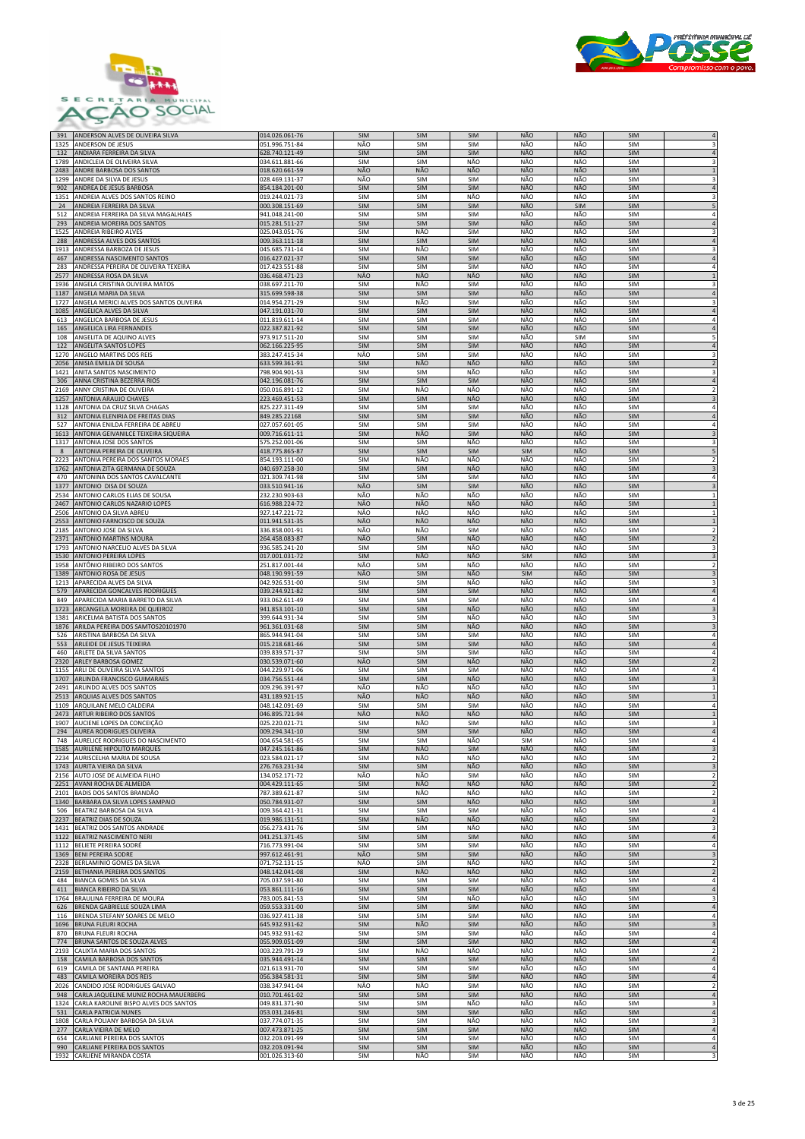



| ココエ<br>1325  | <b>AIVDENSON ALVES DE OLIVEINA SILVA</b><br><b>ANDERSON DE JESUS</b> | U14.UZU.UU1 <sup>-</sup> /U<br>051.996.751-84 | ועווכ<br>NÃO             | JIIV<br>SIM | ועווכ<br><b>SIM</b> | טאיו<br>NÃO       | IVAL<br>NÃO       | ا۱۱۷<br><b>SIM</b>       | 3                                     |
|--------------|----------------------------------------------------------------------|-----------------------------------------------|--------------------------|-------------|---------------------|-------------------|-------------------|--------------------------|---------------------------------------|
| 132          | ANDIARA FERREIRA DA SILVA                                            | 628.740.121-49                                | SIM                      | SIM         | SIM                 | NÃO               | NÃO               | SIM                      | $\sqrt{4}$                            |
| 1789         | ANDICLEIA DE OLIVEIRA SILVA                                          | 034.611.881-66                                | SIM                      | SIM         | NÃO                 | NÃO               | NÃO               | <b>SIM</b>               | 3                                     |
| 2483         | ANDRE BARBOSA DOS SANTOS                                             | 018.620.661-59                                | NÃO                      | NÃO         | NÃO                 | NÃO               | NÃO               | SIM                      | $\mathbf{1}$                          |
| 1299         | ANDRE DA SILVA DE JESUS                                              | 028.469.131-37                                | NÃO                      | SIM         | SIM                 | NÃO               | NÃO               | SIM                      | $\overline{3}$                        |
| 902          | ANDREA DE JESUS BARBOSA                                              | 854.184.201-00                                | SIM                      | SIM         | <b>SIM</b>          | NÃO               | NÃO               | <b>SIM</b>               |                                       |
| 1351         | ANDREIA ALVES DOS SANTOS REINO                                       | 019.244.021-73                                | SIM                      | SIM         | NÃO                 | NÃO               | NÃO               | <b>SIM</b>               | 3                                     |
| 24           | ANDREIA FERREIRA DA SILVA                                            | 000.308.151-69                                | <b>SIM</b>               | SIM         | SIM                 | NÃO               | SIM               | <b>SIM</b>               | 5                                     |
| 512          | ANDREIA FERREIRA DA SILVA MAGALHAES                                  | 941.048.241-00                                | SIM                      | SIM         | SIM                 | NÃO<br>NÃO        | NÃO<br>NÃO        | SIM                      | $\overline{4}$                        |
| 293<br>1525  | ANDREIA MOREIRA DOS SANTOS<br>ANDREIA RIBEIRO ALVES                  | 015.281.511-27<br>025.043.051-76              | <b>SIM</b><br>SIM        | SIM<br>NÃO  | <b>SIM</b><br>SIM   | NÃO               | NÃO               | <b>SIM</b><br>SIM        | $\sqrt{4}$<br>$\overline{\mathbf{3}}$ |
| 288          | ANDRESSA ALVES DOS SANTOS                                            | 009.363.111-18                                | SIM                      | SIM         | <b>SIM</b>          | NÃO               | NÃO               | <b>SIM</b>               |                                       |
| 1913         | ANDRESSA BARBOZA DE JESUS                                            | 045.685.731-14                                | SIM                      | NÃO         | SIM                 | NÃO               | NÃO               | <b>SIM</b>               | 3                                     |
| 467          | ANDRESSA NASCIMENTO SANTOS                                           | 016.427.021-37                                | <b>SIM</b>               | SIM         | <b>SIM</b>          | NÃO               | NÃO               | <b>SIM</b>               | $\sqrt{4}$                            |
| 283          | ANDRESSA PEREIRA DE OLIVEIRA TEXEIRA                                 | 017.423.551-88                                | SIM                      | SIM         | SIM                 | NÃO               | NÃO               | SIM                      | $\sqrt{4}$                            |
| 2577         | ANDRESSA ROSA DA SILVA                                               | 036.468.471-23                                | NÃO                      | NÃO         | NÃO                 | NÃO               | NÃO               | <b>SIM</b>               | $\mathbf{1}$                          |
| 1936         | ANGELA CRISTINA OLIVEIRA MATOS                                       | 038.697.211-70                                | SIM                      | NÃO         | SIM                 | NÃO               | NÃO               | SIM                      | $\overline{3}$                        |
| 1187         | ANGELA MARIA DA SILVA                                                | 315.699.598-38                                | <b>SIM</b>               | SIM         | SIM                 | NÃO               | NÃO               | <b>SIM</b>               | $\overline{4}$                        |
| 1727         | ANGELA MERICI ALVES DOS SANTOS OLIVEIRA                              | 014.954.271-29                                | SIM                      | NÃO         | SIM                 | NÃO               | NÃO               | SIM                      |                                       |
| 1085<br>613  | ANGELICA ALVES DA SILVA<br>ANGELICA BARBOSA DE JESUS                 | 047.191.031-70<br>011.819.611-14              | SIM<br>SIM               | SIM<br>SIM  | SIM<br>SIM          | NÃO<br>NÃO        | NÃO<br>NÃO        | SIM<br>SIM               | $\sqrt{4}$<br>$\sqrt{4}$              |
| 165          | ANGELICA LIRA FERNANDES                                              | 022.387.821-92                                | <b>SIM</b>               | SIM         | SIM                 | NÃO               | NÃO               | SIM                      | $\overline{4}$                        |
| 108          | ANGELITA DE AQUINO ALVES                                             | 973.917.511-20                                | SIM                      | SIM         | SIM                 | NÃO               | <b>SIM</b>        | SIM                      | 5                                     |
| 122          | ANGELITA SANTOS LOPES                                                | 062.166.225-95                                | <b>SIM</b>               | SIM         | SIM                 | NÃO               | NÃO               | <b>SIM</b>               | $\overline{4}$                        |
| 1270         | ANGELO MARTINS DOS REIS                                              | 383.247.415-34                                | NÃO                      | SIM         | <b>SIM</b>          | NÃO               | NÃO               | <b>SIM</b>               |                                       |
| 2056         | ANISIA EMILIA DE SOUSA                                               | 633.599.361-91                                | <b>SIM</b>               | NÃO         | NÃO                 | NÃO               | NÃO               | <b>SIM</b>               | $\mathbf 2$                           |
| 1421         | ANITA SANTOS NASCIMENTO                                              | 798.904.901-53                                | SIM                      | SIM         | NÃO                 | NÃO               | NÃO               | SIM                      | 3                                     |
| 306          | ANNA CRISTINA BEZERRA RIOS                                           | 042.196.081-76                                | SIM                      | SIM         | SIM                 | NÃO               | NÃO               | SIM                      | $\sqrt{4}$                            |
| 2169         | ANNY CRISTINA DE OLIVEIRA                                            | 050.016.891-12                                | SIM                      | NÃO         | NÃO                 | NÃO               | NÃO               | <b>SIM</b>               | $\overline{2}$                        |
| 1257         | ANTONIA ARAUJO CHAVES<br>ANTONIA DA CRUZ SILVA CHAGAS                | 223.469.451-53                                | SIM<br>SIM               | SIM<br>SIM  | NÃO<br>SIM          | NÃO<br>NÃO        | NÃO<br>NÃO        | SIM<br>SIM               | $\overline{3}$                        |
| 1128<br>312  | ANTONIA ELENIRIA DE FREITAS DIAS                                     | 825.227.311-49<br>849.285.22168               | SIM                      | SIM         | SIM                 | NÃO               | NÃO               | SIM                      | 4                                     |
| 527          | ANTONIA ENILDA FERREIRA DE ABREU                                     | 027.057.601-05                                | SIM                      | SIM         | SIM                 | NÃO               | NÃO               | SIM                      | 4                                     |
| 1613         | ANTONIA GEIVANILCE TEIXEIRA SIQUEIRA                                 | 009.716.611-11                                | SIM                      | NÃO         | SIM                 | NÃO               | NÃO               | SIM                      | $\overline{\mathbf{3}}$               |
| 1317         | ANTONIA JOSE DOS SANTOS                                              | 575.252.001-06                                | SIM                      | SIM         | NÃO                 | NÃO               | NÃO               | <b>SIM</b>               | 3                                     |
| $\bf 8$      | ANTONIA PEREIRA DE OLIVEIRA                                          | 418.775.865-87                                | <b>SIM</b>               | SIM         | SIM                 | SIM               | NÃO               | SIM                      | 5                                     |
| 2223         | ANTONIA PEREIRA DOS SANTOS MORAES                                    | 854.193.111-00                                | SIM                      | NÃO         | NÃO                 | NÃO               | NÃO               | <b>SIM</b>               |                                       |
| 1762         | ANTONIA ZITA GERMANA DE SOUZA                                        | 040.697.258-30                                | <b>SIM</b>               | SIM         | NÃO                 | NÃO               | NÃO               | <b>SIM</b>               |                                       |
| 470          | ANTONINA DOS SANTOS CAVALCANTE                                       | 021.309.741-98                                | <b>SIM</b>               | SIM         | SIM                 | NÃO               | NÃO               | SIM                      | 4                                     |
| 1377         | ANTONIO DISA DE SOUZA                                                | 033.510.941-16                                | NÃO<br>NÃO               | SIM<br>NÃO  | SIM<br>NÃO          | NÃO<br>NÃO        | NÃO<br>NÃO        | SIM                      | $\overline{\mathbf{3}}$               |
| 2534<br>2467 | ANTONIO CARLOS ELIAS DE SOUSA<br>ANTONIO CARLOS NAZARIO LOPES        | 232.230.903-63<br>616.988.224-72              | NÃO                      | NÃO         | NÃO                 | NÃO               | NÃO               | <b>SIM</b><br><b>SIM</b> | $\mathbf 1$<br>$\,1\,$                |
| 2506         | ANTONIO DA SILVA ABREU                                               | 927.147.221-72                                | NÃO                      | NÃO         | NÃO                 | NÃO               | NÃO               | SIM                      | 1                                     |
| 2553         | ANTONIO FARNCISCO DE SOUZA                                           | 011.941.531-35                                | NÃO                      | NÃO         | NÃO                 | NÃO               | NÃO               | <b>SIM</b>               |                                       |
| 2185         | ANTONIO JOSE DA SILVA                                                | 336.858.001-91                                | NÃO                      | NÃO         | SIM                 | NÃO               | NÃO               | <b>SIM</b>               | $\mathbf 2$                           |
| 2371         | ANTONIO MARTINS MOURA                                                | 264.458.083-87                                | NÃO                      | SIM         | NÃO                 | NÃO               | NÃO               | SIM                      | $\overline{2}$                        |
| 1793         | ANTONIO NARCELIO ALVES DA SILVA                                      | 936.585.241-20                                | SIM                      | SIM         | NÃO                 | NÃO               | NÃO               | <b>SIM</b>               | 3                                     |
| 1530         | <b>ANTONIO PEREIRA LOPES</b>                                         | 017.001.031-72                                | SIM                      | NÃO         | NÃO                 | SIM               | NÃO               | <b>SIM</b>               | $\overline{3}$                        |
| 1958         | ANTÔNIO RIBEIRO DOS SANTOS                                           | 251.817.001-44                                | NÃO                      | SIM         | NÃO                 | NÃO               | NÃO               | SIM                      | $\overline{2}$                        |
| 1389<br>1213 | ANTONIO ROSA DE JESUS                                                | 048.190.991-59                                | NÃO<br>SIM               | SIM<br>SIM  | NÃO<br>NÃO          | SIM<br>NÃO        | <b>NÃO</b><br>NÃO | SIM<br>SIM               |                                       |
| 579          | APARECIDA ALVES DA SILVA<br>APARECIDA GONCALVES RODRIGUES            | 042.926.531-00<br>039.244.921-82              | <b>SIM</b>               | SIM         | SIM                 | NÃO               | NÃO               | <b>SIM</b>               | 3<br>$\sqrt{4}$                       |
| 849          | APARECIDA MARIA BARRETO DA SILVA                                     | 933.062.611-49                                | SIM                      | SIM         | SIM                 | NÃO               | NÃO               | <b>SIM</b>               | $\sqrt{4}$                            |
| 1723         | ARCANGELA MOREIRA DE QUEIROZ                                         | 941.853.101-10                                | <b>SIM</b>               | SIM         | NÃO                 | NÃO               | NÃO               | <b>SIM</b>               | $\overline{\mathbf{3}}$               |
| 1381         | ARICELMA BATISTA DOS SANTOS                                          | 399.644.931-34                                | SIM                      | SIM         | NÃO                 | NÃO               | NÃO               | SIM                      | $\overline{3}$                        |
| 1876         | ARILDA PEREIRA DOS SAMTOS20101970                                    | 961.361.031-68                                | <b>SIM</b>               | SIM         | NÃO                 | NÃO               | <b>NÃO</b>        | <b>SIM</b>               |                                       |
| 526          | ARISTINA BARBOSA DA SILVA                                            | 865.944.941-04                                | SIM                      | SIM         | <b>SIM</b>          | NÃO               | NÃO               | <b>SIM</b>               | 4                                     |
| 553          | ARLEIDE DE JESUS TEIXEIRA                                            | 015.218.681-66                                | SIM                      | SIM         | SIM                 | NÃO               | NÃO               | SIM                      | $\sqrt{4}$                            |
| 460          | ARLETE DA SILVA SANTOS                                               | 039.839.571-37                                | SIM                      | SIM         | <b>SIM</b>          | NÃO               | NÃO               | <b>SIM</b>               | 4                                     |
| 2320<br>1155 | ARLEY BARBOSA GOMEZ<br>ARLI DE OLIVEIRA SILVA SANTOS                 | 030.539.071-60<br>044.229.971-06              | NÃO<br>SIM               | SIM<br>SIM  | NÃO<br>SIM          | NÃO<br>NÃO        | NÃO<br>NÃO        | <b>SIM</b><br>SIM        | $\overline{2}$<br>$\overline{4}$      |
| 1707         | <b>ARLINDA FRANCISCO GUIMARAES</b>                                   | 034.756.551-44                                | SIM                      | SIM         | NÃO                 | NÃO               | NÃO               | <b>SIM</b>               |                                       |
| 2491         | ARLINDO ALVES DOS SANTOS                                             | 009.296.391-97                                | NÃO                      | NÃO         | NÃO                 | NÃO               | NÃO               | <b>SIM</b>               | $\mathbf{1}$                          |
| 2513         | ARQUIAS ALVES DOS SANTOS                                             | 431.189.921-15                                | NÃO                      | NÃO         | NÃO                 | NÃO               | NÃO               | <b>SIM</b>               | $\mathbf 1$                           |
| 1109         | ARQUILANE MELO CALDEIRA                                              | 048.142.091-69                                | SIM                      | SIM         | SIM                 | NÃO               | NÃO               | SIM                      | $\sqrt{4}$                            |
| 2473         | ARTUR RIBEIRO DOS SANTOS                                             | 046.895.721-94                                | NÃO                      | NÃO         | NÃO                 | NÃO               | NÃO               | <b>SIM</b>               | $\mathbf{1}$                          |
| 1907         | AUCIENE LOPES DA CONCEIÇÃO                                           | 025.220.021-71                                | SIM                      | NÃO         | SIM                 | NÃO               | NÃO               | SIM                      | 3                                     |
| 294          | AUREA RODRIGUES OLIVEIRA                                             | 009.294.341-10                                | SIM                      | SIM         | SIM                 | NÃO               | <b>NÃO</b>        | <b>SIM</b>               |                                       |
| 748<br>1585  | AURELICE RODRIGUES DO NASCIMENTO<br>AURILENE HIPOLITO MARQUES        | 004.654.581-65<br>047.245.161-86              | SIM<br><b>SIM</b>        | SIM<br>NÃO  | NÃO<br><b>SIM</b>   | <b>SIM</b><br>NÃO | NÃO<br>NÃO        | <b>SIM</b><br><b>SIM</b> |                                       |
| 2234         | AURISCELHA MARIA DE SOUSA                                            | 023.584.021-17                                | SIM                      | NÃO         | NÃO                 | NÃO               | NÃO               | SIM                      | 3<br>$\overline{2}$                   |
| 1743         | AURITA VIEIRA DA SILVA                                               | 276.763.231-34                                | <b>SIM</b>               | SIM         | NÃO                 | NÃO               | NÃO               | <b>SIM</b>               | $\overline{\mathbf{3}}$               |
| 2156         | AUTO JOSE DE ALMEIDA FILHO                                           | 134.052.171-72                                | NÃO                      | NÃO         | SIM                 | NÃO               | NÃO               | <b>SIM</b>               | $\overline{2}$                        |
| 2251         | AVANI ROCHA DE ALMEIDA                                               | 004.429.111-65                                | <b>SIM</b>               | NÃO         | NÃO                 | NÃO               | NÃO               | SIM                      | $\overline{2}$                        |
| 2101         | BADIS DOS SANTOS BRANDÃO                                             | 787.389.621-87                                | SIM                      | NÃO         | NÃO                 | NÃO               | NÃO               | SIM                      | 2                                     |
| 1340         | BARBARA DA SILVA LOPES SAMPAIO                                       | 050.784.931-07                                | SIM                      | SIM         | NÃO                 | NÃO               | NÃO               | SIM                      | 3                                     |
| 506<br>2237  | BEATRIZ BARBOSA DA SILVA<br>BEATRIZ DIAS DE SOUZA                    | 009.364.421-31<br>019.986.131-51              | <b>SIM</b><br><b>SIM</b> | SIM<br>NÃO  | SIM<br>NÃO          | NÃO<br>NÃO        | NÃO<br>NÃO        | SIM<br>SIM               | $\overline{4}$<br>$\overline{2}$      |
| 1431         | BEATRIZ DOS SANTOS ANDRADE                                           | 056.273.431-76                                | SIM                      | SIM         | NÃO                 | NÃO               | NÃO               | SIM                      | 3                                     |
| 1122         | <b>BEATRIZ NASCIMENTO NERI</b>                                       | 041.251.371-45                                | SIM                      | SIM         | SIM                 | NÃO               | NÃO               | SIM                      | $\sqrt{4}$                            |
| 1112         | BELIETE PEREIRA SODRÉ                                                | 716.773.991-04                                | SIM                      | SIM         | SIM                 | NÃO               | NÃO               | SIM                      | 4                                     |
| 1369         | <b>BENI PEREIRA SODRE</b>                                            | 997.612.461-91                                | NÃO                      | SIM         | SIM                 | NÃO               | NÃO               | SIM                      | $\ensuremath{\mathsf{3}}$             |
|              | 2328 BERLAMINIO GOMES DA SILVA                                       | 071.752.131-15                                | NÃO                      | SIM         | NÃO                 | NÃO               | NÃO               | SIM                      | $\overline{2}$                        |
| 2159         | BETHANIA PEREIRA DOS SANTOS                                          | 048.142.041-08                                | <b>SIM</b>               | NÃO         | NÃO                 | NÃO               | NÃO               | SIM                      | $\overline{2}$                        |
| 484          | <b>BIANCA GOMES DA SILVA</b>                                         | 705.037.591-80                                | SIM                      | SIM         | SIM                 | NÃO               | NÃO               | SIM                      | $\overline{4}$                        |
| 411          | <b>BIANCA RIBEIRO DA SILVA</b><br>BRAULINA FERREIRA DE MOURA         | 053.861.111-16<br>783.005.841-53              | SIM                      | SIM         | SIM                 | NÃO               | NÃO               | <b>SIM</b>               | $\sqrt{4}$                            |
| 1764<br>626  | BRENDA GABRIELLE SOUZA LIMA                                          | 059.553.331-00                                | SIM<br><b>SIM</b>        | SIM<br>SIM  | NÃO<br>SIM          | NÃO<br>NÃO        | NÃO<br>NÃO        | SIM<br>SIM               | $\sqrt{4}$                            |
| 116          | BRENDA STEFANY SOARES DE MELO                                        | 036.927.411-38                                | SIM                      | SIM         | <b>SIM</b>          | NÃO               | NÃO               | <b>SIM</b>               | 4                                     |
| 1696         | <b>BRUNA FLEURI ROCHA</b>                                            | 645.932.931-62                                | <b>SIM</b>               | NÃO         | <b>SIM</b>          | NÃO               | NÃO               | SIM                      | $\overline{\mathbf{3}}$               |
| 870          | <b>BRUNA FLEURI ROCHA</b>                                            | 045.932.931-62                                | SIM                      | SIM         | SIM                 | NÃO               | NÃO               | SIM                      | $\overline{4}$                        |
| 774          | BRUNA SANTOS DE SOUZA ALVES                                          | 055.909.051-09                                | SIM                      | SIM         | SIM                 | NÃO               | NÃO               | SIM                      | $\sqrt{4}$                            |
| 2193         | CALIXTA MARIA DOS SANTOS                                             | 003.229.791-29                                | SIM                      | NÃO         | NÃO                 | NÃO               | NÃO               | SIM                      |                                       |
| 158          | CAMILA BARBOSA DOS SANTOS                                            | 035.944.491-14                                | SIM                      | SIM         | SIM                 | NÃO               | NÃO               | SIM                      | $\overline{4}$                        |
| 619          | CAMILA DE SANTANA PEREIRA                                            | 021.613.931-70                                | SIM                      | SIM         | SIM                 | NÃO<br><b>NÃO</b> | NÃO<br><b>NÃO</b> | SIM                      | 4                                     |
| 483<br>2026  | CAMILA MOREIRA DOS REIS<br>CANDIDO JOSE RODRIGUES GALVAO             | 056.384.581-31<br>038.347.941-04              | SIM<br>NÃO               | SIM<br>NÃO  | SIM<br>SIM          | NÃO               | NÃO               | SIM<br>SIM               | $\overline{4}$<br>$\overline{2}$      |
| 948          | CARLA JAQUELINE MUNIZ ROCHA MAUERBERG                                | 010.701.461-02                                | SIM                      | SIM         | SIM                 | NÃO               | NÃO               | SIM                      | $\sqrt{4}$                            |
| 1324         | CARLA KAROLINE BISPO ALVES DOS SANTOS                                | 049.831.371-90                                | SIM                      | SIM         | NÃO                 | NÃO               | NÃO               | SIM                      | 3                                     |
| 531          | <b>CARLA PATRICIA NUNES</b>                                          | 053.031.246-81                                | <b>SIM</b>               | SIM         | <b>SIM</b>          | NÃO               | NÃO               | <b>SIM</b>               | $\sqrt{4}$                            |
| 1808         | CARLA POLIANY BARBOSA DA SILVA                                       | 037.774.071-35                                | SIM                      | SIM         | NÃO                 | NÃO               | NÃO               | SIM                      | 3                                     |
| 277          | CARLA VIEIRA DE MELO                                                 | 007.473.871-25                                | <b>SIM</b>               | SIM         | SIM                 | NÃO               | NÃO               | SIM                      | $\overline{4}$                        |
| 654          | CARLIANE PEREIRA DOS SANTOS                                          | 032.203.091-99                                | SIM                      | SIM         | SIM                 | NÃO               | NÃO               | SIM                      | 4                                     |
| 990          | CARLIANE PEREIRA DOS SANTOS                                          | 032.203.091-94                                | SIM                      | SIM<br>NÃO  | SIM                 | NÃO<br>NÃO        | NÃO<br>NÃO        | SIM                      | $\sqrt{4}$                            |
|              | 1932 CARLIENE MIRANDA COSTA                                          | 001.026.313-60                                | SIM                      |             | SIM                 |                   |                   | SIM                      | 3                                     |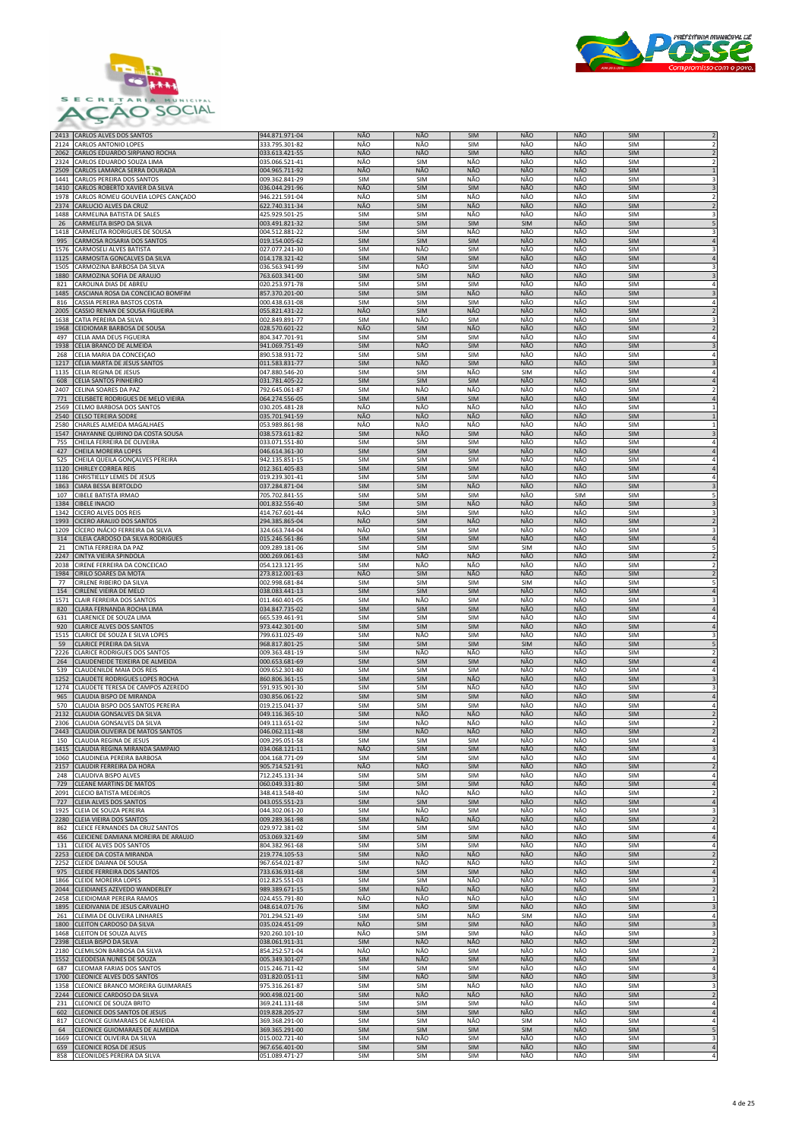



| 2124         | <b>PUBLICATION</b> CONTROL<br><b>CARLOS ANTONIO LOPES</b>            | שנו כונדוס.<br>333.795.301-82    | NÃO                      | NÃO        | יייי<br><b>SIM</b>       | NÃO        | NÃO               | JIIVI<br><b>SIM</b>      |                                  |
|--------------|----------------------------------------------------------------------|----------------------------------|--------------------------|------------|--------------------------|------------|-------------------|--------------------------|----------------------------------|
| 2062         | CARLOS EDUARDO SIRPIANO ROCHA                                        | 033.613.421-55                   | NÃO                      | NÃO        | SIM                      | NÃO        | NÃO               | SIM                      | $\sqrt{2}$                       |
| 2324         | CARLOS EDUARDO SOUZA LIMA                                            | 035.066.521-41                   | NÃO                      | SIM        | NÃO                      | NÃO        | NÃO               | <b>SIM</b>               | $\overline{2}$                   |
| 2509         | CARLOS LAMARCA SERRA DOURADA                                         | 004.965.711-92                   | NÃO                      | NÃO        | NÃO                      | NÃO        | NÃO               | <b>SIM</b>               | $\,1\,$                          |
| 1441<br>1410 | CARLOS PEREIRA DOS SANTOS<br>CARLOS ROBERTO XAVIER DA SILVA          | 009.362.841-29<br>036.044.291-96 | SIM<br>NÃO               | SIM<br>SIM | NÃO<br>SIM               | NÃO<br>NÃO | NÃO<br>NÃO        | <b>SIM</b><br><b>SIM</b> | 3                                |
| 1978         | CARLOS ROMEU GOUVEIA LOPES CANÇADO                                   | 946.221.591-04                   | NÃO                      | SIM        | NÃO                      | NÃO        | NÃO               | <b>SIM</b>               |                                  |
| 2374         | CARLUCIO ALVES DA CRUZ                                               | 622.740.311-34                   | <b>NÃO</b>               | SIM        | NÃO                      | NÃO        | NÃO               | <b>SIM</b>               | $\sqrt{2}$                       |
| 1488         | CARMELINA BATISTA DE SALES                                           | 425.929.501-25                   | SIM                      | SIM        | NÃO                      | NÃO        | NÃO               | SIM                      | 3                                |
| 26<br>1418   | CARMELITA BISPO DA SILVA<br>CARMELITA RODRIGUES DE SOUSA             | 003.491.821-32<br>004.512.881-22 | <b>SIM</b><br>SIM        | SIM<br>SIM | <b>SIM</b><br>NÃO        | SIM<br>NÃO | NÃO<br>NÃO        | <b>SIM</b><br><b>SIM</b> | 5<br>3                           |
| 995          | CARMOSA ROSARIA DOS SANTOS                                           | 019.154.005-62                   | <b>SIM</b>               | SIM        | SIM                      | NÃO        | NÃO               | <b>SIM</b>               | $\sqrt{4}$                       |
| 1576         | CARMOSELI ALVES BATISTA                                              | 027.077.241-30                   | <b>SIM</b>               | NÃO        | <b>SIM</b>               | NÃO        | NÃO               | SIM                      |                                  |
| 1125         | CARMOSITA GONCALVES DA SILVA                                         | 014.178.321-42                   | <b>SIM</b>               | SIM        | <b>SIM</b>               | NÃO        | NÃO               | <b>SIM</b>               | $\overline{4}$                   |
| 1505<br>1880 | CARMOZINA BARBOSA DA SILVA<br>CARMOZINA SOFIA DE ARAUJO              | 036.563.941-99<br>763.603.341-00 | SIM<br><b>SIM</b>        | NÃO<br>SIM | SIM<br>NÃO               | NÃO<br>NÃO | NÃO<br>NÃO        | SIM<br><b>SIM</b>        | 3<br>$\overline{\mathbf{3}}$     |
| 821          | CAROLINA DIAS DE ABREU                                               | 020.253.971-78                   | SIM                      | SIM        | <b>SIM</b>               | NÃO        | NÃO               | <b>SIM</b>               | $\sqrt{4}$                       |
| 1485         | CASCIANA ROSA DA CONCEICAO BOMFIM                                    | 857.370.201-00                   | <b>SIM</b>               | SIM        | NÃO                      | NÃO        | NÃO               | <b>SIM</b>               | $\ensuremath{\mathsf{3}}$        |
| 816          | CASSIA PEREIRA BASTOS COSTA                                          | 000.438.631-08                   | SIM                      | SIM        | SIM                      | NÃO        | NÃO               | SIM                      | 4                                |
| 2005<br>1638 | CASSIO RENAN DE SOUSA FIGUEIRA<br>CATIA PEREIRA DA SILVA             | 055.821.431-22<br>002.849.891-77 | NÃO<br>SIM               | SIM<br>NÃO | NÃO<br>SIM               | NÃO<br>NÃO | NÃO<br>NÃO        | SIM<br>SIM               | 3                                |
| 1968         | CEIDIOMAR BARBOSA DE SOUSA                                           | 028.570.601-22                   | NÃO                      | SIM        | NÃO                      | NÃO        | NÃO               | SIM                      | $\overline{2}$                   |
| 497          | CELIA AMA DEUS FIGUEIRA                                              | 804.347.701-91                   | SIM                      | SIM        | <b>SIM</b>               | NÃO        | NÃO               | <b>SIM</b>               | $\sqrt{4}$                       |
| 1938         | CELIA BRANCO DE ALMEIDA                                              | 941.069.751-49                   | <b>SIM</b>               | NÃO        | SIM                      | NÃO        | NÃO               | <b>SIM</b>               | $\overline{3}$                   |
| 268<br>1217  | CELIA MARIA DA CONCEIÇÃO<br>CÉLIA MARTA DE JESUS SANTOS              | 890.538.931-72<br>011.583.831-77 | <b>SIM</b><br>SIM        | SIM<br>NÃO | SIM<br>SIM               | NÃO<br>NÃO | NÃO<br><b>NÃO</b> | SIM<br>SIM               | $\overline{4}$                   |
| 1135         | CELIA REGINA DE JESUS                                                | 047.880.546-20                   | SIM                      | SIM        | NÃO                      | <b>SIM</b> | NÃO               | SIM                      | $\overline{a}$                   |
| 608          | <b>CELIA SANTOS PINHEIRO</b>                                         | 031.781.405-22                   | <b>SIM</b>               | SIM        | <b>SIM</b>               | NÃO        | NÃO               | <b>SIM</b>               | $\sqrt{4}$                       |
| 2407         | CELINA SOARES DA PAZ                                                 | 792.645.061-87                   | SIM                      | NÃO        | NÃO                      | NÃO        | NÃO               | <b>SIM</b><br><b>SIM</b> | $\overline{2}$<br>$\overline{4}$ |
| 771<br>2569  | CELISBETE RODRIGUES DE MELO VIEIRA<br>CELMO BARBOSA DOS SANTOS       | 064.274.556-05<br>030.205.481-28 | SIM<br>NÃO               | SIM<br>NÃO | SIM<br>NÃO               | NÃO<br>NÃO | NÃO<br>NÃO        | SIM                      |                                  |
| 2540         | <b>CELSO TEREIRA SODRE</b>                                           | 035.701.941-59                   | NÃO                      | NÃO        | NÃO                      | NÃO        | NÃO               | <b>SIM</b>               |                                  |
| 2580         | CHARLES ALMEIDA MAGALHAES                                            | 053.989.861-98                   | NÃO                      | NÃO        | NÃO                      | NÃO        | NÃO               | <b>SIM</b>               | $\,$ 1                           |
| 1547<br>755  | CHAYANNE QUIRINO DA COSTA SOUSA                                      | 038.573.611-82                   | SIM                      | NÃO        | SIM                      | NÃO        | NÃO               | SIM<br><b>SIM</b>        | $\overline{3}$                   |
| 427          | CHEILA FERREIRA DE OLIVEIRA<br>CHEILA MOREIRA LOPES                  | 033.071.551-80<br>046.614.361-30 | <b>SIM</b><br><b>SIM</b> | SIM<br>SIM | SIM<br><b>SIM</b>        | NÃO<br>NÃO | NÃO<br>NÃO        | <b>SIM</b>               | 4<br>$\sqrt{4}$                  |
| 525          | CHEILA QUEILA GONÇALVES PEREIRA                                      | 942.135.851-15                   | SIM                      | SIM        | <b>SIM</b>               | NÃO        | NÃO               | SIM                      | $\sqrt{4}$                       |
| 1120         | <b>CHIRLEY CORREA REIS</b>                                           | 012.361.405-83                   | <b>SIM</b>               | SIM        | <b>SIM</b>               | NÃO        | NÃO               | <b>SIM</b>               | $\overline{4}$                   |
| 1186<br>1863 | CHRISTIELLY LEMES DE JESUS<br>CIARA BESSA BERTOLDO                   | 019.239.301-41<br>037.284.871-04 | SIM<br><b>SIM</b>        | SIM<br>SIM | SIM<br>NÃO               | NÃO<br>NÃO | NÃO<br>NÃO        | SIM<br>SIM               | 4<br>$\ensuremath{\mathsf{3}}$   |
| 107          | <b>CIBELE BATISTA IRMAO</b>                                          | 705.702.841-55                   | SIM                      | SIM        | SIM                      | NÃO        | SIM               | <b>SIM</b>               | 5                                |
| 1384         | <b>CIBELE INACIO</b>                                                 | 001.832.556-40                   | <b>SIM</b>               | SIM        | NÃO                      | NÃO        | NÃO               | <b>SIM</b>               | $\overline{3}$                   |
| 1342         | CICERO ALVES DOS REIS                                                | 414.767.601-44                   | NÃO                      | SIM        | SIM                      | NÃO        | NÃO               | SIM                      | 3                                |
| 1993<br>1209 | <b>CICERO ARAUJO DOS SANTOS</b><br>CÍCERO INÁCIO FERREIRA DA SILVA   | 294.385.865-04<br>324.663.744-04 | NÃO<br>NÃO               | SIM<br>SIM | NÃO<br>SIM               | NÃO<br>NÃO | NÃO<br>NÃO        | <b>SIM</b><br><b>SIM</b> |                                  |
| 314          | CILEIA CARDOSO DA SILVA RODRIGUES                                    | 015.246.561-86                   | SIM                      | SIM        | SIM                      | NÃO        | NÃO               | SIM                      | $\sqrt{4}$                       |
| 21           | CINTIA FERREIRA DA PAZ                                               | 009.289.181-06                   | <b>SIM</b>               | SIM        | SIM                      | SIM        | NÃO               | SIM                      | 5                                |
| 2247<br>2038 | CINTYA VIEIRA SPINDOLA                                               | 000.269.061-63                   | SIM<br>SIM               | NÃO<br>NÃO | NÃO<br>NÃO               | NÃO<br>NÃO | NÃO<br>NÃO        | <b>SIM</b><br><b>SIM</b> | $\overline{2}$<br>$\overline{2}$ |
| 1984         | CIRENE FERREIRA DA CONCEICAO<br>CIRILO SOARES DA MOTA                | 054.123.121-95<br>273.812.001-63 | NÃO                      | SIM        | NÃO                      | NÃO        | NÃO               | <b>SIM</b>               | $\overline{2}$                   |
| 77           | CIRLENE RIBEIRO DA SILVA                                             | 002.998.681-84                   | SIM                      | SIM        | <b>SIM</b>               | <b>SIM</b> | NÃO               | <b>SIM</b>               |                                  |
| 154          | CIRLENE VIEIRA DE MELO                                               | 038.083.441-13                   | <b>SIM</b>               | SIM        | SIM                      | NÃO        | NÃO               | <b>SIM</b>               | $\sqrt{4}$                       |
| 1571<br>820  | CLAIR FERREIRA DOS SANTOS<br>CLARA FERNANDA ROCHA LIMA               | 011.460.401-05<br>034.847.735-02 | <b>SIM</b><br>SIM        | NÃO<br>SIM | SIM<br>SIM               | NÃO<br>NÃO | NÃO<br>NÃO        | SIM<br>SIM               | 3<br>$\overline{4}$              |
| 631          | CLARENICE DE SOUZA LIMA                                              | 665.539.461-91                   | SIM                      | SIM        | SIM                      | NÃO        | NÃO               | SIM                      | $\sqrt{4}$                       |
| 920          | <b>CLARICE ALVES DOS SANTOS</b>                                      | 973.442.301-00                   | <b>SIM</b>               | SIM        | <b>SIM</b>               | NÃO        | NÃO               | <b>SIM</b>               |                                  |
| 1515         | CLARICE DE SOUZA E SILVA LOPES                                       | 799.631.025-49                   | SIM                      | NÃO        | <b>SIM</b>               | NÃO        | NÃO               | <b>SIM</b>               |                                  |
| 59<br>2226   | CLARICE PEREIRA DA SILVA<br><b>CLARICE RODRIGUES DOS SANTOS</b>      | 968.817.801-25<br>009.363.481-19 | <b>SIM</b><br><b>SIM</b> | SIM<br>NÃO | SIM<br>NÃO               | SIM<br>NÃO | NÃO<br>NÃO        | <b>SIM</b><br>SIM        | 5<br>$\overline{2}$              |
| 264          | CLAUDENEIDE TEIXEIRA DE ALMEIDA                                      | 000.653.681-69                   | <b>SIM</b>               | SIM        | <b>SIM</b>               | NÃO        | NÃO               | SIM                      | $\sqrt{4}$                       |
| 539          | <b>CLAUDENILDE MAIA DOS REIS</b>                                     | 009.652.301-80                   | SIM                      | SIM        | SIM                      | NÃO        | NÃO               | <b>SIM</b>               | $\overline{4}$                   |
| 1252<br>1274 | CLAUDETE RODRIGUES LOPES ROCHA<br>CLAUDETE TERESA DE CAMPOS AZEREDO  | 860.806.361-15<br>591.935.901-30 | <b>SIM</b>               | SIM<br>SIM | NÃO<br>NÃO               | NÃO        | NÃO               | <b>SIM</b>               | $\overline{3}$                   |
| 965          |                                                                      |                                  |                          |            |                          |            |                   |                          |                                  |
|              | CLAUDIA BISPO DE MIRANDA                                             | 030.856.061-22                   | <b>SIM</b><br><b>SIM</b> | SIM        | <b>SIM</b>               | NÃO<br>NÃO | NÃO<br>NÃO        | <b>SIM</b><br><b>SIM</b> |                                  |
| 570          | CLAUDIA BISPO DOS SANTOS PEREIRA                                     | 019.215.041-37                   | SIM                      | SIM        | SIM                      | NÃO        | NÃO               | SIM                      | $\sqrt{4}$                       |
| 2132         | CLAUDIA GONSALVES DA SILVA                                           | 049.116.365-10                   | SIM                      | NÃO        | <b>NÃO</b>               | NÃO        | NÃO               | <b>SIM</b>               | $\overline{2}$                   |
| 2306         | CLAUDIA GONSALVES DA SILVA                                           | 049.113.651-02                   | SIM                      | NÃO        | NÃO                      | NÃO        | NÃO               | <b>SIM</b>               | $\overline{2}$                   |
| 2443<br>150  | CLAUDIA OLIVEIRA DE MATOS SANTOS<br>CLAUDIA REGINA DE JESUS          | 046.062.111-48<br>009.295.051-58 | <b>SIM</b><br>SIM        | NÃO<br>SIM | NÃO<br><b>SIM</b>        | NÃO<br>NÃO | NÃO<br>NÃO        | <b>SIM</b><br>SIM        |                                  |
| 1415         | CLAUDIA REGINA MIRANDA SAMPAIO                                       | 034.068.121-11                   | NÃO                      | SIM        | SIM                      | NÃO        | <b>NÃO</b>        | SIM                      | $\overline{\mathbf{3}}$          |
| 1060         | CLAUDINEIA PEREIRA BARBOSA                                           | 004.168.771-09                   | SIM                      | SIM        | SIM                      | NÃO        | NÃO               | SIM                      | 4                                |
| 2157<br>248  | <b>CLAUDIR FERREIRA DA HORA</b><br><b>CLAUDIVA BISPO ALVES</b>       | 905.714.521-91<br>712.245.131-34 | NÃO<br>SIM               | NÃO<br>SIM | <b>SIM</b><br><b>SIM</b> | NÃO<br>NÃO | NÃO<br>NÃO        | <b>SIM</b><br><b>SIM</b> | $\overline{2}$<br>$\overline{4}$ |
| 729          | <b>CLEANE MARTINS DE MATOS</b>                                       | 060.049.331-80                   | SIM                      | SIM        | <b>SIM</b>               | NÃO        | NÃO               | SIM                      | $\sqrt{4}$                       |
| 2091         | <b>CLECIO BATISTA MEDEIROS</b>                                       | 348.413.548-40                   | SIM                      | NÃO        | NÃO                      | NÃO        | NÃO               | SIM                      | $\overline{2}$                   |
| 727<br>1925  | CLEIA ALVES DOS SANTOS<br><b>CLEIA DE SOUZA PEREIRA</b>              | 043.055.551-23<br>044.302.061-20 | <b>SIM</b><br>SIM        | SIM<br>NÃO | <b>SIM</b><br>SIM        | NÃO<br>NÃO | NÃO<br>NÃO        | <b>SIM</b><br>SIM        | $\overline{4}$                   |
|              | 2280 CLEIA VIEIRA DOS SANTOS                                         | 009.289.361-98                   | SIM                      | NÃO        | NÃO                      | <b>NÃO</b> | <b>NÃO</b>        | SIM                      | 3<br>$\overline{2}$              |
| 862          | CLEICE FERNANDES DA CRUZ SANTOS                                      | 029.972.381-02                   | SIM                      | SIM        | SIM                      | NÃO        | NÃO               | <b>SIM</b>               | $\overline{4}$                   |
| 456          | CLEICIENE DAMIANA MOREIRA DE ARAUJO                                  | 053.069.321-69                   | SIM                      | SIM        | SIM                      | NÃO        | NÃO               | SIM                      | $\sqrt{4}$                       |
| 131<br>2253  | <b>CLEIDE ALVES DOS SANTOS</b><br><b>CLEIDE DA COSTA MIRANDA</b>     | 804.382.961-68                   | SIM                      | SIM<br>NÃO | SIM<br>NÃO               | NÃO<br>NÃO | NÃO<br>NÃO        | SIM                      | $\Delta$                         |
| 2252         | CLEIDE DAIANA DE SOUSA                                               | 219.774.105-53<br>967.654.021-87 | <b>SIM</b><br>SIM        | NÃO        | NÃO                      | NÃO        | NÃO               | SIM<br>SIM               | $\overline{2}$<br>2              |
| 975          | CLEIDE FERREIRA DOS SANTOS                                           | 733.636.931-68                   | <b>SIM</b>               | SIM        | SIM                      | NÃO        | NÃO               | SIM                      | $\overline{4}$                   |
| 1866         | <b>CLEIDE MOREIRA LOPES</b>                                          | 012.825.551-03                   | SIM                      | SIM        | NÃO                      | NÃO        | NÃO               | SIM                      | 3                                |
| 2044<br>2458 | CLEIDIANES AZEVEDO WANDERLEY<br>CLEIDIOMAR PEREIRA RAMOS             | 989.389.671-15<br>024.455.791-80 | SIM<br>NÃO               | NÃO<br>NÃO | NÃO<br>NÃO               | NÃO<br>NÃO | NÃO<br>NÃO        | SIM<br>SIM               | $\overline{2}$<br>$\mathbf 1$    |
| 1895         | CLEIDIVANIA DE JESUS CARVALHO                                        | 048.614.071-76                   | SIM                      | NÃO        | SIM                      | NÃO        | <b>NÃO</b>        | SIM                      | $\overline{\mathbf{3}}$          |
| 261          | CLEIMIA DE OLIVEIRA LINHARES                                         | 701.294.521-49                   | SIM                      | SIM        | NÃO                      | <b>SIM</b> | NÃO               | <b>SIM</b>               | 4                                |
| 1800<br>1468 | CLEITON CARDOSO DA SILVA                                             | 035.024.451-09                   | NÃO<br>NÃO               | SIM<br>SIM | SIM<br>SIM               | NÃO<br>NÃO | NÃO<br>NÃO        | SIM                      | $\overline{\mathbf{3}}$          |
| 2398         | <b>CLEITON DE SOUZA ALVES</b><br>CLELIA BISPO DA SILVA               | 920.260.101-10<br>038.061.911-31 | SIM                      | NÃO        | NÃO                      | NÃO        | NÃO               | SIM<br>SIM               | 3<br>$\overline{2}$              |
| 2180         | CLEMILSON BARBOSA DA SILVA                                           | 854.252.571-04                   | NÃO                      | NÃO        | SIM                      | NÃO        | NÃO               | SIM                      | $\mathbf 2$                      |
| 1552         | CLEODESIA NUNES DE SOUZA                                             | 005.349.301-07                   | <b>SIM</b>               | NÃO        | <b>SIM</b>               | NÃO        | NÃO               | SIM                      | $\overline{\mathbf{3}}$          |
| 687<br>1700  | <b>CLEOMAR FARIAS DOS SANTOS</b><br><b>CLEONICE ALVES DOS SANTOS</b> | 015.246.711-42<br>031.820.051-11 | SIM<br>SIM               | SIM<br>NÃO | SIM<br>SIM               | NÃO<br>NÃO | NÃO<br>NÃO        | SIM<br>SIM               | 4<br>$\overline{3}$              |
| 1358         | CLEONICE BRANCO MOREIRA GUIMARAES                                    | 975.316.261-87                   | SIM                      | SIM        | NÃO                      | NÃO        | NÃO               | <b>SIM</b>               | 3                                |
| 2244         | CLEONICE CARDOSO DA SILVA                                            | 900.498.021-00                   | <b>SIM</b>               | NÃO        | NÃO                      | NÃO        | NÃO               | SIM                      | $\overline{2}$                   |
| 231          | <b>CLEONICE DE SOUZA BRITO</b>                                       | 369.241.131-68<br>019.828.205-27 | SIM<br><b>SIM</b>        | SIM        | SIM<br><b>SIM</b>        | NÃO<br>NÃO | NÃO<br>NÃO        | SIM<br><b>SIM</b>        | $\overline{4}$<br>$\sqrt{4}$     |
| 602<br>817   | CLEONICE DOS SANTOS DE JESUS<br>CLEONICE GUIMARAES DE ALMEIDA        | 369.368.291-00                   | SIM                      | SIM<br>SIM | NÃO                      | <b>SIM</b> | NÃO               | SIM                      | 4                                |
| 64           | CLEONICE GUIOMARAES DE ALMEIDA                                       | 369.365.291-00                   | SIM                      | SIM        | <b>SIM</b>               | <b>SIM</b> | NÃO               | <b>SIM</b>               | $\mathsf S$                      |
| 1669<br>659  | CLEONICE OLIVEIRA DA SILVA<br><b>CLEONICE ROSA DE JESUS</b>          | 015.002.721-40<br>967.656.401-00 | SIM<br><b>SIM</b>        | NÃO<br>SIM | SIM<br><b>SIM</b>        | NÃO<br>NÃO | NÃO<br>NÃO        | SIM<br>SIM               | 3<br>$\sqrt{4}$                  |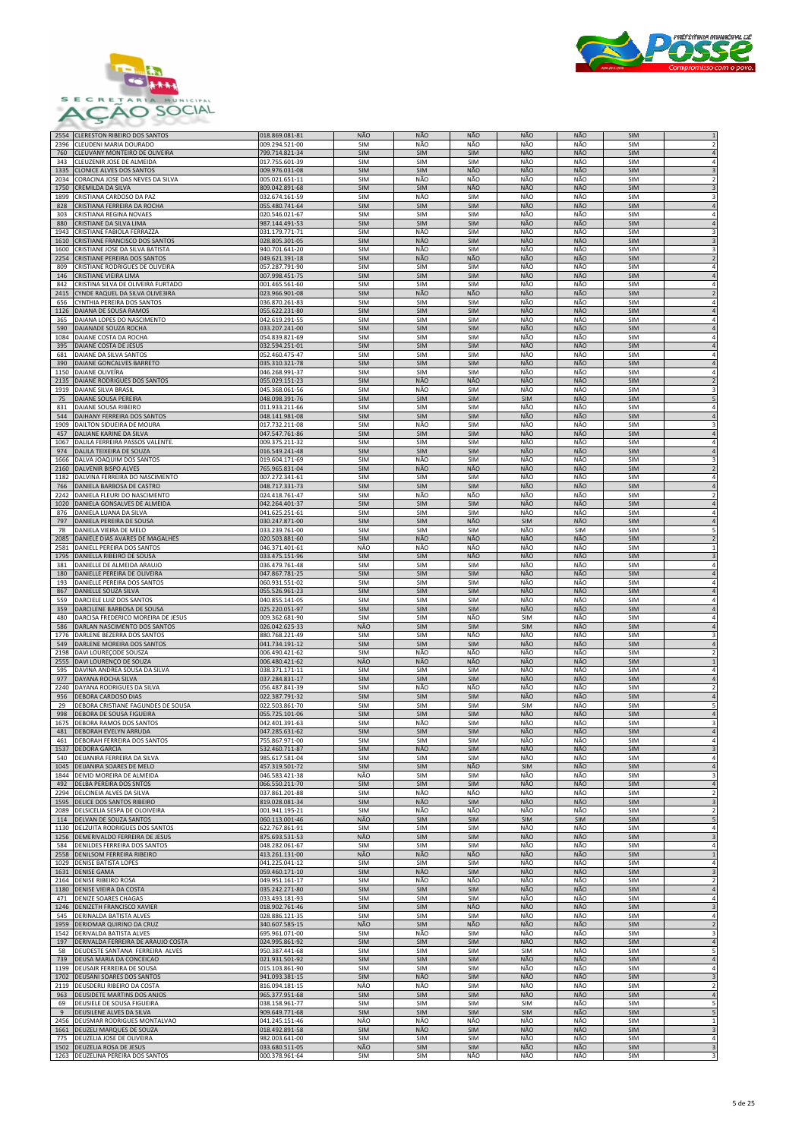



| 2554               | <b>CLERESTON RIBEIRO DOS SANTOS</b>                           | 018.869.081-81                   | <b>NÃO</b>               | NÃO               | NÃO               | NÃO               | NÃO               | <b>SIM</b>               |                                           |
|--------------------|---------------------------------------------------------------|----------------------------------|--------------------------|-------------------|-------------------|-------------------|-------------------|--------------------------|-------------------------------------------|
| 2396               | CLEUDENI MARIA DOURADO                                        | 009.294.521-00                   | <b>SIM</b>               | NÃO               | NÃO               | NÃO               | NÃO               | <b>SIM</b>               |                                           |
| 760                | CLEUVANY MONTEIRO DE OLIVEIRA                                 | 799.714.821-34                   | <b>SIM</b>               | SIM               | SIM               | NÃO               | NÃO               | <b>SIM</b>               |                                           |
| 343                | CLEUZENIR JOSE DE ALMEIDA                                     | 017.755.601-39                   | SIM                      | SIM               | SIM               | NÃO               | NÃO               | SIM                      |                                           |
| 1335               | CLONICE ALVES DOS SANTOS                                      | 009.976.031-08                   | SIM                      | SIM               | NÃO               | NÃO               | NÃO               | SIM                      | $\overline{\mathbf{3}}$                   |
| 2034               | CORACINA JOSE DAS NEVES DA SILVA                              | 005.021.651-11                   | <b>SIM</b>               | NÃO               | NÃO               | NÃO               | NÃO               | SIM                      | $\overline{2}$                            |
| 1750               | CREMILDA DA SILVA                                             | 809.042.891-68                   | <b>SIM</b>               | SIM               | NÃO               | NÃO               | NÃO               | <b>SIM</b>               | $\overline{3}$                            |
| 1899               | CRISTIANA CARDOSO DA PAZ                                      | 032.674.161-59                   | SIM                      | NÃO               | SIM               | NÃO               | NÃO               | SIM                      | $\overline{3}$                            |
| 828                | CRISTIANA FERREIRA DA ROCHA                                   | 055.480.741-64                   | SIM                      | SIM               | SIM               | NÃO               | NÃO               | SIM                      | $\overline{A}$                            |
| 303<br>880         | CRISTIANA REGINA NOVAES<br>CRISTIANE DA SILVA LIMA            | 020.546.021-67<br>987.144.491-53 | SIM<br>SIM               | SIM<br>SIM        | SIM<br>SIM        | NÃO<br>NÃO        | NÃO<br>NÃO        | SIM<br>SIM               |                                           |
| 1943               | CRISTIANE FABIOLA FERRAZZA                                    | 031.179.771-71                   | <b>SIM</b>               | NÃO               | SIM               | NÃO               | NÃO               | SIM                      |                                           |
| 1610               | CRISTIANE FRANCISCO DOS SANTOS                                | 028.805.301-05                   | SIM                      | NÃO               | SIM               | NÃO               | NÃO               | <b>SIM</b>               |                                           |
| 1600               | CRISTIANE JOSE DA SILVA BATISTA                               | 940.701.641-20                   | SIM                      | NÃO               | SIM               | NÃO               | NÃO               | SIM                      |                                           |
| 2254               | CRISTIANE PEREIRA DOS SANTOS                                  | 049.621.391-18                   | SIM                      | NÃO               | NÃO               | NÃO               | NÃO               | SIM                      |                                           |
| 809                | CRISTIANE RODRIGUES DE OLIVEIRA                               | 057.287.791-90                   | SIM                      | SIM               | SIM               | NÃO               | NÃO               | SIM                      | $\overline{4}$                            |
| 146                | CRISTIANE VIEIRA LIMA                                         | 007.998.451-75                   | SIM                      | SIM               | SIM               | NÃO               | NÃO               | SIM                      | $\overline{4}$                            |
| 842                | CRISTINA SILVA DE OLIVEIRA FURTADO                            | 001.465.561-60                   | <b>SIM</b>               | SIM               | SIM               | NÃO               | NÃO               | <b>SIM</b>               | 4                                         |
| 2415<br>656        | CYNDE RAQUEL DA SILVA OLIVE3IRA<br>CYNTHIA PEREIRA DOS SANTOS | 023.966.901-08<br>036.870.261-83 | <b>SIM</b><br><b>SIM</b> | NÃO<br>SIM        | NÃO<br>SIM        | NÃO<br>NÃO        | NÃO<br>NÃO        | <b>SIM</b><br><b>SIM</b> | $\overline{2}$<br>$\overline{4}$          |
| 1126               | DAIANA DE SOUSA RAMOS                                         | 055.622.231-80                   | <b>SIM</b>               | <b>SIM</b>        | SIM               | NÃO               | NÃO               | SIM                      |                                           |
| 365                | DAIANA LOPES DO NASCIMENTO                                    | 042.619.291-55                   | SIM                      | SIM               | SIM               | NÃO               | NÃO               | SIM                      |                                           |
| 590                | DAIANADE SOUZA ROCHA                                          | 033.207.241-00                   | SIM                      | SIM               | SIM               | NÃO               | NÃO               | SIM                      |                                           |
| 1084               | DAIANE COSTA DA ROCHA                                         | 054.839.821-69                   | <b>SIM</b>               | SIM               | SIM               | NÃO               | NÃO               | SIM                      |                                           |
| 395                | DAIANE COSTA DE JESUS                                         | 032.594.251-01                   | <b>SIM</b>               | SIM               | SIM               | NÃO               | NÃO               | <b>SIM</b>               | $\overline{4}$                            |
| 681                | DAIANE DA SILVA SANTOS                                        | 052.460.475-47                   | <b>SIM</b>               | SIM               | SIM               | NÃO               | NÃO               | SIM                      | $\overline{4}$                            |
| 390                | DAIANE GONCALVES BARRETO                                      | 035.310.321-78                   | <b>SIM</b>               | SIM               | SIM               | NÃO<br>NÃO        | NÃO               | <b>SIM</b>               | $\overline{4}$<br>$\overline{4}$          |
| 1150<br>2135       | DAIANE OLIVEÍRA<br>DAIANE RODRIGUES DOS SANTOS                | 046.268.991-37<br>055.029.151-23 | SIM<br><b>SIM</b>        | SIM<br><b>NÃO</b> | SIM<br><b>NÃO</b> | NÃO               | NÃO<br>NÃO        | SIM<br><b>SIM</b>        | $\overline{2}$                            |
| 1919               | DAIANE SILVA BRASIL                                           | 045.368.061-56                   | <b>SIM</b>               | NÃO               | SIM               | NÃO               | NÃO               | <b>SIM</b>               | 3                                         |
| 75                 | DAIANE SOUSA PEREIRA                                          | 048.098.391-76                   | <b>SIM</b>               | SIM               | SIM               | SIM               | NÃO               | <b>SIM</b>               | 5                                         |
| 831                | DAIANE SOUSA RIBEIRO                                          | 011.933.211-66                   | <b>SIM</b>               | SIM               | SIM               | NÃO               | NÃO               | <b>SIM</b>               | $\sqrt{4}$                                |
| 544                | DAIHANY FERREIRA DOS SANTOS                                   | 048.141.981-08                   | SIM                      | SIM               | SIM               | NÃO               | NÃO               | SIM                      | $\overline{4}$                            |
| 1909               | DAILTON SIDUEIRA DE MOURA                                     | 017.732.211-08                   | SIM                      | NÃO               | SIM               | NÃO               | NÃO               | SIM                      |                                           |
| 457                | DALIANE KARINE DA SILVA                                       | 047.547.761-86                   | <b>SIM</b>               | <b>SIM</b>        | SIM               | NÃO               | <b>NÃO</b><br>NÃO | <b>SIM</b>               |                                           |
| 1067<br>974        | DALILA FERREIRA PASSOS VALENTE.<br>DALILA TEIXEIRA DE SOUZA   | 009.375.211-32<br>016.549.241-48 | <b>SIM</b><br><b>SIM</b> | SIM<br><b>SIM</b> | SIM<br>SIM        | NÃO<br><b>NÃO</b> | <b>NÃO</b>        | SIM<br><b>SIM</b>        |                                           |
| 1666               | DALVA JOAQUIM DOS SANTOS                                      | 019.604.171-69                   | <b>SIM</b>               | NÃO               | SIM               | NÃO               | NÃO               | <b>SIM</b>               |                                           |
| 2160               | DALVENIR BISPO ALVES                                          | 765.965.831-04                   | SIM                      | NÃO               | NÃO               | NÃO               | NÃO               | SIM                      |                                           |
| 1182               | DALVINA FERREIRA DO NASCIMENTO                                | 007.272.341-61                   | SIM                      | SIM               | SIM               | NÃO               | NÃO               | SIM                      |                                           |
| 766                | DANIELA BARBOSA DE CASTRO                                     | 048.717.331-73                   | <b>SIM</b>               | SIM               | SIM               | <b>NÃO</b>        | NÃO               | SIM                      |                                           |
| 2242               | DANIELA FLEURI DO NASCIMENTO                                  | 024.418.761-47                   | SIM                      | NÃO               | NÃO               | NÃO               | NÃO               | SIM                      | $\overline{2}$                            |
| 1020               | DANIELA GONSALVES DE ALMEIDA                                  | 042.264.401-37                   | SIM                      | SIM               | SIM               | NÃO               | NÃO               | <b>SIM</b>               | $\overline{4}$                            |
| 876                | DANIELA LUANA DA SILVA                                        | 041.625.251-61                   | <b>SIM</b>               | SIM               | SIM               | NÃO               | NÃO               | SIM                      | $\overline{4}$                            |
| 797<br>78          | DANIELA PEREIRA DE SOUSA<br>DANIELA VIEIRA DE MELO            | 030.247.871-00                   | SIM<br>SIM               | SIM<br>SIM        | NÃO<br>SIM        | <b>SIM</b><br>NÃO | NÃO<br>SIM        | <b>SIM</b><br>SIM        | $\overline{4}$                            |
| 2085               | DANIELE DIAS AVARES DE MAGALHES                               | 033.239.761-00<br>020.503.881-60 | <b>SIM</b>               | NÃO               | NÃO               | NÃO               | NÃO               | SIM                      |                                           |
| 2581               | DANIELL PEREIRA DOS SANTOS                                    | 046.371.401-61                   | NÃO                      | NÃO               | NÃO               | NÃO               | NÃO               | SIM                      |                                           |
| 1795               | DANIELLA RIBEIRO DE SOUSA                                     | 033.475.151-96                   | <b>SIM</b>               | SIM               | NÃO               | NÃO               | NÃO               | SIM                      |                                           |
| 381                | DANIELLE DE ALMEIDA ARAUJO                                    | 036.479.761-48                   | <b>SIM</b>               | SIM               | SIM               | NÃO               | NÃO               | SIM                      |                                           |
| 180                | DANIELLE PEREIRA DE OLIVEIRA                                  | 047.867.781-25                   | SIM                      | SIM               | SIM               | NÃO               | NÃO               | <b>SIM</b>               |                                           |
| 193                | DANIELLE PEREIRA DOS SANTOS                                   | 060.931.551-02                   | SIM                      | SIM               | SIM               | NÃO               | NÃO               | SIM                      |                                           |
| 867                | DANIELLE SOUZA SILVA                                          | 055.526.961-23<br>040.855.141-05 | <b>SIM</b><br><b>SIM</b> | SIM               | SIM<br>SIM        | NÃO<br>NÃO        | NÃO<br>NÃO        | <b>SIM</b><br><b>SIM</b> |                                           |
| 559<br>359         | DARCIELE LUIZ DOS SANTOS<br>DARCILENE BARBOSA DE SOUSA        | 025.220.051-97                   | <b>SIM</b>               | SIM<br>SIM        | SIM               | NÃO               | NÃO               | <b>SIM</b>               |                                           |
| 480                | DARCISA FREDERICO MOREIRA DE JESUS                            | 009.362.681-90                   | SIM                      | SIM               | NÃO               | SIM               | NÃO               | SIM                      |                                           |
| 586                | DARLAN NASCIMENTO DOS SANTOS                                  | 026.042.625-33                   | <b>NÃO</b>               | SIM               | SIM               | <b>SIM</b>        | <b>NÃO</b>        | <b>SIM</b>               |                                           |
| 1776               | DARLENE BEZERRA DOS SANTOS                                    | 880.768.221-49                   | SIM                      | SIM               | NÃO               | NÃO               | NÃO               | <b>SIM</b>               |                                           |
| 549                | DARLENE MOREIRA DOS SANTOS                                    | 041.734.191-12                   | <b>SIM</b>               | SIM               | SIM               | NÃO               | NÃO               | <b>SIM</b>               |                                           |
| 2198               | DAVI LOUREÇODE SOUSZA                                         | 006.490.421-62                   | <b>SIM</b>               | NÃO               | NÃO<br>NÃO        | NÃO<br>NÃO        | NÃO<br>NÃO        | SIM                      |                                           |
| 2555<br>595        | DAVI LOURENÇO DE SOUZA<br>DAVINA ANDREA SOUSA DA SILVA        | 006.480.421-62<br>038.371.171-11 | NÃO<br><b>SIM</b>        | <b>NÃO</b><br>SIM | SIM               | NÃO               | NÃO               | SIM<br><b>SIM</b>        | 4                                         |
| 977                | DAYANA ROCHA SILVA                                            | 037.284.831-17                   | SIM                      | SIM               | SIM               | NÃO               | NÃO               | <b>SIM</b>               | $\overline{4}$                            |
| 2240               | DAYANA RODRIGUES DA SILVA                                     | 056.487.841-39                   | SIM                      | NÃO               | NÃO               | NÃO               | NÃO               | SIM                      | $\overline{2}$                            |
| 956                | DEBORA CARDOSO DIAS                                           | 022.387.791-32                   | SIM                      | SIM               | SIM               | NÃO               | NÃO               | SIM                      | $\overline{4}$                            |
| 29                 | DEBORA CRISTIANE FAGUNDES DE SOUSA                            | 022.503.861-70                   | <b>SIM</b>               | SIM               | SIM               | SIM               | NÃO               | <b>SIM</b>               | 5                                         |
| 998                | DEBORA DE SOUSA FIGUEIRA                                      | 055.725.101-06                   | <b>SIM</b>               | SIM               | SIM               | NÃO<br>NÃO        | NÃO<br>NÃO        | SIM                      | $\sqrt{4}$                                |
| 1675               | DEBORA RAMOS DOS SANTOS<br>DEBORAH EVELYN ARRUDA              | 042.401.391-63                   | <b>SIM</b>               | NÃO<br>SIM        | <b>SIM</b>        | NÃO               | NÃO               | <b>SIM</b>               | 3                                         |
| 481<br>461         | DEBORAH FERREIRA DOS SANTOS                                   | 047.285.631-62<br>755.867.971-00 | <b>SIM</b><br>SIM        | SIM               | SIM<br>SIM        | NÃO               | NÃO               | SIM<br>SIM               | $\overline{4}$                            |
| 1537               | <b>DEDORA GARCIA</b>                                          | 532.460.711-87                   | SIM                      | NÃO               | SIM               | NÃO               | NÃO               | SIM                      | $\overline{\mathbf{3}}$                   |
| 540                | DEIJANIRA FERREIRA DA SILVA                                   | 985.617.581-04                   | SIM                      | SIM               | SIM               | NÃO               | NÃO               | SIM                      | $\overline{4}$                            |
| 1045               | DEIJANIRA SOARES DE MELO                                      | 457.319.501-72                   | SIM                      | SIM               | NÃO               | <b>SIM</b>        | NÃO               | <b>SIM</b>               | $\overline{4}$                            |
| 1844               | DEIVID MOREIRA DE ALMEIDA                                     | 046.583.421-38                   | NÃO                      | SIM               | SIM               | NÃO               | NÃO               | SIM                      | $\overline{\mathbf{3}}$                   |
| 492                | DELBA PEREIRA DOS SNTOS                                       | 066.550.211-70                   | <b>SIM</b>               | SIM               | SIM               | NÃO               | NÃO               | SIM                      | $\overline{4}$                            |
| 2294<br>1595       | DELCINEIA ALVES DA SILVA<br>DELICE DOS SANTOS RIBEIRO         | 037.861.201-88<br>819.028.081-34 | SIM<br>SIM               | NÃO<br>NÃO        | NÃO<br>SIM        | NÃO<br>NÃO        | NÃO<br>NÃO        | SIM<br>SIM               | $\overline{2}$<br>$\overline{\mathbf{3}}$ |
| 2089               | DELSICELIA SESPA DE OLOIVEIRA                                 | 001.941.195-21                   | SIM                      | NÃO               | NÃO               | NÃO               | NÃO               | SIM                      | $\overline{\mathbf{2}}$                   |
| 114                | DELVAN DE SOUZA SANTOS                                        | 060.113.001-46                   | <b>NÃO</b>               | SIM               | SIM               | <b>SIM</b>        | SIM               | SIM                      | 5                                         |
| 1130               | DELZUITA RODRIGUES DOS SANTOS                                 | 622.767.861-91                   | SIM                      | SIM               | SIM               | NÃO               | NÃO               | SIM                      | 4                                         |
| 1256               | DEMERIVALDO FERREIRA DE JESUS                                 | 875.693.531-53                   | NÃO                      | SIM               | SIM               | NÃO               | NÃO               | SIM                      | $\overline{\mathbf{3}}$                   |
| 584                | DENILDES FERREIRA DOS SANTOS                                  | 048.282.061-67                   | SIM                      | SIM               | SIM               | NÃO               | NÃO               | SIM                      | 4                                         |
| 2558               | DENILSOM FERREIRA RIBEIRO                                     | 413.261.131-00                   | <b>NÃO</b>               | NÃO               | NÃO               | NÃO               | NÃO               | SIM                      | $\overline{1}$                            |
| 1029<br>1631       | <b>DENISE BATISTA LOPES</b><br><b>DENISE GAMA</b>             | 041.225.041-12<br>059.460.171-10 | SIM<br>SIM               | SIM<br>NÃO        | SIM<br>SIM        | NÃO<br>NÃO        | NÃO<br>NÃO        | SIM<br>SIM               | 4<br>$\overline{\mathbf{3}}$              |
| 2164               | <b>DENISE RIBEIRO ROSA</b>                                    | 049.951.161-17                   | SIM                      | NÃO               | NÃO               | NÃO               | NÃO               | SIM                      | $\overline{\mathbf{2}}$                   |
| 1180               | DENISE VIEIRA DA COSTA                                        | 035.242.271-80                   | SIM                      | SIM               | SIM               | NÃO               | NÃO               | SIM                      | $\overline{a}$                            |
| 471                | DENIZE SOARES CHAGAS                                          | 033.493.181-93                   | <b>SIM</b>               | SIM               | SIM               | NÃO               | NÃO               | SIM                      | $\overline{4}$                            |
| 1246               | DENIZETH FRANCISCO XAVIER                                     | 018.902.761-46                   | SIM                      | SIM               | NÃO               | NÃO               | NÃO               | SIM                      | $\mathsf 3$                               |
| 545                | DERINALDA BATISTA ALVES                                       | 028.886.121-35                   | SIM                      | SIM               | SIM               | NÃO               | NÃO               | SIM                      | 4                                         |
| 1959               | DERIOMAR QUIRINO DA CRUZ                                      | 340.607.585-15                   | NÃO                      | SIM<br>NÃO        | NÃO               | NÃO<br>NÃO        | NÃO<br>NÃO        | SIM                      | $\overline{2}$                            |
| 1542<br>197        | DERIVALDA BATISTA ALVES<br>DERIVALDA FERREIRA DE ARAUJO COSTA | 695.961.071-00<br>024.995.861-92 | SIM<br>SIM               | SIM               | SIM<br>SIM        | NÃO               | NÃO               | <b>SIM</b><br><b>SIM</b> | $\overline{\mathbf{3}}$<br>$\overline{a}$ |
| 58                 | DEUDESTE SANTANA FERREIRA ALVES                               | 950.387.441-68                   | SIM                      | SIM               | SIM               | SIM               | NÃO               | <b>SIM</b>               | 5                                         |
| 739                | DEUSA MARIA DA CONCEICAO                                      | 021.931.501-92                   | SIM                      | SIM               | SIM               | NÃO               | NÃO               | SIM                      | $\overline{4}$                            |
| 1199               | DEUSAIR FERREIRA DE SOUSA                                     | 015.103.861-90                   | SIM                      | SIM               | SIM               | NÃO               | NÃO               | <b>SIM</b>               | $\overline{4}$                            |
| 1702               | DEUSANI SOARES DOS SANTOS                                     | 941.093.381-15                   | SIM                      | NÃO               | SIM               | <b>NÃO</b>        | NÃO               | SIM                      | $\overline{\mathbf{3}}$                   |
| 2119               | DEUSDERLI RIBEIRO DA COSTA                                    | 816.094.181-15                   | NÃO                      | NÃO               | SIM               | NÃO               | NÃO               | SIM                      | $\overline{2}$                            |
| 963                | DEUSIDETE MARTINS DOS ANJOS                                   | 965.377.951-68                   | <b>SIM</b>               | SIM               | <b>SIM</b>        | <b>NÃO</b>        | NÃO               | <b>SIM</b>               | $\overline{a}$                            |
| 69<br>$\mathbf{q}$ | DEUSIELE DE SOUSA FIGUEIRA<br>DEUSILENE ALVES DA SILVA        | 038.158.961-77<br>909.649.771-68 | SIM<br>SIM               | SIM<br>SIM        | SIM<br>SIM        | SIM<br><b>SIM</b> | NÃO<br>NÃO        | SIM<br>SIM               | 5<br>5                                    |
| 2456               | DEUSMAR RODRIGUES MONTALVAO                                   | 041.245.151-46                   | NÃO                      | NÃO               | NÃO               | NÃO               | NÃO               | SIM                      | $\mathbf{1}$                              |
| 1661               | DEUZELI MARQUES DE SOUZA                                      | 018.492.891-58                   | SIM                      | NÃO               | SIM               | NÃO               | NÃO               | SIM                      | $\overline{\mathbf{3}}$                   |
| 775                | DEUZELIA JOSE DE OLIVEIRA                                     | 982.003.641-00                   | SIM                      | SIM               | SIM               | NÃO               | NÃO               | SIM                      | $\overline{4}$                            |
| 1502               | DEUZELIA ROSA DE JESUS                                        | 033.680.511-05                   | NÃO                      | SIM               | SIM               | NÃO               | NÃO               | SIM                      | $\overline{\mathbf{3}}$                   |
| 1263               | DEUZELINA PEREIRA DOS SANTOS                                  | 000.378.961-64                   | SIM                      | SIM               | NÃO               | NÃO               | NÃO               | SIM                      | $\overline{\mathbf{3}}$                   |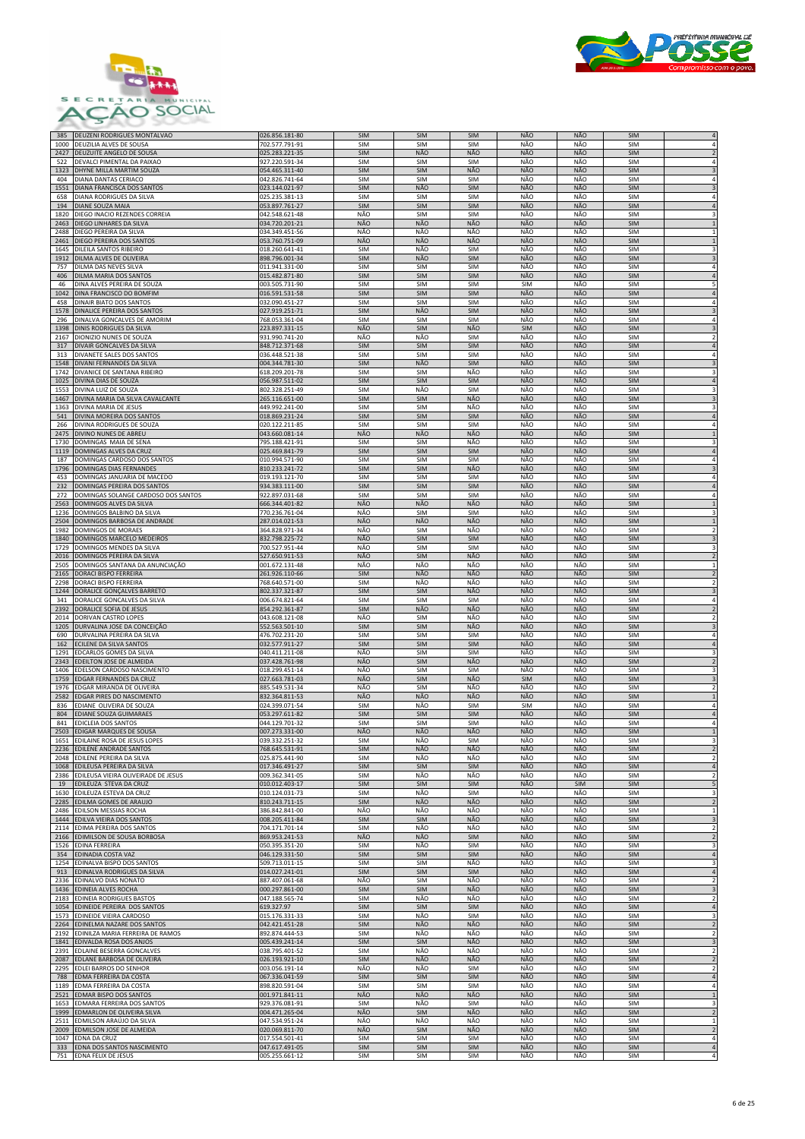



| 1000         | DEUZILIA ALVES DE SOUSA                                               | 702.577.791-91                   | SIM                      | SIM        | SIM                      | NÃO               | NÃO               | <b>SIM</b>               | $\overline{4}$                            |
|--------------|-----------------------------------------------------------------------|----------------------------------|--------------------------|------------|--------------------------|-------------------|-------------------|--------------------------|-------------------------------------------|
| 2427         | DEUZUITE ANGELO DE SOUSA                                              | 025.283.221-35                   | SIM                      | NÃO        | NÃO                      | NÃO               | NÃO               | <b>SIM</b>               |                                           |
| 522          | DEVALCI PIMENTAL DA PAIXAO                                            | 927.220.591-34                   | SIM                      | SIM        | SIM                      | NÃO               | NÃO               | <b>SIM</b>               | 4                                         |
| 1323         | DHYNE MILLA MARTIM SOUZA                                              | 054.465.311-40                   | <b>SIM</b>               | SIM        | <b>NÃO</b>               | NÃO               | NÃO               | <b>SIM</b>               | $\ensuremath{\mathsf{3}}$                 |
| 404          | DIANA DANTAS CERIACO                                                  | 042.826.741-64                   | SIM                      | SIM        | SIM                      | NÃO               | NÃO               | <b>SIM</b>               | 4                                         |
| 1551         | <b>DIANA FRANCISCA DOS SANTOS</b>                                     | 023.144.021-97                   | <b>SIM</b>               | NÃO        | <b>SIM</b>               | NÃO               | NÃO               | <b>SIM</b>               | $\overline{3}$                            |
| 658          | DIANA RODRIGUES DA SILVA<br><b>DIANE SOUZA MAIA</b>                   | 025.235.381-13                   | SIM                      | SIM        | SIM                      | NÃO<br><b>NÃO</b> | NÃO<br><b>NÃO</b> | <b>SIM</b>               | $\sqrt{4}$<br>$\overline{4}$              |
| 194<br>1820  | DIEGO INACIO REZENDES CORREIA                                         | 053.897.761-27<br>042.548.621-48 | <b>SIM</b><br>NÃO        | SIM<br>SIM | SIM<br><b>SIM</b>        | NÃO               | NÃO               | SIM<br>SIM               | 3                                         |
| 2463         | DIEGO LINHARES DA SILVA                                               | 034.720.201-21                   | NÃO                      | NÃO        | NÃO                      | NÃO               | NÃO               | SIM                      | $\,1\,$                                   |
| 2488         | DIEGO PEREIRA DA SILVA                                                | 034.349.451-56                   | NÃO                      | NÃO        | NÃO                      | NÃO               | NÃO               | SIM                      | $\mathbf{1}$                              |
| 2461         | DIEGO PEREIRA DOS SANTOS                                              | 053.760.751-09                   | NÃO                      | NÃO        | NÃO                      | NÃO               | NÃO               | <b>SIM</b>               | $\mathbf 1$                               |
| 1645         | DILEILA SANTOS RIBEIRO                                                | 018.260.641-41                   | SIM                      | NÃO        | SIM                      | NÃO               | NÃO               | SIM                      | 3                                         |
| 1912         | DILMA ALVES DE OLIVEIRA                                               | 898.796.001-34                   | <b>SIM</b>               | NÃO        | SIM                      | NÃO               | NÃO               | SIM                      | $\overline{3}$                            |
| 757          | DILMA DAS NEVES SILVA                                                 | 011.941.331-00                   | SIM                      | SIM        | <b>SIM</b>               | NÃO               | NÃO               | <b>SIM</b>               |                                           |
| 406          | DILMA MARIA DOS SANTOS                                                | 015.482.871-80                   | SIM                      | SIM        | <b>SIM</b>               | NÃO               | NÃO               | <b>SIM</b>               | $\sqrt{4}$                                |
| 46           | DINA ALVES PEREIRA DE SOUZA                                           | 003.505.731-90                   | SIM                      | SIM        | <b>SIM</b>               | <b>SIM</b>        | NÃO               | SIM                      | 5                                         |
| 1042         | DINA FRANCISCO DO BOMFIM                                              | 016.591.531-58                   | <b>SIM</b>               | SIM        | <b>SIM</b>               | NÃO               | NÃO               | SIM                      | $\sqrt{4}$                                |
| 458          | DINAIR BIATO DOS SANTOS                                               | 032.090.451-27                   | SIM<br>SIM               | SIM<br>NÃO | <b>SIM</b><br>SIM        | NÃO<br>NÃO        | NÃO<br>NÃO        | <b>SIM</b><br>SIM        | 4<br>$\overline{3}$                       |
| 1578<br>296  | DINALICE PEREIRA DOS SANTOS<br>DINALVA GONCALVES DE AMORIM            | 027.919.251-71<br>768.053.361-04 | SIM                      | SIM        | SIM                      | NÃO               | NÃO               | <b>SIM</b>               | 4                                         |
| 1398         | DINIS RODRIGUES DA SILVA                                              | 223.897.331-15                   | NÃO                      | SIM        | NÃO                      | SIM               | NÃO               | <b>SIM</b>               | $\ensuremath{\mathsf{3}}$                 |
| 2167         | DIONIZIO NUNES DE SOUZA                                               | 931.990.741-20                   | NÃO                      | NÃO        | SIM                      | NÃO               | NÃO               | SIM                      | 2                                         |
| 317          | DIVAIR GONCALVES DA SILVA                                             | 848.712.371-68                   | SIM                      | SIM        | SIM                      | NÃO               | NÃO               | SIM                      | $\overline{4}$                            |
| 313          | DIVANETE SALES DOS SANTOS                                             | 036.448.521-38                   | SIM                      | SIM        | SIM                      | NÃO               | NÃO               | <b>SIM</b>               | $\overline{4}$                            |
| 1548         | DIVANI FERNANDES DA SILVA                                             | 004.344.781-30                   | <b>SIM</b>               | NÃO        | <b>SIM</b>               | NÃO               | NÃO               | SIM                      | $\overline{3}$                            |
| 1742         | DIVANICE DE SANTANA RIBEIRO                                           | 618.209.201-78                   | SIM                      | SIM        | NÃO                      | NÃO               | NÃO               | <b>SIM</b>               |                                           |
| 1025         | DIVINA DIAS DE SOUZA                                                  | 056.987.511-02                   | SIM                      | SIM        | <b>SIM</b>               | NÃO               | NÃO               | SIM                      | $\sqrt{4}$                                |
| 1553         | DIVINA LUIZ DE SOUZA                                                  | 802.328.251-49                   | <b>SIM</b>               | NÃO<br>SIM | <b>SIM</b><br>NÃO        | NÃO<br>NÃO        | NÃO<br>NÃO        | <b>SIM</b>               | 3                                         |
| 1467<br>1363 | DIVINA MARIA DA SILVA CAVALCANTE<br>DIVINA MARIA DE JESUS             | 265.116.651-00<br>449.992.241-00 | SIM<br>SIM               | SIM        | NÃO                      | NÃO               | NÃO               | SIM<br><b>SIM</b>        | $\overline{\mathbf{3}}$<br>3              |
| 541          | DIVINA MOREIRA DOS SANTOS                                             | 018.869.231-24                   | SIM                      | SIM        | <b>SIM</b>               | NÃO               | NÃO               | <b>SIM</b>               | $\sqrt{4}$                                |
| 266          | DIVINA RODRIGUES DE SOUZA                                             | 020.122.211-85                   | SIM                      | SIM        | SIM                      | NÃO               | NÃO               | SIM                      | 4                                         |
| 2475         | DIVINO NUNES DE ABREU                                                 | 043.660.081-14                   | NÃO                      | NÃO        | NÃO                      | NÃO               | NÃO               | SIM                      |                                           |
| 1730         | DOMINGAS MAIA DE SENA                                                 | 795.188.421-91                   | <b>SIM</b>               | SIM        | NÃO                      | NÃO               | NÃO               | <b>SIM</b>               | 3                                         |
| 1119         | DOMINGAS ALVES DA CRUZ                                                | 025.469.841-79                   | SIM                      | SIM        | SIM                      | <b>NÃO</b>        | <b>NÃO</b>        | SIM                      | $\overline{4}$                            |
| 187          | DOMINGAS CARDOSO DOS SANTOS                                           | 010.994.571-90                   | SIM                      | SIM        | <b>SIM</b>               | NÃO               | NÃO               | <b>SIM</b>               | $\overline{4}$                            |
| 1796         | DOMINGAS DIAS FERNANDES                                               | 810.233.241-72                   | <b>SIM</b>               | SIM        | NÃO                      | NÃO               | NÃO               | <b>SIM</b>               | $\overline{3}$                            |
| 453          | DOMINGAS JANUARIA DE MACEDO                                           | 019.193.121-70                   | <b>SIM</b>               | SIM        | SIM                      | NÃO               | NÃO               | SIM                      | $\overline{4}$                            |
| 232          | DOMINGAS PEREIRA DOS SANTOS                                           | 934.383.111-00                   | SIM                      | SIM        | SIM                      | NÃO               | <b>NÃO</b>        | SIM                      |                                           |
| 272          | DOMINGAS SOLANGE CARDOSO DOS SANTOS                                   | 922.897.031-68<br>666.344.401-82 | SIM<br>NÃO               | SIM<br>NÃO | SIM<br>NÃO               | NÃO<br>NÃO        | NÃO<br>NÃO        | <b>SIM</b>               | 4<br>$\mathbf{1}$                         |
| 2563<br>1236 | DOMINGOS ALVES DA SILVA<br>DOMINGOS BALBINO DA SILVA                  | 770.236.761-04                   | NÃO                      | SIM        | SIM                      | NÃO               | NÃO               | <b>SIM</b><br><b>SIM</b> | 3                                         |
| 2504         | DOMINGOS BARBOSA DE ANDRADE                                           | 287.014.021-53                   | NÃO                      | NÃO        | NÃO                      | NÃO               | NÃO               | <b>SIM</b>               | $\mathbf{1}$                              |
| 1982         | DOMINGOS DE MORAES                                                    | 364.828.971-34                   | NÃO                      | SIM        | NÃO                      | NÃO               | NÃO               | SIM                      | $\overline{\phantom{a}}$                  |
| 1840         | DOMINGOS MARCELO MEDEIROS                                             | 832.798.225-72                   | <b>NÃO</b>               | SIM        | SIM                      | NÃO               | NÃO               | <b>SIM</b>               |                                           |
| 1729         | DOMINGOS MENDES DA SILVA                                              | 700.527.951-44                   | NÃO                      | SIM        | <b>SIM</b>               | NÃO               | NÃO               | <b>SIM</b>               | 3                                         |
| 2016         | DOMINGOS PEREIRA DA SILVA                                             | 527.650.911-53                   | NÃO                      | SIM        | NÃO                      | NÃO               | NÃO               | <b>SIM</b>               | $\overline{2}$                            |
| 2505         | DOMINGOS SANTANA DA ANUNCIAÇÃO                                        | 001.672.131-48                   | NÃO                      | NÃO        | NÃO                      | NÃO               | NÃO               | SIM                      | $\mathbf{1}$                              |
| 2165         | DORACI BISPO FERREIRA                                                 | 261.926.110-66                   | SIM                      | NÃO        | NÃO                      | NÃO               | NÃO               | <b>SIM</b>               | $\overline{2}$                            |
| 2298         | DORACI BISPO FERREIRA                                                 | 768.640.571-00                   | SIM                      | NÃO        | NÃO                      | NÃO               | NÃO               | SIM                      | $\overline{2}$                            |
| 1244<br>341  | DORALICE GONÇALVES BARRETO<br>DORALICE GONCALVES DA SILVA             | 802.337.321-87<br>006.674.821-64 | SIM<br>SIM               | SIM<br>SIM | <b>NÃO</b><br><b>SIM</b> | NÃO<br>NÃO        | NÃO<br>NÃO        | <b>SIM</b><br><b>SIM</b> | 4                                         |
| 2392         | DORALICE SOFIA DE JESUS                                               | 854.292.361-87                   | <b>SIM</b>               | NÃO        | <b>NÃO</b>               | NÃO               | NÃO               | <b>SIM</b>               | $\overline{2}$                            |
| 2014         | DORIVAN CASTRO LOPES                                                  | 043.608.121-08                   | NÃO                      | SIM        | NÃO                      | NÃO               | NÃO               | SIM                      |                                           |
| 1205         | DURVALINA JOSE DA CONCEIÇÃO                                           | 552.563.501-10                   | SIM                      | SIM        | NÃO                      | NÃO               | NÃO               | <b>SIM</b>               | 3                                         |
| 690          | DURVALINA PEREIRA DA SILVA                                            | 476.702.231-20                   | SIM                      | SIM        | SIM                      | NÃO               | NÃO               | SIM                      | $\overline{4}$                            |
| 162          | ECILENE DA SILVA SANTOS                                               | 032.577.911-27                   | SIM                      | SIM        | <b>SIM</b>               | NÃO               | NÃO               | <b>SIM</b>               |                                           |
| 1291         | EDCARLOS GOMES DA SILVA                                               | 040.411.211-08                   | NÃO                      | SIM        | SIM                      | NÃO               | NÃO               | <b>SIM</b>               | 3                                         |
| 2343         | EDEILTON JOSE DE ALMEIDA                                              | 037.428.761-98                   | NÃO                      | SIM        | NÃO                      | NÃO               | NÃO               | <b>SIM</b>               | $\mathbf 2$                               |
| 1406         | EDELSON CARDOSO NASCIMENTO                                            | 018.299.451-14                   | NÃO                      | SIM        | SIM                      | NÃO               | NÃO               | SIM                      | 3                                         |
| 1759         | <b>EDGAR FERNANDES DA CRUZ</b>                                        | 027.663.781-03                   | NÃO                      | SIM<br>SIM | NÃO<br>NÃO               | <b>SIM</b><br>NÃO | NÃO               | <b>SIM</b>               | $\overline{\mathbf{3}}$                   |
| 1976<br>2582 | EDGAR MIRANDA DE OLIVEIRA<br>EDGAR PIRES DO NASCIMENTO                | 885.549.531-34<br>832.364.811-53 | NÃO<br>NÃO               | NÃO        | NÃO                      | <b>NÃO</b>        | NÃO<br><b>NÃO</b> | SIM<br>SIM               | $\overline{2}$                            |
| 836          | EDIANE OLIVEIRA DE SOUZA                                              | 024.399.071-54                   | SIM                      | NÃO        | <b>SIM</b>               | <b>SIM</b>        | NÃO               | <b>SIM</b>               | $\sqrt{4}$                                |
| 804          | EDIANE SOUZA GUIMARAES                                                | 053.297.611-82                   | <b>SIM</b>               | SIM        | <b>SIM</b>               | NÃO               | NÃO               | <b>SIM</b>               | $\sqrt{4}$                                |
| 841          | EDICLEIA DOS SANTOS                                                   | 044.129.701-32                   | <b>SIM</b>               | SIM        | <b>SIM</b>               | NÃO               | NÃO               | <b>SIM</b>               | 4                                         |
| 2503         | <b>EDIGAR MARQUES DE SOUSA</b>                                        | 007.273.331-00                   | <b>NÃO</b>               | <b>NÃO</b> | NÃO                      | NÃO               | <b>NÃO</b>        | <b>SIM</b>               |                                           |
| 1651         | EDILAINE ROSA DE JESUS LOPES                                          | 039.332.251-32                   | SIM                      | NÃO        | <b>SIM</b>               | NÃO               | NÃO               | <b>SIM</b>               |                                           |
|              | 2236 EDILENE ANDRADE SANTOS                                           | 768.645.531-91                   | <b>SIM</b>               | NÃO        | NÃO                      | NÃO               | NÃO               | <b>SIM</b>               |                                           |
| 2048         | EDILENE PEREIRA DA SILVA                                              | 025.875.441-90                   | SIM                      | NÃO        | NÃO                      | NÃO               | NÃO               | SIM                      | 2                                         |
| 1068         | EDILEUSA PEREIRA DA SILVA<br>2386 EDILEUSA VIEIRA OLIVEIRADE DE JESUS | 017.346.491-27                   | SIM                      | SIM        | SIM<br>NÃO               | NÃO<br>NÃO        | NÃO<br>NÃO        | SIM                      | $\sqrt{4}$<br>$\overline{2}$              |
| 19           | EDILEUZA STEVA DA CRUZ                                                | 009.362.341-05<br>010.012.403-17 | SIM<br>SIM               | NÃO<br>SIM | SIM                      | NÃO               | SIM               | SIM<br>SIM               | 5                                         |
| 1630         | EDILEUZA ESTEVA DA CRUZ                                               | 010.124.031-73                   | SIM                      | NÃO        | SIM                      | NÃO               | NÃO               | <b>SIM</b>               | 3                                         |
| 2285         | EDILMA GOMES DE ARAUJO                                                | 810.243.711-15                   | SIM                      | NÃO        | NÃO                      | NÃO               | NÃO               | SIM                      | $\overline{2}$                            |
| 2486         | EDILSON MESSIAS ROCHA                                                 | 386.842.841-00                   | NÃO                      | NÃO        | NÃO                      | NÃO               | NÃO               | <b>SIM</b>               | 1                                         |
| 1444         | EDILVA VIEIRA DOS SANTOS                                              | 008.205.411-84                   | SIM                      | SIM        | NÃO                      | NÃO               | NÃO               | SIM                      | $\overline{3}$                            |
|              | 2114 EDIMA PEREIRA DOS SANTOS                                         | 704.171.701-14                   | SIM                      | NÃO        | NÃO                      | NÃO               | NÃO               | SIM                      | $\overline{2}$                            |
| 2166         | EDIMILSON DE SOUSA BORBOSA                                            | 869.953.241-53                   | NÃO                      | NÃO        | SIM                      | NÃO               | NÃO               | SIM                      | $\overline{2}$                            |
| 1526<br>354  | <b>EDINA FERREIRA</b><br>EDINADIA COSTA VAZ                           | 050.395.351-20<br>046.129.331-50 | SIM<br>SIM               | NÃO<br>SIM | SIM<br>SIM               | NÃO<br>NÃO        | NÃO<br>NÃO        | SIM<br>SIM               | 3<br>$\sqrt{4}$                           |
| 1254         | EDINALVA BISPO DOS SANTOS                                             | 509.713.011-15                   | SIM                      | SIM        | NÃO                      | NÃO               | NÃO               | SIM                      | 3                                         |
| 913          | EDINALVA RODRIGUES DA SILVA                                           | 014.027.241-01                   | SIM                      | SIM        | SIM                      | NÃO               | NÃO               | SIM                      | $\sqrt{4}$                                |
| 2336         | EDINALVO DIAS NONATO                                                  | 887.407.061-68                   | NÃO                      | SIM        | NÃO                      | NÃO               | NÃO               | SIM                      | 2                                         |
| 1436         | <b>EDINEIA ALVES ROCHA</b>                                            | 000.297.861-00                   | SIM                      | SIM        | NÃO                      | NÃO               | NÃO               | SIM                      | $\overline{\mathbf{3}}$                   |
| 2183         | <b>EDINEIA RODRIGUES BASTOS</b>                                       | 047.188.565-74                   | SIM                      | NÃO        | NÃO                      | NÃO               | NÃO               | SIM                      | $\overline{2}$                            |
| 1054         | EDINEIDE PEREIRA DOS SANTOS                                           | 619.327.97                       | SIM                      | SIM        | SIM                      | NÃO               | NÃO               | <b>SIM</b>               | $\sqrt{4}$                                |
| 1573         | EDINEIDE VIEIRA CARDOSO                                               | 015.176.331-33                   | <b>SIM</b>               | NÃO        | SIM                      | NÃO               | NÃO               | SIM                      | 3                                         |
| 2264<br>2192 | EDINELMA NAZARE DOS SANTOS<br>EDINILZA MARIA FERREIRA DE RAMOS        | 042.421.451-28<br>892.874.444-53 | <b>SIM</b><br><b>SIM</b> | NÃO<br>NÃO | NÃO<br>NÃO               | NÃO<br>NÃO        | NÃO<br>NÃO        | SIM<br><b>SIM</b>        | $\overline{2}$                            |
| 1841         | EDIVALDA ROSA DOS ANJOS                                               | 005.439.241-14                   | SIM                      | SIM        | <b>NÃO</b>               | <b>NÃO</b>        | NÃO               | SIM                      | $\overline{2}$<br>$\overline{\mathbf{3}}$ |
| 2391         | EDLAINE BESERRA GONCALVES                                             | 038.795.401-52                   | SIM                      | NÃO        | NÃO                      | NÃO               | NÃO               | <b>SIM</b>               | $\overline{2}$                            |
| 2087         | EDLANE BARBOSA DE OLIVEIRA                                            | 026.193.921-10                   | SIM                      | NÃO        | NÃO                      | NÃO               | NÃO               | <b>SIM</b>               | $\mathbf 2$                               |
| 2295         | EDLEI BARROS DO SENHOR                                                | 003.056.191-14                   | NÃO                      | NÃO        | SIM                      | NÃO               | NÃO               | SIM                      | $\overline{2}$                            |
| 788          | EDMA FERREIRA DA COSTA                                                | 067.336.041-59                   | <b>SIM</b>               | SIM        | SIM                      | NÃO               | NÃO               | SIM                      | $\overline{4}$                            |
| 1189         | EDMA FERREIRA DA COSTA                                                | 898.820.591-04                   | SIM                      | SIM        | SIM                      | NÃO               | NÃO               | <b>SIM</b>               | 4                                         |
| 2521         | <b>EDMAR BISPO DOS SANTOS</b>                                         | 001.971.841-11                   | NÃO                      | NÃO        | NÃO                      | NÃO               | NÃO               | SIM                      | $\,1\,$                                   |
| 1653         | EDMARA FERREIRA DOS SANTOS                                            | 929.376.081-91                   | SIM                      | NÃO        | SIM                      | NÃO               | NÃO               | SIM                      | 3                                         |
| 1999<br>2511 | EDMARLON DE OLIVEIRA SILVA<br>EDMILSON ARAÚJO DA SILVA                | 004.471.265-04<br>047.534.951-24 | NÃO<br>NÃO               | SIM<br>NÃO | NÃO<br>NÃO               | NÃO<br>NÃO        | NÃO<br>NÃO        | <b>SIM</b><br>SIM        | $\overline{2}$<br>$\mathbf{1}$            |
| 2009         | EDMILSON JOSE DE ALMEIDA                                              | 020.069.811-70                   | NÃO                      | SIM        | NÃO                      | NÃO               | <b>NÃO</b>        | <b>SIM</b>               | $\overline{2}$                            |
| 1047         | <b>EDNA DA CRUZ</b>                                                   | 017.554.501-41                   | SIM                      | SIM        | SIM                      | NÃO               | NÃO               | <b>SIM</b>               | $\sqrt{4}$                                |
| 333          | EDNA DOS SANTOS NASCIMENTO                                            | 047.617.491-05                   | SIM                      | SIM        | SIM                      | NÃO               | NÃO               | SIM                      | $\sqrt{4}$                                |
| 751          | <b>EDNA FELIX DE JESUS</b>                                            | 005.255.661-12                   | SIM                      | SIM        | SIM                      | NÃO               | NÃO               | SIM                      | 4                                         |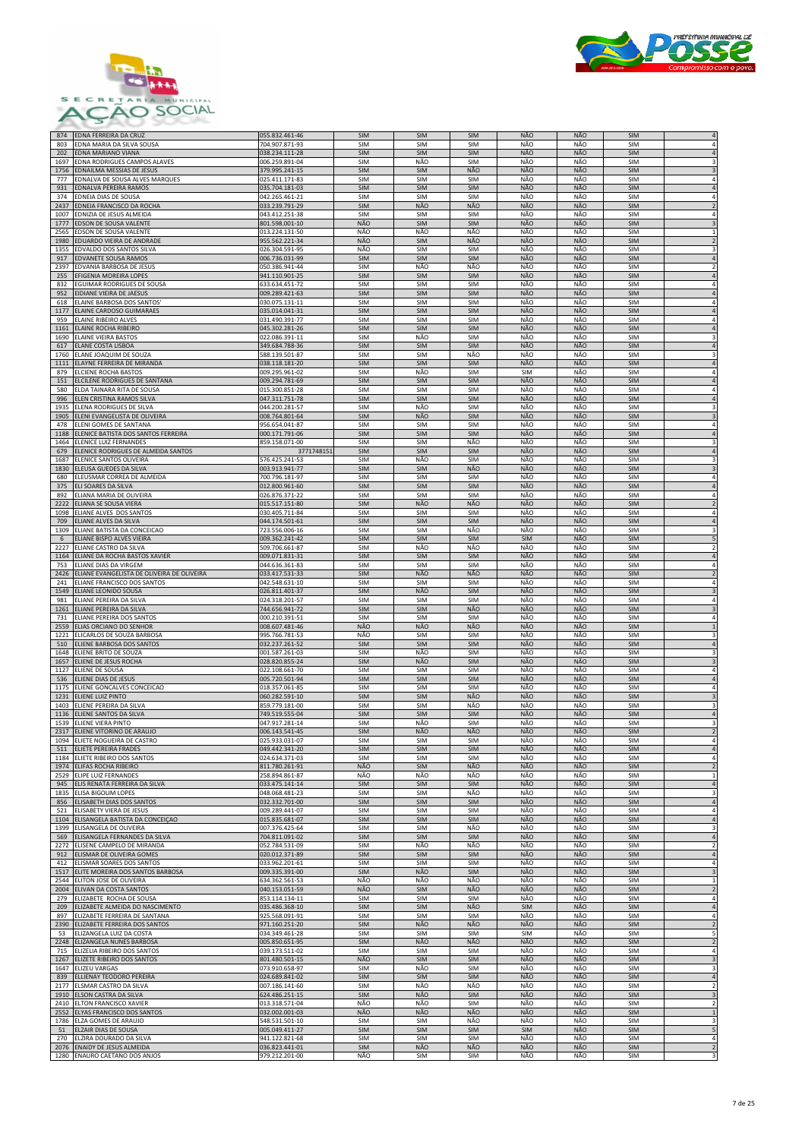



| 803          | EDNA MARIA DA SILVA SOUSA                                      | 704.907.871-93                   | <b>SIM</b>               | SIM        | <b>SIM</b>        | NÃO               | NÃO               | SIM                      | $\overline{4}$                            |
|--------------|----------------------------------------------------------------|----------------------------------|--------------------------|------------|-------------------|-------------------|-------------------|--------------------------|-------------------------------------------|
| 202          | EDNA MARIANO VIANA                                             | 038.234.111-28                   | SIM                      | SIM        | <b>SIM</b>        | NÃO               | NÃO               | SIM                      | $\sqrt{4}$                                |
| 1697         | EDNA RODRIGUES CAMPOS ALAVES                                   | 006.259.891-04                   | <b>SIM</b>               | NÃO        | SIM               | NÃO               | NÃO               | <b>SIM</b>               | 3                                         |
| 1756         | EDNAILMA MESSIAS DE JESUS                                      | 379.995.241-15                   | <b>SIM</b>               | SIM        | NÃO               | NÃO               | NÃO               | <b>SIM</b>               | 3                                         |
| 777          | EDNALVA DE SOUSA ALVES MARQUES                                 | 025.411.171-83                   | SIM                      | SIM        | SIM               | NÃO               | NÃO               | <b>SIM</b>               | $\overline{4}$                            |
| 931          | EDNALVA PEREIRA RAMOS                                          | 035.704.181-03                   | SIM                      | SIM        | <b>SIM</b>        | NÃO               | NÃO               | <b>SIM</b>               | 4                                         |
| 374<br>2437  | EDNEIA DIAS DE SOUSA                                           | 042.265.461-21                   | SIM<br>SIM               | SIM<br>NÃO | SIM<br>NÃO        | NÃO<br>NÃO        | NÃO<br>NÃO        | SIM<br>SIM               | 4                                         |
| 1007         | EDNEIA FRANCISCO DA ROCHA<br>EDNIZIA DE JESUS ALMEIDA          | 033.239.791-29<br>043.412.251-38 | SIM                      | SIM        | <b>SIM</b>        | NÃO               | NÃO               | SIM                      | 4                                         |
| 1777         | <b>EDSON DE SOUSA VALENTE</b>                                  | 801.598.001-10                   | NÃO                      | SIM        | <b>SIM</b>        | NÃO               | NÃO               | <b>SIM</b>               | $\overline{\mathbf{3}}$                   |
| 2565         | EDSON DE SOUSA VALENTE                                         | 013.224.131-50                   | NÃO                      | NÃO        | NÃO               | NÃO               | NÃO               | SIM                      | $\mathbf{1}$                              |
| 1980         | EDUARDO VIEIRA DE ANDRADE                                      | 955.562.221-34                   | NÃO                      | SIM        | NÃO               | NÃO               | NÃO               | <b>SIM</b>               | $\overline{2}$                            |
| 1355         | EDVALDO DOS SANTOS SILVA                                       | 026.304.591-95                   | NÃO                      | SIM        | SIM               | NÃO               | NÃO               | SIM                      | 3                                         |
| 917          | <b>EDVANETE SOUSA RAMOS</b>                                    | 006.736.031-99                   | SIM                      | SIM        | <b>SIM</b>        | NÃO               | <b>NÃO</b>        | <b>SIM</b>               | $\overline{4}$                            |
| 2397         | EDVANIA BARBOSA DE JESUS                                       | 050.386.941-44                   | SIM                      | NÃO        | NÃO               | NÃO               | NÃO               | <b>SIM</b>               | 2                                         |
| 255<br>832   | EFIGENIA MOREIRA LOPES<br><b>EGUIMAR RODRIGUES DE SOUSA</b>    | 941.110.901-25<br>633.634.451-72 | SIM<br>SIM               | SIM<br>SIM | SIM<br>SIM        | NÃO<br>NÃO        | NÃO<br>NÃO        | SIM<br><b>SIM</b>        | $\overline{a}$<br>$\overline{4}$          |
| 952          | EIDIANE VIEIRA DE JAESUS                                       | 009.289.421-63                   | SIM                      | SIM        | SIM               | NÃO               | NÃO               | <b>SIM</b>               | $\overline{4}$                            |
| 618          | ELAINE BARBOSA DOS SANTOS                                      | 030.075.131-11                   | SIM                      | SIM        | <b>SIM</b>        | NÃO               | NÃO               | SIM                      | 4                                         |
| 1177         | ELAINE CARDOSO GUIMARAES                                       | 035.014.041-31                   | SIM                      | SIM        | <b>SIM</b>        | NÃO               | NÃO               | SIM                      | $\overline{a}$                            |
| 959          | <b>ELAINE RIBEIRO ALVES</b>                                    | 031.490.391-77                   | SIM                      | SIM        | <b>SIM</b>        | NÃO               | NÃO               | SIM                      | 4                                         |
| 1161         | ELAINE ROCHA RIBEIRO                                           | 045.302.281-26                   | <b>SIM</b>               | SIM        | SIM               | NÃO               | NÃO               | SIM                      | $\sqrt{4}$                                |
| 1690<br>617  | <b>ELAINE VIEIRA BASTOS</b><br><b>ELANE COSTA LISBOA</b>       | 022.086.391-1:<br>349.684.788-36 | SIM<br>SIM               | NÃO<br>SIM | SIM<br>SIM        | NÃO<br>NÃO        | NÃO<br>NÃO        | SIM<br><b>SIM</b>        | 3<br>$\overline{4}$                       |
| 1760         | ELANE JOAQUIM DE SOUZA                                         | 588.139.501-87                   | SIM                      | SIM        | NÃO               | NÃO               | NÃO               | SIM                      | 3                                         |
| 1111         | ELAYNE FERREIRA DE MIRANDA                                     | 038.118.181-20                   | <b>SIM</b>               | SIM        | SIM               | <b>NÃO</b>        | <b>NÃO</b>        | SIM                      | $\Delta$                                  |
| 879          | ELCIENE ROCHA BASTOS                                           | 009.295.961-02                   | SIM                      | NÃO        | <b>SIM</b>        | SIM               | NÃO               | <b>SIM</b>               | $\overline{a}$                            |
| 151          | ELCILENE RODRIGUES DE SANTANA                                  | 009.294.781-69                   | <b>SIM</b>               | SIM        | <b>SIM</b>        | <b>NÃO</b>        | <b>NÃO</b>        | <b>SIM</b>               | 4                                         |
| 580          | ELDA TAINARA RITA DE SOUSA<br>ELEN CRISTINA RAMOS SILVA        | 015.300.851-28                   | SIM                      | SIM<br>SIM | SIM<br><b>SIM</b> | NÃO<br>NÃO        | NÃO<br>NÃO        | <b>SIM</b><br><b>SIM</b> | $\overline{4}$<br>$\overline{4}$          |
| 996<br>1935  | <b>ELENA RODRIGUES DE SILVA</b>                                | 047.311.751-78<br>044.200.281-57 | SIM<br>SIM               | NÃO        | <b>SIM</b>        | NÃO               | NÃO               | <b>SIM</b>               | $\overline{3}$                            |
| 1905         | ELENI EVANGELISTA DE OLIVEIRA                                  | 008.764.801-64                   | <b>SIM</b>               | NÃO        | <b>SIM</b>        | NÃO               | NÃO               | <b>SIM</b>               | 3                                         |
| 478          | ELENI GOMES DE SANTANA                                         | 956.654.041-87                   | SIM                      | SIM        | <b>SIM</b>        | NÃO               | NÃO               | SIM                      | 4                                         |
| 1188         | ELENICE BATISTA DOS SANTOS FERREIRA                            | 000.171.791-06                   | <b>SIM</b>               | SIM        | <b>SIM</b>        | NÃO               | NÃO               | <b>SIM</b>               | 4                                         |
| 1464<br>679  | ELENICE LUIZ FERNANDES<br>ELENICE RODRIGUES DE ALMEIDA SANTOS  | 859.158.071-00<br>3771748151     | SIM<br>SIM               | SIM<br>SIM | NÃO<br>SIM        | NÃO<br>NÃO        | NÃO<br>NÃO        | SIM<br>SIM               | 3<br>$\overline{4}$                       |
| 1687         | ELENICE SANTOS OLIVEIRA                                        | 576.425.241-53                   | SIM                      | NÃO        | <b>SIM</b>        | NÃO               | NÃO               | <b>SIM</b>               | $\overline{3}$                            |
| 1830         | ELEUSA GUEDES DA SILVA                                         | 003.913.941-77                   | <b>SIM</b>               | SIM        | NÃO               | NÃO               | NÃO               | <b>SIM</b>               | $\overline{\mathbf{3}}$                   |
| 680          | ELEUSMAR CORREA DE ALMEIDA                                     | 700.796.181-97                   | <b>SIM</b>               | <b>SIM</b> | SIM               | NÃO               | NÃO               | <b>SIM</b>               | 4                                         |
| 375          | ELI SOARES DA SILVA                                            | 012.800.961-60                   | SIM                      | SIM        | <b>SIM</b>        | NÃO               | NÃO               | SIM                      | 4                                         |
| 892<br>2222  | ELIANA MARIA DE OLIVEIRA<br>ELIANA SE SOUSA VIERA              | 026.876.371-22<br>015.517.151-80 | SIM<br>SIM               | SIM<br>NÃO | <b>SIM</b><br>NÃO | NÃO<br>NÃO        | NÃO<br>NÃO        | SIM<br>SIM               | 4<br>$\overline{2}$                       |
| 1098         | ELIANE ALVES DOS SANTOS                                        | 030.405.711-84                   | SIM                      | SIM        | SIM               | NÃO               | NÃO               | <b>SIM</b>               | $\overline{a}$                            |
| 709          | ELIANE ALVES DA SILVA                                          | 044.174.501-61                   | SIM                      | SIM        | <b>SIM</b>        | NÃO               | NÃO               | SIM                      | $\Delta$                                  |
| 1309         | ELIANE BATISTA DA CONCEICAO                                    | 723.556.006-16                   | SIM                      | SIM        | NÃO               | NÃO               | NÃO               | <b>SIM</b>               |                                           |
| 6            | ELIANE BISPO ALVES VIEIRA                                      | 009.362.241-42                   | SIM                      | SIM        | <b>SIM</b>        | SIM               | NÃO               | SIM                      | 5                                         |
| 2227         | ELIANE CASTRO DA SILVA                                         | 509.706.661-87                   | <b>SIM</b>               | NÃO        | NÃO               | NÃO               | NÃO               | SIM                      | $\mathfrak{p}$                            |
| 1164<br>753  | ELIANE DA ROCHA BASTOS XAVIER<br>ELIANE DIAS DA VIRGEM         | 009.071.831-31<br>044.636.361-83 | <b>SIM</b><br>SIM        | SIM<br>SIM | SIM<br><b>SIM</b> | NÃO<br>NÃO        | NÃO<br>NÃO        | SIM<br><b>SIM</b>        | $\overline{4}$<br>$\overline{4}$          |
| 2426         | ELIANE EVANGELISTA DE OLIVEIRA DE OLIVEIRA                     | 033.417.531-33                   | <b>SIM</b>               | NÃO        | NÃO               | NÃO               | NÃO               | SIM                      | $\overline{2}$                            |
| 241          | ELIANE FRANCISCO DOS SANTOS                                    | 042.548.631-10                   | SIM                      | <b>SIM</b> | SIM               | NÃO               | NÃO               | <b>SIM</b>               | 4                                         |
| 1549         | ELIANE LEONIDO SOUSA                                           | 026.811.401-37                   | SIM                      | NÃO        | <b>SIM</b>        | NÃO               | NÃO               | SIM                      | 3                                         |
| 981          | ELIANE PEREIRA DA SILVA                                        | 024.318.201-57                   | <b>SIM</b><br><b>SIM</b> | <b>SIM</b> | SIM<br><b>NÃO</b> | NÃO<br><b>NÃO</b> | NÃO<br><b>NÃO</b> | <b>SIM</b><br>SIM        | 4<br>$\overline{\mathbf{3}}$              |
| 1261<br>731  | ELIANE PEREIRA DA SILVA<br>ELIANE PEREIRA DOS SANTOS           | 744.656.941-72<br>000.210.391-51 | SIM                      | SIM<br>SIM | SIM               | NÃO               | NÃO               | <b>SIM</b>               | $\overline{4}$                            |
| 2559         | ELIAS ORCIANO DO SENHOR                                        | 008.607.481-46                   | NÃO                      | NÃO        | NÃO               | NÃO               | NÃO               | <b>SIM</b>               | $\overline{1}$                            |
| 1221         | ELICARLOS DE SOUZA BARBOSA                                     | 995.766.781-53                   | NÃO                      | SIM        | SIM               | NÃO               | NÃO               | SIM                      | 3                                         |
| 510          | ELIENE BARBOSA DOS SANTOS                                      | 032.237.261-52                   | <b>SIM</b>               | SIM        | <b>SIM</b>        | NÃO               | NÃO               | SIM                      | $\overline{a}$                            |
| 1648         | ELIENE BRITO DE SOUZA                                          | 001.587.261-03                   | <b>SIM</b>               | NÃO<br>NÃO | SIM               | NÃO               | NÃO               | <b>SIM</b>               | 3                                         |
| 1657<br>1127 | ELIENE DE JESUS ROCHA<br>ELIENE DE SOUSA                       | 028.820.855-24<br>022.108.661-70 | <b>SIM</b><br>SIM        | SIM        | <b>SIM</b><br>SIM | NÃO<br>NÃO        | NÃO<br>NÃO        | <b>SIM</b><br><b>SIM</b> | $\overline{\mathbf{3}}$<br>$\overline{4}$ |
| 536          | ELIENE DIAS DE JESUS                                           | 005.720.501-94                   | <b>SIM</b>               | SIM        | <b>SIM</b>        | NÃO               | NÃO               | <b>SIM</b>               | $\overline{4}$                            |
| 1175         | ELIENE GONCALVES CONCEICAO                                     | 018.357.061-85                   | <b>SIM</b>               | SIM        | SIM               | NÃO               | NÃO               | SIM                      | $\overline{a}$                            |
| 1231         | <b>ELIENE LUIZ PINTO</b>                                       | 060.282.591-10                   | SIM                      | SIM        | NÃO               | NÃO               | <b>NÃO</b>        | SIM                      |                                           |
| 1403         | ELIENE PEREIRA DA SILVA                                        | 859.779.181-00                   | SIM                      | SIM        | NÃO               | NÃO               | NÃO               | <b>SIM</b>               | 3                                         |
| 1136<br>1539 | ELIENE SANTOS DA SILVA<br>ELIENE VIERA PINTO                   | 749.519.555-04<br>047.917.281-14 | SIM<br>SIM               | SIM<br>NÃO | <b>SIM</b><br>SIM | NÃO<br>NÃO        | NÃO<br>NÃO        | SIM<br>SIM               | $\sqrt{4}$<br>3                           |
|              | 2317 ELIENE VITORINO DE ARAUJO                                 | 006.143.541-45                   | <b>SIM</b>               | NÃO        | NÃO               | NÃO               | NÃO               | SIM                      | $\overline{\phantom{a}}$                  |
|              | 1094 ELIETE NOGUEIRA DE CASTRO                                 | 025.933.031-07                   | SIM                      | SIM        | <b>SIM</b>        | NÃO               | NÃO               | SIM                      |                                           |
| 511          | ELIETE PEREIRA FRADES                                          | 049.442.341-20                   | <b>SIM</b>               | SIM        | SIM               | NÃO               | NÃO               | SIM                      |                                           |
| 1184         | ELIETE RIBEIRO DOS SANTOS                                      | 024.634.371-03                   | SIM                      | <b>SIM</b> | <b>SIM</b>        | NÃO               | NÃO               | SIM                      | 4                                         |
|              | 1974 ELIFAS ROCHA RIBEIRO<br>2529 ELIPE LUIZ FERNANDES         | 811.780.261-91<br>258.894.861-87 | NÃO<br>NÃO               | SIM<br>NÃO | NÃO<br>NÃO        | NÃO<br>NÃO        | NÃO<br>NÃO        | <b>SIM</b><br>SIM        | $\overline{\mathbf{2}}$<br>1              |
| 945          | ELIS RENATA FERREIRA DA SILVA                                  | 033.475.141-14                   | SIM                      | SIM        | SIM               | NÃO               | NÃO               | SIM                      | $\overline{4}$                            |
| 1835         | ELISA BIGOLIM LOPES                                            | 048.068.481-23                   | SIM                      | SIM        | NÃO               | NÃO               | NÃO               | SIM                      | 3                                         |
| 856          | ELISABETH DIAS DOS SANTOS                                      | 032.332.701-00                   | <b>SIM</b>               | SIM        | <b>SIM</b>        | NÃO               | NÃO               | SIM                      | $\overline{4}$                            |
| 521          | ELISABETY VIERA DE JESUS                                       | 009.289.441-07                   | SIM                      | SIM        | <b>SIM</b>        | NÃO               | NÃO               | SIM                      | 4                                         |
| 1399         | 1104 ELISANGELA BATISTA DA CONCEIÇÃO<br>ELISANGELA DE OLIVEIRA | 015.835.681-07<br>007.376.425-64 | <b>SIM</b><br>SIM        | SIM<br>SIM | SIM<br>NÃO        | NÃO<br>NÃO        | NÃO<br>NÃO        | SIM<br>SIM               | $\overline{a}$<br>3                       |
| 569          | ELISANGELA FERNANDES DA SILVA                                  | 704.811.091-02                   | <b>SIM</b>               | SIM        | SIM               | NÃO               | NÃO               | SIM                      | $\overline{4}$                            |
| 2272         | ELISENE CAMPELO DE MIRANDA                                     | 052.784.531-09                   | SIM                      | NÃO        | NÃO               | NÃO               | NÃO               | SIM                      | $\overline{2}$                            |
| 912          | ELISMAR DE OLIVEIRA GOMES                                      | 020.012.371-89                   | <b>SIM</b>               | SIM        | SIM               | NÃO               | NÃO               | SIM                      | $\overline{4}$                            |
| 412          | ELISMAR SOARES DOS SANTOS                                      | 033.962.201-61                   | SIM                      | SIM        | SIM               | NÃO               | NÃO               | SIM                      | 4                                         |
| 1517<br>2544 | ELITE MOREIRA DOS SANTOS BARBOSA<br>ELITON JOSE DE OLIVEIRA    | 009.335.391-00<br>634.362.561-53 | SIM<br>NÃO               | NÃO<br>NÃO | SIM<br>NÃO        | NÃO<br>NÃO        | NÃO<br>NÃO        | SIM<br>SIM               | 3<br>1                                    |
| 2004         | ELIVAN DA COSTA SANTOS                                         | 040.153.051-59                   | NÃO                      | SIM        | NÃO               | NÃO               | NÃO               | SIM                      | $\overline{2}$                            |
| 279          |                                                                |                                  |                          | SIM        | <b>SIM</b>        |                   |                   |                          | $\overline{a}$                            |
| 209          | ELIZABETE ROCHA DE SOUSA                                       | 853.114.134-11                   | SIM                      |            |                   | NÃO               | NÃO               | SIM                      |                                           |
|              | ELIZABETE ALMEIDA DO NASCIMENTO                                | 035.486.368-10                   | <b>SIM</b>               | SIM        | NÃO               | SIM               | NÃO               | SIM                      | $\Delta$                                  |
| 897          | ELIZABETE FERREIRA DE SANTANA                                  | 925.568.091-91                   | SIM                      | SIM        | <b>SIM</b>        | NÃO               | NÃO               | SIM                      | $\overline{4}$                            |
| 2390<br>53   | ELIZABETE FERREIRA DOS SANTOS                                  | 971.160.251-20                   | <b>SIM</b>               | NÃO        | NÃO               | NÃO               | NÃO               | SIM                      | $\overline{2}$<br>5                       |
|              | ELIZANGELA LUIZ DA COSTA<br>2248 ELIZANGELA NUNES BARBOSA      | 034.349.461-28<br>005.850.651-95 | SIM<br><b>SIM</b>        | SIM<br>NÃO | SIM<br>NÃO        | SIM<br>NÃO        | NÃO<br>NÃO        | SIM<br>SIM               | $\overline{2}$                            |
| 715          | ELIZELIA RIBEIRO DOS SANTOS                                    | 039.173.511-02                   | SIM                      | SIM        | SIM               | NÃO               | NÃO               | SIM                      | $\overline{a}$                            |
| 1267         | ELIZETE RIBEIRO DOS SANTOS                                     | 801.480.501-15                   | NÃO                      | SIM        | <b>SIM</b>        | NÃO               | NÃO               | SIM                      | 3                                         |
| 1647         | <b>ELIZEU VARGAS</b>                                           | 073.910.658-97                   | SIM                      | NÃO        | <b>SIM</b>        | NÃO               | NÃO               | SIM                      | 3                                         |
| 839          | ELLIENAY TEODORO PEREIRA                                       | 024.689.841-02                   | <b>SIM</b><br>SIM        | SIM<br>NÃO | <b>SIM</b><br>NÃO | NÃO<br>NÃO        | NÃO<br>NÃO        | SIM<br>SIM               | $\sqrt{4}$<br>$\overline{2}$              |
|              | 2177 ELSMAR CASTRO DA SILVA<br>1910 ELSON CASTRA DA SILVA      | 007.186.141-60<br>624.486.251-15 | SIM                      | NÃO        | <b>SIM</b>        | NÃO               | NÃO               | SIM                      | $\overline{\mathbf{3}}$                   |
| 2410         | <b>ELTON FRANCISCO XAVIER</b>                                  | 013.318.571-04                   | NÃO                      | NÃO        | <b>SIM</b>        | NÃO               | NÃO               | SIM                      | $\overline{2}$                            |
| 2552         | ELYAS FRANCISCO DOS SANTOS                                     | 032.002.001-03                   | NÃO                      | NÃO        | NÃO               | NÃO               | NÃO               | SIM                      | $\mathbf 1$                               |
| 1786         | ELZA GOMES DE ARAUJO                                           | 548.531.501-10                   | SIM                      | SIM        | NÃO               | NÃO               | NÃO               | SIM                      |                                           |
| 51<br>270    | ELZAIR DIAS DE SOUSA<br>ELZIRA DOURADO DA SILVA                | 005.049.411-27<br>941.122.821-68 | SIM<br>SIM               | SIM<br>SIM | SIM<br><b>SIM</b> | SIM<br>NÃO        | NÃO<br>NÃO        | SIM<br>SIM               | 3<br>5<br>4                               |
|              | 2076 ENAIDY DE JESUS ALMEIDA<br>1280 ENAURO CAETANO DOS ANJOS  | 036.823.441-01<br>979.212.201-00 | SIM<br>NÃO               | NÃO<br>SIM | NÃO<br>SIM        | NÃO<br>NÃO        | NÃO<br>NÃO        | SIM<br>SIM               | $\overline{2}$<br>3                       |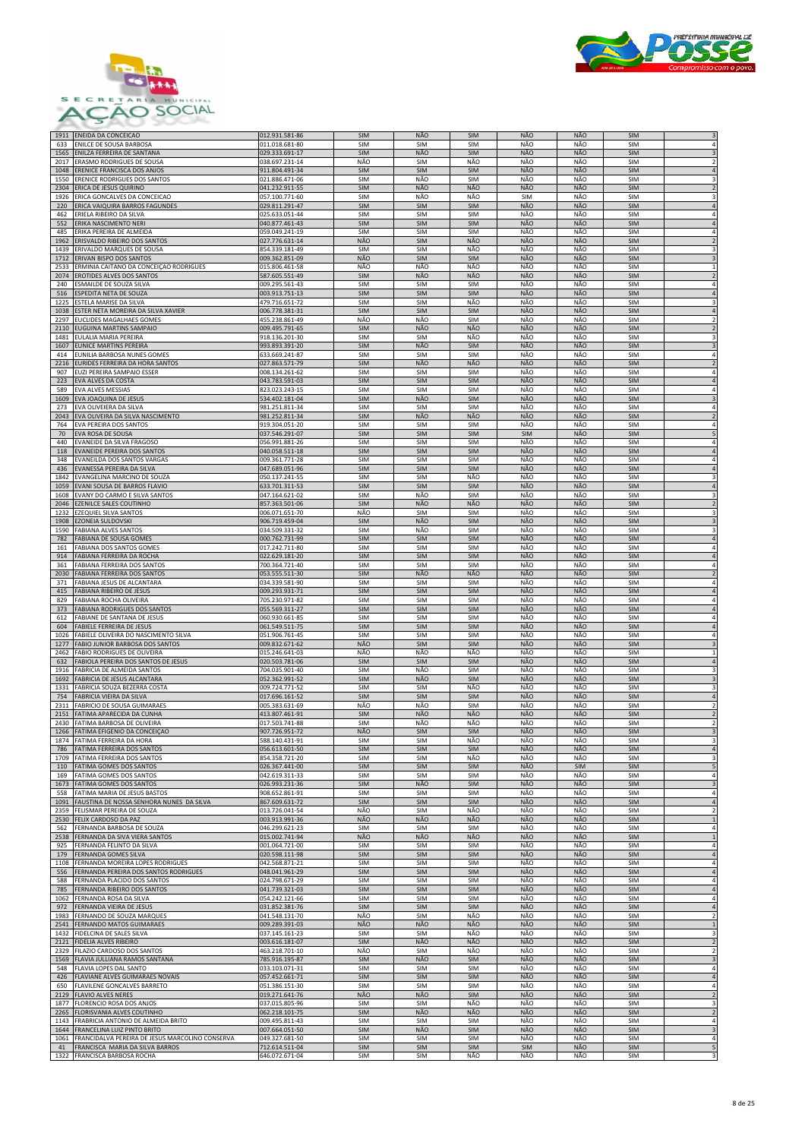



| 633          | <b>ENILCE DE SOUSA BARBOSA</b>                                      | 011.018.681-80                   | <b>SIM</b>        | <b>SIM</b>        | <b>SIM</b>               | NÃO               | NÃO        | <b>SIM</b>               | 4                            |
|--------------|---------------------------------------------------------------------|----------------------------------|-------------------|-------------------|--------------------------|-------------------|------------|--------------------------|------------------------------|
| 1565         | ENILZA FERREIRA DE SANTANA                                          | 029.333.691-17                   | SIM               | NÃO               | <b>SIM</b>               | NÃO               | NÃO        | <b>SIM</b>               | $\overline{3}$               |
| 2017         | ERASMO RODRIGUES DE SOUSA                                           | 038.697.231-14                   | NÃO               | SIM               | NÃO                      | NÃO               | NÃO        | <b>SIM</b>               | $\overline{\mathbf{2}}$      |
| 1048         | ERENICE FRANCISCA DOS ANJOS                                         | 911.804.491-34                   | <b>SIM</b>        | SIM               | <b>SIM</b>               | NÃO               | NÃO        | <b>SIM</b>               | $\overline{4}$               |
| 1550         | <b>ERENICE RODRIGUES DOS SANTOS</b>                                 | 021.886.471-06                   | SIM               | NÃO               | <b>SIM</b>               | NÃO               | NÃO        | <b>SIM</b>               | 3                            |
| 2304         | ERICA DE JESUS QUIRINO                                              | 041.232.911-55                   | <b>SIM</b>        | NÃO               | NÃO                      | NÃO               | NÃO        | <b>SIM</b>               | $\overline{2}$               |
| 1926         | ERICA GONCALVES DA CONCEICAO                                        | 057.100.771-60                   | SIM               | NÃO               | NÃO                      | SIM               | NÃO        | SIM                      | 3                            |
| 220          | <b>ERICA VAIQUIRA BARROS FAGUNDES</b>                               | 029.811.291-47                   | SIM<br>SIM        | SIM<br>SIM        | SIM<br>SIM               | NÃO<br>NÃO        | NÃO        | SIM<br>SIM               |                              |
| 462<br>552   | ERIELA RIBEIRO DA SILVA<br>ERIKA NASCIMENTO NERI                    | 025.633.051-44<br>040.877.461-43 | <b>SIM</b>        | SIM               | <b>SIM</b>               | NÃO               | NÃO<br>NÃO | <b>SIM</b>               | 4<br>$\sqrt{4}$              |
| 485          | ERIKA PEREIRA DE ALMEIDA                                            | 059.049.241-19                   | SIM               | SIM               | <b>SIM</b>               | NÃO               | NÃO        | SIM                      | $\overline{4}$               |
| 1962         | ERISVALDO RIBEIRO DOS SANTOS                                        | 027.776.631-14                   | NÃO               | SIM               | NÃO                      | NÃO               | NÃO        | <b>SIM</b>               | $\overline{2}$               |
| 1439         | ERIVALDO MARQUES DE SOUSA                                           | 854.339.181-49                   | SIM               | SIM               | NÃO                      | NÃO               | NÃO        | SIM                      | 3                            |
| 1712         | ERIVAN BISPO DOS SANTOS                                             | 009.362.851-09                   | NÃO               | SIM               | <b>SIM</b>               | NÃO               | <b>NÃO</b> | <b>SIM</b>               | $\overline{\mathbf{3}}$      |
| 2533         | ERMINIA CAITANO DA CONCEIÇÃO RODRIGUES                              | 015.806.461-58                   | NÃO               | NÃO               | NÃO                      | NÃO               | NÃO        | SIM                      | $\,1\,$                      |
| 2074         | EROTIDES ALVES DOS SANTOS                                           | 587.605.551-49                   | <b>SIM</b>        | NÃO               | NÃO                      | NÃO               | NÃO        | <b>SIM</b>               | $\overline{2}$               |
| 240          | ESMAILDE DE SOUZA SILVA                                             | 009.295.561-43                   | SIM               | SIM               | SIM                      | NÃO               | NÃO        | <b>SIM</b>               | 4                            |
| 516          | ESPEDITA NETA DE SOUZA                                              | 003.913.751-13                   | SIM               | SIM               | SIM                      | NÃO               | NÃO        | <b>SIM</b>               |                              |
| 1225         | ESTELA MARISE DA SILVA                                              | 479.716.651-72                   | SIM<br>SIM        | SIM               | NÃO<br><b>SIM</b>        | NÃO<br>NÃO        | NÃO<br>NÃO | SIM<br><b>SIM</b>        | 3                            |
| 1038<br>2297 | STER NETA MOREIRA DA SILVA XAVIER<br><b>UCLIDES MAGALHAES GOMES</b> | 006.778.381-31<br>455.238.861-49 | NÃO               | SIM<br>NÃO        | <b>SIM</b>               | NÃO               | NÃO        | <b>SIM</b>               |                              |
| 2110         | EUGUINA MARTINS SAMPAIO                                             | 009.495.791-65                   | <b>SIM</b>        | NÃO               | NÃO                      | NÃO               | NÃO        | SIM                      | $\overline{2}$               |
| 1481         | EULALIA MARIA PEREIRA                                               | 918.136.201-30                   | SIM               | SIM               | NÃO                      | NÃO               | NÃO        | SIM                      | 3                            |
| 1607         | EUNICE MARTINS PEREIRA                                              | 993.893.391-20                   | SIM               | NÃO               | <b>SIM</b>               | NÃO               | NÃO        | <b>SIM</b>               | $\overline{\mathbf{3}}$      |
| 414          | EUNILIA BARBOSA NUNES GOMES                                         | 633.669.241-87                   | SIM               | SIM               | SIM                      | NÃO               | NÃO        | SIM                      | $\overline{4}$               |
| 2216         | EURIDES FERREIRA DA HORA SANTOS                                     | 027.863.571-79                   | <b>SIM</b>        | NÃO               | NÃO                      | <b>NÃO</b>        | <b>NÃO</b> | SIM                      | $\overline{2}$               |
| 907          | EUZI PEREIRA SAMPAIO ESSER                                          | 008.134.261-62                   | SIM               | SIM               | <b>SIM</b>               | NÃO               | NÃO        | <b>SIM</b>               | $\sqrt{4}$                   |
| 223          | EVA ALVES DA COSTA                                                  | 043.783.591-03                   | SIM               | SIM               | <b>SIM</b>               | NÃO               | NÃO        | <b>SIM</b>               | $\sqrt{4}$                   |
| 589          | EVA ALVES MESSIAS                                                   | 823.023.243-15                   | SIM               | SIM               | SIM                      | NÃO               | NÃO        | SIM                      | $\sqrt{4}$<br>$\overline{3}$ |
| 1609<br>273  | EVA JOAQUINA DE JESUS<br>EVA OLIVEIERA DA SILVA                     | 534.402.181-04<br>981.251.811-34 | SIM<br>SIM        | NÃO<br>SIM        | <b>SIM</b><br>SIM        | NÃO<br>NÃO        | NÃO<br>NÃO | <b>SIM</b><br><b>SIM</b> | $\sqrt{4}$                   |
| 2043         | VA OLIVEIRA DA SILVA NASCIMENTO                                     | 981.252.811-34                   | <b>SIM</b>        | NÃO               | NÃO                      | NÃO               | NÃO        | <b>SIM</b>               | $\overline{2}$               |
| 764          | EVA PEREIRA DOS SANTOS                                              | 919.304.051-20                   | SIM               | SIM               | SIM                      | NÃO               | NÃO        | <b>SIM</b>               |                              |
| 70           | EVA ROSA DE SOUSA                                                   | 037.546.291-07                   | SIM               | SIM               | SIM                      | <b>SIM</b>        | NÃO        | <b>SIM</b>               | 5                            |
| 440          | EVANEIDE DA SILVA FRAGOSO                                           | 056.991.881-26                   | <b>SIM</b>        | SIM               | SIM                      | NÃO               | NÃO        | <b>SIM</b>               | 4                            |
| 118          | EVANEIDE PEREIRA DOS SANTOS                                         | 040.058.511-18                   | SIM               | SIM               | SIM                      | NÃO               | NÃO        | SIM                      | $\overline{4}$               |
| 348          | EVANEILDA DOS SANTOS VARGAS                                         | 009.361.771-28                   | <b>SIM</b>        | <b>SIM</b>        | <b>SIM</b>               | NÃO               | NÃO        | <b>SIM</b>               | $\overline{4}$               |
| 436          | EVANESSA PEREIRA DA SILVA                                           | 047.689.051-96                   | <b>SIM</b>        | SIM               | <b>SIM</b>               | NÃO               | NÃO        | <b>SIM</b>               | $\sqrt{4}$                   |
| 1842<br>1059 | EVANGELINA MARCINO DE SOUZA<br>EVANI SOUSA DE BARROS FLAVIO         | 050.137.241-55<br>633.701.311-53 | <b>SIM</b><br>SIM | <b>SIM</b><br>SIM | NÃO<br><b>SIM</b>        | NÃO<br>NÃO        | NÃO<br>NÃO | <b>SIM</b><br><b>SIM</b> |                              |
| 1608         | EVANY DO CARMO E SILVA SANTOS                                       | 047.164.621-02                   | SIM               | NÃO               | <b>SIM</b>               | NÃO               | NÃO        | SIM                      | $\sqrt{4}$<br>3              |
| 2046         | EZENILCE SALES COUTINHO                                             | 857.363.501-06                   | SIM               | NÃO               | NÃO                      | NÃO               | NÃO        | <b>SIM</b>               | $\overline{2}$               |
| 1232         | EZEQUIEL SILVA SANTOS                                               | 006.071.651-70                   | NÃO               | SIM               | <b>SIM</b>               | NÃO               | NÃO        | SIM                      | 3                            |
| 1908         | EZONEIA SULDOVSKI                                                   | 906.719.459-04                   | SIM               | NÃO               | <b>SIM</b>               | NÃO               | NÃO        | SIM                      | $\overline{3}$               |
| 1590         | <b>FABIANA ALVES SANTOS</b>                                         | 034.509.331-32                   | SIM               | NÃO               | <b>SIM</b>               | NÃO               | NÃO        | SIM                      |                              |
| 782          | ABIANA DE SOUSA GOMES                                               | 000.762.731-99                   | SIM               | SIM               | <b>SIM</b>               | NÃO               | NÃO        | SIM                      | $\overline{4}$               |
| 161          | FABIANA DOS SANTOS GOMES                                            | 017.242.711-80                   | SIM               | SIM               | SIM                      | NÃO               | NÃO        | <b>SIM</b>               | 4                            |
| 914          | FABIANA FERREIRA DA ROCHA                                           | 022.629.181-20                   | SIM               | SIM               | <b>SIM</b>               | NÃO               | NÃO        | SIM                      | $\sqrt{4}$                   |
| 361          | FABIANA FERREIRA DOS SANTOS                                         | 700.364.721-40                   | SIM               | SIM               | <b>SIM</b>               | NÃO               | NÃO        | <b>SIM</b>               | $\sqrt{4}$                   |
| 2030<br>371  | FABIANA FERREIRA DOS SANTOS                                         | 053.555.511-30                   | SIM<br><b>SIM</b> | NÃO               | NÃO                      | NÃO<br>NÃO        | NÃO        | <b>SIM</b><br><b>SIM</b> | $\overline{2}$               |
| 415          | FABIANA JESUS DE ALCANTARA<br>FABIANA RIBEIRO DE JESUS              | 034.339.581-90<br>009.293.931-71 | <b>SIM</b>        | SIM<br>SIM        | <b>SIM</b><br><b>SIM</b> | NÃO               | NÃO<br>NÃO | SIM                      | $\overline{4}$               |
| 829          | FABIANA ROCHA OLIVEIRA                                              | 705.230.971-82                   | <b>SIM</b>        | SIM               | <b>SIM</b>               | NÃO               | NÃO        | <b>SIM</b>               | 4                            |
| 373          | FABIANA RODRIGUES DOS SANTOS                                        | 055.569.311-27                   | SIM               | SIM               | SIM                      | NÃO               | NÃO        | SIM                      | $\sqrt{4}$                   |
| 612          | FABIANE DE SANTANA DE JESUS                                         | 060.930.661-85                   | SIM               | SIM               | <b>SIM</b>               | NÃO               | NÃO        | SIM                      | $\sqrt{4}$                   |
| 604          | ABIELE FERREIRA DE JESUS                                            | 061.549.511-75                   | <b>SIM</b>        | SIM               | SIM                      | NÃO               | NÃO        | <b>SIM</b>               | $\sqrt{4}$                   |
| 1026         | FABIELE OLIVEIRA DO NASCIMENTO SILVA                                | 051.906.761-45                   | SIM               | SIM               | SIM                      | NÃO               | NÃO        | SIM                      | $\overline{a}$               |
| 1277         | ABIO JUNIOR BARBOSA DOS SANTOS                                      | 009.832.671-62                   | NÃO               | SIM               | SIM                      | NÃO               | NÃO        | SIM                      | $\mathbf{3}$                 |
| 2462         | FABIO RODRIGUES DE OLIVEIRA                                         | 015.246.641-03                   | NÃO               | NÃO               | NÃO                      | NÃO               | NÃO        | <b>SIM</b>               | $\mathbf{1}$                 |
| 632<br>1916  | FABIOLA PEREIRA DOS SANTOS DE JESUS<br>FABRICIA DE ALMEIDA SANTOS   | 020.503.781-06<br>704.035.901-40 | <b>SIM</b><br>SIM | SIM<br>NÃO        | <b>SIM</b><br><b>SIM</b> | NÃO<br>NÃO        | NÃO<br>NÃO | <b>SIM</b><br><b>SIM</b> | $\overline{4}$<br>3          |
| 1692         | FABRICIA DE JESUS ALCANTARA                                         | 052.362.991-52                   | <b>SIM</b>        | NÃO               | <b>SIM</b>               | NÃO               | NÃO        | <b>SIM</b>               | $\overline{3}$               |
| 1331         | FABRICIA SOUZA BEZERRA COSTA                                        | 009.724.771-52                   | <b>SIM</b>        | SIM               | NÃO                      | NÃO               | NÃO        | SIM                      | 3                            |
| 754          | ABRICIA VIEIRA DA SILVA                                             | 017.696.161-52                   | <b>SIM</b>        | SIM               | <b>SIM</b>               | NÃO               | <b>NÃO</b> | SIM                      |                              |
| 2311         | FABRICIO DE SOUSA GUIMARAES                                         | 005.383.631-69                   | NÃO               | NÃO               | SIM                      | NÃO               | NÃO        | <b>SIM</b>               | 2                            |
| 2151         | FATIMA APARECIDA DA CUNHA                                           | 413.807.461-91                   | <b>SIM</b>        | NÃO               | NÃO                      | NÃO               | NÃO        | SIM                      | $\overline{2}$               |
| 2430         | FATIMA BARBOSA DE OLIVEIRA                                          | 017.503.741-88                   | SIM               | NÃO               | NÃO                      | NÃO               | NÃO        | SIM                      | $\overline{2}$               |
| 1266         | FATIMA EFIGENIO DA CONCEIÇÃO                                        | 907.726.951-72                   | NÃO               | SIM               | <b>SIM</b><br>NÃO        | NÃO<br>NÃO        | NÃO        | <b>SIM</b>               | 3                            |
| 786          | 1874 FATIMA FERREIRA DA HORA<br>FATIMA FERREIRA DOS SANTOS          | 588.140.431-91<br>056.613.601-50 | SIM<br><b>SIM</b> | SIM<br>SIM        | SIM                      | NÃO               | NÃO<br>NÃO | SIM<br><b>SIM</b>        | 4                            |
| 1709         | <b>FATIMA FERREIRA DOS SANTOS</b>                                   | 854.358.721-20                   | SIM               | SIM               | NÃO                      | NÃO               | NÃO        | SIM                      | 3                            |
| 110          | FATIMA GOMES DOS SANTOS                                             | 026.367.441-00                   | SIM               | SIM               | SIM                      | NÃO               | SIM        | SIM                      | 5                            |
| 169          | FATIMA GOMES DOS SANTOS                                             | 042.619.311-33                   | SIM               | SIM               | SIM                      | NÃO               | NÃO        | SIM                      | $\overline{4}$               |
| 1673         | FATIMA GOMES DOS SANTOS                                             | 026.993.231-36                   | <b>SIM</b>        | NÃO               | SIM                      | NÃO               | NÃO        | SIM                      | $\overline{\mathbf{3}}$      |
| 558          | FATIMA MARIA DE JESUS BASTOS                                        | 908.652.861-91                   | SIM               | SIM               | SIM                      | NÃO               | NÃO        | SIM                      | $\overline{4}$               |
| 1091         | FAUSTINA DE NOSSA SENHORA NUNES DA SILVA                            | 867.609.631-72                   | <b>SIM</b>        | SIM               | <b>SIM</b>               | NÃO               | NÃO        | <b>SIM</b>               | $\sqrt{4}$                   |
| 2530         | 2359 FELISMAR PEREIRA DE SOUZA<br>FELIX CARDOSO DA PAZ              | 013.726.041-54<br>003.913.991-36 | NÃO<br>NÃO        | SIM<br>NÃO        | NÃO<br>NÃO               | NÃO<br>NÃO        | NÃO<br>NÃO | SIM<br>SIM               | $\mathbf 2$<br>$\mathbf{1}$  |
| 562          | FERNANDA BARBOSA DE SOUZA                                           | 046.299.621-23                   | SIM               | SIM               | SIM                      | NÃO               | NÃO        | <b>SIM</b>               | $\overline{4}$               |
| 2538         | FERNANDA DA SIVA VIERA SANTOS                                       | 015.002.741-94                   | NÃO               | NÃO               | NÃO                      | NÃO               | NÃO        | SIM                      | $\mathbf{1}$                 |
| 925          | FERNANDA FELINTO DA SILVA                                           | 001.064.721-00                   | SIM               | SIM               | SIM                      | NÃO               | NÃO        | SIM                      | $\overline{4}$               |
| 179          | FERNANDA GOMES SILVA                                                | 020.598.111-98                   | <b>SIM</b>        | SIM               | SIM                      | <b>NÃO</b>        | <b>NÃO</b> | SIM                      | $\overline{4}$               |
| 1108         | FERNANDA MOREIRA LOPES RODRIGUES                                    | 042.568.871-21                   | SIM               | SIM               | <b>SIM</b>               | NÃO               | NÃO        | <b>SIM</b>               | 4                            |
| 556          | FERNANDA PEREIRA DOS SANTOS RODRIGUES                               | 048.041.961-29                   | <b>SIM</b>        | SIM               | SIM                      | NÃO               | NÃO        | <b>SIM</b>               | $\sqrt{4}$                   |
| 588          | FERNANDA PLACIDO DOS SANTOS<br>FERNANDA RIBEIRO DOS SANTOS          | 024.798.671-29                   | SIM               | SIM<br>SIM        | SIM<br>SIM               | NÃO<br>NÃO        | NÃO<br>NÃO | SIM<br>SIM               | $\overline{4}$               |
| 785<br>1062  | FERNANDA ROSA DA SILVA                                              | 041.739.321-03<br>054.242.121-66 | SIM<br>SIM        | SIM               | SIM                      | NÃO               | NÃO        | SIM                      | $\sqrt{4}$<br>$\overline{4}$ |
| 972          | FERNANDA VIEIRA DE JESUS                                            | 031.852.381-76                   | <b>SIM</b>        | SIM               | SIM                      | NÃO               | NÃO        | SIM                      | $\overline{4}$               |
| 1983         | FERNANDO DE SOUZA MARQUES                                           | 041.548.131-70                   | NÃO               | SIM               | NÃO                      | NÃO               | NÃO        | SIM                      | 2                            |
| 2541         | FERNANDO MATOS GUIMARAES                                            | 009.289.391-03                   | NÃO               | NÃO               | NÃO                      | NÃO               | NÃO        | SIM                      | $\mathbf 1$                  |
| 1432         | FIDELCINA DE SALES SILVA                                            | 037.145.161-23                   | SIM               | SIM               | NÃO                      | NÃO               | NÃO        | SIM                      | 3                            |
| 2121         | FIDELIA ALVES RIBEIRO                                               | 003.616.181-07                   | SIM               | NÃO               | NÃO                      | NÃO               | NÃO        | SIM                      | $\overline{2}$               |
| 2329         | FILAZIO CARDOSO DOS SANTOS                                          | 463.218.701-10                   | NÃO               | SIM               | NÃO                      | NÃO               | NÃO        | SIM                      | $\overline{2}$               |
| 1569<br>548  | FLAVIA JULLIANA RAMOS SANTANA<br>FLAVIA LOPES DAL SANTO             | 785.916.195-87<br>033.103.071-31 | <b>SIM</b><br>SIM | NÃO<br>SIM        | SIM<br>SIM               | NÃO<br>NÃO        | NÃO<br>NÃO | SIM<br>SIM               | 3                            |
| 426          | FLAVIANE ALVES GUIMARAES NOVAIS                                     | 057.452.661-71                   | SIM               | SIM               | <b>SIM</b>               | NÃO               | NÃO        | SIM                      | 4<br>$\sqrt{4}$              |
| 650          | FLAVILENE GONCALVES BARRETO                                         | 051.386.151-30                   | SIM               | SIM               | SIM                      | NÃO               | NÃO        | SIM                      | $\sqrt{4}$                   |
| 2129         | <b>FLAVIO ALVES NERES</b>                                           | 019.271.641-76                   | <b>NÃO</b>        | NÃO               | SIM                      | NÃO               | NÃO        | SIM                      | $\overline{2}$               |
| 1877         | FLORENCIO ROSA DOS ANJOS                                            | 037.015.805-96                   | SIM               | SIM               | NÃO                      | NÃO               | NÃO        | SIM                      | 3                            |
| 2265         | FLORISVANIA ALVES COUTINHO                                          | 062.218.101-75                   | SIM               | NÃO               | NÃO                      | NÃO               | NÃO        | SIM                      | $\overline{2}$               |
| 1143         | FRABRICIA ANTONIO DE ALMEIDA BRITO                                  | 009.495.811-43                   | SIM               | SIM               | <b>SIM</b>               | NÃO               | NÃO        | <b>SIM</b>               | 4                            |
| 1644         | FRANCELINA LUIZ PINTO BRITO                                         | 007.664.051-50                   | SIM               | NÃO               | <b>SIM</b>               | NÃO               | NÃO        | <b>SIM</b>               | 3                            |
|              |                                                                     |                                  |                   |                   |                          |                   |            |                          |                              |
| 1061         | FRANCIDALVA PEREIRA DE JESUS MARCOLINO CONSERVA                     | 049.327.681-50                   | SIM               | SIM               | <b>SIM</b>               | NÃO               | NÃO        | <b>SIM</b>               | $\sqrt{4}$                   |
| 41           | FRANCISCA MARIA DA SILVA BARROS<br>1322 FRANCISCA BARBOSA ROCHA     | 712.614.511-04<br>646.072.671-04 | SIM<br>SIM        | SIM<br>SIM        | <b>SIM</b><br>NÃO        | <b>SIM</b><br>NÃO | NÃO<br>NÃO | SIM<br>SIM               | 5<br>3                       |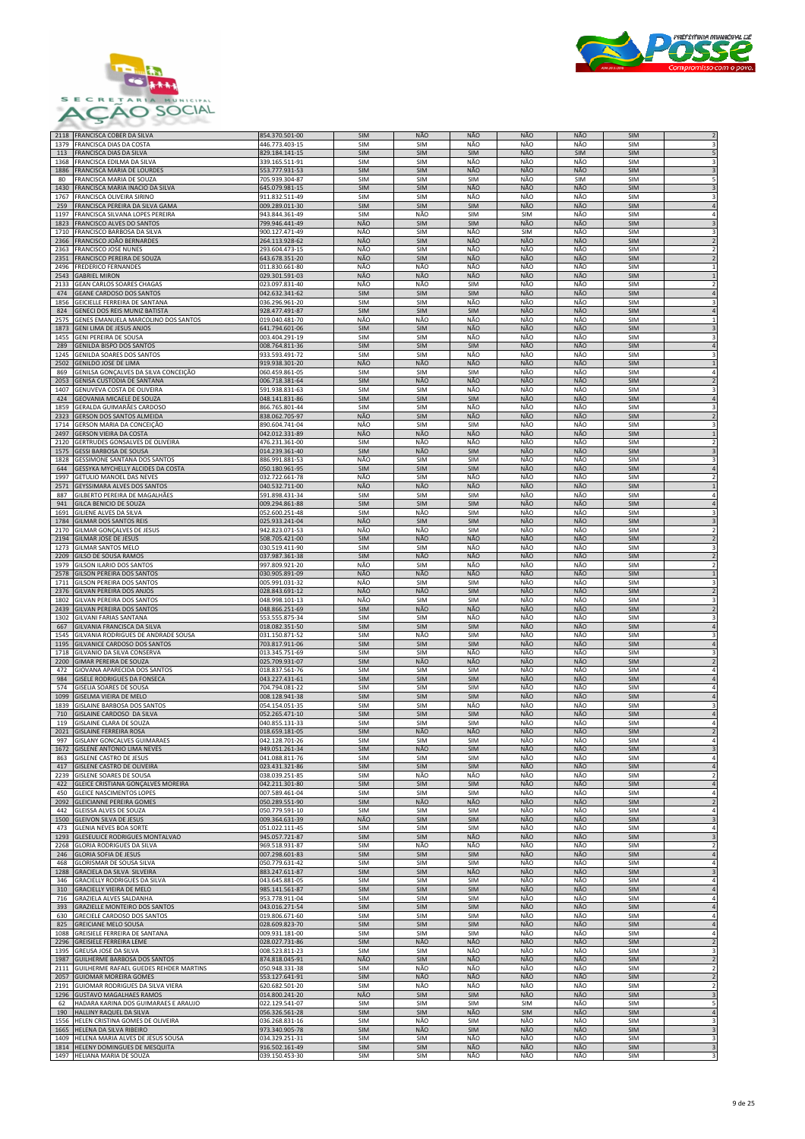



| 4110<br>1379 | <b>FRANCISCA CODER DA SILVA</b><br>FRANCISCA DIAS DA COSTA                    | 994.370.JUI-UL<br>446.773.403-15 | ועווכ<br><b>SIM</b>      | טארע<br><b>SIM</b>       | שאי<br>NÃO        | IYAL<br>NÃO | יארי<br>NÃO       | ועווכ<br><b>SIM</b>      |                                            |
|--------------|-------------------------------------------------------------------------------|----------------------------------|--------------------------|--------------------------|-------------------|-------------|-------------------|--------------------------|--------------------------------------------|
| 113          | FRANCISCA DIAS DA SILVA                                                       | 829.184.141-15                   | <b>SIM</b>               | SIM                      | <b>SIM</b>        | NÃO         | SIM               | SIM                      |                                            |
| 1368         | FRANCISCA EDILMA DA SILVA                                                     | 339.165.511-91                   | SIM                      | <b>SIM</b>               | NÃO               | NÃO         | NÃO               | SIM                      |                                            |
| 1886         | FRANCISCA MARIA DE LOURDES                                                    | 553.777.931-53                   | SIM                      | SIM                      | NÃO               | NÃO         | NÃO               | SIM                      |                                            |
| 80           | FRANCISCA MARIA DE SOUZA                                                      | 705.939.304-87                   | SIM                      | SIM                      | SIM               | NÃO         | SIM               | SIM                      |                                            |
| 1430         | FRANCISCA MARIA INACIO DA SILVA                                               | 645.079.981-15                   | <b>SIM</b>               | <b>SIM</b>               | NÃO               | NÃO         | <b>NÃO</b>        | <b>SIM</b>               |                                            |
| 1767<br>259  | FRANCISCA OLIVEIRA SIRINO                                                     | 911.832.511-49                   | <b>SIM</b><br><b>SIM</b> | <b>SIM</b><br>SIM        | NÃO<br>SIM        | NÃO<br>NÃO  | NÃO<br>NÃO        | <b>SIM</b><br><b>SIM</b> |                                            |
| 1197         | FRANCISCA PEREIRA DA SILVA GAMA<br>FRANCISCA SILVANA LOPES PEREIRA            | 009.289.011-30<br>943.844.361-49 | <b>SIM</b>               | NÃO                      | SIM               | SIM         | NÃO               | SIM                      |                                            |
| 1823         | <b>FRANCISCO ALVES DO SANTOS</b>                                              | 799.946.441-49                   | NÃO                      | SIM                      | <b>SIM</b>        | NÃO         | NÃO               | SIM                      |                                            |
| 1710         | FRANCISCO BARBOSA DA SILVA                                                    | 900.127.471-49                   | NÃO                      | SIM                      | NÃO               | SIM         | NÃO               | SIM                      |                                            |
| 2366         | FRANCISCO JOÃO BERNARDES                                                      | 264.113.928-62                   | <b>NÃO</b>               | <b>SIM</b>               | NÃO               | NÃO         | NÃO               | <b>SIM</b>               |                                            |
| 2363         | FRANCISCO JOSE NUNES                                                          | 293.604.473-15                   | NÃO                      | <b>SIM</b>               | NÃO               | NÃO         | NÃO               | <b>SIM</b>               |                                            |
| 2351         | FRANCISCO PEREIRA DE SOUZA                                                    | 643.678.351-20                   | NÃO                      | <b>SIM</b>               | <b>NÃO</b>        | <b>NÃO</b>  | <b>NÃO</b>        | <b>SIM</b>               |                                            |
| 2496<br>2543 | <b>FREDERICO FERNANDES</b><br><b>GABRIEL MIRON</b>                            | 011.830.661-80<br>029.301.591-03 | NÃO<br>NÃO               | NÃO<br>NÃO               | NÃO<br>NÃO        | NÃO<br>NÃO  | NÃO<br>NÃO        | SIM<br><b>SIM</b>        |                                            |
| 2133         | GEAN CARLOS SOARES CHAGAS                                                     | 023.097.831-40                   | NÃO                      | NÃO                      | SIM               | NÃO         | NÃO               | SIM                      |                                            |
| 474          | <b>GEANE CARDOSO DOS SANTOS</b>                                               | 042.632.341-62                   | SIM                      | SIM                      | SIM               | NÃO         | NÃO               | SIM                      |                                            |
| 1856         | GEICIELLE FERREIRA DE SANTANA                                                 | 036.296.961-20                   | SIM                      | SIM                      | NÃO               | NÃO         | NÃO               | <b>SIM</b>               |                                            |
| 824          | <b>GENECI DOS REIS MUNIZ BATISTA</b>                                          | 928.477.491-87                   | SIM                      | SIM                      | SIM               | NÃO         | NÃO               | SIM                      |                                            |
| 2575<br>1873 | GENES EMANUELA MARCOLINO DOS SANTOS<br><b>GENI LIMA DE JESUS ANJOS</b>        | 019.040.481-70<br>641.794.601-06 | NÃO<br>SIM               | NÃO<br>SIM               | NÃO<br>NÃO        | NÃO<br>NÃO  | NÃO<br>NÃO        | SIM<br>SIM               |                                            |
| 1455         | <b>GENI PEREIRA DE SOUSA</b>                                                  | 003.404.291-19                   | <b>SIM</b>               | SIM                      | NÃO               | NÃO         | NÃO               | SIM                      |                                            |
| 289          | <b>GENILDA BISPO DOS SANTOS</b>                                               | 008.764.811-36                   | <b>SIM</b>               | SIM                      | SIM               | NÃO         | NÃO               | SIM                      |                                            |
| 1245         | <b>GENILDA SOARES DOS SANTOS</b>                                              | 933.593.491-72                   | <b>SIM</b>               | <b>SIM</b>               | NÃO               | NÃO         | NÃO               | <b>SIM</b>               |                                            |
| 2502         | <b>GENILDO JOSE DE LIMA</b>                                                   | 919.938.301-20                   | NÃO                      | NÃO                      | NÃO               | NÃO         | NÃO               | <b>SIM</b>               |                                            |
| 869          | GENILSA GONÇALVES DA SILVA CONCEIÇÃO                                          | 060.459.861-05                   | SIM                      | SIM<br>NÃO               | SIM               | NÃO<br>NÃO  | NÃO               | SIM                      |                                            |
| 2053<br>1407 | <b>GENISA CUSTODIA DE SANTANA</b><br>GENUVEVA COSTA DE OLIVEIRA               | 006.718.381-64<br>591.938.831-63 | SIM<br><b>SIM</b>        | SIM                      | <b>NÃO</b><br>NÃO | NÃO         | <b>NÃO</b><br>NÃO | SIM<br><b>SIM</b>        |                                            |
| 424          | GEOVANIA MICAELE DE SOUZA                                                     | 048.141.831-86                   | <b>SIM</b>               | SIM                      | SIM               | NÃO         | NÃO               | SIM                      |                                            |
| 1859         | GERALDA GUIMARÃES CARDOSO                                                     | 866.765.801-44                   | <b>SIM</b>               | SIM                      | NÃO               | NÃO         | NÃO               | <b>SIM</b>               |                                            |
| 2323         | <b>GERSON DOS SANTOS ALMEIDA</b>                                              | 838.062.705-97                   | <b>NÃO</b>               | <b>SIM</b>               | NÃO               | NÃO         | NÃO               | SIM                      |                                            |
| 1714         | GERSON MARIA DA CONCEIÇÃO                                                     | 890.604.741-04                   | NÃO                      | SIM                      | SIM               | NÃO         | NÃO               | SIM                      |                                            |
| 2497<br>2120 | <b>GERSON VIEIRA DA COSTA</b><br>GERTRUDES GONSALVES DE OLIVEIRA              | 042.012.331-89<br>476.231.361-00 | NÃO<br>SIM               | NÃO<br>NÃO               | NÃO<br>NÃO        | NÃO<br>NÃO  | NÃO<br>NÃO        | SIM<br><b>SIM</b>        |                                            |
| 1575         | <b>GESSI BARBOSA DE SOUSA</b>                                                 | 014.239.361-40                   | SIM                      | NÃO                      | <b>SIM</b>        | NÃO         | NÃO               | <b>SIM</b>               |                                            |
| 1828         | GESSIMONE SANTANA DOS SANTOS                                                  | 886.991.881-53                   | NÃO                      | SIM                      | SIM               | NÃO         | NÃO               | <b>SIM</b>               |                                            |
| 644          | <b>GESSYKA MYCHELLY ALCIDES DA COSTA</b>                                      | 050.180.961-95                   | SIM                      | <b>SIM</b>               | <b>SIM</b>        | NÃO         | NÃO               | <b>SIM</b>               |                                            |
| 1997         | <b>GETULIO MANOEL DAS NEVES</b>                                               | 032.722.661-78                   | NÃO                      | <b>SIM</b>               | NÃO               | NÃO         | NÃO               | <b>SIM</b>               |                                            |
| 2571<br>887  | <b>GEYSSIMARA ALVES DOS SANTOS</b><br>GILBERTO PEREIRA DE MAGALHÃES           | 040.532.711-00<br>591.898.431-34 | NÃO<br><b>SIM</b>        | NÃO<br>SIM               | NÃO<br>SIM        | NÃO<br>NÃO  | NÃO<br>NÃO        | SIM<br><b>SIM</b>        |                                            |
| 941          | GILCA BENICIO DE SOUZA                                                        | 009.294.861-88                   | <b>SIM</b>               | <b>SIM</b>               | <b>SIM</b>        | NÃO         | NÃO               | <b>SIM</b>               |                                            |
| 1691         | GILIENE ALVES DA SILVA                                                        | 052.600.251-48                   | <b>SIM</b>               | NÃO                      | SIM               | NÃO         | NÃO               | SIM                      |                                            |
| 1784         | <b>GILMAR DOS SANTOS REIS</b>                                                 | 025.933.241-04                   | NÃO                      | SIM                      | <b>SIM</b>        | NÃO         | NÃO               | <b>SIM</b>               |                                            |
| 2170         | GILMAR GONÇALVES DE JESUS                                                     | 942.823.071-53                   | NÃO                      | NÃO                      | SIM               | NÃO         | NÃO               | <b>SIM</b>               |                                            |
| 2194         | <b>GILMAR JOSE DE JESUS</b>                                                   | 508.705.421-00                   | SIM                      | NÃO                      | NÃO               | NÃO         | NÃO               | <b>SIM</b>               |                                            |
| 1273<br>2209 | <b>GILMAR SANTOS MELO</b><br><b>GILSO DE SOUSA RAMOS</b>                      | 030.519.411-90<br>037.987.361-38 | SIM<br>SIM               | SIM<br>NÃO               | NÃO<br>NÃO        | NÃO<br>NÃO  | NÃO<br>NÃO        | SIM<br>SIM               |                                            |
| 1979         | <b>GILSON ILARIO DOS SANTOS</b>                                               | 997.809.921-20                   | NÃO                      | SIM                      | NÃO               | NÃO         | NÃO               | SIM                      |                                            |
| 2578         | <b>GILSON PEREIRA DOS SANTOS</b>                                              | 030.905.891-09                   | <b>NÃO</b>               | NÃO                      | NÃO               | NÃO         | NÃO               | SIM                      |                                            |
| 1711         | <b>GILSON PEREIRA DOS SANTOS</b>                                              | 005.991.031-32                   | NÃO                      | SIM                      | SIM               | NÃO         | NÃO               | <b>SIM</b>               |                                            |
| 2376         | <b>GILVAN PEREIRA DOS ANJOS</b>                                               | 028.843.691-12                   | NÃO                      | NÃO                      | <b>SIM</b>        | NÃO         | NÃO               | <b>SIM</b>               |                                            |
| 1802<br>2439 | GILVAN PEREIRA DOS SANTOS<br>GILVAN PEREIRA DOS SANTOS                        | 048.998.101-13<br>048.866.251-69 | NÃO<br>SIM               | SIM<br>NÃO               | SIM<br>NÃO        | NÃO<br>NÃO  | NÃO<br>NÃO        | SIM<br>SIM               |                                            |
| 1302         | GILVANI FARIAS SANTANA                                                        | 553.555.875-34                   | SIM                      | SIM                      | NÃO               | NÃO         | NÃO               | SIM                      |                                            |
| 667          | GILVANIA FRANCISCA DA SILVA                                                   | 018.082.351-50                   | SIM                      | SIM                      | SIM               | NÃO         | NÃO               | SIM                      |                                            |
| 1545         | GILVANIA RODRIGUES DE ANDRADE SOUSA                                           | 031.150.871-52                   | <b>SIM</b>               | NÃO                      | <b>SIM</b>        | NÃO         | NÃO               | <b>SIM</b>               |                                            |
|              | 1195 GILVANICE CARDOSO DOS SANTOS                                             | 703.817.911-06                   | <b>SIM</b>               | SIM                      | <b>SIM</b>        | NÃO         | NÃO               | SIM                      |                                            |
| 1718<br>2200 | GILVANIO DA SILVA CONSERVA<br><b>GIMAR PEREIRA DE SOUZA</b>                   | 013.345.751-69<br>025.709.931-07 | <b>SIM</b><br>SIM        | SIM<br>NÃO               | NÃO<br>NÃO        | NÃO<br>NÃO  | NÃO<br>NÃO        | SIM<br>SIM               | $\overline{2}$                             |
| 472          | GIOVANA APARECIDA DOS SANTOS                                                  | 018.837.561-76                   | <b>SIM</b>               | SIM                      | SIM               | NÃO         | NÃO               | SIM                      |                                            |
| 984          | <b>GISELE RODRIGUES DA FONSECA</b>                                            | 043.227.431-61                   | <b>SIM</b>               | <b>SIM</b>               | <b>SIM</b>        | NÃO         | NÃO               | SIM                      |                                            |
| 574          | <b>GISELIA SOARES DE SOUSA</b>                                                | 704.794.081-22                   | <b>SIM</b>               | SIM                      | <b>SIM</b>        | NÃO         | NÃO               | <b>SIM</b>               |                                            |
| 1099         | GISELMA VIEIRA DE MELO                                                        | 008.128.941-38                   | SIM                      | SIM                      | <b>SIM</b>        | NÃO         | NÃO               | <b>SIM</b>               |                                            |
| 1839<br>710  | GISLAINE BARBOSA DOS SANTOS<br><b>GISLAINE CARDOSO DA SILVA</b>               | 054.154.051-35<br>052.265.471-10 | SIM<br>SIM               | <b>SIM</b><br>SIM        | NÃO<br>SIM        | NÃO<br>NÃO  | NÃO<br>NÃO        | SIM<br>SIM               |                                            |
| 119          | GISLAINE CLARA DE SOUZA                                                       | 040.855.131-33                   | <b>SIM</b>               | <b>SIM</b>               | SIM               | NÃO         | NÃO               | SIM                      |                                            |
|              | 2021 GISLAINE FERREIRA ROSA                                                   | 018.659.181-05                   | <b>SIM</b>               | NÃO                      | NÃO               | <b>NÃO</b>  | <b>NÃO</b>        | SIM                      |                                            |
| 997          | <b>GISLANY GONCALVES GUIMARAES</b>                                            | 042.128.701-26                   | <b>SIM</b>               | <b>SIM</b>               | <b>SIM</b>        | NÃO         | NÃO               | <b>SIM</b>               |                                            |
|              | 1672 GISLENE ANTONIO LIMA NEVES                                               | 949.051.261-34                   | <b>SIM</b>               | NÃO                      | <b>SIM</b>        | NÃO         | NÃO               | <b>SIM</b>               | 3                                          |
| 863<br>417   | <b>GISLENE CASTRO DE JESUS</b><br><b>GISLENE CASTRO DE OLIVEIRA</b>           | 041.088.811-76<br>023.431.321-86 | SIM<br>SIM               | SIM<br>SIM               | SIM<br><b>SIM</b> | NÃO<br>NÃO  | NÃO<br>NÃO        | SIM<br>SIM               | $\overline{4}$<br>$\overline{A}$           |
| 2239         | <b>GISLENE SOARES DE SOUSA</b>                                                | 038.039.251-85                   | <b>SIM</b>               | NÃO                      | NÃO               | NÃO         | NÃO               | SIM                      | $\overline{\phantom{a}}$                   |
| 422          | GLEICE CRISTIANA GONÇALVES MOREIRA                                            | 042.211.301-80                   | <b>SIM</b>               | SIM                      | SIM               | NÃO         | NÃO               | SIM                      | $\overline{4}$                             |
| 450          | <b>GLEICE NASCIMENTOS LOPES</b>                                               | 007.589.461-04                   | <b>SIM</b>               | <b>SIM</b>               | <b>SIM</b>        | NÃO         | NÃO               | SIM                      | $\overline{4}$                             |
| 2092<br>442  | <b>GLEICIANNE PEREIRA GOMES</b><br>GLEISSA ALVES DE SOUZA                     | 050.289.551-90                   | SIM                      | NÃO<br>SIM               | NÃO<br>SIM        | NÃO<br>NÃO  | NÃO<br>NÃO        | <b>SIM</b><br>SIM        | $\overline{a}$                             |
| 1500         | <b>GLEIVON SILVA DE JESUS</b>                                                 | 050.779.591-10<br>009.364.631-39 | SIM<br><b>NÃO</b>        | SIM                      | <b>SIM</b>        | NÃO         | NÃO               | SIM                      | $\mathbf{3}$                               |
| 473          | <b>GLENIA NEVES BOA SORTE</b>                                                 | 051.022.111-45                   | <b>SIM</b>               | SIM                      | SIM               | NÃO         | NÃO               | SIM                      |                                            |
| 1293         | <b>GLESEULICE RODRIGUES MONTALVAO</b>                                         | 945.057.721-87                   | <b>SIM</b>               | SIM                      | NÃO               | NÃO         | NÃO               | SIM                      |                                            |
| 2268         | <b>GLORIA RODRIGUES DA SILVA</b>                                              | 969.518.931-87                   | <b>SIM</b>               | NÃO                      | NÃO               | NÃO         | NÃO               | SIM                      |                                            |
| 246<br>468   | <b>GLORIA SOFIA DE JESUS</b><br><b>GLORISMAR DE SOUSA SILVA</b>               | 007.298.601-83<br>050.779.631-42 | SIM<br><b>SIM</b>        | SIM<br>SIM               | SIM<br>SIM        | NÃO<br>NÃO  | NÃO<br>NÃO        | SIM<br>SIM               | $\overline{4}$<br>4                        |
| 1288         | <b>GRACIELA DA SILVA SILVEIRA</b>                                             | 883.247.611-87                   | SIM                      | SIM                      | NÃO               | NÃO         | <b>NÃO</b>        | SIM                      | $\overline{\mathbf{3}}$                    |
| 346          | <b>GRACIELLY RODRIGUES DA SILVA</b>                                           | 043.645.881-05                   | <b>SIM</b>               | SIM                      | SIM               | NÃO         | NÃO               | SIM                      | 4                                          |
| 310          | <b>GRACIELLY VIEIRA DE MELO</b>                                               | 985.141.561-87                   | <b>SIM</b>               | SIM                      | SIM               | NÃO         | NÃO               | SIM                      | $\overline{A}$                             |
| 716          | <b>GRAZIELA ALVES SALDANHA</b>                                                | 953.778.911-04                   | <b>SIM</b>               | SIM                      | SIM               | NÃO<br>NÃO  | NÃO<br>NÃO        | SIM                      |                                            |
| 393<br>630   | <b>GRAZIELLE MONTEIRO DOS SANTOS</b><br><b>GRECIELE CARDOSO DOS SANTOS</b>    | 043.016.271-54<br>019.806.671-60 | <b>SIM</b><br><b>SIM</b> | <b>SIM</b><br><b>SIM</b> | <b>SIM</b><br>SIM | NÃO         | NÃO               | <b>SIM</b><br><b>SIM</b> | $\overline{4}$<br>4                        |
| 825          | <b>GREICIANE MELO SOUSA</b>                                                   | 028.609.823-70                   | <b>SIM</b>               | SIM                      | SIM               | NÃO         | NÃO               | SIM                      | $\overline{4}$                             |
| 1088         | GREISIELE FERREIRA DE SANTANA                                                 | 009.931.181-00                   | SIM                      | SIM                      | SIM               | NÃO         | NÃO               | SIM                      | $\overline{a}$                             |
| 2296         | <b>GREISIELE FERREIRA LEME</b>                                                | 028.027.731-86                   | SIM                      | NÃO                      | NÃO               | NÃO         | NÃO               | SIM                      | $\overline{2}$                             |
| 1395         | <b>GREUSA JOSE DA SILVA</b>                                                   | 008.523.811-23                   | SIM                      | SIM                      | NÃO               | NÃO         | NÃO               | SIM                      |                                            |
| 1987<br>2111 | <b>GUILHERME BARBOSA DOS SANTOS</b><br>GUILHERME RAFAEL GUEDES REHDER MARTINS | 874.818.045-91<br>050.948.331-38 | <b>NÃO</b><br><b>SIM</b> | <b>SIM</b><br>NÃO        | NÃO<br>NÃO        | NÃO<br>NÃO  | NÃO<br>NÃO        | <b>SIM</b><br>SIM        | $\overline{2}$<br>$\overline{\phantom{a}}$ |
|              | 2057 GUIOMAR MOREIRA GOMES                                                    | 553.127.641-91                   | SIM                      | <b>NÃO</b>               | <b>NÃO</b>        | <b>NÃO</b>  | NÃO               | SIM                      | $\overline{2}$                             |
|              |                                                                               |                                  | SIM                      | NÃO                      | NÃO               | NÃO         | NÃO               | SIM                      | $\overline{2}$                             |
|              | 2191 GUIOMAR RODRIGUES DA SILVA VIERA                                         | 620.682.501-20                   |                          |                          |                   |             |                   |                          | $\overline{3}$                             |
| 1296         | <b>GUSTAVO MAGALHAES RAMOS</b>                                                | 014.800.241-20                   | NÃO                      | SIM                      | SIM               | NÃO         | NÃO               | SIM                      |                                            |
| 62           | HADARA KARINA DOS GUIMARAES E ARAUJO                                          | 022.129.541-07                   | SIM                      | SIM                      | SIM               | SIM         | NÃO               | SIM                      | 5                                          |
| 190          | HALLINY RAQUEL DA SILVA                                                       | 056.326.561-28                   | <b>SIM</b>               | <b>SIM</b>               | NÃO               | <b>SIM</b>  | NÃO               | <b>SIM</b>               | $\overline{4}$<br>3                        |
| 1556<br>1665 | HELEN CRISTINA GOMES DE OLIVEIRA<br>HELENA DA SILVA RIBEIRO                   | 036.268.831-16<br>973.340.905-78 | <b>SIM</b><br><b>SIM</b> | NÃO<br>NÃO               | SIM<br><b>SIM</b> | NÃO<br>NÃO  | NÃO<br>NÃO        | SIM<br><b>SIM</b>        |                                            |
| 1409         | HELENA MARIA ALVES DE JESUS SOUSA                                             | 034.329.251-31                   | <b>SIM</b>               | SIM                      | NÃO               | NÃO         | NÃO               | <b>SIM</b>               |                                            |
|              | 1814 HELENY DOMINGUES DE MESQUITA<br>1497 HELIANA MARIA DE SOUZA              | 916.502.161-49<br>039.150.453-30 | <b>SIM</b><br>SIM        | SIM<br>SIM               | NÃO<br>NÃO        | NÃO<br>NÃO  | NÃO<br>NÃO        | SIM<br>SIM               | 3                                          |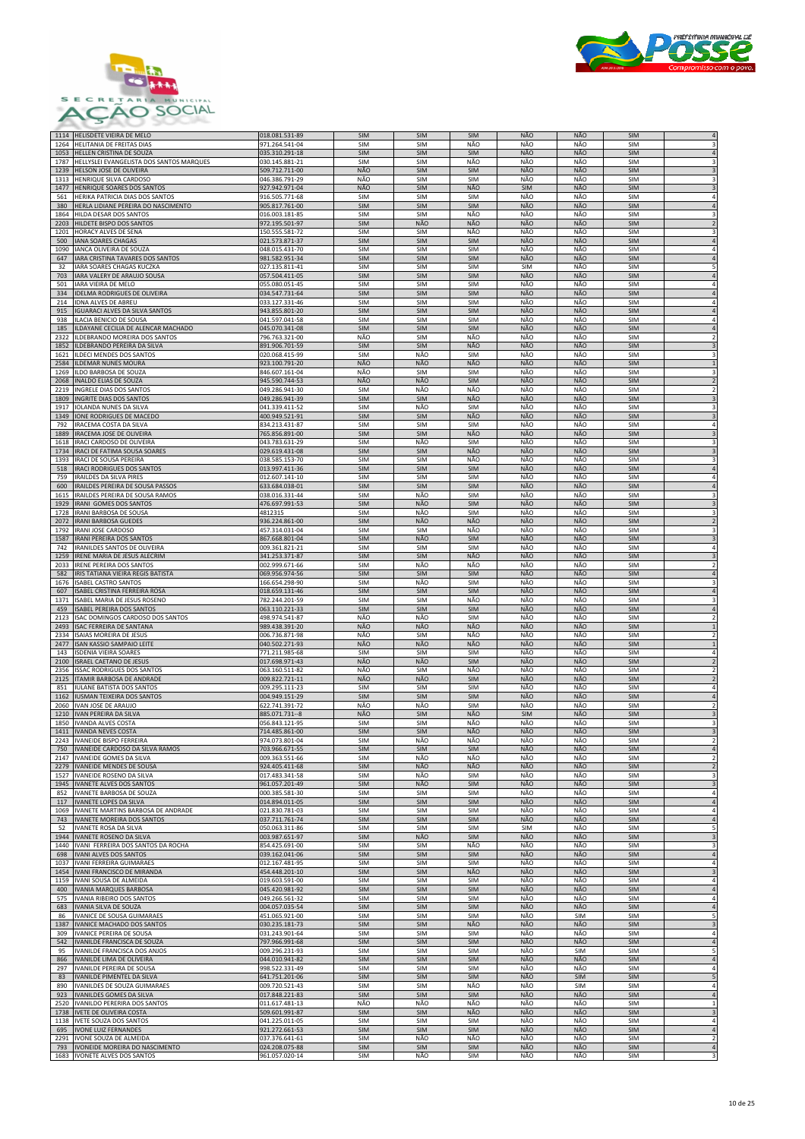



| 1114         | <b>HELISDETE VIEIRA DE MELO</b>                                      | 018.081.531-89                   | <b>SIM</b>               | <b>SIM</b>        | <b>SIM</b>               | NÃO                      | NÃO        | <b>SIM</b>               |                                            |
|--------------|----------------------------------------------------------------------|----------------------------------|--------------------------|-------------------|--------------------------|--------------------------|------------|--------------------------|--------------------------------------------|
| 1264         | <b>HELITANIA DE FREITAS DIAS</b>                                     | 971.264.541-04                   | SIM                      | SIM               | NÃO                      | NÃO                      | NÃO        | <b>SIM</b>               |                                            |
| 1053         | HELLEN CRISTINA DE SOUZA                                             | 035.310.291-18                   | <b>SIM</b>               | SIM               | <b>SIM</b>               | NÃO                      | NÃO        | <b>SIM</b>               |                                            |
| 1787<br>1239 | HELLYSLEI EVANGELISTA DOS SANTOS MARQUES<br>HELSON JOSE DE OLIVEIRA  | 030.145.881-21<br>509.712.711-00 | <b>SIM</b><br><b>NÃO</b> | SIM<br>SIM        | NÃO<br>SIM               | NÃO<br>NÃO               | NÃO<br>NÃO | SIM<br>SIM               |                                            |
| 1313         | <b>HENRIQUE SILVA CARDOSO</b>                                        | 046.386.791-29                   | NÃO                      | SIM               | SIM                      | NÃO                      | NÃO        | SIM                      |                                            |
| 1477         | HENRIQUE SOARES DOS SANTOS                                           | 927.942.971-04                   | NÃO                      | SIM               | NÃO                      | <b>SIM</b>               | NÃO        | <b>SIM</b>               |                                            |
| 561          | HERIKA PATRICIA DIAS DOS SANTOS                                      | 916.505.771-68                   | SIM                      | SIM               | SIM                      | NÃO                      | NÃO        | <b>SIM</b>               |                                            |
| 380          | HERLA LIDIANE PEREIRA DO NASCIMENTO                                  | 905.817.761-00                   | SIM                      | SIM               | <b>SIM</b>               | NÃO                      | NÃO        | <b>SIM</b>               |                                            |
| 1864         | HILDA DESAR DOS SANTOS                                               | 016.003.181-85                   | SIM                      | SIM               | NÃO                      | NÃO                      | NÃO        | SIM                      |                                            |
| 2203         | HILDETE BISPO DOS SANTOS                                             | 972.195.501-97                   | SIM                      | NÃO               | NÃO                      | NÃO                      | NÃO        | SIM                      |                                            |
| 1201         | HORACY ALVES DE SENA                                                 | 150.555.581-72                   | SIM                      | SIM               | NÃO                      | NÃO                      | NÃO        | SIM                      |                                            |
| 500<br>1090  | <b>ANA SOARES CHAGAS</b><br>IANCA OLIVEIRA DE SOUZA                  | 021.573.871-37<br>048.015.431-70 | SIM<br>SIM               | SIM<br>SIM        | SIM<br>SIM               | NÃO<br>NÃO               | NÃO<br>NÃO | SIM<br>SIM               |                                            |
| 647          | ARA CRISTINA TAVARES DOS SANTOS                                      | 981.582.951-34                   | SIM                      | SIM               | <b>SIM</b>               | NÃO                      | NÃO        | <b>SIM</b>               |                                            |
| 32           | <b>IARA SOARES CHAGAS KUCZKA</b>                                     | 027.135.811-41                   | <b>SIM</b>               | SIM               | <b>SIM</b>               | <b>SIM</b>               | NÃO        | SIM                      |                                            |
| 703          | IARA VALERY DE ARAUJO SOUSA                                          | 057.504.411-05                   | SIM                      | SIM               | SIM                      | NÃO                      | NÃO        | SIM                      |                                            |
| 501          | IARA VIEIRA DE MELO                                                  | 055.080.051-45                   | SIM                      | SIM               | SIM                      | NÃO                      | NÃO        | SIM                      |                                            |
| 334          | IDELMA RODRIGUES DE OLIVEIRA                                         | 034.547.731-64                   | SIM                      | SIM               | SIM                      | NÃO                      | NÃO        | SIM                      |                                            |
| 214          | <b>IDNA ALVES DE ABREU</b>                                           | 033.127.331-46                   | <b>SIM</b>               | SIM               | SIM                      | NÃO                      | NÃO        | SIM                      |                                            |
| 915<br>938   | <b>IGUARACI ALVES DA SILVA SANTOS</b><br>ILACIA BENICIO DE SOUSA     | 943.855.801-20<br>041.597.041-58 | <b>SIM</b><br>SIM        | SIM<br><b>SIM</b> | <b>SIM</b><br><b>SIM</b> | NÃO<br>NÃO               | NÃO<br>NÃO | <b>SIM</b><br><b>SIM</b> |                                            |
| 185          | ILDAYANE CECILIA DE ALENCAR MACHADO                                  | 045.070.341-08                   | SIM                      | SIM               | <b>SIM</b>               | <b>NÃO</b>               | <b>NÃO</b> | <b>SIM</b>               |                                            |
| 2322         | ILDEBRANDO MOREIRA DOS SANTOS                                        | 796.763.321-00                   | NÃO                      | SIM               | NÃC                      | NÃO                      | NÃO        | SIM                      |                                            |
| 1852         | LDEBRANDO PEREIRA DA SILVA                                           | 891.906.701-59                   | SIM                      | SIM               | NÃO                      | NÃO                      | NÃO        | SIM                      |                                            |
| 1621         | ILDECI MENDES DOS SANTOS                                             | 020.068.415-99                   | SIM                      | NÃO               | SIM                      | NÃO                      | NÃO        | SIM                      |                                            |
| 2584         | <b>ILDEMAR NUNES MOURA</b>                                           | 923.100.791-20                   | <b>NÃO</b>               | NÃO               | NÃO                      | NÃO                      | NÃO        | <b>SIM</b>               |                                            |
| 1269         | ILDO BARBOSA DE SOUZA                                                | 846.607.161-04                   | NÃO                      | <b>SIM</b>        | SIM                      | NÃO                      | NÃO        | <b>SIM</b>               |                                            |
| 2068<br>2219 | INALDO ELIAS DE SOUZA<br>INGRELE DIAS DOS SANTOS                     | 945.590.744-53<br>049.286.941-30 | NÃO<br>SIM               | NÃO<br>NÃO        | <b>SIM</b><br>NÃO        | NÃO<br>NÃO               | NÃO<br>NÃO | SIM<br>SIM               |                                            |
| 1809         | INGRITE DIAS DOS SANTOS                                              | 049.286.941-39                   | SIM                      | SIM               | NÃO                      | NÃO                      | NÃO        | <b>SIM</b>               |                                            |
| 1917         | IOLANDA NUNES DA SILVA                                               | 041.339.411-52                   | SIM                      | NÃO               | SIM                      | NÃO                      | NÃO        | SIM                      |                                            |
| 1349         | <b>IONE RODRIGUES DE MACEDO</b>                                      | 400.949.521-91                   | SIM                      | SIM               | <b>NÃO</b>               | NÃO                      | NÃO        | <b>SIM</b>               |                                            |
| 792          | IRACEMA COSTA DA SILVA                                               | 834.213.431-87                   | SIM                      | SIM               | <b>SIM</b>               | NÃO                      | NÃO        | <b>SIM</b>               |                                            |
| 1889         | IRACEMA JOSE DE OLIVEIRA                                             | 765.856.891-00                   | SIM                      | SIM               | NÃO                      | NÃO                      | NÃO        | <b>SIM</b>               |                                            |
| 1618<br>1734 | IRACI CARDOSO DE OLIVEIRA<br>RACI DE FATIMA SOUSA SOARES             | 043.783.631-29<br>029.619.431-08 | SIM<br>SIM               | NÃC<br>SIM        | SIM<br>NÃO               | NÃO<br>NÃO               | NÃO<br>NÃO | SIM<br><b>SIM</b>        |                                            |
| 1393         | <b>IRACI DE SOUSA PEREIRA</b>                                        | 038.585.153-70                   | SIM                      | SIM               | NÃO                      | NÃO                      | NÃO        | SIM                      |                                            |
| 518          | <b>IRACI RODRIGUES DOS SANTOS</b>                                    | 013.997.411-36                   | SIM                      | SIM               | SIM                      | NÃO                      | NÃO        | <b>SIM</b>               |                                            |
| 759          | <b>IRAILDES DA SILVA PIRES</b>                                       | 012.607.141-10                   | SIM                      | SIM               | <b>SIM</b>               | NÃO                      | NÃO        | <b>SIM</b>               |                                            |
| 600          | RAILDES PEREIRA DE SOUSA PASSOS                                      | 633.684.038-01                   | SIM                      | SIM               | SIM                      | NÃO                      | NÃO        | <b>SIM</b>               |                                            |
| 1615<br>1929 | <b>IRAILDES PEREIRA DE SOUSA RAMOS</b><br>RANI GOMES DOS SANTOS      | 038.016.331-44<br>476.697.991-53 | SIM<br>SIM               | NÃO<br>NÃO        | SIM<br>SIM               | NÃO<br>NÃO               | NÃO<br>NÃO | SIM<br>SIM               | $\overline{3}$                             |
| 1728         | <b>IRANI BARBOSA DE SOUSA</b>                                        | 4812315                          | SIM                      | NÃO               | SIM                      | NÃO                      | NÃO        | SIM                      |                                            |
| 2072         | <b>IRANI BARBOSA GUEDES</b>                                          | 936.224.861-00                   | SIM                      | NÃO               | NÃO                      | NÃO                      | NÃO        | <b>SIM</b>               |                                            |
| 1792         | IRANI JOSE CARDOSO                                                   | 457.314.031-04                   | SIM                      | SIM               | NÃO                      | NÃO                      | NÃO        | <b>SIM</b>               |                                            |
| 1587         | <b>IRANI PEREIRA DOS SANTOS</b>                                      | 867.668.801-04                   | SIM                      | NÃO               | <b>SIM</b>               | <b>NÃO</b>               | <b>NÃO</b> | <b>SIM</b>               |                                            |
| 742          | IRANILDES SANTOS DE OLIVEIRA                                         | 009.361.821-21                   | SIM                      | SIM               | SIM                      | NÃO                      | NÃO        | SIM                      | $\overline{4}$                             |
| 1259<br>2033 | RENE MARIA DE JESUS ALECRIM<br><b>IRENE PEREIRA DOS SANTOS</b>       | 341.253.371-87<br>002.999.671-66 | SIM<br>SIM               | SIM<br>NÃO        | NÃO<br>NÃO               | NÃO<br>NÃO               | NÃO<br>NÃO | SIM<br>SIM               |                                            |
| 582          | IRIS TATIANA VIEIRA REGIS BATISTA                                    | 069.956.974-56                   | <b>SIM</b>               | SIM               | SIM                      | NÃO                      | NÃO        | SIM                      |                                            |
| 1676         | SABEL CASTRO SANTOS                                                  | 166.654.298-90                   | SIM                      | NÃO               | <b>SIM</b>               | NÃO                      | NÃO        | <b>SIM</b>               |                                            |
| 607          | SABEL CRISTINA FERREIRA ROSA                                         | 018.659.131-46                   | SIM                      | SIM               | SIM                      | NÃO                      | NÃO        | <b>SIM</b>               |                                            |
| 1371         | ISABEL MARIA DE JESUS ROSENO                                         | 782.244.201-59                   | SIM                      | SIM               | NÃO                      | NÃO                      | NÃO        | SIM                      | 3                                          |
| 459          | <b>ISABEL PEREIRA DOS SANTOS</b>                                     | 063.110.221-33                   | SIM                      | SIM               | SIM                      | NÃO                      | NÃO        | SIM                      | $\overline{4}$                             |
| 2123<br>2493 | ISAC DOMINGOS CARDOSO DOS SANTOS<br>ISAC FERREIRA DE SANTANA         | 498.974.541-87<br>989.438.391-20 | NÃO<br>NÃO               | NÃO<br>NÃO        | SIM<br>NÃO               | NÃO<br>NÃO               | NÃO<br>NÃO | <b>SIM</b><br><b>SIM</b> |                                            |
| 2334         | <b>ISAIAS MOREIRA DE JESUS</b>                                       | 006.736.871-98                   | NÃO                      | SIM               | NÃO                      | NÃO                      | NÃO        | <b>SIM</b>               |                                            |
| 2477         | SAN KASSIO SAMPAIO LEITE                                             | 040.502.271-93                   | NÃO                      | NÃO               | NÃO                      | NÃO                      | NÃO        | <b>SIM</b>               |                                            |
| 143          | <b>ISDENIA VIEIRA SOARES</b>                                         | 771.211.985-68                   | SIM                      | SIM               | SIM                      | NÃO                      | NÃO        | SIM                      |                                            |
| 2100         | <b>ISRAEL CAETANO DE JESUS</b>                                       | 017.698.971-43                   | NÃO                      | NÃO               | SIM<br>NÃO               | NÃO<br>NÃO               | NÃO<br>NÃO | SIM                      | $\overline{2}$<br>$\overline{\phantom{a}}$ |
| 2356<br>2125 | <b>SSAC RODRIGUES DOS SANTOS</b><br>TAMIR BARBOSA DE ANDRADE         | 063.160.511-82<br>009.822.721-11 | NÃO<br>NÃO               | SIM<br>NÃO        | SIM                      | NÃO                      | NÃO        | <b>SIM</b><br>SIM        |                                            |
| 851          | IULANE BATISTA DOS SANTOS                                            | 009.295.111-23                   | SIM                      | SIM               | <b>SIM</b>               | NÃO                      | NÃO        | <b>SIM</b>               |                                            |
| 1162         | USMAN TEIXEIRA DOS SANTOS                                            | 004.949.151-29                   | SIM                      | SIM               | <b>SIM</b>               | NÃO                      | NÃO        | <b>SIM</b>               |                                            |
| 2060         | IVAN JOSE DE ARAUJO                                                  | 622.741.391-72                   | NÃO                      | NÃO               | SIM                      | NÃO                      | NÃO        | <b>SIM</b>               |                                            |
| 1210         | VAN PEREIRA DA SILVA                                                 | 885.071.731 -- 8                 | <b>NÃO</b>               | SIM               | <b>NÃO</b>               | SIM                      | NÃO        | SIM                      | $\overline{3}$                             |
| 1850<br>1411 | <b>IVANDA ALVES COSTA</b><br><b>IVANDA NEVES COSTA</b>               | 056.843.121-95<br>714.485.861-00 | SIM<br><b>SIM</b>        | SIM<br>SIM        | NÃO<br>NÃO               | NÃO<br>NÃO               | NÃO<br>NÃO | <b>SIM</b><br><b>SIM</b> | $\overline{3}$                             |
| 2243         | <b>IVANEIDE BISPO FERREIRA</b>                                       | 974.073.801-04                   | SIM                      | NÃC               | NÃO                      | NÃC                      | NÃO        | SIM                      |                                            |
| 750          | IVANEIDE CARDOSO DA SILVA RAMOS                                      | 703.966.671-55                   | <b>SIM</b>               | SIM               | SIM                      | NÃO                      | NÃO        | SIM                      | $\overline{4}$                             |
|              | 2147 IVANEIDE GOMES DA SILVA                                         | 009.363.551-66                   | SIM                      | NÃO               | NÃO                      | NÃO                      | NÃO        | <b>SIM</b>               | $\overline{\phantom{a}}$                   |
| 2279         | IVANEIDE MENDES DE SOUSA<br><b>IVANEIDE ROSENO DA SILVA</b>          | 924.405.411-68                   | <b>SIM</b>               | NÃO               | NÃO                      | NÃO<br>NÃO               | NÃO<br>NÃO | <b>SIM</b>               | $\overline{2}$                             |
| 1527<br>1945 | <b>IVANETE ALVES DOS SANTOS</b>                                      | 017.483.341-58<br>961.057.201-49 | SIM<br><b>SIM</b>        | NÃO<br>NÃO        | SIM<br>SIM               | NÃO                      | NÃO        | SIM<br>SIM               | 3<br>$\overline{3}$                        |
| 852          | IVANETE BARBOSA DE SOUZA                                             | 000.385.581-30                   | SIM                      | SIM               | SIM                      | NÃO                      | NÃO        | SIM                      | $\overline{4}$                             |
| 117          | <b>IVANETE LOPES DA SILVA</b>                                        | 014.894.011-05                   | <b>SIM</b>               | SIM               | SIM                      | NÃO                      | NÃO        | SIM                      | $\overline{4}$                             |
| 1069         | IVANETE MARTINS BARBOSA DE ANDRADE                                   | 021.830.781-03                   | SIM                      | SIM               | SIM                      | NÃO                      | NÃO        | SIM                      | 4                                          |
| 743<br>52    | <b>IVANETE MOREIRA DOS SANTOS</b><br><b>IVANETE ROSA DA SILVA</b>    | 037.711.761-74<br>050.063.311-86 | SIM<br>SIM               | SIM<br>SIM        | SIM<br><b>SIM</b>        | <b>NÃO</b><br><b>SIM</b> | NÃO<br>NÃO | SIM<br>SIM               | $\overline{4}$<br>5                        |
| 1944         | <b>IVANETE ROSENO DA SILVA</b>                                       | 003.987.651-97                   | <b>SIM</b>               | NÃO               | SIM                      | NÃO                      | NÃO        | SIM                      | $\overline{3}$                             |
| 1440         | IVANI FERREIRA DOS SANTOS DA ROCHA                                   | 854.425.691-00                   | SIM                      | SIM               | NÃO                      | NÃO                      | NÃO        | SIM                      | 3                                          |
| 698          | <b>IVANI ALVES DOS SANTOS</b>                                        | 039.162.041-06                   | <b>SIM</b>               | SIM               | SIM                      | NÃO                      | NÃO        | SIM                      | $\overline{4}$                             |
| 1037         | <b>IVANI FERREIRA GUIMARAES</b>                                      | 012.167.481-95                   | SIM                      | SIM               | SIM                      | NÃO                      | NÃO        | SIM                      | 4                                          |
| 1454<br>1159 | IVANI FRANCISCO DE MIRANDA<br>IVANI SOUSA DE ALMEIDA                 | 454.448.201-10<br>019.603.591-00 | <b>SIM</b><br>SIM        | SIM<br>SIM        | NÃO<br>SIM               | NÃO<br>NÃO               | NÃO<br>NÃO | SIM<br>SIM               | 4                                          |
| 400          | <b>IVANIA MARQUES BARBOSA</b>                                        | 045.420.981-92                   | SIM                      | SIM               | SIM                      | NÃO                      | NÃO        | SIM                      |                                            |
| 575          | <b>IVANIA RIBEIRO DOS SANTOS</b>                                     | 049.266.561-32                   | SIM                      | SIM               | SIM                      | NÃO                      | NÃO        | SIM                      |                                            |
| 683          | IVANIA SILVA DE SOUZA                                                | 004.057.035-54                   | <b>SIM</b>               | SIM               | <b>SIM</b>               | NÃO                      | NÃO        | SIM                      | $\overline{4}$                             |
| 86           | <b>IVANICE DE SOUSA GUIMARAES</b>                                    | 451.065.921-00                   | SIM                      | SIM               | SIM                      | NÃO                      | SIM        | SIM                      | 5                                          |
| 1387<br>309  | <b>IVANICE MACHADO DOS SANTOS</b><br><b>IVANICE PEREIRA DE SOUSA</b> | 030.235.181-73<br>031.243.901-64 | SIM<br>SIM               | SIM<br>SIM        | NÃO<br>SIM               | NÃO<br>NÃO               | NÃO<br>NÃO | SIM<br>SIM               | 3<br>$\overline{4}$                        |
| 542          | <b>IVANILDE FRANCISCA DE SOUZA</b>                                   | 797.966.991-68                   | <b>SIM</b>               | SIM               | <b>SIM</b>               | NÃO                      | NÃO        | SIM                      |                                            |
| 95           | IVANILDE FRANCISCA DOS ANJOS                                         | 009.296.231-93                   | SIM                      | SIM               | SIM                      | NÃO                      | SIM        | SIM                      |                                            |
| 866          | IVANILDE LIMA DE OLIVEIRA                                            | 044.010.941-82                   | <b>SIM</b>               | SIM               | <b>SIM</b>               | NÃO                      | NÃO        | <b>SIM</b>               | $\overline{4}$                             |
| 297<br>83    | <b>IVANILDE PEREIRA DE SOUSA</b><br>IVANILDE PIMENTEL DA SILVA       | 998.522.331-49<br>641.751.201-06 | SIM<br>SIM               | SIM<br>SIM        | SIM<br><b>SIM</b>        | NÃO<br>NÃO               | NÃO<br>SIM | SIM<br>SIM               | $\overline{a}$                             |
| 890          | IVANILDES DE SOUZA GUIMARAES                                         | 009.720.521-43                   | SIM                      | SIM               | NÃO                      | NÃO                      | <b>SIM</b> | <b>SIM</b>               | $\overline{4}$                             |
| 923          | <b>IVANILDES GOMES DA SILVA</b>                                      | 017.848.221-83                   | <b>SIM</b>               | SIM               | SIM                      | NÃO                      | NÃO        | SIM                      |                                            |
| 2520         | IVANILDO PERERIRA DOS SANTOS                                         | 011.617.481-13                   | NÃO                      | NÃO               | NÃO                      | NÃO                      | NÃO        | SIM                      | $\mathbf{1}$                               |
| 1738         | IVETE DE OLIVEIRA COSTA                                              | 509.601.991-87                   | <b>SIM</b>               | SIM               | NÃO                      | NÃO                      | NÃO        | <b>SIM</b>               |                                            |
| 1138<br>695  | <b>IVETE SOUZA DOS SANTOS</b><br><b>IVONE LUIZ FERNANDES</b>         | 041.225.011-05<br>921.272.661-53 | SIM<br>SIM               | SIM<br>SIM        | SIM<br>SIM               | NÃO<br>NÃO               | NÃO<br>NÃO | SIM<br>SIM               | 4<br>$\overline{4}$                        |
| 2291         | IVONE SOUZA DE ALMEIDA                                               | 037.376.641-61                   | SIM                      | NÃO               | NÃO                      | NÃO                      | NÃO        | SIM                      | $\overline{2}$                             |
| 793          | IVONEIDE MOREIRA DO NASCIMENTO                                       | 024.208.075-88                   | <b>SIM</b>               | SIM               | SIM                      | NÃO                      | NÃO        | SIM                      |                                            |
|              | 1683 IVONETE ALVES DOS SANTOS                                        | 961.057.020-14                   | SIM                      | NÃO               | SIM                      | NÃO                      | NÃO        | SIM                      | 3                                          |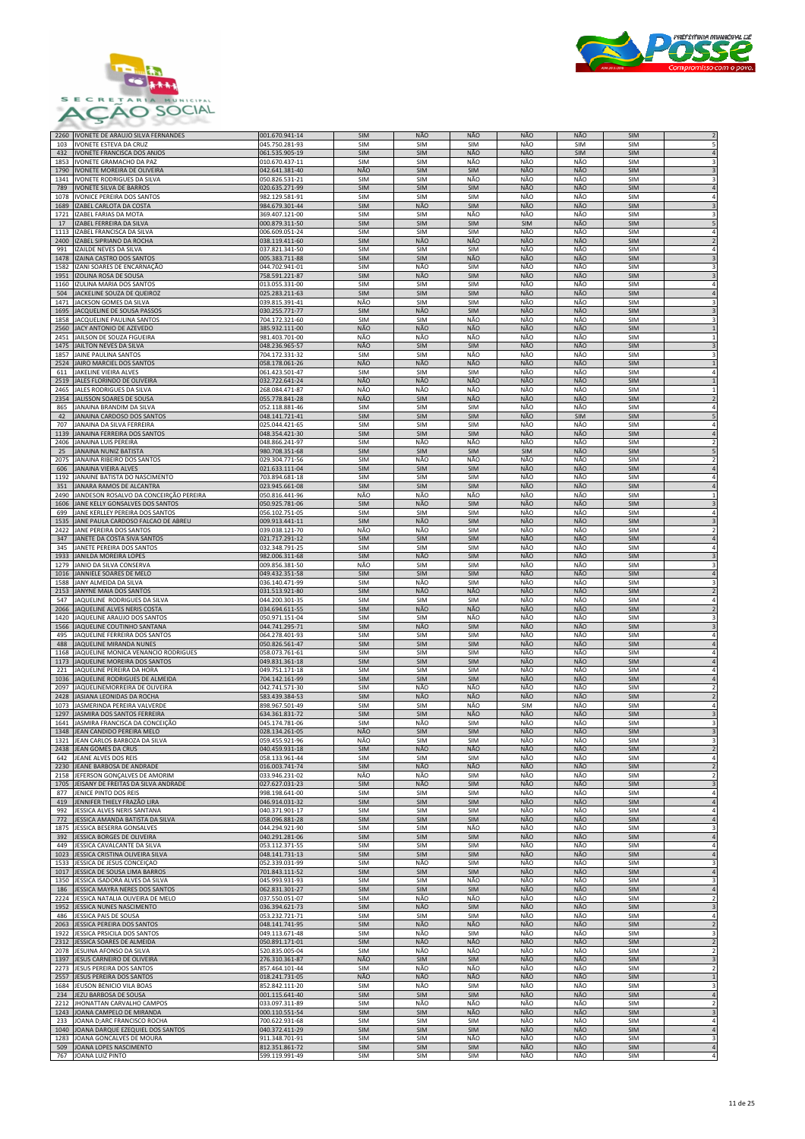



| 103          | <b>IVONETE ESTEVA DA CRUZ</b>                                       | 045.750.281-93                   | <b>SIM</b>        | SIM        | <b>SIM</b>               | NÃO        | <b>SIM</b>        | <b>SIM</b>        | 5                                |
|--------------|---------------------------------------------------------------------|----------------------------------|-------------------|------------|--------------------------|------------|-------------------|-------------------|----------------------------------|
| 432          | <b>IVONETE FRANCISCA DOS ANJOS</b>                                  | 061.535.905-19                   | <b>SIM</b>        | SIM        | NÃO                      | NÃO        | <b>SIM</b>        | <b>SIM</b>        | $\sqrt{4}$                       |
| 1853         | IVONETE GRAMACHO DA PAZ                                             | 010.670.437-11                   | SIM               | SIM        | NÃO                      | NÃO        | NÃO               | SIM               | 3                                |
| 1790         | IVONETE MOREIRA DE OLIVEIRA                                         | 042.641.381-40                   | NÃO               | SIM        | <b>SIM</b>               | NÃO        | <b>NÃO</b>        | <b>SIM</b>        | $\overline{\mathbf{3}}$          |
| 1341         | IVONETE RODRIGUES DA SILVA                                          | 050.826.531-21                   | SIM               | SIM        | NÃO                      | NÃO        | NÃO               | SIM               | 3                                |
| 789          | <b>IVONETE SILVA DE BARROS</b>                                      | 020.635.271-99                   | SIM               | SIM        | <b>SIM</b>               | NÃO        | NÃO               | <b>SIM</b>        | $\sqrt{4}$                       |
| 1078         | <b>IVONICE PEREIRA DOS SANTOS</b>                                   | 982.129.581-91                   | SIM               | SIM<br>NÃO | SIM                      | NÃO<br>NÃO | NÃO<br>NÃO        | <b>SIM</b>        | 4                                |
| 1689<br>1721 | IZABEL CARLOTA DA COSTA<br>IZABEL FARIAS DA MOTA                    | 984.679.301-44<br>369.407.121-00 | <b>SIM</b><br>SIM | SIM        | <b>SIM</b><br>NÃO        | NÃO        | NÃO               | <b>SIM</b><br>SIM | 3                                |
| 17           | IZABEL FERREIRA DA SILVA                                            | 000.879.311-50                   | SIM               | SIM        | <b>SIM</b>               | <b>SIM</b> | NÃO               | <b>SIM</b>        |                                  |
| 1113         | <b>IZABEL FRANCISCA DA SILVA</b>                                    | 006.609.051-24                   | SIM               | SIM        | SIM                      | NÃO        | NÃO               | <b>SIM</b>        | 4                                |
| 2400         | IZABEL SIPRIANO DA ROCHA                                            | 038.119.411-60                   | <b>SIM</b>        | NÃO        | NÃO                      | NÃO        | NÃO               | SIM               | $\overline{2}$                   |
| 991          | <b>IZAILDE NEVES DA SILVA</b>                                       | 037.821.341-50                   | <b>SIM</b>        | SIM        | SIM                      | NÃO        | NÃO               | <b>SIM</b>        | 4                                |
| 1478         | IZAINA CASTRO DOS SANTOS                                            | 005.383.711-88                   | <b>SIM</b>        | SIM        | NÃO                      | NÃO        | NÃO               | <b>SIM</b>        | $\overline{3}$                   |
| 1582         | IZANI SOARES DE ENCARNAÇÃO                                          | 044.702.941-01                   | SIM               | NÃO        | SIM                      | NÃO        | NÃO               | SIM               | 3                                |
| 1951         | IZOLINA ROSA DE SOUSA                                               | 758.591.221-87                   | SIM               | NÃO        | <b>SIM</b>               | NÃO        | NÃO               | <b>SIM</b>        |                                  |
| 1160         | IZULINA MARIA DOS SANTOS                                            | 013.055.331-00                   | SIM               | SIM        | <b>SIM</b>               | NÃO        | NÃO               | <b>SIM</b>        | 4                                |
| 504          | JACKELINE SOUZA DE QUEIROZ                                          | 025.283.211-63                   | <b>SIM</b>        | SIM        | SIM                      | NÃO        | NÃO               | <b>SIM</b>        | $\sqrt{4}$                       |
| 1471<br>1695 | JACKSON GOMES DA SILVA<br>JACQUELINE DE SOUSA PASSOS                | 039.815.391-41<br>030.255.771-77 | NÃO<br>SIM        | SIM<br>NÃO | SIM<br><b>SIM</b>        | NÃO<br>NÃO | NÃO<br>NÃO        | SIM<br><b>SIM</b> | 3<br>$\overline{3}$              |
| 1858         | JACQUELINE PAULINA SANTOS                                           | 704.172.321-60                   | SIM               | SIM        | NÃO                      | NÃO        | NÃO               | <b>SIM</b>        | 3                                |
| 2560         | JACY ANTONIO DE AZEVEDO                                             | 385.932.111-00                   | NÃO               | NÃO        | NÃO                      | NÃO        | NÃO               | SIM               |                                  |
| 2451         | JAILSON DE SOUZA FIGUEIRA                                           | 981.403.701-00                   | NÃO               | NÃO        | NÃO                      | NÃO        | NÃO               | <b>SIM</b>        |                                  |
| 1475         | JAILTON NEVES DA SILVA                                              | 048.236.965-57                   | NÃO               | SIM        | SIM                      | NÃO        | NÃO               | SIM               | $\sqrt{3}$                       |
| 1857         | JAINE PAULINA SANTOS                                                | 704.172.331-32                   | <b>SIM</b>        | SIM        | NÃO                      | NÃO        | NÃO               | SIM               | 3                                |
| 2524         | JAIRO MARCIEL DOS SANTOS                                            | 058.178.061-26                   | <b>NÃO</b>        | NÃO        | NÃO                      | NÃO        | NÃO               | SIM               | $\mathbf 1$                      |
| 611          | JAKELINE VIEIRA ALVES                                               | 061.423.501-47                   | SIM               | SIM        | SIM                      | NÃO        | NÃO               | SIM               | 4                                |
| 2519         | JALES FLORINDO DE OLIVEIRA                                          | 032.722.641-24                   | NÃO               | NÃO        | NÃO                      | NÃO        | NÃO               | SIM               |                                  |
| 2465         | JALES RODRIGUES DA SILVA                                            | 268.084.471-87                   | NÃO               | NÃO        | NÃO                      | NÃO        | NÃO               | <b>SIM</b>        |                                  |
| 2354         | JALISSON SOARES DE SOUSA                                            | 055.778.841-28                   | NÃO               | SIM        | NÃO                      | NÃO        | NÃO               | SIM               |                                  |
| 865<br>42    | JANAINA BRANDIM DA SILVA<br>JANAINA CARDOSO DOS SANTOS              | 052.118.881-46<br>048.141.721-41 | SIM<br>SIM        | SIM<br>SIM | SIM<br>SIM               | NÃO<br>NÃO | NÃO<br>SIM        | SIM<br>SIM        | 4<br>5                           |
| 707          | JANAINA DA SILVA FERREIRA                                           | 025.044.421-65                   | SIM               | SIM        | SIM                      | NÃO        | NÃO               | SIM               | $\sqrt{4}$                       |
| 1139         | JANAINA FERREIRA DOS SANTOS                                         | 048.354.421-30                   | <b>SIM</b>        | SIM        | SIM                      | NÃO        | NÃO               | SIM               |                                  |
| 2406         | JANAINA LUIS PEREIRA                                                | 048.866.241-97                   | SIM               | NÃO        | NÃO                      | NÃO        | NÃO               | <b>SIM</b>        |                                  |
| 25           | <b>JANAINA NUNIZ BATISTA</b>                                        | 980.708.351-68                   | SIM               | SIM        | SIM                      | <b>SIM</b> | NÃO               | <b>SIM</b>        |                                  |
| 2075         | JANAINA RIBEIRO DOS SANTOS                                          | 029.304.771-56                   | SIM               | NÃO        | NÃO                      | NÃO        | NÃO               | SIM               | $\overline{2}$                   |
| 606          | JANAINA VIEIRA ALVES                                                | 021.633.111-04                   | <b>SIM</b>        | SIM        | SIM                      | NÃO        | NÃO               | SIM               | $\sqrt{4}$                       |
| 1192         | JANAINE BATISTA DO NASCIMENTO                                       | 703.894.681-18                   | SIM               | SIM        | SIM                      | NÃO        | NÃO               | <b>SIM</b>        | $\overline{4}$                   |
| 351          | JANARA RAMOS DE ALCANTRA                                            | 023.945.661-08                   | SIM               | SIM        | <b>SIM</b>               | NÃO        | NÃO               | <b>SIM</b>        | $\sqrt{4}$                       |
| 2490         | JANDESON ROSALVO DA CONCEIRÇÃO PEREIRA                              | 050.816.441-96                   | NÃO               | NÃO        | NÃO                      | NÃO        | NÃO               | <b>SIM</b>        |                                  |
| 1606         | JANE KELLY GONSALVES DOS SANTOS                                     | 050.925.781-06                   | SIM               | NÃO        | SIM                      | NÃO        | NÃO               | <b>SIM</b>        |                                  |
| 699          | JANE KERLLEY PEREIRA DOS SANTOS                                     | 056.102.751-05<br>009.913.441-11 | <b>SIM</b>        | SIM        | <b>SIM</b>               | NÃO        | NÃO               | <b>SIM</b>        | 4<br>$\overline{3}$              |
| 1535<br>2422 | JANE PAULA CARDOSO FALCAO DE ABREU<br>JANE PEREIRA DOS SANTOS       | 039.038.121-70                   | SIM<br>NÃO        | NÃO<br>NÃO | <b>SIM</b><br>SIM        | NÃO<br>NÃO | NÃO<br>NÃO        | SIM<br>SIM        | $\overline{2}$                   |
| 347          | JANETE DA COSTA SIVA SANTOS                                         | 021.717.291-12                   | <b>SIM</b>        | SIM        | <b>SIM</b>               | NÃO        | NÃO               | <b>SIM</b>        | $\sqrt{4}$                       |
| 345          | JANETE PEREIRA DOS SANTOS                                           | 032.348.791-25                   | SIM               | SIM        | SIM                      | NÃO        | NÃO               | SIM               |                                  |
| 1933         | JANILDA MOREIRA LOPES                                               | 982.006.311-68                   | SIM               | NÃO        | <b>SIM</b>               | NÃO        | NÃO               | SIM               |                                  |
| 1279         | JANIO DA SILVA CONSERVA                                             | 009.856.381-50                   | NÃO               | SIM        | SIM                      | NÃO        | NÃO               | <b>SIM</b>        | 3                                |
| 1016         | JANNIELE SOARES DE MELO                                             | 049.432.351-58                   | <b>SIM</b>        | SIM        | SIM                      | NÃO        | NÃO               | SIM               | $\sqrt{4}$                       |
| 1588         | JANY ALMEIDA DA SILVA                                               | 036.140.471-99                   | SIM               | NÃO        | <b>SIM</b>               | NÃO        | NÃO               | SIM               | 3                                |
| 2153         | JANYNE MAIA DOS SANTOS                                              | 031.513.921-80                   | <b>SIM</b>        | NÃO        | NÃO                      | NÃO        | NÃO               | <b>SIM</b>        | $\overline{2}$                   |
|              |                                                                     |                                  |                   |            |                          |            |                   |                   |                                  |
| 547          | JAQUELINE RODRIGUES DA SILVA                                        | 044.200.301-35                   | <b>SIM</b>        | SIM        | SIM                      | NÃO        | NÃO               | SIM               | $\Delta$                         |
| 2066         | JAQUELINE ALVES NERIS COSTA                                         | 034.694.611-55                   | SIM               | NÃO        | NÃO                      | NÃO        | <b>NÃO</b>        | SIM               |                                  |
| 1420         | JAQUELINE ARAUJO DOS SANTOS                                         | 050.971.151-04                   | SIM               | SIM        | NÃO                      | NÃO        | NÃO               | <b>SIM</b>        | 3                                |
| 1566         | JAQUELINE COUTINHO SANTANA                                          | 044.741.295-71                   | <b>SIM</b>        | NÃO        | <b>SIM</b>               | NÃO        | NÃO               | <b>SIM</b>        | 3                                |
| 495          | JAQUELINE FERREIRA DOS SANTOS                                       | 064.278.401-93                   | SIM               | SIM        | SIM                      | NÃO        | NÃO               | <b>SIM</b>        | 4                                |
| 488          | JAQUELINE MIRANDA NUNES                                             | 050.826.561-47                   | <b>SIM</b>        | SIM        | <b>SIM</b>               | NÃO        | NÃO               | <b>SIM</b>        |                                  |
| 1168<br>1173 | JAQUELINE MONICA VENANCIO RODRIGUES<br>JAQUELINE MOREIRA DOS SANTOS | 058.073.761-61<br>049.831.361-18 | SIM<br>SIM        | SIM<br>SIM | SIM<br>SIM               | NÃO<br>NÃO | NÃO<br><b>NÃO</b> | SIM<br><b>SIM</b> |                                  |
| 221          | JAQUELINE PEREIRA DA HORA                                           | 049.751.171-18                   | SIM               | SIM        | <b>SIM</b>               | NÃO        | NÃO               | <b>SIM</b>        | 4                                |
| 1036         | JAQUELINE RODRIGUES DE ALMEIDA                                      | 704.142.161-99                   | SIM               | SIM        | SIM                      | NÃO        | NÃO               | <b>SIM</b>        | $\sqrt{4}$                       |
| 2097         | JAQUELINEMORREIRA DE OLIVEIRA                                       | 042.741.571-30                   | <b>SIM</b>        | NÃO        | NÃO                      | NÃO        | NÃO               | SIM               | $\overline{2}$                   |
| 2428         | JASIANA LEONIDAS DA ROCHA                                           | 583.439.384-53                   | <b>SIM</b>        | NÃO        | NÃO                      | NÃO        | NÃO               | SIM               | $\overline{2}$                   |
| 1073         | JASMERINDA PEREIRA VALVERDE                                         | 898.967.501-49                   | SIM               | SIM        | NÃO                      | <b>SIM</b> | NÃO               | SIM               | $\overline{4}$                   |
| 1297         | JASMIRA DOS SANTOS FERREIRA                                         | 634.361.831-72                   | SIM               | SIM        | NÃO                      | NÃO        | <b>NÃO</b>        | <b>SIM</b>        |                                  |
| 1641         | JASMIRA FRANCISCA DA CONCEIÇÃO                                      | 045.174.781-06                   | SIM<br><b>NÃO</b> | NÃO        | <b>SIM</b>               | NÃO        | NÃO               | <b>SIM</b>        | 3                                |
| 1348         | JEAN CANDIDO PEREIRA MELO                                           | 028.134.261-05                   |                   | SIM        | <b>SIM</b>               | NÃO        | NÃO               | <b>SIM</b>        |                                  |
| 1321         | JEAN CARLOS BARBOZA DA SILVA<br>2438 JEAN GOMES DA CRUS             | 059.455.921-96<br>040.459.931-18 | NÃO<br>SIM        | SIM<br>NÃO | <b>SIM</b><br><b>NÃO</b> | NÃO<br>NÃO | NÃO<br><b>NÃO</b> | SIM<br><b>SIM</b> |                                  |
| 642          | JEANE ALVES DOS REIS                                                | 058.133.961-44                   | SIM               | SIM        | SIM                      | NÃO        | NÃO               | SIM               | $\sqrt{4}$                       |
| 2230         | JEANE BARBOSA DE ANDRADE                                            | 016.003.741-74                   | <b>SIM</b>        | NÃO        | NÃO                      | NÃO        | NÃO               | SIM               | $\overline{2}$                   |
|              | 2158 JEFERSON GONÇALVES DE AMORIM                                   | 033.946.231-02                   | NÃO               | NÃO        | SIM                      | NÃO        | NÃO               | SIM               | $\overline{2}$                   |
| 1705         | JEISANY DE FREITAS DA SILVA ANDRADE                                 | 027.627.031-23                   | <b>SIM</b>        | NÃO        | SIM                      | NÃO        | NÃO               | SIM               | $\overline{3}$                   |
| 877          | JENICE PINTO DOS REIS                                               | 998.198.641-00                   | SIM               | SIM        | SIM                      | NÃO        | NÃO               | SIM               | $\sqrt{4}$                       |
| 419<br>992   | JENNIFER THIELY FRAZÃO LIRA                                         | 046.914.031-32                   | <b>SIM</b>        | SIM        | <b>SIM</b>               | NÃO        | NÃO               | SIM               | $\sqrt{4}$                       |
| 772          | JESSICA ALVES NERIS SANTANA<br>JESSICA AMANDA BATISTA DA SILVA      | 040.371.901-17<br>058.096.881-28 | SIM<br><b>SIM</b> | SIM<br>SIM | SIM<br>SIM               | NÃO<br>NÃO | NÃO<br>NÃO        | SIM<br>SIM        | $\overline{4}$<br>$\overline{4}$ |
| 1875         | JESSICA BESERRA GONSALVES                                           | 044.294.921-90                   | SIM               | SIM        | NÃO                      | NÃO        | NÃO               | <b>SIM</b>        | 3                                |
| 392          | JESSICA BORGES DE OLIVEIRA                                          | 040.291.281-06                   | SIM               | SIM        | SIM                      | NÃO        | NÃO               | SIM               | $\sqrt{4}$                       |
| 449          | JESSICA CAVALCANTE DA SILVA                                         | 053.112.371-55                   | SIM               | SIM        | SIM                      | NÃO        | NÃO               | SIM               | 4                                |
|              | 1023 JESSICA CRISTINA OLIVEIRA SILVA                                | 048.141.731-13                   | <b>SIM</b>        | SIM        | SIM                      | NÃO        | NÃO               | SIM               | $\overline{4}$                   |
|              | 1533 JESSICA DE JESUS CONCEIÇÃO                                     | 052.339.031-99                   | SIM               | NÃO        | SIM                      | NÃO        | NÃO               | SIM               | $\overline{\mathbf{3}}$          |
| 1017         | JESSICA DE SOUSA LIMA BARROS                                        | 701.843.111-52                   | <b>SIM</b>        | SIM        | SIM                      | NÃO        | NÃO               | SIM               | $\overline{4}$                   |
| 1350         | JESSICA ISADORA ALVES DA SILVA                                      | 045.993.931-93                   | SIM               | SIM        | NÃO                      | NÃO        | NÃO               | SIM               | 3                                |
| 186<br>2224  | JESSICA MAYRA NERES DOS SANTOS                                      | 062.831.301-27                   | SIM               | SIM        | SIM                      | NÃO        | NÃO               | SIM               | $\sqrt{4}$<br>$\overline{2}$     |
| 1952         | JESSICA NATALIA OLIVEIRA DE MELO<br>JESSICA NUNES NASCIMENTO        | 037.550.051-07<br>036.394.621-73 | SIM<br><b>SIM</b> | NÃO<br>NÃO | NÃO<br>SIM               | NÃO<br>NÃO | NÃO<br>NÃO        | SIM<br>SIM        | $\overline{\mathbf{3}}$          |
| 486          | JESSICA PAIS DE SOUSA                                               | 053.232.721-71                   | SIM               | SIM        | SIM                      | NÃO        | NÃO               | <b>SIM</b>        | $\overline{4}$                   |
| 2063         | JESSICA PEREIRA DOS SANTOS                                          | 048.141.741-95                   | SIM               | NÃO        | NÃO                      | NÃO        | NÃO               | SIM               | $\overline{2}$                   |
| 1922         | JESSICA PRSICILA DOS SANTOS                                         | 049.113.671-48                   | SIM               | NÃO        | <b>SIM</b>               | NÃO        | NÃO               | <b>SIM</b>        | 3                                |
| 2312         | JESSICA SOARES DE ALMEIDA                                           | 050.891.171-01                   | <b>SIM</b>        | NÃO        | NÃO                      | NÃO        | NÃO               | <b>SIM</b>        | $\overline{2}$                   |
|              | 2078 JESUINA AFONSO DA SILVA                                        | 520.835.005-04                   | SIM               | NÃO        | NÃO                      | NÃO        | NÃO               | SIM               | $\overline{2}$                   |
|              | 1397 JESUS CARNEIRO DE OLIVEIRA                                     | 276.310.361-87                   | NÃO               | SIM        | SIM                      | NÃO        | NÃO               | <b>SIM</b>        | $\overline{\mathbf{3}}$          |
| 2273         | JESUS PEREIRA DOS SANTOS                                            | 857.464.101-44                   | SIM               | NÃO        | NÃO                      | NÃO        | NÃO               | SIM               | $\overline{2}$                   |
| 2557         | JESUS PEREIRA DOS SANTOS                                            | 018.241.731-05                   | NÃO               | NÃO        | NÃO                      | NÃO        | NÃO               | SIM               | $\,1\,$                          |
| 1684<br>234  | JEUSON BENICIO VILA BOAS<br>JEZU BARBOSA DE SOUSA                   | 852.842.111-20<br>001.115.641-40 | SIM<br>SIM        | NÃO<br>SIM | SIM<br>SIM               | NÃO<br>NÃO | NÃO<br>NÃO        | SIM<br>SIM        | 3                                |
| 2212         | JHONATTAN CARVALHO CAMPOS                                           | 033.097.311-89                   | SIM               | NÃO        | NÃO                      | NÃO        | NÃO               | SIM               | $\overline{a}$<br>$\overline{2}$ |
|              | 1243 JOANA CAMPELO DE MIRANDA                                       | 000.110.551-54                   | <b>SIM</b>        | SIM        | NÃO                      | NÃO        | NÃO               | SIM               | $\overline{\mathbf{3}}$          |
| 233          | JOANA D;ARC FRANCISCO ROCHA                                         | 700.622.931-68                   | SIM               | SIM        | SIM                      | NÃO        | NÃO               | <b>SIM</b>        | $\overline{4}$                   |
| 1040         | JOANA DARQUE EZEQUIEL DOS SANTOS                                    | 040.372.411-29                   | SIM               | SIM        | <b>SIM</b>               | NÃO        | NÃO               | SIM               | $\sqrt{4}$                       |
| 1283         | JOANA GONCALVES DE MOURA                                            | 911.348.701-91                   | SIM               | SIM        | NÃO                      | NÃO        | NÃO               | SIM               | 3                                |
| 509          | JOANA LOPES NASCIMENTO<br>767 JOANA LUIZ PINTO                      | 812.351.861-72<br>599.119.991-49 | <b>SIM</b><br>SIM | SIM<br>SIM | SIM<br>SIM               | NÃO<br>NÃO | NÃO<br>NÃO        | SIM<br>SIM        | $\overline{4}$<br>4              |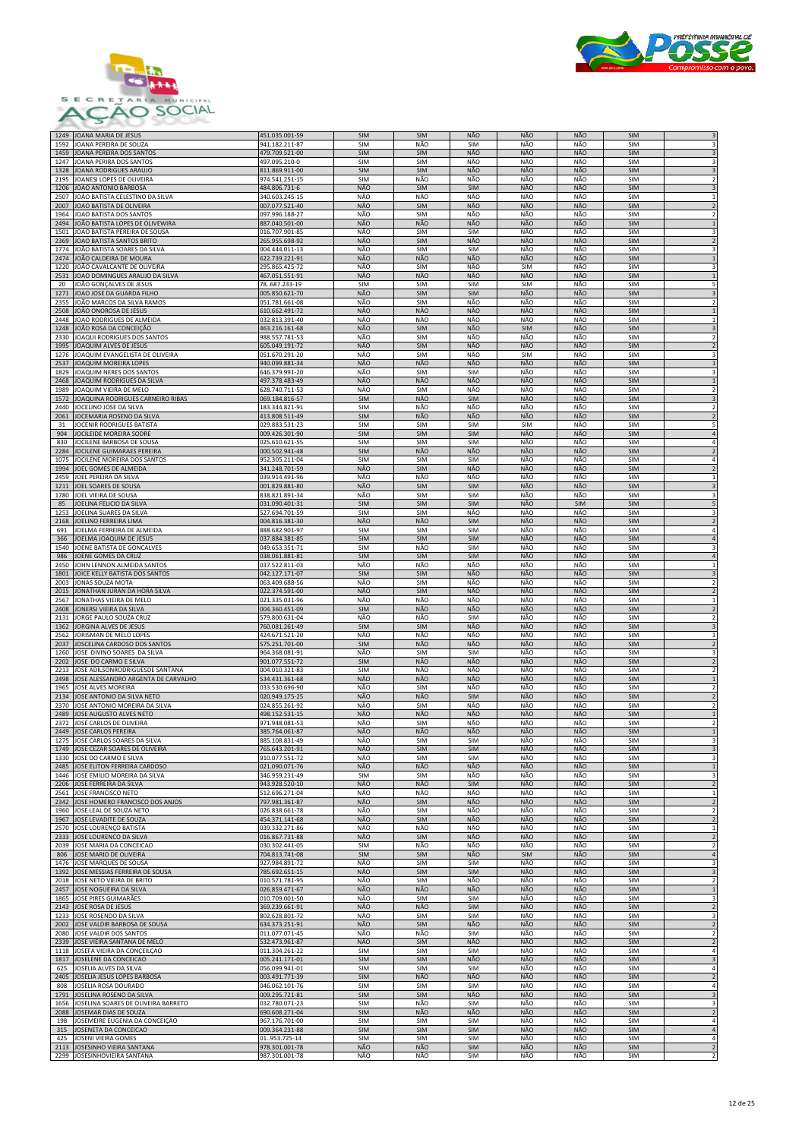



| 1592         | JOANA PEREIRA DE SOUZA                                           | 941.182.211-87                   | SIM                      | NÃO                      | <b>SIM</b> | NÃO               | NÃO        | <b>SIM</b>               | 3                                          |
|--------------|------------------------------------------------------------------|----------------------------------|--------------------------|--------------------------|------------|-------------------|------------|--------------------------|--------------------------------------------|
| 1459         | JOANA PEREIRA DOS SANTOS                                         | 479.709.521-00                   | SIM                      | <b>SIM</b>               | NÃO        | NÃO               | NÃO        | <b>SIM</b>               |                                            |
| 1247         | JOANA PERIRA DOS SANTOS                                          | 497.095.210-0                    | <b>SIM</b>               | SIM                      | NÃO        | NÃO               | NÃO        | <b>SIM</b>               | 3                                          |
| 1328         | JOANA RODRIGUES ARAUJO                                           | 811.869.911-00                   | <b>SIM</b>               | SIM                      | NÃO        | NÃO               | NÃO        | <b>SIM</b>               | 3                                          |
| 2195         | JOANESI LOPES DE OLIVEIRA                                        | 974.541.251-15                   | SIM<br>NÃO               | NÃO                      | NÃO        | NÃO<br>NÃO        | NÃO        | SIM<br><b>SIM</b>        | $\overline{2}$<br>$\overline{3}$           |
| 1206<br>2507 | JOAO ANTONIO BARBOSA<br>JOÃO BATISTA CELESTINO DA SILVA          | 484.806.731-6<br>340.603.245-15  | NÃO                      | SIM<br>NÃO               | SIM<br>NÃO | NÃO               | NÃO<br>NÃO | <b>SIM</b>               |                                            |
| 2007         | JOAO BATISTA DE OLIVEIRA                                         | 007.077.521-40                   | NÃO                      | SIM                      | NÃO        | NÃO               | NÃO        | <b>SIM</b>               |                                            |
| 1964         | JOAO BATISTA DOS SANTOS                                          | 097.996.188-27                   | NÃO                      | SIM                      | NÃO        | NÃO               | NÃO        | <b>SIM</b>               | 2                                          |
| 2494         | JOÃO BATISTA LOPES DE OLIVEWIRA                                  | 887.040.501-00                   | NÃO                      | NÃO                      | NÃO        | NÃO               | NÃO        | <b>SIM</b>               | $\mathbf{1}$                               |
| 1501         | JOAO BATISTA PEREIRA DE SOUSA                                    | 016.707.901-85                   | NÃO                      | <b>SIM</b>               | SIM        | NÃO               | NÃO        | SIM                      | 3                                          |
| 2369         | JOAO BATISTA SANTOS BRITO                                        | 265.955.698-92                   | NÃO                      | SIM                      | NÃO        | NÃO               | NÃO        | <b>SIM</b>               | $\overline{2}$                             |
| 1774         | JOÃO BATISTA SOARES DA SILVA                                     | 004.444.011-13                   | NÃO                      | SIM                      | SIM        | NÃO               | NÃO        | <b>SIM</b>               | 3                                          |
| 2474<br>1220 | JOÃO CALDEIRA DE MOURA<br>JOÃO CAVALCANTE DE OLIVEIRA            | 622.739.221-91<br>295.865.425-72 | <b>NÃO</b><br>NÃO        | NÃO<br><b>SIM</b>        | NÃO<br>NÃO | NÃO<br><b>SIM</b> | NÃO<br>NÃO | <b>SIM</b><br><b>SIM</b> | $\mathbf 1$                                |
| 2531         | JOAO DOMINGUES ARAUJO DA SILVA                                   | 467.051.551-91                   | NÃO                      | NÃO                      | NÃO        | NÃO               | NÃO        | <b>SIM</b>               | 3<br>$\,1\,$                               |
| 20           | JOÃO GONÇALVES DE JESUS                                          | 78687.233-19                     | <b>SIM</b>               | SIM                      | SIM        | SIM               | NÃO        | SIM                      | 5                                          |
| 1271         | JOAO JOSE DA GUARDA FILHO                                        | 005.850.621-70                   | NÃO                      | SIM                      | SIM        | NÃO               | NÃO        | SIM                      | $\overline{\mathbf{3}}$                    |
| 2355         | JOÃO MARCOS DA SILVA RAMOS                                       | 051.781.661-08                   | NÃO                      | SIM                      | NÃO        | NÃO               | NÃO        | <b>SIM</b>               | $\overline{2}$                             |
| 2508         | JOÃO ONOROSA DE JESUS                                            | 610.662.491-72                   | NÃO                      | NÃO                      | NÃO        | NÃO               | NÃO        | <b>SIM</b>               |                                            |
| 2448         | JOAO RODRIGUES DE ALMEIDA                                        | 032.813.391-40                   | NÃO                      | NÃO                      | NÃO        | NÃO               | NÃO        | <b>SIM</b>               | 1                                          |
| 1248         | JOÃO ROSA DA CONCEIÇÃO                                           | 463.216.161-68                   | NÃO                      | SIM                      | NÃO        | SIM               | NÃO        | SIM                      | $\overline{3}$                             |
| 2330<br>1995 | JOAQUI RODRIGUES DOS SANTOS<br>JOAQUIM ALVES DE JESUS            | 988.557.781-53<br>605.049.191-72 | NÃO<br>NÃO               | SIM<br><b>SIM</b>        | NÃO<br>NÃO | NÃO<br>NÃO        | NÃO<br>NÃO | SIM<br>SIM               | $\overline{2}$<br>$\overline{2}$           |
| 1276         | JOAQUIM EVANGELISTA DE OLIVEIRA                                  | 051.670.291-20                   | NÃO                      | SIM                      | NÃO        | <b>SIM</b>        | NÃO        | SIM                      | 3                                          |
| 2537         | JOAQUIM MOREIRA LOPES                                            | 940.099.881-34                   | NÃO                      | NÃO                      | NÃO        | NÃO               | NÃO        | <b>SIM</b>               | $\mathbf{1}$                               |
| 1829         | JOAQUIM NERES DOS SANTOS                                         | 646.379.991-20                   | NÃO                      | <b>SIM</b>               | <b>SIM</b> | NÃO               | NÃO        | <b>SIM</b>               | 3                                          |
| 2468         | JOAQUIM RODRIGUES DA SILVA                                       | 497.378.483-49                   | NÃO                      | NÃO                      | NÃO        | <b>NÃO</b>        | NÃO        | <b>SIM</b>               | $\,1\,$                                    |
| 1989         | JOAQUIM VIEIRA DE MELO                                           | 628.740.711-53                   | NÃO                      | SIM                      | NÃO        | NÃO               | NÃO        | <b>SIM</b>               | $\overline{2}$                             |
| 1572         | JOAQUINA RODRIGUES CARNEIRO RIBAS                                | 069.184.816-57                   | SIM                      | NÃO                      | SIM        | NÃO               | NÃO        | <b>SIM</b>               | $\overline{3}$                             |
| 2440         | JOCELINO JOSE DA SILVA                                           | 183.344.821-91<br>413.808.511-49 | <b>SIM</b>               | NÃO<br>NÃO               | NÃO<br>NÃO | NÃO<br>NÃO        | NÃO<br>NÃO | SIM                      | $\overline{\phantom{a}}$                   |
| 2061<br>31   | JOCEMARIA ROSENO DA SILVA<br>JOCENIR RODRIGUES BATISTA           | 029.883.531-23                   | <b>SIM</b><br><b>SIM</b> | <b>SIM</b>               | <b>SIM</b> | <b>SIM</b>        | NÃO        | <b>SIM</b><br><b>SIM</b> |                                            |
| 904          | JOCILEIDE MOREIRA SODRE                                          | 009.426.301-90                   | <b>SIM</b>               | SIM                      | SIM        | NÃO               | NÃO        | SIM                      | 4                                          |
| 830          | JOCILENE BARBOSA DE SOUSA                                        | 025.610.621-55                   | SIM                      | <b>SIM</b>               | <b>SIM</b> | NÃO               | NÃO        | <b>SIM</b>               | 4                                          |
| 2284         | JOCILENE GUIMARAES PEREIRA                                       | 000.502.941-48                   | SIM                      | NÃO                      | NÃO        | NÃO               | NÃO        | SIM                      | $\overline{2}$                             |
| 1075         | JOCILENE MOREIRA DOS SANTOS                                      | 952.305.211-04                   | SIM                      | SIM                      | SIM        | NÃO               | NÃO        | SIM                      | $\overline{4}$                             |
| 1994         | JOEL GOMES DE ALMEIDA                                            | 341.248.701-59                   | NÃO                      | SIM                      | NÃO        | NÃO               | NÃO        | <b>SIM</b>               | $\overline{2}$                             |
| 2459         | JOEL PEREIRA DA SILVA                                            | 039.914.491-96                   | NÃO                      | NÃO                      | NÃO        | NÃO               | NÃO        | SIM                      |                                            |
| 1211         | JOEL SOARES DE SOUSA                                             | 001.829.881-80                   | <b>NÃO</b>               | <b>SIM</b>               | SIM        | NÃO               | NÃO        | <b>SIM</b>               | 3                                          |
| 1780         | JOEL VIEIRA DE SOUSA                                             | 838.821.891-34                   | NÃO                      | SIM                      | SIM        | NÃO               | NÃO        | <b>SIM</b>               | 3                                          |
| 85           | JOELINA FELICIO DA SILVA                                         | 031.090.401-31                   | <b>SIM</b>               | SIM                      | <b>SIM</b> | NÃO               | SIM        | SIM                      | 5                                          |
| 1253         | JOELINA SUARES DA SILVA<br>JOELINO FERREIRA LIMA                 | 527.694.701-59                   | <b>SIM</b><br>NÃO        | <b>SIM</b><br>NÃO        | NÃO<br>SIM | NÃO<br>NÃO        | NÃO<br>NÃO | SIM<br><b>SIM</b>        | 3<br>$\mathbf 2$                           |
| 2168<br>691  | JOELMA FERREIRA DE ALMEIDA                                       | 004.816.381-30<br>888.682.901-97 | SIM                      | SIM                      | SIM        | NÃO               | NÃO        | <b>SIM</b>               |                                            |
| 366          | JOELMA JOAQUIM DE JESUS                                          | 037.884.381-85                   | SIM                      | <b>SIM</b>               | SIM        | NÃO               | NÃO        | SIM                      | 4                                          |
| 1540         | JOENE BATISTA DE GONCALVES                                       | 049.653.351-71                   | <b>SIM</b>               | NÃO                      | SIM        | NÃO               | NÃO        | <b>SIM</b>               | 3                                          |
| 986          | JOENE GOMES DA CRUZ                                              | 038.061.881-81                   | <b>SIM</b>               | SIM                      | SIM        | NÃO               | NÃO        | SIM                      | $\overline{4}$                             |
| 2450         | JOHN LENNON ALMEIDA SANTOS                                       | 037.522.811-03                   | NÃO                      | NÃO                      | NÃO        | NÃO               | NÃO        | <b>SIM</b>               | $\mathbf 1$                                |
| 1801         | JOICE KELLY BATISTA DOS SANTOS                                   | 042.127.171-07                   | SIM                      | SIM                      | NÃO        | NÃO               | NÃO        | SIM                      | $\overline{3}$                             |
| 2003         | JONAS SOUZA MOTA                                                 | 063.409.688-56                   | NÃO                      | SIM                      | NÃO        | NÃO               | NÃO        | <b>SIM</b>               |                                            |
| 2015         | JONATHAN JURAN DA HORA SILVA                                     | 022.374.591-00                   | <b>NÃO</b>               | <b>SIM</b>               | NÃO        | NÃO               | NÃO        | <b>SIM</b>               |                                            |
| 2567         | JONATHAS VIEIRA DE MELO                                          | 021.335.031-96                   | NÃO                      | NÃO<br>NÃO               | NÃO<br>NÃO | NÃO<br>NÃO        | NÃO<br>NÃO | <b>SIM</b>               | $\,1\,$                                    |
| 2408<br>2131 | JONERSI VIEIRA DA SILVA<br>JORGE PAULO SOUZA CRUZ                | 004.360.451-09<br>579.800.631-04 | SIM<br>NÃO               | NÃO                      | SIM        | NÃO               | NÃO        | SIM<br>SIM               | $\overline{2}$<br>$\overline{\phantom{a}}$ |
| 1362         | JORGINA ALVES DE JESUS                                           | 760.081.261-49                   | SIM                      | SIM                      | NÃO        | NÃO               | NÃO        | <b>SIM</b>               | $\overline{3}$                             |
| 2562         | JORISMAN DE MELO LOPES                                           | 424.671.521-20                   | NÃO                      | NÃO                      | NÃO        | NÃO               | NÃO        | SIM                      |                                            |
| 2037         | JOSCELINA CARDOSO DOS SANTOS                                     | 575.251.701-00                   | SIM                      | NÃO                      | NÃO        | NÃO               | NÃO        | <b>SIM</b>               |                                            |
| 1260         | JOSE DIVINO SOARES DA SILVA                                      | 964.368.081-91                   | NÃO                      | SIM                      | SIM        | NÃO               | NÃO        | SIM                      | 3                                          |
| 2202         | JOSE DO CARMO E SILVA                                            | 901.077.551-72                   | <b>SIM</b>               | NÃO                      | NÃO        | NÃO               | NÃO        | <b>SIM</b>               | $\overline{2}$                             |
| 2213         | JOSE ADILSONRODRIGUESDE SANTANA                                  | 004.010.321-83                   | SIM                      | NÃO                      | NÃO        | NÃO               | NÃO        | SIM                      | $\overline{2}$                             |
| 2498         | JOSE ALESSANDRO ARGENTA DE CARVALHO                              | 534.431.361-68                   | NÃO                      | NÃO                      | NÃO        | NÃO               | NÃO        | <b>SIM</b>               | $\mathbf{1}$                               |
| 1965         | <b>JOSE ALVES MOREIRA</b>                                        | 033.530.696-90                   | NÃO                      | SIM                      | NÃO        | NÃO               | NÃO        | <b>SIM</b>               | $\overline{2}$                             |
| 2134<br>2370 | JOSE ANTONIO DA SILVA NETO<br>JOSE ANTONIO MOREIRA DA SILVA      | 020.949.175-25<br>024.855.261-92 | <b>NÃO</b><br>NÃO        | NÃO                      | SIM<br>NÃO | NÃO<br>NÃO        | NÃO<br>NÃO | <b>SIM</b><br><b>SIM</b> |                                            |
| 2489         | JOSE AUGUSTO ALVES NETO                                          | 498.152.531-15                   | <b>NÃO</b>               | SIM<br>NÃO               | NÃO        | NÃO               | NÃO        | <b>SIM</b>               | 2                                          |
| 2372         | JOSÉ CARLOS DE OLIVEIRA                                          | 971.948.081-53                   | NÃO                      | <b>SIM</b>               | NÃO        | NÃO               | NÃO        | SIM                      | $\overline{2}$                             |
| 2449         | JOSE CARLOS PEREIRA                                              | 385.764.061-87                   | NÃO                      | NÃO                      | NÃO        | NÃO               | NÃO        | <b>SIM</b>               |                                            |
|              | 1275 JOSE CARLOS SOARES DA SILVA                                 | 885.108.831-49                   | NÃO                      | SIM                      | SIM        | NÃO               | NÃO        | <b>SIM</b>               |                                            |
| 1749         | JOSE CEZAR SOARES DE OLIVEIRA                                    | 765.643.201-91                   | <b>NÃO</b>               | <b>SIM</b>               | <b>SIM</b> | NÃO               | NÃO        | SIM                      | 3                                          |
| 1330         | JOSE DO CARMO E SILVA                                            | 910.077.551-72                   | NÃO                      | <b>SIM</b>               | <b>SIM</b> | NÃO               | NÃO        | <b>SIM</b>               | 3                                          |
|              | 2485 JOSE ELITON FERREIRA CARDOSO                                | 021.090.071-76                   | NÃO<br>SIM               | NÃO                      | NÃO        | NÃO<br>NÃO        | NÃO        | SIM                      | $\mathbf 1$                                |
|              | 1446 JOSE EMILIO MOREIRA DA SILVA<br>2206 JOSE FERREIRA DA SILVA | 346.959.231-49<br>943.928.520-10 | NÃO                      | SIM<br>NÃO               | NÃO<br>SIM | NÃO               | NÃO<br>NÃO | SIM<br>SIM               | 3<br>$\overline{2}$                        |
|              | 2561 JOSE FRANCISCO NETO                                         | 512.696.271-04                   | NÃO                      | NÃO                      | NÃO        | NÃO               | NÃO        | SIM                      | $\mathbf 1$                                |
| 2342         | JOSE HOMERO FRANCISCO DOS ANJOS                                  | 797.981.361-87                   | <b>NÃO</b>               | SIM                      | NÃO        | NÃO               | NÃO        | <b>SIM</b>               | $\overline{2}$                             |
| 1960         | JOSE LEAL DE SOUZA NETO                                          | 026.838.661-78                   | NÃO                      | <b>SIM</b>               | NÃO        | NÃO               | NÃO        | SIM                      | $\overline{2}$                             |
|              | 1967 JOSE LEVADITE DE SOUZA                                      | 454.371.141-68                   | NÃO                      | <b>SIM</b>               | NÃO        | <b>NÃO</b>        | NÃO        | SIM                      | $\overline{2}$                             |
|              | 2570 JOSE LOURENÇO BATISTA                                       | 039.332.271-86                   | NÃO                      | NÃO                      | NÃO        | NÃO               | NÃO        | <b>SIM</b>               | 1                                          |
|              | 2333 JOSE LOURENCO DA SILVA                                      | 016.867.731-88                   | NÃO                      | <b>SIM</b>               | NÃO        | NÃO               | NÃO        | <b>SIM</b>               | $\overline{2}$                             |
| 2039         | JOSE MARIA DA CONCEICAO                                          | 030.302.441-05                   | SIM                      | NÃO                      | NÃO<br>NÃO | NÃO<br>SIM        | NÃO<br>NÃO | SIM                      | $\overline{2}$<br>$\overline{a}$           |
| 806<br>1476  | JOSE MARIO DE OLIVEIRA<br>JOSE MARQUES DE SOUSA                  | 704.813.741-08<br>927.984.891-72 | SIM<br>NÃO               | SIM<br><b>SIM</b>        | SIM        | NÃO               | NÃO        | SIM<br>SIM               | 3                                          |
| 1392         | JOSE MESSIAS FERREIRA DE SOUSA                                   | 785.692.651-15                   | NÃO                      | SIM                      | SIM        | NÃO               | NÃO        | SIM                      | $\sqrt{3}$                                 |
|              | 2018 JOSE NETO VIEIRA DE BRITO                                   | 010.571.781-95                   | NÃO                      | SIM                      | NÃO        | NÃO               | NÃO        | SIM                      | $\overline{\mathbf{2}}$                    |
|              | 2457 JOSE NOGUEIRA DA SILVA                                      | 026.859.471-67                   | NÃO                      | NÃO                      | NÃO        | NÃO               | NÃO        | <b>SIM</b>               | $\mathbf 1$                                |
|              | 1865 JOSE PIRES GUIMARÃES                                        | 010.709.001-50                   | NÃO                      | SIM                      | <b>SIM</b> | NÃO               | NÃO        | <b>SIM</b>               | 3                                          |
| 2143         | JOSÉ ROSA DE JESUS                                               | 369.239.661-91                   | NÃO                      | NÃO                      | SIM        | NÃO               | NÃO        | <b>SIM</b>               | $\overline{2}$                             |
| 1233         | JOSE ROSENDO DA SILVA                                            | 802.628.801-72                   | NÃO                      | <b>SIM</b>               | <b>SIM</b> | NÃO               | NÃO        | <b>SIM</b>               | 3                                          |
| 2002         | JOSE VALDIR BARBOSA DE SOUSA                                     | 634.373.251-91                   | NÃO                      | SIM                      | NÃO        | NÃO               | NÃO        | <b>SIM</b>               | $\overline{2}$                             |
| 2080<br>2339 | JOSE VALDIR DOS SANTOS                                           | 011.077.071-45                   | NÃO<br>NÃO               | NÃO<br>SIM               | SIM<br>NÃO | NÃO<br>NÃO        | NÃO<br>NÃO | <b>SIM</b><br>SIM        | $\overline{2}$<br>$\overline{2}$           |
| 1118         | JOSE VIEIRA SANTANA DE MELO<br>JOSEFA VIEIRA DA CONÇEILÇAO       | 532.473.961-87<br>011.304.261-22 | <b>SIM</b>               | SIM                      | SIM        | NÃO               | NÃO        | SIM                      | $\sqrt{4}$                                 |
| 1817         | JOSELENE DA CONCEICAO                                            | 005.241.171-01                   | <b>SIM</b>               | SIM                      | NÃO        | NÃO               | NÃO        | <b>SIM</b>               | 3                                          |
| 625          | JOSELIA ALVES DA SILVA                                           | 056.099.941-01                   | <b>SIM</b>               | <b>SIM</b>               | SIM        | NÃO               | NÃO        | <b>SIM</b>               | 4                                          |
| 2405         | JOSELIA JESUS LOPES BARBOSA                                      | 003.491.771-39                   | <b>SIM</b>               | NÃO                      | NÃO        | NÃO               | NÃO        | <b>SIM</b>               | $\mathbf 2$                                |
| 808          | JOSELIA ROSA DOURADO                                             | 046.062.101-76                   | <b>SIM</b>               | <b>SIM</b>               | SIM        | NÃO               | NÃO        | SIM                      | $\sqrt{4}$                                 |
| 1791         | JOSELINA ROSENO DA SILVA                                         | 009.295.721-81                   | SIM                      | SIM                      | NÃO        | NÃO               | NÃO        | SIM                      | $\overline{\mathbf{3}}$                    |
| 1656         | JOSELINA SOARES DE OLIVEIRA BARRETO                              | 032.780.071-23                   | <b>SIM</b>               | NÃO                      | SIM        | NÃO               | NÃO        | <b>SIM</b>               | 3                                          |
| 2088         | JOSEMAR DIAS DE SOUZA                                            | 690.608.271-04                   | <b>SIM</b>               | NÃO                      | NÃO        | NÃO               | NÃO        | <b>SIM</b>               | $\overline{2}$                             |
| 198          | JOSEMEIRE EUGENIA DA CONCEIÇÃO                                   | 967.176.701-00                   | <b>SIM</b>               | SIM                      | SIM        | NÃO               | NÃO        | <b>SIM</b>               | 4                                          |
| 315<br>425   | JOSENETA DA CONCEICAO<br>JOSENI VIEIRA GOMES                     | 009.364.231-88<br>01953.725-14   | SIM<br>SIM               | <b>SIM</b><br><b>SIM</b> | SIM<br>SIM | NÃO<br>NÃO        | NÃO<br>NÃO | <b>SIM</b><br>SIM        | $\overline{4}$<br>$\sqrt{4}$               |
|              | 2113 JOSESINHO VIEIRA SANTANA                                    | 978.301.001-78                   | NÃO                      | NÃO                      | SIM        | NÃO               | NÃO        | <b>SIM</b>               | $\overline{2}$                             |
|              | 2299 JOSESINHOVIEIRA SANTANA                                     | 987.301.001-78                   | NÃO                      | NÃO                      | SIM        | NÃO               | NÃO        | SIM                      | $\mathbf 2$                                |
|              |                                                                  |                                  |                          |                          |            |                   |            |                          |                                            |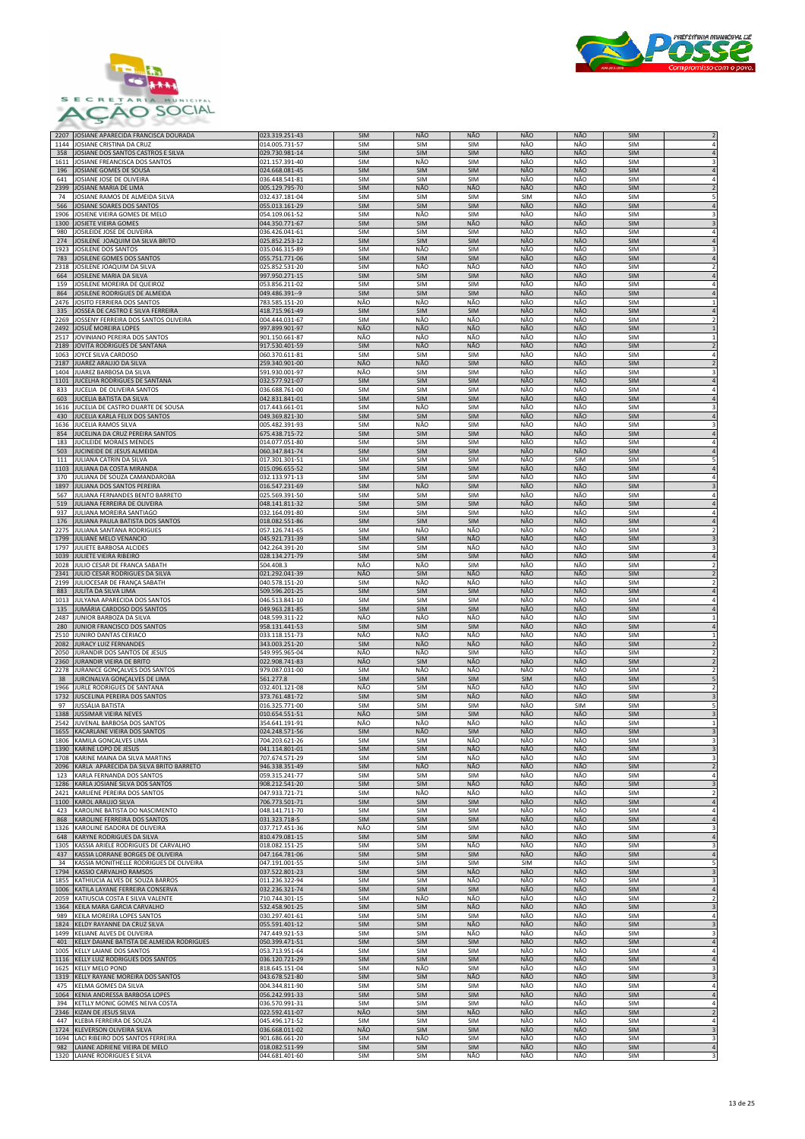



| 2207         | JOSIANE APARECIDA FRANCISCA DOURADA                                  | 023.319.251-43                   | <b>SIM</b>               | NÃO                      | NÃO               | NÃO        | <b>NÃO</b> | <b>SIM</b>               |                                            |
|--------------|----------------------------------------------------------------------|----------------------------------|--------------------------|--------------------------|-------------------|------------|------------|--------------------------|--------------------------------------------|
| 1144         | JOSIANE CRISTINA DA CRUZ                                             | 014.005.731-57                   | <b>SIM</b>               | SIM                      | SIM               | NÃO        | NÃO        | <b>SIM</b>               | $\overline{4}$                             |
| 358          | JOSIANE DOS SANTOS CASTROS E SILVA                                   | 029.730.981-14                   | SIM                      | <b>SIM</b>               | <b>SIM</b>        | NÃO        | NÃO        | <b>SIM</b>               |                                            |
| 1611         | JOSIANE FREANCISCA DOS SANTOS                                        | 021.157.391-40                   | SIM                      | NÃO                      | SIM               | NÃO        | NÃO        | <b>SIM</b>               |                                            |
| 196          | JOSIANE GOMES DE SOUSA                                               | 024.668.081-45                   | <b>SIM</b>               | SIM                      | SIM               | NÃO        | NÃO        | <b>SIM</b>               |                                            |
| 641          | JOSIANE JOSE DE OLIVEIRA                                             | 036.448.541-81                   | SIM                      | <b>SIM</b>               | <b>SIM</b>        | NÃO        | NÃO        | <b>SIM</b>               |                                            |
| 2399         | JOSIANE MARIA DE LIMA                                                | 005.129.795-70                   | <b>SIM</b>               | NÃO                      | NÃO               | NÃO        | NÃO        | SIM                      |                                            |
| 74           | JOSIANE RAMOS DE ALMEIDA SILVA                                       | 032.437.181-04                   | SIM                      | SIM                      | SIM               | SIM        | NÃO        | <b>SIM</b>               |                                            |
| 566<br>1906  | JOSIANE SOARES DOS SANTOS                                            | 055.013.161-29<br>054.109.061-52 | SIM<br><b>SIM</b>        | SIM<br>NÃO               | SIM<br>SIM        | NÃO<br>NÃO | NÃO<br>NÃO | <b>SIM</b><br><b>SIM</b> |                                            |
| 1300         | JOSIENE VIEIRA GOMES DE MELO<br>JOSIETE VIEIRA GOMES                 | 044.350.771-67                   | <b>SIM</b>               | SIM                      | NÃO               | NÃO        | NÃO        | <b>SIM</b>               |                                            |
| 980          | JOSILEIDE JOSE DE OLIVEIRA                                           | 036.426.041-61                   | <b>SIM</b>               | <b>SIM</b>               | <b>SIM</b>        | NÃO        | NÃO        | <b>SIM</b>               |                                            |
| 274          | JOSILENE JOAQUIM DA SILVA BRITO                                      | 025.852.253-12                   | <b>SIM</b>               | SIM                      | <b>SIM</b>        | NÃO        | NÃO        | <b>SIM</b>               |                                            |
| 1923         | JOSILENE DOS SANTOS                                                  | 035.046.315-89                   | <b>SIM</b>               | NÃO                      | <b>SIM</b>        | NÃO        | NÃO        | <b>SIM</b>               |                                            |
| 783          | JOSILENE GOMES DOS SANTOS                                            | 055.751.771-06                   | SIM                      | SIM                      | SIM               | NÃO        | NÃO        | <b>SIM</b>               |                                            |
| 2318         | JOSILENE JOAQUIM DA SILVA                                            | 025.852.531-20                   | <b>SIM</b>               | NÃO                      | NÃO               | NÃO        | NÃO        | SIM                      |                                            |
| 664          | JOSILENE MARIA DA SILVA                                              | 997.950.271-15                   | <b>SIM</b>               | SIM                      | SIM               | NÃO        | NÃO        | <b>SIM</b>               |                                            |
| 159<br>864   | JOSILENE MOREIRA DE QUEIROZ<br>JOSILENE RODRIGUES DE ALMEIDA         | 053.856.211-02<br>049.486.391--9 | <b>SIM</b><br><b>SIM</b> | SIM<br>SIM               | SIM<br>SIM        | NÃO<br>NÃO | NÃO<br>NÃO | <b>SIM</b><br><b>SIM</b> |                                            |
| 2476         | JOSITO FERRIERA DOS SANTOS                                           | 783.585.151-20                   | NÃO                      | NÃO                      | NÃO               | NÃO        | NÃO        | SIM                      |                                            |
| 335          | JOSSEA DE CASTRO E SILVA FERREIRA                                    | 418.715.961-49                   | <b>SIM</b>               | SIM                      | <b>SIM</b>        | NÃO        | NÃO        | <b>SIM</b>               |                                            |
| 2269         | JOSSENY FERREIRA DOS SANTOS OLIVEIRA                                 | 004.444.031-67                   | SIM                      | NÃO                      | NÃO               | NÃO        | NÃO        | <b>SIM</b>               |                                            |
| 2492         | <b>JOSUÉ MOREIRA LOPES</b>                                           | 997.899.901-97                   | NÃO                      | NÃO                      | NÃO               | NÃO        | NÃO        | <b>SIM</b>               |                                            |
| 2517         | JOVINIANO PEREIRA DOS SANTOS                                         | 901.150.661-87                   | NÃO                      | NÃO                      | NÃO               | NÃO        | NÃO        | <b>SIM</b>               |                                            |
| 2189         | JOVITA RODRIGUES DE SANTANA                                          | 917.530.401-59                   | SIM                      | NÃO                      | NÃO               | NÃO        | NÃO        | <b>SIM</b>               |                                            |
| 1063         | JOYCE SILVA CARDOSO                                                  | 060.370.611-81                   | <b>SIM</b><br>NÃO        | <b>SIM</b><br>NÃO        | SIM               | NÃO<br>NÃO | NÃO        | <b>SIM</b>               | $\overline{4}$                             |
| 2187<br>1404 | JUAREZ ARAUJO DA SILVA<br>JUAREZ BARBOSA DA SILVA                    | 259.340.901-00<br>591.930.001-97 | NÃO                      | <b>SIM</b>               | SIM<br>SIM        | NÃO        | NÃO<br>NÃO | SIM<br>SIM               | $\overline{2}$                             |
| 1101         | JUCELHA RODRIGUES DE SANTANA                                         | 032.577.921-07                   | SIM                      | <b>SIM</b>               | <b>SIM</b>        | NÃO        | NÃO        | <b>SIM</b>               |                                            |
| 833          | JUCELIA DE OLIVEIRA SANTOS                                           | 036.688.761-00                   | SIM                      | SIM                      | SIM               | NÃO        | NÃO        | SIM                      |                                            |
| 603          | <b>JUCELIA BATISTA DA SILVA</b>                                      | 042.831.841-01                   | <b>SIM</b>               | <b>SIM</b>               | <b>SIM</b>        | NÃO        | NÃO        | <b>SIM</b>               |                                            |
| 1616         | JUCELIA DE CASTRO DUARTE DE SOUSA                                    | 017.443.661-01                   | <b>SIM</b>               | NÃO                      | SIM               | NÃO        | NÃO        | <b>SIM</b>               |                                            |
| 430          | JUCELIA KARLA FELIX DOS SANTOS                                       | 049.369.821-30                   | <b>SIM</b>               | SIM                      | <b>SIM</b>        | NÃO        | NÃO        | <b>SIM</b>               |                                            |
| 1636         | <b>JUCELIA RAMOS SILVA</b>                                           | 005.482.391-93                   | <b>SIM</b>               | NÃO                      | SIM               | NÃO        | NÃO        | SIM                      | 3                                          |
| 854          | JUCELINA DA CRUZ PEREIRA SANTOS                                      | 675.438.715-72                   | <b>SIM</b>               | SIM                      | <b>SIM</b>        | NÃO<br>NÃO | NÃO        | <b>SIM</b>               |                                            |
| 183<br>503   | JUCILEIDE MORAES MENDES<br>JUCINEIDE DE JESUS ALMEIDA                | 014.077.051-80<br>060.347.841-74 | SIM<br>SIM               | SIM<br><b>SIM</b>        | SIM<br><b>SIM</b> | NÃO        | NÃO<br>NÃO | SIM<br><b>SIM</b>        |                                            |
| 111          | JULIANA CATRIN DA SILVA                                              | 017.301.301-51                   | <b>SIM</b>               | <b>SIM</b>               | <b>SIM</b>        | NÃO        | SIM        | <b>SIM</b>               |                                            |
| 1103         | JULIANA DA COSTA MIRANDA                                             | 015.096.655-52                   | <b>SIM</b>               | SIM                      | <b>SIM</b>        | NÃO        | NÃO        | <b>SIM</b>               |                                            |
| 370          | JULIANA DE SOUZA CAMANDAROBA                                         | 032.133.971-13                   | <b>SIM</b>               | <b>SIM</b>               | SIM               | NÃO        | NÃO        | SIM                      | $\overline{4}$                             |
| 1897         | JULIANA DOS SANTOS PEREIRA                                           | 016.547.231-69                   | <b>SIM</b>               | NÃO                      | <b>SIM</b>        | NÃO        | NÃO        | SIM                      | $\overline{3}$                             |
| 567          | JULIANA FERNANDES BENTO BARRETO                                      | 025.569.391-50                   | SIM                      | SIM                      | SIM               | NÃO        | NÃO        | SIM                      | $\overline{4}$                             |
| 519          | JULIANA FERREIRA DE OLIVEIRA                                         | 048.141.811-32                   | SIM                      | <b>SIM</b>               | SIM               | NÃO        | NÃO        | <b>SIM</b>               |                                            |
| 937          | JULIANA MOREIRA SANTIAGO                                             | 032.164.091-80                   | <b>SIM</b>               | <b>SIM</b>               | SIM               | NÃO<br>NÃO | NÃO<br>NÃO | <b>SIM</b>               | $\overline{4}$<br>$\overline{4}$           |
| 176<br>2275  | JULIANA PAULA BATISTA DOS SANTOS<br>JULIANA SANTANA RODRIGUES        | 018.082.551-86<br>057.126.741-65 | <b>SIM</b><br><b>SIM</b> | SIM<br>NÃO               | SIM<br>NÃO        | NÃO        | NÃO        | <b>SIM</b><br><b>SIM</b> | $\overline{2}$                             |
| 1799         | JULIANE MELO VENANCIO                                                | 045.921.731-39                   | SIM                      | SIM                      | NÃO               | NÃO        | NÃO        | SIM                      | $\overline{3}$                             |
| 1797         | JULIETE BARBOSA ALCIDES                                              | 042.264.391-20                   | SIM                      | SIM                      | NÃO               | NÃO        | NÃO        | <b>SIM</b>               | $\overline{3}$                             |
| 1039         | JULIETE VIEIRA RIBEIRO                                               | 028.134.271-79                   | <b>SIM</b>               | <b>SIM</b>               | SIM               | NÃO        | NÃO        | <b>SIM</b>               |                                            |
| 2028         | JULIO CESAR DE FRANCA SABATH                                         | 504.408.3                        | NÃO                      | NÃO                      | SIM               | NÃO        | NÃO        | <b>SIM</b>               | $\overline{2}$                             |
| 2341         | JULIO CESAR RODRIGUES DA SILVA                                       | 021.292.041-39                   | NÃO                      | SIM                      | NÃO               | NÃO        | NÃO        | <b>SIM</b>               | $\overline{2}$                             |
| 2199         | JULIOCESAR DE FRANÇA SABATH                                          | 040.578.151-20                   | <b>SIM</b>               | NÃO                      | NÃO               | NÃO        | NÃO        | <b>SIM</b>               | $\overline{2}$                             |
| 883<br>1013  | JULITA DA SILVA LIMA<br>JULYANA APARECIDA DOS SANTOS                 | 509.596.201-25<br>046.513.841-10 | SIM<br>SIM               | SIM<br>SIM               | SIM<br>SIM        | NÃO<br>NÃO | NÃO<br>NÃO | <b>SIM</b><br>SIM        | $\overline{4}$                             |
| 135          | JUMÁRIA CARDOSO DOS SANTOS                                           | 049.963.281-85                   | <b>SIM</b>               | SIM                      | <b>SIM</b>        | NÃO        | NÃO        | <b>SIM</b>               | $\overline{4}$                             |
| 2487         | JUNIOR BARBOZA DA SILVA                                              | 048.599.311-22                   | NÃO                      | NÃO                      | NÃO               | NÃO        | NÃO        | <b>SIM</b>               | $\mathbf{1}$                               |
| 280          | JUNIOR FRANCISCO DOS SANTOS                                          | 958.131.441-53                   | <b>SIM</b>               | SIM                      | SIM               | NÃO        | NÃO        | SIM                      | $\overline{a}$                             |
| 2510         | JUNIRO DANTAS CERIACO                                                | 033.118.151-73                   | NÃO                      | NÃO                      | NÃO               | NÃO        | NÃO        | <b>SIM</b>               | 1                                          |
| 2082<br>2050 | <b>JURACY LUIZ FERNANDES</b><br>JURANDIR DOS SANTOS DE JESUS         | 343.003.251-20                   | SIM<br>NÃO               | NÃO<br>NÃO               | NÃO               | NÃO<br>NÃO | NÃO<br>NÃO | <b>SIM</b><br><b>SIM</b> | $\overline{\phantom{a}}$<br>$\overline{2}$ |
| 2360         | JURANDIR VIEIRA DE BRITO                                             | 549.995.965-04<br>022.908.741-83 | NÃO                      | SIM                      | SIM<br>NÃO        | NÃO        | NÃO        | <b>SIM</b>               | $\overline{2}$                             |
| 2278         | JURANICE GONÇALVES DOS SANTOS                                        | 979.087.031-00                   | <b>SIM</b>               | NÃO                      | NÃO               | NÃO        | NÃO        | <b>SIM</b>               |                                            |
| 38           | JURCINALVA GONÇALVES DE LIMA                                         | 561.277.8                        | SIM                      | SIM                      | SIM               | <b>SIM</b> | NÃO        | <b>SIM</b>               | 5                                          |
| 1966         | JURLE RODRIGUES DE SANTANA                                           | 032.401.121-08                   | NÃO                      | <b>SIM</b>               | NÃO               | NÃO        | NÃO        | <b>SIM</b>               | $\overline{\mathbf{2}}$                    |
| 1732         | JUSCELINA PEREIRA DOS SANTOS                                         | 373.761.481-72                   | <b>SIM</b>               | SIM                      | NÃO               | NÃO        | NÃO        | <b>SIM</b>               | $\overline{\mathbf{3}}$                    |
| 97           | JUSSÁLIA BATISTA                                                     | 016.325.771-00                   | SIM                      | SIM                      | SIM               | NÃO        | <b>SIM</b> | SIM                      | 5                                          |
| 1388<br>2542 | JUSSIMAR VIEIRA NEVES<br>JUVENAL BARBOSA DOS SANTOS                  | 010.654.551-51<br>354.641.191-91 | NÃO<br>NÃO               | SIM<br>NÃO               | SIM<br>NÃO        | NÃO<br>NÃO | NÃO<br>NÃO | SIM<br><b>SIM</b>        |                                            |
| 1655         | KACARLANE VIEIRA DOS SANTOS                                          | 024.248.571-56                   | SIM                      | NÃO                      | <b>SIM</b>        | NÃO        | NÃO        | <b>SIM</b>               |                                            |
| 1806         | KAMILA GONCALVES LIMA                                                | 704.203.621-26                   | SIM                      | <b>SIM</b>               | NÃO               | NÃO        | NÃO        | <b>SIM</b>               | 3                                          |
| 1390         | KARINE LOPO DE JESUS                                                 | 041.114.801-01                   | <b>SIM</b>               | SIM                      | NÃO               | NÃO        | NÃO        | <b>SIM</b>               | $\overline{\mathbf{3}}$                    |
| 1708         | KARINE MAINA DA SILVA MARTINS                                        | 707.674.571-29                   | <b>SIM</b>               | <b>SIM</b>               | NÃO               | NÃO        | NÃO        | SIM                      | $\overline{\mathbf{3}}$                    |
| 2096         | KARLA APARECIDA DA SILVA BRITO BARRETO                               | 946.338.351-49                   | SIM                      | NÃO                      | NÃO               | NÃO        | NÃO        | SIM                      | $\overline{2}$                             |
| 123          | KARLA FERNANDA DOS SANTOS                                            | 059.315.241-77                   | <b>SIM</b>               | SIM                      | SIM               | NÃO        | NÃO        | <b>SIM</b>               | $\overline{4}$                             |
| 1286<br>2421 | KARLA JOSIANE SILVA DOS SANTOS<br>KARLIENE PEREIRA DOS SANTOS        | 908.212.541-20<br>047.933.721-71 | SIM<br><b>SIM</b>        | <b>SIM</b><br>NÃO        | NÃO<br>NÃO        | NÃO<br>NÃO | NÃO<br>NÃO | SIM<br><b>SIM</b>        | $\overline{\mathbf{3}}$<br>$\overline{2}$  |
| 1100         | KAROL ARAUJO SILVA                                                   | 706.773.501-71                   | <b>SIM</b>               | SIM                      | SIM               | NÃO        | NÃO        | <b>SIM</b>               | $\overline{4}$                             |
| 423          | KAROLINE BATISTA DO NASCIMENTO                                       | 048.141.711-70                   | SIM                      | <b>SIM</b>               | SIM               | NÃO        | NÃO        | SIM                      | $\overline{4}$                             |
| 868          | KAROLINE FERREIRA DOS SANTOS                                         | 031.323.718-5                    | SIM                      | SIM                      | SIM               | NÃO        | NÃO        | <b>SIM</b>               | $\sqrt{4}$                                 |
| 1326         | KAROLINE ISADORA DE OLIVEIRA                                         | 037.717.451-36                   | NÃO                      | SIM                      | SIM               | NÃO        | NÃO        | SIM                      | $\overline{3}$                             |
| 648          | KARYNE RODRIGUES DA SILVA                                            | 810.479.081-15                   | SIM                      | <b>SIM</b>               | <b>SIM</b>        | NÃO        | NÃO        | <b>SIM</b>               | $\overline{4}$                             |
| 1305         | KASSIA ARIELE RODRIGUES DE CARVALHO                                  | 018.082.151-25                   | <b>SIM</b>               | <b>SIM</b>               | NÃO               | NÃO        | NÃO        | SIM<br>SIM               | $\overline{\mathbf{3}}$                    |
| 437<br>34    | KASSIA LORRANE BORGES DE OLIVEIRA                                    | 047.164.781-06                   |                          |                          |                   |            |            |                          | $\overline{4}$                             |
| 1794         |                                                                      |                                  | SIM                      | SIM                      | SIM               | NÃO        | NÃO        |                          |                                            |
|              | KASSIA MONITHELLE RODRIGUES DE OLIVEIRA                              | 047.191.001-55                   | SIM<br>SIM               | <b>SIM</b>               | SIM<br>NÃO        | SIM<br>NÃO | NÃO<br>NÃO | <b>SIM</b>               | 5<br>$\overline{\mathbf{3}}$               |
| 1855         | KASSIO CARVALHO RAMSOS<br>KATHIUCIA ALVES DE SOUZA BARROS            | 037.522.801-23<br>011.236.322-94 | SIM                      | SIM<br>SIM               | NÃO               | NÃO        | NÃO        | SIM<br>SIM               | 3                                          |
| 1006         | KATILA LAYANE FERREIRA CONSERVA                                      | 032.236.321-74                   | <b>SIM</b>               | <b>SIM</b>               | <b>SIM</b>        | NÃO        | NÃO        | <b>SIM</b>               | $\overline{4}$                             |
| 2059         | KATIUSCIA COSTA E SILVA VALENTE                                      | 710.744.301-15                   | <b>SIM</b>               | NÃO                      | NÃO               | NÃO        | NÃO        | SIM                      | $\overline{2}$                             |
| 1364         | KEILA MARA GARCIA CARVALHO                                           | 532.458.901-25                   | <b>SIM</b>               | SIM                      | NÃO               | NÃO        | NÃO        | <b>SIM</b>               | $\overline{\mathbf{3}}$                    |
| 989          | KEILA MOREIRA LOPES SANTOS                                           | 030.297.401-61                   | <b>SIM</b>               | <b>SIM</b>               | SIM               | NÃO        | NÃO        | <b>SIM</b>               | $\overline{4}$                             |
| 1824         | KELDY RAYANNE DA CRUZ SILVA                                          | 055.591.401-12                   | SIM                      | SIM                      | NÃO               | NÃO        | NÃO        | <b>SIM</b>               | $\overline{3}$                             |
| 1499<br>401  | KELIANE ALVES DE OLIVEIRA                                            | 747.449.921-53                   | SIM                      | SIM                      | NÃO               | NÃO<br>NÃO | NÃO<br>NÃO | SIM<br><b>SIM</b>        | $\overline{3}$<br>$\overline{4}$           |
| 1005         | KELLY DAIANE BATISTA DE ALMEIDA RODRIGUES<br>KELLY LAIANE DOS SANTOS | 050.399.471-51<br>053.713.951-64 | <b>SIM</b><br>SIM        | SIM<br><b>SIM</b>        | <b>SIM</b><br>SIM | NÃO        | NÃO        | SIM                      | 4                                          |
| 1116         | KELLY LUIZ RODRIGUES DOS SANTOS                                      | 036.120.721-29                   | <b>SIM</b>               | SIM                      | <b>SIM</b>        | NÃO        | NÃO        | SIM                      | $\sqrt{4}$                                 |
| 1625         | <b>KELLY MELO POND</b>                                               | 818.645.151-04                   | <b>SIM</b>               | NÃO                      | SIM               | NÃO        | NÃO        | SIM                      | 3                                          |
| 1319         | KELLY RAYANE MOREIRA DOS SANTOS                                      | 043.678.521-80                   | SIM                      | SIM                      | NÃO               | NÃO        | NÃO        | <b>SIM</b>               | $\overline{3}$                             |
| 475          | KELMA GOMES DA SILVA                                                 | 004.344.811-90                   | SIM                      | SIM                      | SIM               | NÃO        | NÃO        | SIM                      | $\overline{4}$                             |
| 1064<br>394  | KENIA ANDRESSA BARBOSA LOPES<br>KETLLY MONIC GOMES NEIVA COSTA       | 056.242.991-33<br>036.570.991-31 | <b>SIM</b><br><b>SIM</b> | <b>SIM</b><br><b>SIM</b> | SIM<br><b>SIM</b> | NÃO<br>NÃO | NÃO<br>NÃO | SIM<br><b>SIM</b>        | $\overline{4}$<br>$\overline{4}$           |
| 2346         | KIZAN DE JESUS SILVA                                                 | 022.592.411-07                   | NÃO                      | SIM                      | NÃO               | NÃO        | NÃO        | SIM                      | $\overline{2}$                             |
| 447          | KLEBIA FERREIRA DE SOUZA                                             | 045.496.171-52                   | SIM                      | SIM                      | SIM               | NÃO        | NÃO        | <b>SIM</b>               | $\overline{4}$                             |
| 1724         | KLEVERSON OLIVEIRA SILVA                                             | 036.668.011-02                   | NÃO                      | SIM                      | <b>SIM</b>        | NÃO        | NÃO        | <b>SIM</b>               | $\overline{\mathbf{3}}$                    |
| 1694         | LACI RIBEIRO DOS SANTOS FERREIRA                                     | 901.686.661-20                   | SIM                      | NÃO                      | SIM               | NÃO        | NÃO        | SIM                      | $\overline{3}$                             |
| 982<br>1320  | LAIANE ADRIENE VIEIRA DE MELO<br>LAIANE RODRIGUES E SILVA            | 018.082.511-99<br>044.681.401-60 | <b>SIM</b><br>SIM        | SIM<br>SIM               | SIM<br>NÃO        | NÃO<br>NÃO | NÃO<br>NÃO | SIM<br><b>SIM</b>        | $\overline{4}$<br>3                        |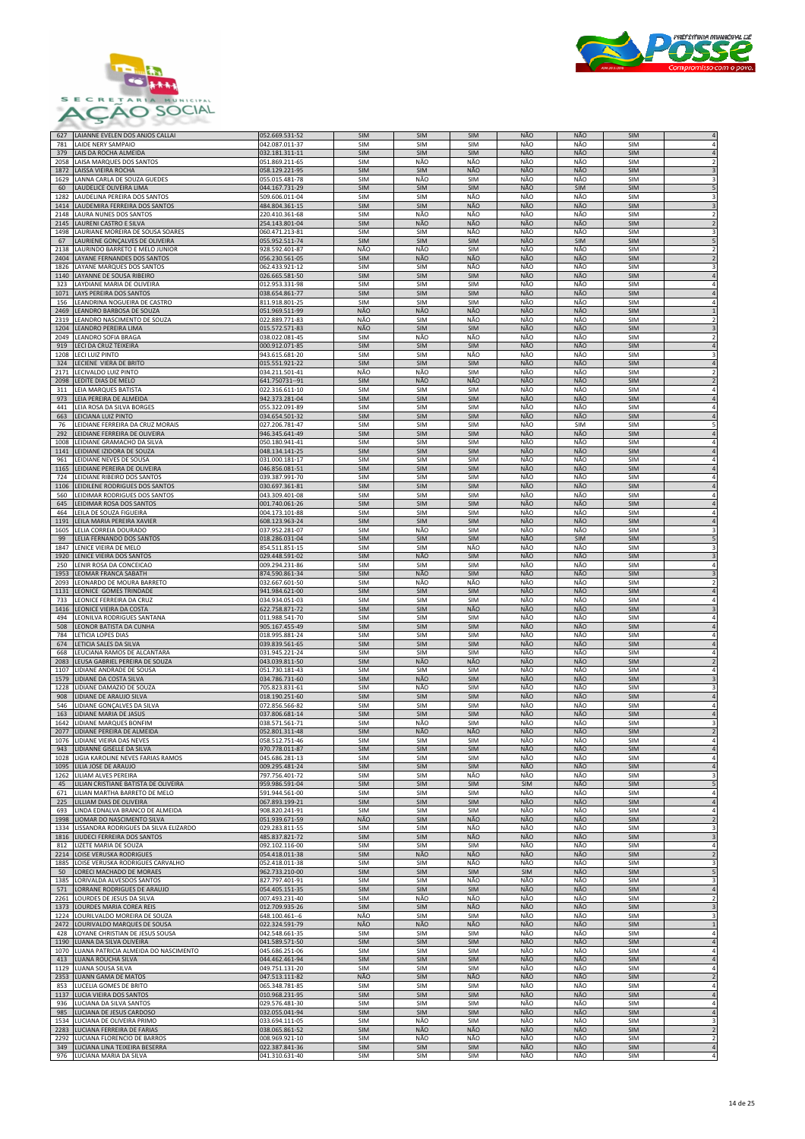



| 627          | LAIANNE EVELEN DOS ANJOS CALLAI                                | 052.669.531-52                   | <b>SIM</b>               | <b>SIM</b>        | <b>SIM</b>        | NÃO        | NÃO               | <b>SIM</b>        |                                           |
|--------------|----------------------------------------------------------------|----------------------------------|--------------------------|-------------------|-------------------|------------|-------------------|-------------------|-------------------------------------------|
| 781          | LAIDE NERY SAMPAIO                                             | 042.087.011-37                   | <b>SIM</b>               | SIM               | SIM               | NÃO        | NÃO               | SIM               | 4                                         |
| 379<br>2058  | LAIS DA ROCHA ALMEIDA<br>LAISA MARQUES DOS SANTOS              | 032.181.311-11<br>051.869.211-65 | SIM                      | SIM<br>NÃO        | SIM<br>NÃO        | NÃO<br>NÃO | NÃO<br>NÃO        | <b>SIM</b><br>SIM | 4<br>2                                    |
| 1872         | LAISSA VIEIRA ROCHA                                            | 058.129.221-95                   | <b>SIM</b><br><b>SIM</b> | SIM               | <b>NÃO</b>        | NÃO        | NÃO               | SIM               | $\overline{\mathbf{3}}$                   |
| 1629         | LANNA CARLA DE SOUZA GUEDES                                    | 055.015.481-78                   | <b>SIM</b>               | NÃO               | SIM               | NÃO        | NÃO               | SIM               | $\overline{3}$                            |
| 60           | LAUDELICE OLIVEIRA LIMA                                        | 044.167.731-29                   | <b>SIM</b>               | SIM               | SIM               | NÃO        | SIM               | <b>SIM</b>        | 5                                         |
| 1282         | LAUDELINA PEREIRA DOS SANTOS                                   | 509.606.011-04                   | <b>SIM</b>               | SIM               | NÃO               | NÃO        | NÃO               | SIM               | 3                                         |
| 1414         | LAUDEMIRA FERREIRA DOS SANTOS                                  | 484.804.361-15                   | <b>SIM</b>               | <b>SIM</b>        | NÃO               | NÃO        | NÃO               | <b>SIM</b>        | 3                                         |
| 2148         | LAURA NUNES DOS SANTOS                                         | 220.410.361-68                   | <b>SIM</b>               | NÃO               | NÃO               | NÃO        | NÃO               | <b>SIM</b>        | $\overline{\mathbf{2}}$                   |
| 2145         | <b>LAURENI CASTRO E SILVA</b>                                  | 254.143.801-04                   | <b>SIM</b>               | NÃO               | NÃO               | NÃO        | NÃO               | <b>SIM</b>        | $\overline{2}$                            |
| 1498         | LAURIANE MOREIRA DE SOUSA SOARES                               | 060.471.213-81                   | <b>SIM</b>               | <b>SIM</b>        | NÃO               | NÃO        | NÃO               | SIM               | 3                                         |
| 67           | LAURIENE GONÇALVES DE OLIVEIRA                                 | 055.952.511-74                   | <b>SIM</b>               | SIM               | SIM               | NÃO        | SIM               | SIM               | 5                                         |
| 2138         | LAURINDO BARRETO E MELO JUNIOR                                 | 928.592.401-87                   | NÃO                      | NÃO<br>NÃO        | SIM<br>NÃO        | NÃO<br>NÃO | NÃO<br>NÃO        | SIM               |                                           |
| 2404<br>1826 | LAYANE FERNANDES DOS SANTOS<br>LAYANE MARQUES DOS SANTOS       | 056.230.561-05<br>062.433.921-12 | SIM<br>SIM               | SIM               | NÃO               | NÃO        | NÃO               | SIM<br><b>SIM</b> | $\overline{2}$<br>3                       |
| 1140         | LAYANNE DE SOUSA RIBEIRO                                       | 026.665.581-50                   | <b>SIM</b>               | SIM               | SIM               | NÃO        | NÃO               | SIM               | $\overline{4}$                            |
| 323          | LAYDIANE MARIA DE OLIVEIRA                                     | 012.953.331-98                   | <b>SIM</b>               | SIM               | SIM               | NÃO        | NÃO               | SIM               | $\overline{4}$                            |
| 1071         | LAYS PEREIRA DOS SANTOS                                        | 038.654.861-77                   | <b>SIM</b>               | SIM               | <b>SIM</b>        | NÃO        | NÃO               | <b>SIM</b>        | $\overline{4}$                            |
| 156          | LEANDRINA NOGUEIRA DE CASTRO                                   | 811.918.801-25                   | SIM                      | SIM               | SIM               | NÃO        | NÃO               | SIM               | $\overline{a}$                            |
| 2469         | LEANDRO BARBOSA DE SOUZA                                       | 051.969.511-99                   | NÃO                      | NÃO               | NÃO               | NÃO        | NÃO               | <b>SIM</b>        |                                           |
| 2319         | LEANDRO NASCIMENTO DE SOUZA                                    | 022.889.771-83                   | NÃO                      | <b>SIM</b>        | NÃO               | NÃO        | NÃO               | <b>SIM</b>        | $\overline{\mathbf{2}}$                   |
| 1204         | LEANDRO PEREIRA LIMA                                           | 015.572.571-83                   | NÃO                      | SIM               | SIM               | <b>NÃO</b> | <b>NÃO</b>        | SIM               | $\overline{\mathbf{3}}$                   |
| 2049<br>919  | LEANDRO SOFIA BRAGA<br>LECI DA CRUZ TEIXEIRA                   | 038.022.081-45                   | <b>SIM</b><br>SIM        | NÃO<br>SIM        | NÃO<br>SIM        | NÃO<br>NÃO | NÃO<br>NÃO        | SIM<br><b>SIM</b> | $\overline{2}$<br>$\overline{4}$          |
| 1208         | LECI LUIZ PINTO                                                | 000.912.071-85<br>943.615.681-20 | SIM                      | SIM               | NÃO               | NÃO        | NÃO               | SIM               | 3                                         |
| 324          | LECIENE VIERA DE BRITO                                         | 015.551.921-22                   | SIM                      | SIM               | SIM               | NÃO        | NÃO               | SIM               | $\overline{4}$                            |
| 2171         | LECIVALDO LUIZ PINTO                                           | 034.211.501-41                   | NÃO                      | NÃO               | SIM               | NÃO        | NÃO               | SIM               | 2                                         |
| 2098         | LEDITE DIAS DE MELO                                            | 641.750731--91                   | SIM                      | NÃO               | NÃO               | NÃO        | NÃO               | SIM               | $\overline{2}$                            |
| 311          | LEIA MARQUES BATISTA                                           | 022.316.611-10                   | <b>SIM</b>               | SIM               | SIM               | NÃO        | NÃO               | SIM               | $\overline{4}$                            |
| 973          | LEIA PEREIRA DE ALMEIDA                                        | 942.373.281-04                   | <b>SIM</b>               | SIM               | SIM               | NÃO        | NÃO               | <b>SIM</b>        | $\overline{4}$                            |
| 441          | LEIA ROSA DA SILVA BORGES                                      | 055.322.091-89                   | <b>SIM</b>               | SIM               | SIM               | NÃO        | NÃO               | SIM               | 4                                         |
| 663          | LEICIANA LUIZ PINTO                                            | 034.654.501-32                   | SIM                      | SIM               | SIM               | NÃO        | NÃO               | SIM               | $\overline{4}$                            |
| 76           | LEIDIANE FERREIRA DA CRUZ MORAIS                               | 027.206.781-47                   | <b>SIM</b>               | <b>SIM</b>        | SIM               | NÃO<br>NÃO | <b>SIM</b><br>NÃO | SIM               | 5                                         |
| 292<br>1008  | LEIDIANE FERREIRA DE OLIVEIRA<br>LEIDIANE GRAMACHO DA SILVA    | 946.345.641-49<br>050.180.941-41 | <b>SIM</b><br><b>SIM</b> | SIM<br><b>SIM</b> | SIM<br><b>SIM</b> | NÃO        | NÃO               | SIM<br><b>SIM</b> | $\sqrt{4}$<br>$\overline{4}$              |
| 1141         | LEIDIANE IZIDORA DE SOUZA                                      | 048.134.141-25                   | SIM                      | SIM               | SIM               | NÃO        | NÃO               | SIM               | $\overline{4}$                            |
| 961          | LEIDIANE NEVES DE SOUSA                                        | 031.000.181-17                   | <b>SIM</b>               | SIM               | SIM               | NÃO        | NÃO               | SIM               | 4                                         |
| 1165         | LEIDIANE PEREIRA DE OLIVEIRA                                   | 046.856.081-51                   | <b>SIM</b>               | SIM               | SIM               | NÃO        | NÃO               | SIM               | $\sqrt{4}$                                |
| 724          | LEIDIANE RIBEIRO DOS SANTOS                                    | 039.387.991-70                   | <b>SIM</b>               | SIM               | SIM               | NÃO        | NÃO               | SIM               | 4                                         |
| 1106         | LEIDILENE RODRIGUES DOS SANTOS                                 | 030.697.361-81                   | <b>SIM</b>               | SIM               | SIM               | NÃO        | NÃO               | SIM               | $\sqrt{4}$                                |
| 560          | LEIDIMAR RODRIGUES DOS SANTOS                                  | 043.309.401-08                   | <b>SIM</b>               | <b>SIM</b>        | SIM               | NÃO        | NÃO               | <b>SIM</b>        | $\overline{4}$                            |
| 645          | LEIDIMAR ROSA DOS SANTOS                                       | 001.740.061-26                   | SIM                      | SIM               | SIM               | NÃO        | NÃO               | SIM               | $\overline{4}$                            |
| 464          | LEILA DE SOUZA FIGUEIRA                                        | 004.173.101-88                   | <b>SIM</b>               | SIM               | <b>SIM</b>        | NÃO        | NÃO               | SIM               | $\overline{a}$                            |
| 1191<br>1605 | LEILA MARIA PEREIRA XAVIER<br>LELIA CORREIA DOURADO            | 608.123.963-24<br>037.952.281-07 | <b>SIM</b><br><b>SIM</b> | <b>SIM</b><br>NÃO | <b>SIM</b><br>SIM | NÃO<br>NÃO | NÃO<br>NÃO        | <b>SIM</b><br>SIM | $\overline{4}$<br>3                       |
| 99           | LELIA FERNANDO DOS SANTOS                                      | 018.286.031-04                   | <b>SIM</b>               | <b>SIM</b>        | <b>SIM</b>        | <b>NÃO</b> | <b>SIM</b>        | <b>SIM</b>        | 5                                         |
| 1847         | LENICE VIEIRA DE MELO                                          | 854.511.851-15                   | SIM                      | SIM               | NÃO               | NÃO        | NÃO               | SIM               | 3                                         |
| 1920         | LENICE VIEIRA DOS SANTOS                                       | 029.448.591-02                   | <b>SIM</b>               | NÃO               | SIM               | NÃO        | NÃO               | SIM               | $\overline{3}$                            |
| 250          | LENIR ROSA DA CONCEICAO                                        | 009.294.231-86                   | <b>SIM</b>               | SIM               | <b>SIM</b>        | NÃO        | NÃO               | <b>SIM</b>        | $\overline{a}$                            |
| 1953         | LEOMAR FRANCA SABATH                                           | 874.590.861-34                   | SIM                      | NÃO               | SIM               | <b>NÃO</b> | <b>NÃO</b>        | SIM               | $\overline{\mathbf{3}}$                   |
| 2093         | LEONARDO DE MOURA BARRETO                                      | 032.667.601-50                   | <b>SIM</b>               | NÃO               | NÃO               | NÃO        | NÃO               | <b>SIM</b>        | $\overline{\phantom{a}}$                  |
| 1131         | LEONICE GOMES TRINDADE                                         | 941.984.621-00                   | <b>SIM</b>               | SIM               | <b>SIM</b>        | NÃO        | NÃO               | <b>SIM</b>        | 4                                         |
| 733          | LEONICE FERREIRA DA CRUZ                                       | 034.934.051-03                   | SIM                      | SIM               | SIM               | NÃO        | NÃO               | SIM               | 4                                         |
| 1416<br>494  | LEONICE VIEIRA DA COSTA<br>LEONILVA RODRIGUES SANTANA          | 622.758.871-72<br>011.988.541-70 | SIM<br><b>SIM</b>        | SIM<br>SIM        | NÃO<br><b>SIM</b> | NÃO<br>NÃO | NÃO<br>NÃO        | SIM<br>SIM        | $\overline{\mathbf{3}}$<br>$\overline{a}$ |
| 508          | LEONOR BATISTA DA CUNHA                                        | 905.167.455-49                   | SIM                      | SIM               | SIM               | NÃO        | NÃO               | SIM               | $\Delta$                                  |
| 784          | LETICIA LOPES DIAS                                             | 018.995.881-24                   | SIM                      | SIM               | SIM               | NÃO        | NÃO               | SIM               | 4                                         |
| 674          | LETICIA SALES DA SILVA                                         | 039.839.561-65                   | <b>SIM</b>               | <b>SIM</b>        | SIM               | NÃO        | NÃO               | <b>SIM</b>        | 4                                         |
| 668          | LEUCIANA RAMOS DE ALCANTARA                                    | 031.945.221-24                   | <b>SIM</b>               | <b>SIM</b>        | SIM               | NÃO        | NÃO               | <b>SIM</b>        | 4                                         |
| 2083         | LEUSA GABRIEL PEREIRA DE SOUZA                                 | 043.039.811-50                   | <b>SIM</b>               | NÃO               | NÃO               | NÃO        | NÃO               | SIM               | $\overline{2}$                            |
| 1107         | LIDIANE ANDRADE DE SOUSA                                       | 051.730.181-43                   | SIM                      | SIM               | SIM               | NÃO        | NÃO               | SIM               | $\overline{4}$                            |
| 1579         | LIDIANE DA COSTA SILVA                                         | 034.786.731-60                   | SIM                      | NÃO               | SIM               | NÃO        | NÃO               | SIM               | $\overline{3}$                            |
| 1228         | LIDIANE DAMAZIO DE SOUZA                                       | 705.823.831-61                   | SIM                      | NÃO               | SIM               | NÃO        | NÃO               | SIM               | 3                                         |
| 908<br>546   | LIDIANE DE ARAUJO SILVA<br>LIDIANE GONÇALVES DA SILVA          | 018.190.251-60                   | <b>SIM</b><br><b>SIM</b> | SIM<br>SIM        | SIM<br>SIM        | NÃO<br>NÃO | NÃO<br>NÃO        | <b>SIM</b><br>SIM | $\sqrt{4}$<br>4                           |
| 163          | LIDIANE MARIA DE JASUS                                         | 072.856.566-82<br>037.806.681-14 | <b>SIM</b>               | SIM               | SIM               | NÃO        | NÃO               | SIM               | $\overline{4}$                            |
| 1642         | <b>LIDIANE MARQUES BONFIM</b>                                  | 038.571.561-71                   | SIM                      | NÃO               | SIM               | NÃO        | NÃO               | SIM               | 3                                         |
| 2077         | LIDIANE PEREIRA DE ALMEIDA                                     | 052.801.311-48                   | SIM                      | NÃO               | NÃO               | NÃO        | NÃO               | SIM               | $\overline{\phantom{a}}$                  |
| 1076         | LIDIANE VIEIRA DAS NEVES                                       | 058.512.751-46                   | SIM                      | SIM               | SIM               | NÃO        | NÃO               | SIM               |                                           |
| 943          | LIDIANNE GISELLE DA SILVA                                      | 970.778.011-87                   | SIM                      | SIM               | SIM               | NÃO        | NÃO               | SIM               | $\overline{4}$                            |
| 1028         | LIGIA KAROLINE NEVES FARIAS RAMOS                              | 045.686.281-13                   | <b>SIM</b>               | SIM               | SIM               | NÃO        | NÃO               | SIM               | 4                                         |
| 1095<br>1262 | LILIA JOSE DE ARAUJO<br>LILIAM ALVES PEREIRA                   | 009.295.481-24<br>797.756.401-72 | SIM<br>SIM               | SIM<br>SIM        | SIM<br>NÃO        | NÃO<br>NÃO | NÃO<br>NÃO        | SIM<br>SIM        | $\overline{4}$<br>3                       |
| 45           | LILIAN CRISTIANE BATISTA DE OLIVEIRA                           | 959.986.591-04                   | SIM                      | SIM               | SIM               | SIM        | NÃO               | <b>SIM</b>        | 5                                         |
| 671          | LILIAN MARTHA BARRETO DE MELO                                  | 591.944.561-00                   | SIM                      | SIM               | SIM               | NÃO        | NÃO               | SIM               | $\overline{4}$                            |
| 225          | LILLIAM DIAS DE OLIVEIRA                                       | 067.893.199-21                   | SIM                      | SIM               | SIM               | NÃO        | NÃO               | SIM               | $\overline{4}$                            |
| 693          | LINDA EDNALVA BRANCO DE ALMEIDA                                | 908.820.241-91                   | SIM                      | SIM               | SIM               | NÃO        | NÃO               | SIM               | 4                                         |
| 1998         | LIOMAR DO NASCIMENTO SILVA                                     | 051.939.671-59                   | NÃO                      | SIM               | NÃO               | <b>NÃO</b> | <b>NÃO</b>        | SIM               | $\overline{2}$                            |
| 1334         | LISSANDRA RODRIGUES DA SILVA ELIZARDO                          | 029.283.811-55                   | SIM                      | SIM               | NÃO               | NÃO        | NÃO               | SIM               | 3                                         |
| 1816         | LIUDECI FERREIRA DOS SANTOS                                    | 485.837.821-72<br>092.102.116-00 | SIM                      | SIM               | NÃO<br>SIM        | NÃO<br>NÃO | NÃO<br>NÃO        | SIM               | 3<br>$\overline{a}$                       |
| 812<br>2214  | LIZETE MARIA DE SOUZA<br>LOISE VERUSKA RODRIGUES               | 054.418.011-38                   | SIM<br>SIM               | SIM<br><b>NÃO</b> | NÃO               | NÃO        | NÃO               | SIM<br>SIM        | $\overline{2}$                            |
| 1885         | LOISE VERUSKA RODRIGUES CARVALHO                               | 052.418.011-38                   | SIM                      | SIM               | NÃO               | NÃO        | NÃO               | SIM               | 3                                         |
| 50           | LORECI MACHADO DE MORAES                                       | 962.733.210-00                   | SIM                      | SIM               | SIM               | SIM        | NÃO               | SIM               | 5                                         |
| 1385         | LORIVALDA ALVESDOS SANTOS                                      | 827.797.401-91                   | SIM                      | SIM               | NÃO               | NÃO        | NÃO               | SIM               | 3                                         |
| 571          | LORRANE RODRIGUES DE ARAUJO                                    | 054.405.151-35                   | <b>SIM</b>               | SIM               | SIM               | NÃO        | NÃO               | SIM               | 4                                         |
| 2261         | LOURDES DE JESUS DA SILVA                                      | 007.493.231-40                   | SIM                      | NÃO               | NÃO               | NÃO        | NÃO               | SIM               | $\overline{2}$                            |
| 1373         | LOURDES MARIA COREA REIS                                       | 012.709.935-26                   | SIM                      | SIM               | NÃO               | NÃO        | NÃO               | SIM               | $\overline{\mathbf{3}}$                   |
| 1224         | LOURILVALDO MOREIRA DE SOUZA                                   | 648.100.461--6                   | NÃO                      | SIM<br>NÃO        | SIM               | NÃO<br>NÃO | NÃO<br>NÃO        | <b>SIM</b>        | 3                                         |
| 2472<br>428  | LOURIVALDO MARQUES DE SOUSA<br>LOYANE CHRISTIAN DE JESUS SOUSA | 022.324.591-79<br>042.548.661-35 | NÃO<br>SIM               | SIM               | NÃO<br>SIM        | NÃO        | NÃO               | SIM<br>SIM        | $\mathbf{1}$<br>$\overline{4}$            |
| 1190         | LUANA DA SILVA OLIVEIRA                                        | 041.589.571-50                   | <b>SIM</b>               | SIM               | SIM               | NÃO        | NÃO               | SIM               | $\overline{4}$                            |
| 1070         | LUANA PATRICIA ALMEIDA DO NASCIMENTO                           | 045.686.251-06                   | SIM                      | SIM               | SIM               | NÃO        | NÃO               | SIM               | $\overline{4}$                            |
| 413          | LUANA ROUCHA SILVA                                             | 044.462.461-94                   | SIM                      | SIM               | SIM               | NÃO        | NÃO               | SIM               | $\overline{4}$                            |
| 1129         | LUANA SOUSA SILVA                                              | 049.751.131-20                   | SIM                      | SIM               | SIM               | NÃO        | NÃO               | <b>SIM</b>        | 4                                         |
| 2353         | <b>LUANN GAMA DE MATOS</b>                                     | 047.513.111-82                   | NÃO                      | SIM               | NÃO               | NÃO        | NÃO               | SIM               | $\overline{\mathbf{c}}$                   |
| 853          | LUCELIA GOMES DE BRITO                                         | 065.348.781-85                   | SIM                      | SIM               | SIM               | NÃO        | NÃO               | SIM               | $\overline{4}$                            |
| 1137<br>936  | LUCIA VIEIRA DOS SANTOS                                        | 010.968.231-95                   | SIM<br>SIM               | SIM<br>SIM        | SIM<br>SIM        | NÃO<br>NÃO | NÃO<br>NÃO        | SIM<br>SIM        | $\overline{4}$<br>4                       |
| 985          | LUCIANA DA SILVA SANTOS<br>LUCIANA DE JESUS CARDOSO            | 029.576.481-30<br>032.055.041-94 | SIM                      | SIM               | SIM               | NÃO        | NÃO               | SIM               | $\overline{4}$                            |
| 1534         | LUCIANA DE OLIVEIRA PRIMO                                      | 033.694.111-05                   | SIM                      | NÃO               | SIM               | NÃO        | NÃO               | SIM               | 3                                         |
| 2283         | LUCIANA FERREIRA DE FARIAS                                     | 038.065.861-52                   | <b>SIM</b>               | NÃO               | NÃO               | NÃO        | NÃO               | <b>SIM</b>        | $\overline{\mathbf{c}}$                   |
| 2292         | LUCIANA FLORENCIO DE BARROS                                    | 008.969.921-10                   | SIM                      | NÃO               | NÃO               | NÃO        | NÃO               | SIM               | $\overline{2}$                            |
| 349          | LUCIANA LINA TEIXEIRA BESERRA                                  | 022.387.841-36                   | SIM                      | SIM               | SIM               | NÃO        | NÃO               | SIM               | $\overline{4}$                            |
| 976          | LUCIANA MARIA DA SILVA                                         | 041.310.631-40                   | SIM                      | SIM               | SIM               | NÃO        | NÃO               | SIM               | 4                                         |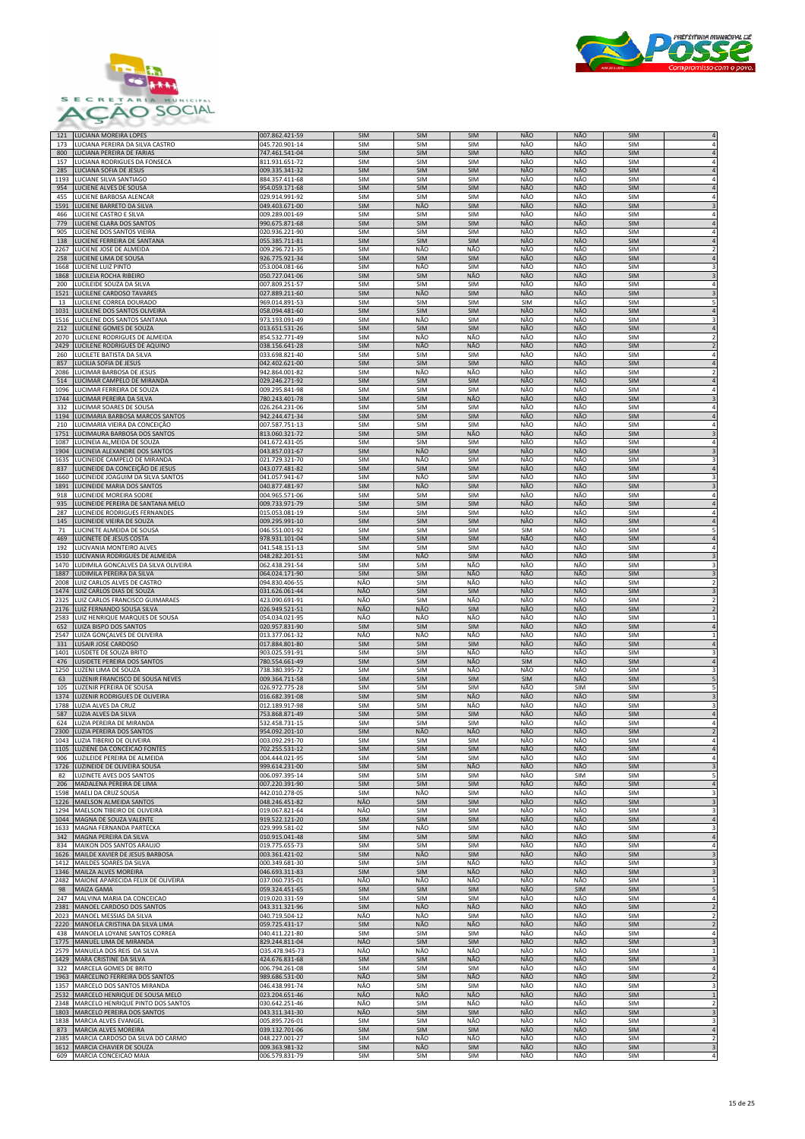



| 121         | LUCIANA MOREIRA LOPES                                      | 007.862.421-59                   | <b>SIM</b>               | SIM               | SIM        | <b>NÃO</b>        | <b>NÃO</b> | <b>SIM</b>        |                                           |
|-------------|------------------------------------------------------------|----------------------------------|--------------------------|-------------------|------------|-------------------|------------|-------------------|-------------------------------------------|
| 173         | LUCIANA PEREIRA DA SILVA CASTRO                            | 045.720.901-14                   | SIM                      | SIM               | SIM        | NÃO               | NÃO        | SIM               | $\overline{4}$                            |
| 800         | LUCIANA PEREIRA DE FARIAS                                  | 747.461.541-04                   | <b>SIM</b>               | SIM               | SIM        | NÃO               | NÃO        | SIM               | $\overline{A}$                            |
| 157         | LUCIANA RODRIGUES DA FONSECA                               | 811.931.651-72                   | SIM                      | SIM               | SIM        | NÃO               | NÃO        | <b>SIM</b>        | 4                                         |
| 285         | LUCIANA SOFIA DE JESUS                                     | 009.335.341-32                   | <b>SIM</b>               | SIM               | SIM        | NÃO               | NÃO        | <b>SIM</b>        |                                           |
| 1193        | LUCIANE SILVA SANTIAGO                                     | 884.357.411-68                   | SIM                      | SIM               | SIM        | NÃO               | NÃO        | <b>SIM</b>        |                                           |
| 954         | LUCIENE ALVES DE SOUSA                                     |                                  | <b>SIM</b>               | SIM               | SIM        | NÃO               | NÃO        | SIM               |                                           |
| 455         |                                                            | 954.059.171-68<br>029.914.991-92 |                          | SIM               | SIM        | NÃO               | NÃO        | SIM               | $\overline{4}$                            |
| 1591        | LUCIENE BARBOSA ALENCAR<br>LUCIENE BARRETO DA SILVA        | 049.403.671-00                   | <b>SIM</b><br><b>SIM</b> | NÃO               | SIM        | NÃO               | NÃO        | SIM               | $\overline{\mathbf{3}}$                   |
| 466         |                                                            | 009.289.001-69                   | SIM                      | SIM               | SIM        | NÃO               | NÃO        | SIM               | 4                                         |
| 779         | LUCIENE CASTRO E SILVA                                     |                                  | <b>SIM</b>               | SIM               | SIM        | NÃO               | NÃO        | <b>SIM</b>        | $\overline{4}$                            |
| 905         | LUCIENE CLARA DOS SANTOS<br>LUCIENE DOS SANTOS VIEIRA      | 990.675.871-68<br>020.936.221-90 | <b>SIM</b>               | SIM               | SIM        | NÃO               | NÃO        | <b>SIM</b>        |                                           |
| 138         | LUCIENE FERREIRA DE SANTANA                                | 055.385.711-81                   | SIM                      | SIM               | SIM        | NÃO               | NÃO        | <b>SIM</b>        | $\overline{4}$                            |
| 2267        | LUCIENE JOSE DE ALMEIDA                                    | 009.296.721-35                   | <b>SIM</b>               | NÃO               | NÃO        | NÃO               | NÃO        | <b>SIM</b>        | $\overline{2}$                            |
| 258         | LUCIENE LIMA DE SOUSA                                      | 926.775.921-34                   | SIM                      | SIM               | SIM        | NÃO               | <b>NÃO</b> | SIM               | $\overline{4}$                            |
| 1668        | LUCIENE LUIZ PINTO                                         | 053.004.081-66                   | SIM                      | NÃO               | SIM        | NÃO               | NÃO        | <b>SIM</b>        | 3                                         |
| 1868        | LUCILEIA ROCHA RIBEIRO                                     | 050.727.041-06                   | SIM                      | SIM               | NÃO        | NÃO               | NÃO        | SIM               | $\overline{\mathbf{3}}$                   |
| 200         | LUCILEIDE SOUZA DA SILVA                                   | 007.809.251-57                   | SIM                      | SIM               | SIM        | NÃO               | NÃO        | <b>SIM</b>        | $\overline{4}$                            |
| 1521        | LUCILENE CARDOSO TAVARES                                   | 027.889.211-60                   | <b>SIM</b>               | NÃO               | SIM        | NÃO               | NÃO        | SIM               | $\overline{3}$                            |
| 13          | LUCILENE CORREA DOURADO                                    | 969.014.891-53                   | SIM                      | SIM               | SIM        | <b>SIM</b>        | NÃO        | <b>SIM</b>        | 5                                         |
| 1031        | LUCILENE DOS SANTOS OLIVEIRA                               | 058.094.481-60                   | <b>SIM</b>               | SIM               | SIM        | NÃO               | NÃO        | SIM               | $\overline{4}$                            |
| 1516        | LUCILENE DOS SANTOS SANTANA                                | 973.193.091-49                   | SIM                      | NÃO               | SIM        | NÃO               | NÃO        | SIM               | 3                                         |
| 212         | LUCILENE GOMES DE SOUZA                                    | 013.651.531-26                   | <b>SIM</b>               | SIM               | SIM        | NÃO               | NÃO        | SIM               | $\sqrt{4}$                                |
| 2070        | LUCILENE RODRIGUES DE ALMEIDA                              | 854.532.771-49                   | SIM                      | NÃO               | NÃO        | NÃO               | NÃO        | <b>SIM</b>        |                                           |
| 2429        | LUCILENE RODRIGUES DE AQUINO                               | 038.156.641-28                   | <b>SIM</b>               | NÃO               | NÃO        | NÃO               | NÃO        | <b>SIM</b>        | $\overline{2}$                            |
| 260         | LUCILETE BATISTA DA SILVA                                  | 033.698.821-40                   | SIM                      | <b>SIM</b>        | SIM        | NÃO               | NÃO        | <b>SIM</b>        | $\overline{4}$                            |
| 857         | LUCILIA SOFIA DE JESUS                                     | 042.402.621-00                   | SIM                      | SIM               | SIM        | NÃO               | NÃO        | SIM               | $\overline{4}$                            |
| 2086        | LUCIMAR BARBOSA DE JESUS                                   | 942.864.001-82                   | SIM                      | NÃO               | NÃO        | NÃO               | NÃO        | <b>SIM</b>        | $\overline{2}$                            |
| 514         | LUCIMAR CAMPELO DE MIRANDA                                 | 029.246.271-92                   | <b>SIM</b>               | SIM               | SIM        | NÃO               | NÃO        | <b>SIM</b>        | $\overline{a}$                            |
| 1096        | LUCIMAR FERREIRA DE SOUZA                                  | 009.295.841-98                   | SIM                      | SIM               | SIM        | NÃO               | NÃO        | SIM               | $\overline{4}$                            |
| 1744        | LUCIMAR PEREIRA DA SILVA                                   | 780.243.401-78                   | <b>SIM</b>               | SIM               | NÃO        | NÃO               | NÃO        | <b>SIM</b>        | 3                                         |
| 332         | LUCIMAR SOARES DE SOUSA                                    | 026.264.231-06                   | SIM                      | SIM               | SIM        | NÃO               | NÃO        | SIM               | $\overline{4}$                            |
| 1194        | LUCIMARIA BARBOSA MARCOS SANTOS                            | 942.244.471-34                   | <b>SIM</b>               | SIM               | SIM        | NÃO               | NÃO        | SIM               | $\overline{4}$                            |
| 210         | LUCIMARIA VIEIRA DA CONCEIÇÃO                              | 007.587.751-13                   | SIM                      | SIM               | SIM        | NÃO               | NÃO        | <b>SIM</b>        | $\overline{4}$                            |
| 1751        | LUCIMAURA BARBOSA DOS SANTOS                               | 813.060.321-72                   | SIM                      | SIM               | NÃO        | NÃO               | NÃO        | SIM               | $\overline{3}$                            |
| 1087        | LUCINEIA AL, MEIDA DE SOUZA                                | 041.672.431-05                   | <b>SIM</b>               | SIM               | SIM        | NÃO               | NÃO        | SIM               | $\overline{4}$                            |
| 1904        | LUCINEIA ALEXANDRE DOS SANTOS                              | 043.857.031-67                   | SIM                      | NÃO               | SIM        | NÃO               | NÃO        | <b>SIM</b>        |                                           |
| 1635        | LUCINEIDE CAMPELO DE MIRANDA                               | 021.729.321-70                   | SIM                      | NÃO               | SIM        | NÃO               | NÃO        | <b>SIM</b>        | 3                                         |
| 837         | LUCINEIDE DA CONCEIÇÃO DE JESUS                            | 043.077.481-82                   | <b>SIM</b>               | SIM               | SIM        | NÃO               | NÃO        | SIM               | $\overline{4}$                            |
| 1660        | LUCINEIDE JOAGUIM DA SILVA SANTOS                          | 041.057.941-67                   | SIM                      | NÃO               | SIM        | NÃO               | NÃO        | <b>SIM</b>        | 3                                         |
| 1891        | LUCINEIDE MARIA DOS SANTOS                                 | 040.877.481-97                   | SIM                      | NÃO               | SIM        | NÃO               | NÃO        | SIM               | $\overline{\mathbf{3}}$                   |
| 918         | LUCINEIDE MOREIRA SODRE                                    | 004.965.571-06                   | SIM                      | SIM               | SIM        | NÃO               | NÃO        | SIM               | $\overline{4}$                            |
| 935         | LUCINEIDE PEREIRA DE SANTANA MELO                          | 009.733.971-79                   | SIM                      | SIM               | SIM        | NÃO               | NÃO        | SIM               | $\overline{4}$                            |
| 287         | LUCINEIDE RODRIGUES FERNANDES                              | 015.053.081-19                   | SIM                      | SIM               | SIM        | NÃO               | NÃO        | <b>SIM</b>        | $\overline{4}$                            |
| 145         | LUCINEIDE VIEIRA DE SOUZA                                  | 009.295.991-10                   | SIM                      | SIM               | SIM        | NÃO               | NÃO        | SIM               | $\overline{4}$                            |
| 71          | LUCINETE ALMEIDA DE SOUSA                                  | 046.551.001-92                   | <b>SIM</b>               | SIM               | SIM        | <b>SIM</b>        | NÃO        | <b>SIM</b>        | 5                                         |
| 469         | LUCINETE DE JESUS COSTA                                    | 978.931.101-04                   | SIM                      | SIM               | SIM        | NÃO               | NÃO        | SIM               | $\overline{4}$                            |
| 192         | LUCIVANIA MONTEIRO ALVES                                   | 041.548.151-13                   | SIM                      | SIM               | SIM        | NÃO               | NÃO        | SIM               | $\overline{A}$                            |
| 1510        | LUCIVANIA RODRIGUES DE ALMEIDA                             | 048.282.201-51                   | SIM                      | <b>NÃO</b>        | SIM        | NÃO               | NÃO        | <b>SIM</b>        |                                           |
| 1470        | LUDIMILA GONCALVES DA SILVA OLIVEIRA                       | 062.438.291-54                   | SIM                      | SIM               | NÃO        | NÃO               | NÃO        | <b>SIM</b>        | $\overline{3}$                            |
| 1887        | LUDIMILA PEREIRA DA SILVA                                  | 064.024.171-90                   | <b>SIM</b>               | SIM               | <b>NÃO</b> | <b>NÃO</b>        | <b>NÃO</b> | <b>SIM</b>        | $\overline{3}$                            |
| 2008        | LUIZ CARLOS ALVES DE CASTRO                                | 094.830.406-55                   | NÃO                      | SIM               | NÃO        | NÃO               | NÃO        | SIM               | $\overline{2}$                            |
| 1474        | LUIZ CARLOS DIAS DE SOUZA                                  | 031.626.061-44                   | NÃO                      | SIM               | SIM        | NÃO               | NÃO        | SIM               | $\overline{3}$                            |
| 2325        | LUIZ CARLOS FRANCISCO GUIMARAES                            | 423.090.691-91                   | NÃO                      | SIM               | NÃO        | NÃO               | NÃO        | SIM               | $\overline{2}$                            |
| 2176        | LUIZ FERNANDO SOUSA SILVA                                  | 026.949.521-51                   | NÃO                      | NÃO               | SIM        | <b>NÃO</b>        | <b>NÃO</b> | SIM               |                                           |
| 2583        | LUIZ HENRIQUE MARQUES DE SOUSA                             | 054.034.021-95                   | NÃO                      | NÃO               | NÃO        | NÃO<br><b>NÃO</b> | NÃO        | <b>SIM</b>        |                                           |
| 652         | LUIZA BISPO DOS SANTOS                                     | 020.957.831-90                   | <b>SIM</b>               | SIM               | SIM        | NÃO               | NÃO        | SIM               | $\overline{a}$                            |
| 2547        | LUIZA GONÇALVES DE OLIVEIRA                                | 013.377.061-32                   | NÃO                      | NÃO<br>SIM        | NÃO<br>SIM | NÃO               | NÃO<br>NÃO | SIM               | $\mathbf{1}$<br>$\overline{A}$            |
| 331<br>1401 | LUSAIR JOSE CARDOSO<br>LUSDETE DE SOUZA BRITO              | 017.884.801-80<br>903.025.591-91 | <b>SIM</b><br>SIM        | SIM               | NÃO        | NÃO               | NÃO        | SIM<br><b>SIM</b> | 3                                         |
| 476         | LUSIDETE PEREIRA DOS SANTOS                                | 780.554.661-49                   | <b>SIM</b>               | SIM               | NÃO        | SIM               | NÃO        | SIM               | $\overline{4}$                            |
| 1250        | LUZENI LIMA DE SOUZA                                       | 738.380.395-72                   | SIM                      | SIM               | NÃO        | NÃO               | NÃO        | <b>SIM</b>        |                                           |
| 63          | LUZENIR FRANCISCO DE SOUSA NEVES                           | 009.364.711-58                   | SIM                      | SIM               | SIM        | <b>SIM</b>        | NÃO        | SIM               | 5                                         |
| 105         | LUZENIR PEREIRA DE SOUSA                                   | 026.972.775-28                   | <b>SIM</b>               | SIM               | SIM        | NÃO               | SIM        | <b>SIM</b>        | 5                                         |
| 1374        | LUZENIR RODRIGUES DE OLIVEIRA                              | 016.682.391-08                   | <b>SIM</b>               | SIM               | NÃO        | NÃO               | <b>NÃO</b> | SIM               | $\overline{\mathbf{3}}$                   |
| 1788        | LUZIA ALVES DA CRUZ                                        | 012.189.917-98                   | SIM                      | SIM               | NÃO        | NÃO               | NÃO        | <b>SIM</b>        | $\overline{\mathbf{3}}$                   |
| 587         | LUZIA ALVES DA SILVA                                       | 753.868.871-49                   | <b>SIM</b>               | SIM               | SIM        | NÃO               | NÃO        | <b>SIM</b>        |                                           |
| 624         | LUZIA PEREIRA DE MIRANDA                                   | 532.458.731-15                   | <b>SIM</b>               | SIM               | SIM        | NÃO               | NÃO        | <b>SIM</b>        |                                           |
| 2300        | LUZIA PEREIRA DOS SANTOS                                   | 954.092.201-10                   | <b>SIM</b>               | NÃO               | NÃO        | NÃO               | NÃO        | <b>SIM</b>        |                                           |
| 1043        | LUZIA TIBERIO DE OLIVEIRA                                  | 003.092.291-70                   | <b>SIM</b>               | <b>SIM</b>        | <b>SIM</b> | NÃO               | NÃO        | <b>SIM</b>        | 4                                         |
| 1105        | LUZIENE DA CONCEICAO FONTES                                | 702.255.531-12                   | <b>SIM</b>               | SIM               | SIM        | NÃO               | <b>NÃO</b> | SIM               | $\overline{4}$                            |
| 906         | LUZILEIDE PEREIRA DE ALMEIDA                               | 004.444.021-95                   | SIM                      | SIM               | SIM        | NÃO               | NÃO        | SIM               | $\overline{4}$                            |
| 1726        | LUZINEIDE DE OLIVEIRA SOUSA                                | 999.614.231-00                   | SIM                      | SIM               | NÃO        | NÃO               | NÃO        | SIM               | $\overline{\mathbf{3}}$                   |
| 82          | LUZINETE AVES DOS SANTOS                                   | 006.097.395-14                   | SIM                      | SIM               | SIM        | NÃO               | SIM        | <b>SIM</b>        | 5                                         |
| 206         | MADALENA PEREIRA DE LIMA                                   | 007.220.391-90                   | <b>SIM</b>               | SIM               | SIM        | NÃO               | NÃO        | SIM               | $\overline{4}$                            |
| 1598        | MAELI DA CRUZ SOUSA                                        | 442.010.278-05                   | SIM                      | NÃO               | <b>SIM</b> | NÃO               | NÃO        | <b>SIM</b>        | $\overline{3}$                            |
| 1226        | MAELSON ALMEIDA SANTOS                                     | 048.246.451-82                   | NÃO                      | SIM               | SIM        | NÃO               | NÃO        | SIM               | $\overline{\mathbf{3}}$                   |
| 1294        | MAELSON TIBEIRO DE OLIVEIRA                                | 019.067.821-64                   | NÃO                      | SIM               | SIM        | NÃO               | NÃO        | SIM               | $\overline{\mathbf{3}}$                   |
| 1044        | MAGNA DE SOUZA VALENTE                                     | 919.522.121-20                   | SIM                      | SIM               | SIM        | NÃO               | NÃO        | SIM               | $\sqrt{4}$                                |
| 1633        | MAGNA FERNANDA PARTECKA                                    | 029.999.581-02                   | SIM                      | NÃO               | SIM        | NÃO               | NÃO        | SIM               | 3                                         |
| 342<br>834  | MAGNA PEREIRA DA SILVA                                     | 010.915.041-48                   | <b>SIM</b><br><b>SIM</b> | SIM<br><b>SIM</b> | SIM<br>SIM | NÃO<br>NÃO        | NÃO<br>NÃO | SIM<br>SIM        | $\overline{4}$                            |
| 1626        | MAIKON DOS SANTOS ARAUJO<br>MAILDE XAVIER DE JESUS BARBOSA | 019.775.655-73                   | SIM                      | <b>NÃO</b>        | SIM        | <b>NÃO</b>        | <b>NÃO</b> | SIM               | $\overline{4}$<br>$\overline{\mathbf{3}}$ |
| 1412        | MAILDES SOARES DA SILVA                                    | 003.361.421-02<br>000.349.681-30 | SIM                      | SIM               | NÃO        | NÃO               | NÃO        | SIM               | 3                                         |
| 1346        | MAILZA ALVES MOREIRA                                       | 046.693.311-83                   | SIM                      | SIM               | NÃO        | NÃO               | NÃO        | SIM               | $\overline{\mathbf{3}}$                   |
| 2482        | MAIONE APARECIDA FELIX DE OLIVEIRA                         | 037.060.735-01                   | NÃO                      | NÃO               | NÃO        | NÃO               | NÃO        | SIM               | 1                                         |
| 98          | MAIZA GAMA                                                 | 059.324.451-65                   | <b>SIM</b>               | SIM               | SIM        | NÃO               | <b>SIM</b> | <b>SIM</b>        | 5                                         |
| 247         | MALVINA MARIA DA CONCEICAO                                 | 019.020.331-59                   | SIM                      | SIM               | SIM        | NÃO               | NÃO        | <b>SIM</b>        | $\overline{4}$                            |
| 2381        | MANOEL CARDOSO DOS SANTOS                                  | 043.311.321-96                   | <b>SIM</b>               | NÃO               | NÃO        | NÃO               | NÃO        | SIM               | $\overline{2}$                            |
| 2023        | MANOEL MESSIAS DA SILVA                                    | 040.719.504-12                   | NÃO                      | NÃO               | SIM        | NÃO               | NÃO        | SIM               | $\overline{2}$                            |
| 2220        | MANOELA CRISTINA DA SILVA LIMA                             | 059.725.431-17                   | SIM                      | NÃO               | NÃO        | NÃO               | NÃO        | SIM               | $\overline{\mathbf{2}}$                   |
| 438         | MANOELA LOYANE SANTOS CORREA                               | 040.411.221-80                   | SIM                      | SIM               | SIM        | NÃO               | NÃO        | SIM               | $\overline{4}$                            |
| 1775        | MANUEL LIMA DE MIRANDA                                     | 829.244.811-04                   | NÃO                      | SIM               | SIM        | NÃO               | NÃO        | SIM               | $\overline{\mathbf{3}}$                   |
| 2579        | MANUELA DOS REIS DA SILVA                                  | 035.478.945-73                   | NÃO                      | NÃO               | NÃO        | NÃO               | NÃO        | SIM               | $\mathbf{1}$                              |
| 1429        | MARA CRISTINE DA SILVA                                     | 424.676.831-68                   | <b>SIM</b>               | SIM               | NÃO        | NÃO               | NÃO        | SIM               | $\overline{\mathbf{3}}$                   |
| 322         | MARCELA GOMES DE BRITO                                     | 006.794.261-08                   | SIM                      | SIM               | SIM        | NÃO               | NÃO        | SIM               | $\overline{4}$                            |
| 1963        | MARCELINO FERREIRA DOS SANTOS                              | 989.686.531-00                   | NÃO                      | SIM               | NÃO        | NÃO               | NÃO        | SIM               | $\overline{2}$                            |
| 1357        | MARCELO DOS SANTOS MIRANDA                                 | 046.438.991-74                   | NÃO                      | SIM               | SIM        | NÃO               | NÃO        | SIM               | $\overline{\mathbf{3}}$                   |
|             |                                                            | 023.204.651-46                   | NÃO                      | NÃO               | NÃO        | NÃO               | NÃO        | SIM               | $\mathbf{1}$                              |
| 2532        | MARCELO HENRIQUE DE SOUSA MELO                             |                                  |                          |                   |            |                   |            |                   | $\overline{2}$                            |
| 2348        | MARCELO HENRIQUE PINTO DOS SANTOS                          | 030.642.251-46                   | NÃO                      | SIM               | NÃO        | NÃO               | NÃO        | <b>SIM</b>        |                                           |
| 1803        | MARCELO PEREIRA DOS SANTOS                                 | 043.311.341-30                   | NÃO                      | SIM               | SIM        | NÃO               | NÃO        | SIM               | $\overline{3}$                            |
| 1838        | MARCIA ALVES EVANGEL                                       | 005.895.726-01                   | SIM                      | SIM               | NÃO        | NÃO               | NÃO        | <b>SIM</b>        | 3                                         |
| 873         | MARCIA ALVES MOREIRA                                       | 039.132.701-06                   | SIM                      | SIM               | SIM        | NÃO               | NÃO        | SIM               | $\overline{4}$                            |
| 2385        | MARCIA CARDOSO DA SILVA DO CARMO                           | 048.227.001-27                   | SIM                      | NÃO               | NÃO        | NÃO               | NÃO        | SIM               | $\overline{2}$                            |
| 1612<br>609 | MARCIA CHAVIER DE SOUZA<br>MARCIA CONCEICAO MAIA           | 009.363.981-32<br>006.579.831-79 | <b>SIM</b><br>SIM        | NÃO<br>SIM        | SIM<br>SIM | NÃO<br>NÃO        | NÃO<br>NÃO | SIM<br>SIM        | $\overline{3}$<br>$\sqrt{4}$              |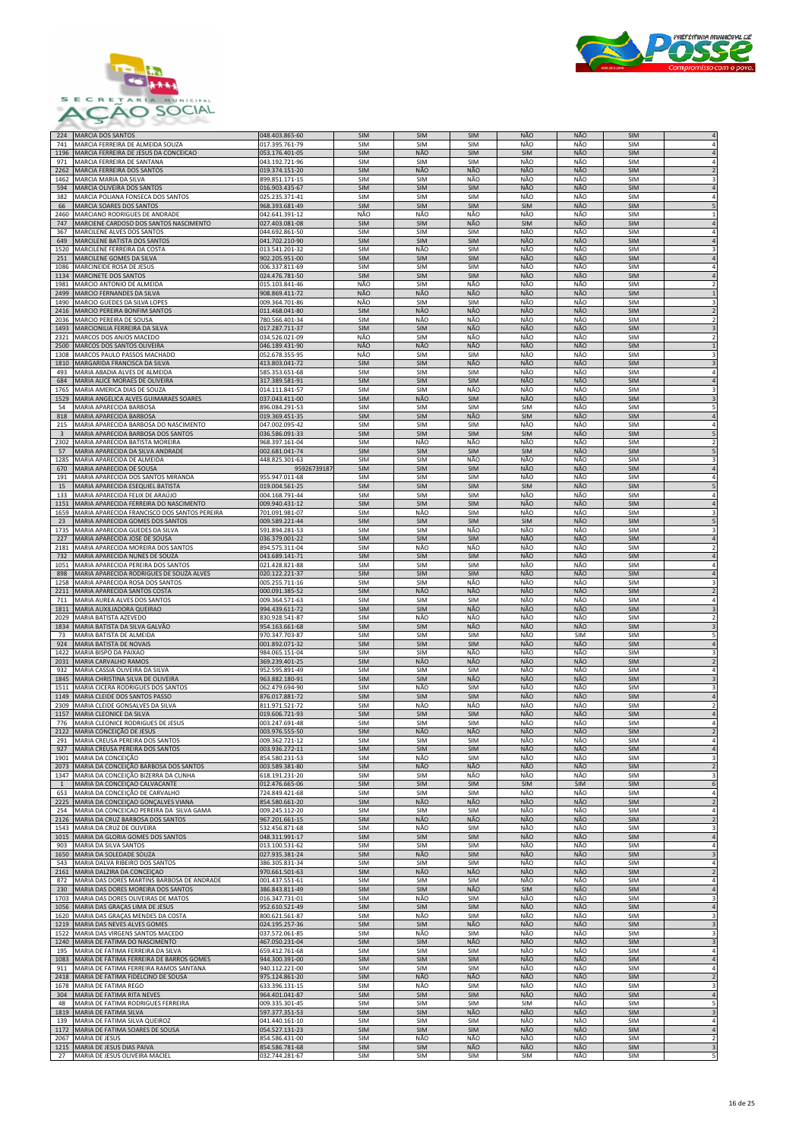



| 224                     | <b>MARCIA DOS SANTOS</b>                                                         | 048.403.865-60                   | <b>SIM</b>               | <b>SIM</b>               | <b>SIM</b>               | <b>NÃO</b>        | <b>NÃO</b> | <b>SIM</b>               |                                                    |
|-------------------------|----------------------------------------------------------------------------------|----------------------------------|--------------------------|--------------------------|--------------------------|-------------------|------------|--------------------------|----------------------------------------------------|
| 741                     | MARCIA FERREIRA DE ALMEIDA SOUZA                                                 | 017.395.761-79                   | <b>SIM</b>               | SIM                      | <b>SIM</b>               | NÃO               | NÃO        | <b>SIM</b>               | $\overline{4}$                                     |
| 1196                    | MARCIA FERREIRA DE JESUS DA CONCEICAO                                            | 053.176.401-05                   | SIM                      | NÃO                      | <b>SIM</b>               | <b>SIM</b>        | NÃO        | <b>SIM</b>               |                                                    |
| 971                     | MARCIA FERREIRA DE SANTANA                                                       | 043.192.721-96                   | SIM                      | SIM                      | SIM                      | NÃO               | NÃO        | <b>SIM</b>               |                                                    |
| 2262<br>1462            | MARCIA FERREIRA DOS SANTOS<br>MARCIA MARIA DA SILVA                              | 019.374.151-20<br>899.851.171-15 | SIM<br>SIM               | NÃO<br><b>SIM</b>        | NÃO<br>NÃO               | NÃO<br>NÃO        | NÃO<br>NÃO | <b>SIM</b><br><b>SIM</b> |                                                    |
| 594                     | MARCIA OLIVEIRA DOS SANTOS                                                       | 016.903.435-67                   | <b>SIM</b>               | SIM                      | <b>SIM</b>               | NÃO               | NÃO        | SIM                      |                                                    |
| 382                     | MARCIA POLIANA FONSECA DOS SANTOS                                                | 025.235.371-41                   | SIM                      | <b>SIM</b>               | <b>SIM</b>               | NÃO               | NÃO        | <b>SIM</b>               |                                                    |
| 66                      | MARCIA SOARES DOS SANTOS                                                         | 968.393.681-49                   | SIM                      | SIM                      | <b>SIM</b>               | SIM               | NÃO        | <b>SIM</b>               |                                                    |
| 2460                    | MARCIANO RODRIGUES DE ANDRADE                                                    | 042.641.391-12                   | NÃO                      | NÃO                      | NÃO                      | NÃO               | NÃO        | <b>SIM</b>               |                                                    |
| 747<br>367              | MARCIENE CARDOSO DOS SANTOS NASCIMENTO<br>MARCILENE ALVES DOS SANTOS             | 027.403.081-08<br>044.692.861-50 | <b>SIM</b><br><b>SIM</b> | SIM<br><b>SIM</b>        | NÃO<br><b>SIM</b>        | SIM<br>NÃO        | NÃO<br>NÃO | <b>SIM</b><br><b>SIM</b> |                                                    |
| 649                     | <b>MARCILENE BATISTA DOS SANTOS</b>                                              | 041.702.210-90                   | <b>SIM</b>               | SIM                      | <b>SIM</b>               | NÃO               | NÃO        | <b>SIM</b>               |                                                    |
| 1520                    | MARCILENE FERREIRA DA COSTA                                                      | 013.541.201-32                   | <b>SIM</b>               | NÃO                      | <b>SIM</b>               | NÃO               | NÃO        | <b>SIM</b>               |                                                    |
| 251                     | MARCILENE GOMES DA SILVA                                                         | 902.205.951-00                   | <b>SIM</b>               | <b>SIM</b>               | <b>SIM</b>               | NÃO               | <b>NÃO</b> | <b>SIM</b>               |                                                    |
| 1086                    | MARCINEIDE ROSA DE JESUS<br><b>MARCINETE DOS SANTOS</b>                          | 006.337.811-69<br>024.476.781-50 | SIM<br>SIM               | <b>SIM</b><br>SIM        | SIM<br>SIM               | NÃO<br>NÃO        | NÃO<br>NÃO | <b>SIM</b><br><b>SIM</b> |                                                    |
| 1134<br>1981            | MARCIO ANTONIO DE ALMEIDA                                                        | 015.103.841-46                   | NÃO                      | SIM                      | NÃO                      | NÃO               | NÃO        | <b>SIM</b>               |                                                    |
| 2499                    | MARCIO FERNANDES DA SILVA                                                        | 908.869.411-72                   | <b>NÃO</b>               | NÃO                      | NÃO                      | NÃO               | NÃO        | <b>SIM</b>               |                                                    |
| 1490                    | MARCIO GUEDES DA SILVA LOPES                                                     | 009.364.701-86                   | NÃO                      | <b>SIM</b>               | SIM                      | NÃO               | NÃO        | <b>SIM</b>               |                                                    |
| 2416                    | MARCIO PEREIRA BONFIM SANTOS                                                     | 011.468.041-80<br>780.566.401-34 | SIM                      | NÃO                      | NÃO                      | NÃO               | NÃO        | SIM                      |                                                    |
| 2036<br>1493            | MARCIO PEREIRA DE SOUSA<br>MARCIONILIA FERREIRA DA SILVA                         | 017.287.711-37                   | SIM<br>SIM               | NÃO<br><b>SIM</b>        | NÃO<br>NÃO               | NÃO<br>NÃO        | NÃO<br>NÃO | SIM<br><b>SIM</b>        | $\overline{3}$                                     |
| 2321                    | MARCOS DOS ANJOS MACEDO                                                          | 034.526.021-09                   | NÃO                      | SIM                      | NÃO                      | NÃO               | NÃO        | <b>SIM</b>               |                                                    |
| 2500                    | <b>MARCOS DOS SANTOS OLIVEIRA</b>                                                | 046.189.431-90                   | NÃO                      | NÃO                      | NÃO                      | NÃO               | NÃO        | <b>SIM</b>               |                                                    |
| 1308                    | MARCOS PAULO PASSOS MACHADO                                                      | 052.678.355-95                   | NÃO                      | <b>SIM</b>               | <b>SIM</b>               | NÃO               | NÃO        | <b>SIM</b>               | 3                                                  |
| 1810<br>493             | MARGARIDA FRANCISCA DA SILVA<br>MARIA ABADIA ALVES DE ALMEIDA                    | 413.803.041-72<br>585.353.651-68 | <b>SIM</b><br>SIM        | SIM<br><b>SIM</b>        | NÃO<br>SIM               | NÃO<br>NÃO        | NÃO<br>NÃO | <b>SIM</b><br><b>SIM</b> | $\overline{\mathbf{3}}$<br>$\overline{4}$          |
| 684                     | MARIA ALICE MORAES DE OLIVEIRA                                                   | 317.389.581-91                   | SIM                      | SIM                      | <b>SIM</b>               | NÃO               | NÃO        | <b>SIM</b>               |                                                    |
| 1765                    | MARIA AMERICA DIAS DE SOUZA                                                      | 014.111.841-57                   | SIM                      | SIM                      | NÃO                      | NÃO               | NÃO        | SIM                      | 3                                                  |
| 1529                    | MARIA ANGELICA ALVES GUIMARAES SOARES                                            | 037.043.411-00                   | SIM                      | NÃO                      | SIM                      | NÃO               | NÃO        | <b>SIM</b>               |                                                    |
| 54                      | MARIA APARECIDA BARBOSA                                                          | 896.084.291-53                   | <b>SIM</b>               | SIM                      | SIM                      | SIM               | NÃO        | <b>SIM</b>               |                                                    |
| 818<br>215              | MARIA APARECIDA BARBOSA<br>MARIA APARECIDA BARBOSA DO NASCIMENTO                 | 019.369.451-35<br>047.002.095-42 | <b>SIM</b><br><b>SIM</b> | SIM<br><b>SIM</b>        | NÃO<br>SIM               | SIM<br>NÃO        | NÃO<br>NÃO | <b>SIM</b><br><b>SIM</b> | $\overline{4}$                                     |
| $\overline{\mathbf{3}}$ | MARIA APARECIDA BARBOSA DOS SANTOS                                               | 036.586.091-33                   | SIM                      | SIM                      | <b>SIM</b>               | SIM               | NÃO        | <b>SIM</b>               |                                                    |
| 2302                    | MARIA APARECIDA BATISTA MOREIRA                                                  | 968.397.161-04                   | SIM                      | NÃO                      | NÃO                      | NÃO               | NÃO        | SIM                      |                                                    |
| 57                      | MARIA APARECIDA DA SILVA ANDRADE                                                 | 002.681.041-74                   | SIM                      | <b>SIM</b>               | SIM                      | SIM               | NÃO        | <b>SIM</b>               |                                                    |
| 1285                    | MARIA APARECIDA DE ALMEIDA<br>MARIA APARECIDA DE SOUSA                           | 448.825.301-63                   | <b>SIM</b>               | SIM                      | NÃO                      | NÃO               | NÃO<br>NÃO | <b>SIM</b>               |                                                    |
| 670<br>191              | MARIA APARECIDA DOS SANTOS MIRANDA                                               | 95926739187<br>955.947.011-68    | <b>SIM</b><br><b>SIM</b> | SIM<br><b>SIM</b>        | <b>SIM</b><br>SIM        | NÃO<br>NÃO        | NÃO        | <b>SIM</b><br><b>SIM</b> | $\overline{4}$                                     |
| 15                      | MARIA APARECIDA ESEQUIEL BATISTA                                                 | 019.004.561-25                   | SIM                      | <b>SIM</b>               | SIM                      | <b>SIM</b>        | NÃO        | <b>SIM</b>               | 5                                                  |
| 133                     | MARIA APARECIDA FELIX DE ARAÚJO                                                  | 004.168.791-44                   | SIM                      | SIM                      | SIM                      | NÃO               | NÃO        | SIM                      |                                                    |
| 1151                    | MARIA APARECIDA FERREIRA DO NASCIMENTO                                           | 009.940.431-12                   | <b>SIM</b>               | <b>SIM</b>               | SIM                      | NÃO               | NÃO        | <b>SIM</b>               |                                                    |
| 1659<br>23              | MARIA APARECIDA FRANCISCO DOS SANTOS PEREIRA<br>MARIA APARECIDA GOMES DOS SANTOS | 701.091.981-07                   | <b>SIM</b><br><b>SIM</b> | NÃO<br>SIM               | <b>SIM</b><br><b>SIM</b> | NÃO<br>SIM        | NÃO<br>NÃO | <b>SIM</b><br><b>SIM</b> | 3<br>5                                             |
| 1735                    | MARIA APARECIDA GUEDES DA SILVA                                                  | 009.589.221-44<br>591.894.281-53 | <b>SIM</b>               | <b>SIM</b>               | NÃO                      | NÃO               | NÃO        | <b>SIM</b>               |                                                    |
| 227                     | MARIA APARECIDA JOSE DE SOUSA                                                    | 036.379.001-22                   | SIM                      | <b>SIM</b>               | SIM                      | NÃO               | NÃO        | SIM                      |                                                    |
| 2181                    | MARIA APARECIDA MOREIRA DOS SANTOS                                               | 894.575.311-04                   | SIM                      | NÃO                      | NÃO                      | NÃO               | NÃO        | SIM                      |                                                    |
| 732                     | <b>MARIA APARECIDA NUNES DE SOUZA</b>                                            | 043.689.141-71                   | <b>SIM</b>               | <b>SIM</b>               | <b>SIM</b>               | NÃO               | NÃO        | <b>SIM</b>               |                                                    |
| 1051<br>898             | MARIA APARECIDA PEREIRA DOS SANTOS<br>MARIA APARECIDA RODRIGUES DE SOUZA ALVES   | 021.428.821-88<br>020.122.221-37 | <b>SIM</b><br><b>SIM</b> | <b>SIM</b><br>SIM        | <b>SIM</b><br><b>SIM</b> | NÃO<br>NÃO        | NÃO<br>NÃO | <b>SIM</b><br><b>SIM</b> |                                                    |
| 1258                    | MARIA APARECIDA ROSA DOS SANTOS                                                  | 005.255.711-16                   | <b>SIM</b>               | <b>SIM</b>               | NÃO                      | NÃO               | NÃO        | <b>SIM</b>               |                                                    |
| 2211                    | <b>MARIA APARECIDA SANTOS COSTA</b>                                              | 000.091.385-52                   | SIM                      | NÃO                      | NÃO                      | NÃO               | NÃO        | SIM                      |                                                    |
| 711                     | MARIA AUREA ALVES DOS SANTOS                                                     | 009.364.571-63                   | SIM                      | <b>SIM</b>               | SIM                      | NÃO               | NÃO        | <b>SIM</b>               |                                                    |
| 1811                    | MARIA AUXILIADORA QUEIRAO                                                        | 994.439.611-72                   | SIM                      | SIM<br>NÃO               | NÃO<br>NÃO               | NÃO<br>NÃO        | NÃO<br>NÃO | <b>SIM</b>               |                                                    |
| 2029<br>1834            | MARIA BATISTA AZEVEDO<br>MARIA BATISTA DA SILVA GALVÃO                           | 830.928.541-87<br>954.163.661-68 | SIM<br><b>SIM</b>        | SIM                      | NÃO                      | NÃO               | NÃO        | <b>SIM</b><br>SIM        |                                                    |
| 73                      | MARIA BATISTA DE ALMEIDA                                                         | 970.347.703-87                   | SIM                      | <b>SIM</b>               | SIM                      | NÃO               | SIM        | <b>SIM</b>               | 5                                                  |
| 924                     | MARIA BATISTA DE NOVAIS                                                          | 001.892.071-32                   | SIM                      | <b>SIM</b>               | <b>SIM</b>               | NÃO               | NÃO        | <b>SIM</b>               |                                                    |
| 1422                    | MARIA BISPO DA PAIXAO                                                            | 984.065.151-04                   | SIM                      | SIM                      | NÃO                      | NÃO               | NÃO        | <b>SIM</b>               | $\overline{3}$                                     |
| 2031<br>932             | MARIA CARVALHO RAMOS<br>MARIA CASSIA OLIVEIRA DA SILVA                           | 369.239.401-25<br>952.595.891-49 | <b>SIM</b><br><b>SIM</b> | NÃO<br><b>SIM</b>        | NÃO<br><b>SIM</b>        | NÃO<br>NÃO        | NÃO<br>NÃO | <b>SIM</b><br><b>SIM</b> |                                                    |
| 1845                    | MARIA CHRISTINA SILVA DE OLIVEIRA                                                | 963.882.180-91                   | SIM                      | SIM                      | NÃO                      | NÃO               | NÃO        | <b>SIM</b>               |                                                    |
| 1511                    | MARIA CICERA RODRIGUES DOS SANTOS                                                | 062.479.694-90                   | <b>SIM</b>               | NÃO                      | <b>SIM</b>               | NÃO               | NÃO        | <b>SIM</b>               | 3                                                  |
| 1149                    | MARIA CLEIDE DOS SANTOS PASSO                                                    | 876.017.881-72                   | <b>SIM</b>               | SIM                      | <b>SIM</b>               | NÃO               | NÃO        | <b>SIM</b>               | $\overline{4}$                                     |
| 2309                    | MARIA CLEIDE GONSALVES DA SILVA<br>MARIA CLEONICE DA SILVA                       | 811.971.521-72                   | SIM<br>SIM               | NÃO<br>SIM               | NÃO<br><b>SIM</b>        | NÃO<br>NÃO        | NÃO<br>NÃO | SIM<br><b>SIM</b>        |                                                    |
| 1157<br>776             | MARIA CLEONICE RODRIGUES DE JESUS                                                | 019.606.721-93<br>003.247.691-48 | SIM                      | <b>SIM</b>               | <b>SIM</b>               | NÃO               | NÃO        | <b>SIM</b>               |                                                    |
| 2122                    | MARIA CONCEIÇÃO DE JESUS                                                         | 003.976.555-50                   | SIM                      | NÃO                      | NÃO                      | NÃO               | NÃO        | <b>SIM</b>               |                                                    |
| 291                     | MARIA CREUSA PEREIRA DOS SANTOS                                                  | 009.362.721-12                   | SIM                      | <b>SIM</b>               | <b>SIM</b>               | NÃO               | NÃO        | <b>SIM</b>               | 4                                                  |
| 927                     | MARIA CREUSA PEREIRA DOS SANTOS<br>MARIA DA CONCEIÇÃO                            | 003.936.272-11                   | SIM                      | SIM                      | SIM                      | NÃO               | NÃO        | <b>SIM</b>               | $\overline{4}$                                     |
| 1901<br>2073            | MARIA DA CONCEIÇÃO BARBOSA DOS SANTOS                                            | 854.580.231-53<br>003.589.381-80 | SIM<br>SIM               | NÃO<br>NÃO               | SIM<br>NÃO               | NÃO<br>NÃO        | NÃO<br>NÃO | <b>SIM</b><br>SIM        | 3<br>$\overline{2}$                                |
| 1347                    | MARIA DA CONCEIÇÃO BIZERRA DA CUNHA                                              | 618.191.231-20                   | SIM                      | SIM                      | NÃO                      | NÃO               | NÃO        | <b>SIM</b>               |                                                    |
| $\mathbf{1}$            | MARIA DA CONCEIÇÃO CALVACANTE                                                    | 012.476.665-06                   | SIM                      | <b>SIM</b>               | SIM                      | <b>SIM</b>        | SIM        | SIM                      | 6                                                  |
| 653                     | MARIA DA CONCEIÇÃO DE CARVALHO<br>MARIA DA CONCEIÇÃO GONÇALVES VIANA             | 724.849.421-68<br>854.580.661-20 | SIM                      | <b>SIM</b><br>NÃO        | <b>SIM</b><br>NÃO        | NÃO<br>NÃO        | NÃO<br>NÃO | <b>SIM</b><br><b>SIM</b> | $\overline{4}$                                     |
| 2225<br>254             | MARIA DA CONCEICAO PEREIRA DA SILVA GAMA                                         | 009.245.112-20                   | SIM<br>SIM               | <b>SIM</b>               | SIM                      | NÃO               | NÃO        | SIM                      | $\overline{2}$<br>$\overline{4}$                   |
| 2126                    | MARIA DA CRUZ BARBOSA DOS SANTOS                                                 | 967.201.661-15                   | SIM                      | NÃO                      | NÃO                      | NÃO               | NÃO        | <b>SIM</b>               | $\overline{\mathbf{2}}$                            |
| 1543                    | MARIA DA CRUZ DE OLIVEIRA                                                        | 532.456.871-68                   | SIM                      | NÃO                      | SIM                      | NÃO               | NÃO        | SIM                      | 3                                                  |
| 1015<br>903             | MARIA DA GLORIA GOMES DOS SANTOS                                                 | 048.311.991-17                   | SIM                      | <b>SIM</b><br><b>SIM</b> | SIM<br>SIM               | NÃO<br>NÃO        | NÃO<br>NÃO | <b>SIM</b><br>SIM        | $\overline{4}$                                     |
| 1650                    | MARIA DA SILVA SANTOS<br>MARIA DA SOLEDADE SOUZA                                 | 013.100.531-62<br>027.935.381-24 | SIM<br>SIM               | NÃO                      | SIM                      | <b>NÃO</b>        | NÃO        | SIM                      | $\overline{4}$<br>$\overline{\mathbf{3}}$          |
| 543                     | MARIA DALVA RIBEIRO DOS SANTOS                                                   | 386.305.831-34                   | SIM                      | <b>SIM</b>               | SIM                      | NÃO               | NÃO        | <b>SIM</b>               | $\overline{4}$                                     |
| 2161                    | MARIA DALZIRA DA CONCEIÇÃO                                                       | 970.661.501-63                   | SIM                      | NÃO                      | NÃO                      | NÃO               | NÃO        | SIM                      | $\overline{2}$                                     |
| 872                     | MARIA DAS DORES MARTINS BARBOSA DE ANDRADE                                       | 001.437.551-61                   | SIM                      | SIM                      | SIM                      | NÃO               | NÃO        | SIM                      | $\overline{4}$                                     |
| 230<br>1703             | MARIA DAS DORES MOREIRA DOS SANTOS<br>MARIA DAS DORES OLIVEIRAS DE MATOS         | 386.843.811-49<br>016.347.731-01 | SIM<br>SIM               | <b>SIM</b><br>NÃO        | NÃO<br>SIM               | <b>SIM</b><br>NÃO | NÃO<br>NÃO | <b>SIM</b><br>SIM        | $\overline{4}$<br>3                                |
| 1056                    | MARIA DAS GRAÇAS LIMA DE JESUS                                                   | 952.610.521-49                   | <b>SIM</b>               | SIM                      | <b>SIM</b>               | NÃO               | NÃO        | <b>SIM</b>               | $\overline{4}$                                     |
| 1620                    | MARIA DAS GRAÇAS MENDES DA COSTA                                                 | 800.621.561-87                   | SIM                      | NÃO                      | SIM                      | NÃO               | NÃO        | SIM                      | 3                                                  |
| 1219                    | MARIA DAS NEVES ALVES GOMES                                                      | 024.195.257-36                   | SIM                      | SIM                      | NÃO                      | NÃO               | NÃO        | SIM                      | $\overline{3}$                                     |
| 1522<br>1240            | MARIA DAS VIRGENS SANTOS MACEDO                                                  | 037.572.061-85                   | SIM                      | NÃO                      | SIM                      | NÃO<br>NÃO        | NÃO<br>NÃO | SIM                      | $\overline{\mathbf{3}}$<br>$\overline{\mathbf{3}}$ |
| 195                     | MARIA DE FATIMA DO NASCIMENTO<br>MARIA DE FATIMA FERREIRA DA SILVA               | 467.050.231-04<br>659.412.761-68 | SIM<br>SIM               | SIM<br><b>SIM</b>        | NÃO<br>SIM               | NÃO               | NÃO        | SIM<br>SIM               | $\overline{4}$                                     |
| 1083                    | MARIA DE FÁTIMA FERREIRA DE BARROS GOMES                                         | 944.300.391-00                   | SIM                      | SIM                      | SIM                      | NÃO               | NÃO        | SIM                      | $\sqrt{4}$                                         |
| 911                     | MARIA DE FATIMA FERREIRA RAMOS SANTANA                                           | 940.112.221-00                   | SIM                      | <b>SIM</b>               | SIM                      | NÃO               | NÃO        | SIM                      | $\overline{4}$                                     |
| 2418                    | MARIA DE FATIMA FIDELCINO DE SOUSA                                               | 975.124.861-20                   | SIM                      | NÃO                      | NÃO                      | NÃO               | NÃO        | <b>SIM</b>               | $\overline{2}$                                     |
| 1678<br>304             | MARIA DE FATIMA REGO<br>MARIA DE FATIMA RITA NEVES                               | 633.396.131-15<br>964.401.041-87 | SIM<br>SIM               | NÃO<br><b>SIM</b>        | SIM<br><b>SIM</b>        | NÃO<br>NÃO        | NÃO<br>NÃO | SIM<br><b>SIM</b>        | $\overline{3}$<br>$\overline{4}$                   |
| 48                      | MARIA DE FATIMA RODRIGUES FERREIRA                                               | 009.335.301-45                   | SIM                      | <b>SIM</b>               | <b>SIM</b>               | <b>SIM</b>        | NÃO        | <b>SIM</b>               | 5                                                  |
| 1819                    | MARIA DE FATIMA SILVA                                                            | 597.377.351-53                   | SIM                      | SIM                      | NÃO                      | NÃO               | NÃO        | SIM                      | $\overline{\mathbf{3}}$                            |
| 139                     | MARIA DE FATIMA SILVA QUEIROZ                                                    | 041.440.161-10                   | SIM                      | SIM                      | SIM                      | NÃO               | NÃO        | SIM                      | $\overline{4}$                                     |
| 1172<br>2067            | MARIA DE FATIMA SOARES DE SOUSA<br>MARIA DE JESUS                                | 054.527.131-23<br>854.586.431-00 | SIM<br>SIM               | <b>SIM</b><br>NÃO        | SIM<br>NÃO               | NÃO<br>NÃO        | NÃO<br>NÃO | <b>SIM</b><br>SIM        | $\overline{4}$<br>$\overline{2}$                   |
| 1215                    | MARIA DE JESUS DIAS PAIVA                                                        | 854.586.781-68                   | SIM                      | SIM                      | NÃO                      | NÃO               | NÃO        | <b>SIM</b>               | $\overline{\mathbf{3}}$                            |
| 27                      | MARIA DE JESUS OLIVEIRA MACIEL                                                   | 032.744.281-67                   | SIM                      | SIM                      | SIM                      | SIM               | NÃO        | SIM                      | 5                                                  |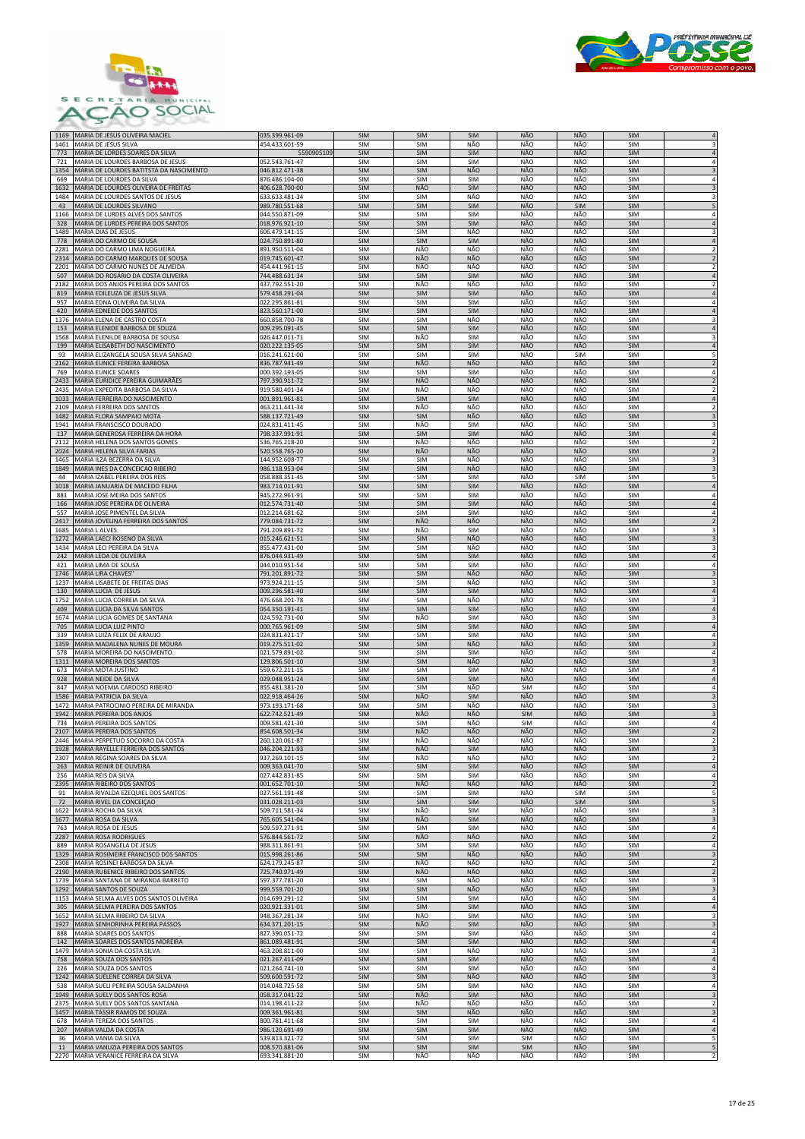



| 1169         | MARIA DE JESUS OLIVEIRA MACIEL                                               | 035.399.961-09                   | <b>SIM</b> | <b>SIM</b> | <b>SIM</b>        | NÃO               | NÃO               | <b>SIM</b>               |                                       |
|--------------|------------------------------------------------------------------------------|----------------------------------|------------|------------|-------------------|-------------------|-------------------|--------------------------|---------------------------------------|
| 1461         | MARIA DE JESUS SILVA                                                         | 454.433.601-59                   | SIM        | SIM        | NÃO               | NÃO               | NÃO               | SIM                      |                                       |
| 773          | MARIA DE LORDES SOARES DA SILVA                                              | 5590905109                       | SIM        | SIM        | SIM               | NÃO               | NÃO               | SIM                      | $\sqrt{4}$                            |
| 721<br>1354  | MARIA DE LOURDES BARBOSA DE JESUS<br>MARIA DE LOURDES BATITSTA DA NASCIMENTO | 052.543.761-47<br>046.812.471-38 | SIM<br>SIM | SIM<br>SIM | SIM<br>NÃO        | NÃO<br>NÃO        | NÃO<br>NÃO        | SIM<br><b>SIM</b>        | $\sqrt{4}$<br>$\overline{\mathbf{3}}$ |
| 669          | MARIA DE LOURDES DA SILVA                                                    | 876.486.104-00                   | SIM        | SIM        | SIM               | NÃO               | NÃO               | <b>SIM</b>               | $\sqrt{4}$                            |
| 1632         | MARIA DE LOURDES OLIVEIRA DE FREITAS                                         | 406.628.700-00                   | SIM        | NÃO        | <b>SIM</b>        | NÃO               | NÃO               | <b>SIM</b>               | $\overline{3}$                        |
| 1484         | MARIA DE LOURDES SANTOS DE JESUS                                             | 633.633.481-34                   | SIM        | SIM        | NÃO               | NÃO               | NÃO               | <b>SIM</b>               | 3                                     |
| 43           | MARIA DE LOURDES SILVANO                                                     | 989.780.551-68                   | SIM        | SIM        | <b>SIM</b>        | NÃO               | <b>SIM</b>        | <b>SIM</b>               | 5                                     |
| 1166         | MARIA DE LURDES ALVES DOS SANTOS                                             | 044.550.871-09                   | SIM        | SIM        | SIM               | NÃO               | NÃO               | SIM                      | $\sqrt{4}$                            |
| 328          | MARIA DE LURDES PEREIRA DOS SANTOS                                           | 018.976.921-10                   | SIM        | SIM        | <b>SIM</b>        | NÃO               | NÃO               | <b>SIM</b>               | $\sqrt{4}$                            |
| 1489         | MARIA DIAS DE JESUS                                                          | 606.479.141-15                   | SIM        | SIM        | NÃO               | NÃO               | NÃO               | SIM                      | 3                                     |
| 778          | MARIA DO CARMO DE SOUSA                                                      | 024.750.891-80                   | SIM        | SIM        | SIM               | NÃO               | NÃO               | <b>SIM</b>               | $\sqrt{4}$                            |
| 2281<br>2314 | MARIA DO CARMO LIMA NOGUEIRA<br>MARIA DO CARMO MARQUES DE SOUSA              | 891.950.511-04<br>019.745.601-47 | SIM<br>SIM | NÃO<br>NÃO | NÃO<br>NÃO        | NÃO<br>NÃO        | NÃO<br>NÃO        | SIM<br><b>SIM</b>        |                                       |
| 2201         | MARIA DO CARMO NUNES DE ALMEIDA                                              | 454.441.961-15                   | <b>SIM</b> | NÃO        | NÃO               | NÃO               | NÃO               | SIM                      | $\overline{2}$                        |
| 507          | MARIA DO ROSÁRIO DA COSTA OLIVEIRA                                           | 744.488.631-34                   | SIM        | SIM        | SIM               | NÃO               | NÃO               | <b>SIM</b>               | $\sqrt{4}$                            |
| 2182         | MARIA DOS ANJOS PEREIRA DOS SANTOS                                           | 437.792.551-20                   | SIM        | NÃO        | NÃO               | NÃO               | NÃO               | SIM                      | $\overline{2}$                        |
| 819          | MARIA EDILEUZA DE JESUS SILVA                                                | 579.458.291-04                   | SIM        | SIM        | <b>SIM</b>        | NÃO               | NÃO               | <b>SIM</b>               | $\sqrt{4}$                            |
| 957          | MARIA EDNA OLIVEIRA DA SILVA                                                 | 022.295.861-81                   | SIM        | SIM        | SIM               | NÃO               | NÃO               | SIM                      | $\Delta$                              |
| 420          | MARIA EDNEIDE DOS SANTOS                                                     | 823.560.171-00                   | SIM        | SIM        | <b>SIM</b>        | NÃO               | NÃO               | <b>SIM</b>               | $\overline{4}$                        |
| 1376         | MARIA ELENA DE CASTRO COSTA                                                  | 660.858.700-78                   | SIM        | SIM        | NÃO               | NÃO               | NÃO               | <b>SIM</b>               | 3                                     |
| 153          | MARIA ELENIDE BARBOSA DE SOUZA                                               | 009.295.091-45                   | SIM        | SIM<br>NÃO | SIM               | <b>NÃO</b><br>NÃO | <b>NÃO</b><br>NÃO | <b>SIM</b>               | $\overline{4}$<br>3                   |
| 1568<br>199  | MARIA ELENILDE BARBOSA DE SOUSA<br>MARIA ELISABETH DO NASCIMENTO             | 026.447.011-71<br>020.222.135-05 | SIM<br>SIM | SIM        | SIM<br><b>SIM</b> | NÃO               | NÃO               | SIM<br><b>SIM</b>        | $\overline{4}$                        |
| 93           | MARIA ELIZANGELA SOUSA SILVA SANSAO                                          | 016.241.621-00                   | SIM        | SIM        | SIM               | NÃO               | SIM               | SIM                      |                                       |
| 2162         | MARIA EUNICE FEREIRA BARBOSA                                                 | 836.787.941-49                   | SIM        | NÃO        | NÃO               | NÃO               | NÃO               | SIM                      |                                       |
| 769          | MARIA EUNICE SOARES                                                          | 000.392.193-05                   | SIM        | SIM        | SIM               | NÃO               | NÃO               | SIM                      | 4                                     |
| 2433         | MARIA EURIDICE PEREIRA GUIMARÃES                                             | 797.390.911-72                   | SIM        | NÃO        | NÃO               | NÃO               | NÃO               | <b>SIM</b>               | $\overline{2}$                        |
| 2435         | MARIA EXPEDITA BARBOSA DA SILVA                                              | 919.580.401-34                   | SIM        | NÃO        | NÃO               | NÃO               | NÃO               | <b>SIM</b>               | $\overline{2}$                        |
| 1033         | MARIA FERREIRA DO NASCIMENTO                                                 | 001.891.961-81                   | SIM        | SIM        | <b>SIM</b>        | NÃO               | NÃO               | <b>SIM</b>               | $\overline{4}$                        |
| 2109         | MARIA FERREIRA DOS SANTOS                                                    | 463.211.441-34                   | SIM        | NÃO        | NÃO               | NÃO               | NÃO               | SIM                      | $\overline{2}$                        |
| 1482<br>1941 | MARIA FLORA SAMPAIO MOTA<br>MARIA FRANSCISCO DOURADO                         | 588.137.721-49<br>024.831.411-45 | SIM<br>SIM | SIM<br>NÃO | NÃO<br>SIM        | NÃO<br>NÃO        | NÃO<br>NÃO        | SIM<br>SIM               | $\overline{3}$                        |
| 137          | MARIA GENEROSA FERREIRA DA HORA                                              | 798.337.991-91                   | SIM        | SIM        | SIM               | NÃO               | NÃO               | SIM                      | 3<br>$\sqrt{4}$                       |
| 2112         | MARIA HELENA DOS SANTOS GOMES                                                | 536.765.218-20                   | SIM        | NÃO        | NÃO               | NÃO               | NÃO               | SIM                      | $\overline{2}$                        |
| 2024         | MARIA HELENA SILVA FARIAS                                                    | 520.558.765-20                   | SIM        | NÃO        | NÃO               | NÃO               | NÃO               | <b>SIM</b>               | $\overline{2}$                        |
| 1465         | MARIA ILZA BEZERRA DA SILVA                                                  | 144.952.608-77                   | SIM        | SIM        | NÃO               | NÃO               | NÃO               | SIM                      | 3                                     |
| 1849         | MARIA INES DA CONCEICAO RIBEIRO                                              | 986.118.953-04                   | SIM        | SIM        | NÃO               | NÃO               | NÃO               | SIM                      | $\overline{3}$                        |
| 44           | MARIA IZABEL PEREIRA DOS REIS                                                | 058.888.351-45                   | SIM        | SIM        | <b>SIM</b>        | NÃO               | <b>SIM</b>        | <b>SIM</b>               |                                       |
| 1018         | MARIA JANUARIA DE MACEDO FILHA                                               | 983.714.011-91                   | SIM        | SIM        | SIM               | NÃO               | NÃO               | SIM                      | $\sqrt{4}$                            |
| 881          | MARIA JOSE MEIRA DOS SANTOS                                                  | 945.272.961-91                   | SIM        | SIM        | SIM               | NÃO               | NÃO               | <b>SIM</b>               | $\sqrt{4}$                            |
| 166          | MARIA JOSE PEREIRA DE OLIVEIRA                                               | 012.574.731-40                   | SIM        | SIM        | SIM               | NÃO               | NÃO               | <b>SIM</b>               | $\sqrt{4}$<br>$\overline{4}$          |
| 557          | MARIA JOSE PIMENTEL DA SILVA<br>MARIA JOVELINA FERREIRA DOS SANTOS           | 012.214.681-62<br>779.084.731-72 | SIM<br>SIM | SIM<br>NÃO | SIM<br>NÃO        | NÃO<br>NÃO        | NÃO<br>NÃO        | <b>SIM</b><br><b>SIM</b> | $\overline{2}$                        |
| 2417<br>1685 | MARIA L ALVES                                                                | 791.209.891-72                   | SIM        | NÃO        | <b>SIM</b>        | NÃO               | NÃO               | <b>SIM</b>               | 3                                     |
| 1272         | MARIA LAECI ROSENO DA SILVA                                                  | 015.246.621-51                   | SIM        | SIM        | NÃO               | NÃO               | NÃO               | <b>SIM</b>               | $\ensuremath{\mathsf{3}}$             |
| 1434         | MARIA LECI PEREIRA DA SILVA                                                  | 855.477.431-00                   | SIM        | SIM        | NÃO               | NÃO               | NÃO               | SIM                      | 3                                     |
| 242          | MARIA LEDA DE OLIVEIRA                                                       | 876.044.931-49                   | SIM        | SIM        | SIM               | NÃO               | NÃO               | <b>SIM</b>               | $\overline{4}$                        |
| 421          | MARIA LIMA DE SOUSA                                                          | 044.010.951-54                   | SIM        | SIM        | SIM               | NÃO               | NÃO               | <b>SIM</b>               | $\sqrt{4}$                            |
| 1746         | MARIA LIRA CHAVES"                                                           | 791.201.891-72                   | SIM        | SIM        | NÃO               | NÃO               | NÃO               | SIM                      | $\overline{3}$                        |
| 1237         | MARIA LISABETE DE FREITAS DIAS                                               | 973.924.211-15                   | SIM        | SIM        | NÃO               | NÃO               | NÃO               | SIM                      | 3                                     |
| 130<br>1752  | MARIA LUCIA DE JESUS                                                         | 009.296.581-40                   | SIM<br>SIM | SIM<br>SIM | SIM<br>NÃO        | NÃO<br>NÃO        | NÃO<br>NÃO        | <b>SIM</b><br>SIM        | $\sqrt{4}$                            |
| 409          | MARIA LUCIA CORREIA DA SILVA<br>MARIA LUCIA DA SILVA SANTOS                  | 476.668.201-78<br>054.350.191-41 | SIM        | SIM        | SIM               | NÃO               | NÃO               | SIM                      | 3<br>$\sqrt{4}$                       |
| 1674         | MARIA LUCIA GOMES DE SANTANA                                                 | 024.592.731-00                   | SIM        | NÃO        | SIM               | NÃO               | NÃO               | SIM                      | $\overline{\mathbf{3}}$               |
| 705          | MARIA LUCIA LUIZ PINTO                                                       | 000.765.961-09                   | SIM        | SIM        | SIM               | NÃO               | NÃO               | SIM                      | $\Delta$                              |
| 339          | MARIA LUIZA FELIX DE ARAUJO                                                  | 024.831.421-17                   | SIM        | SIM        | SIM               | NÃO               | NÃO               | <b>SIM</b>               |                                       |
| 1359         | MARIA MADALENA NUNES DE MOURA                                                | 019.275.511-02                   | SIM        | SIM        | NÃO               | NÃO               | NÃO               | <b>SIM</b>               | $\ensuremath{\mathsf{3}}$             |
| 578          | MARIA MOREIRA DO NASCIMENTO                                                  | 021.579.891-02                   | SIM        | SIM        | SIM               | NÃO               | NÃO               | SIM                      | 4                                     |
| 1311         | MARIA MOREIRA DOS SANTOS                                                     | 129.806.501-10                   | SIM        | SIM        | NÃO               | NÃO               | NÃO               | SIM                      | $\overline{\mathbf{3}}$               |
| 673          | MARIA MOTA JUSTINO                                                           | 559.672.211-15                   | SIM        | SIM        | SIM               | NÃO               | NÃO               | <b>SIM</b>               | 4<br>$\overline{4}$                   |
| 928<br>847   | MARIA NEIDE DA SILVA<br>MARIA NOEMIA CARDOSO RIBEIRO                         | 029.048.951-24<br>855.481.381-20 | SIM<br>SIM | SIM<br>SIM | SIM<br>NÃO        | NÃO<br><b>SIM</b> | NÃO<br>NÃO        | <b>SIM</b><br><b>SIM</b> | 4                                     |
| 1586         | MARIA PATRICIA DA SILVA                                                      | 022.918.464-26                   | SIM        | NÃO        | SIM               | NÃO               | NÃO               | SIM                      | $\ensuremath{\mathsf{3}}$             |
| 1472         | MARIA PATROCINIO PEREIRA DE MIRANDA                                          | 973.193.171-68                   | SIM        | SIM        | NÃO               | NÃO               | NÃO               | SIM                      | 3                                     |
| 1942         | MARIA PEREIRA DOS ANJOS                                                      | 622.742.521-49                   | SIM        | NÃO        | NÃO               | SIM               | NÃO               | SIM                      | $\overline{\mathbf{3}}$               |
| 734          | MARIA PEREIRA DOS SANTOS                                                     | 009.581.421-30                   | SIM        | SIM        | NÃO               | <b>SIM</b>        | NÃO               | <b>SIM</b>               | $\overline{4}$                        |
| 2107         | MARIA PEREIRA DOS SANTOS                                                     | 854.608.501-34                   | SIM        | NÃO        | NÃO               | NÃO               | NÃO               | <b>SIM</b>               | $\overline{\phantom{0}}$              |
| 2446         | MARIA PERPETUO SOCORRO DA COSTA                                              | 160.120.061-87                   | SIM        | NÃO        | NÃO               | NÃO               | NÃO               | SIM                      |                                       |
|              | 1928 MARIA RAYELLE FERREIRA DOS SANTOS                                       | 046.204.221-93                   | SIM        | NÃO        | SIM               | NÃO               | NÃO               | SIM                      | $\overline{3}$                        |
| 263          | 2307 MARIA REGINA SOARES DA SILVA<br>MARIA REINIR DE OLIVEIRA                | 937.269.101-15<br>009.363.041-70 | SIM<br>SIM | NÃO<br>SIM | NÃO<br>SIM        | NÃO<br>NÃO        | NÃO<br>NÃO        | <b>SIM</b><br>SIM        | $\boldsymbol{2}$<br>$\overline{4}$    |
| 256          | MARIA REIS DA SILVA                                                          | 027.442.831-85                   | SIM        | SIM        | SIM               | NÃO               | NÃO               | SIM                      | $\sqrt{4}$                            |
| 2395         | MARIA RIBEIRO DOS SANTOS                                                     | 001.652.701-10                   | SIM        | NÃO        | NÃO               | NÃO               | NÃO               | SIM                      | $\overline{2}$                        |
| 91           | MARIA RIVALDA EZEQUIEL DOS SANTOS                                            | 027.561.191-48                   | SIM        | SIM        | SIM               | NÃO               | SIM               | SIM                      | 5                                     |
| 72           | MARIA RIVEL DA CONCEIÇAO                                                     | 031.028.211-03                   | SIM        | SIM        | SIM               | NÃO               | SIM               | SIM                      | 5                                     |
| 1622         | MARIA ROCHA DA SILVA                                                         | 509.711.581-34                   | SIM        | NÃO        | SIM               | NÃO               | NÃO               | SIM                      | 3                                     |
| 1677         | MARIA ROSA DA SILVA                                                          | 765.605.541-04                   | SIM        | NÃO        | SIM               | NÃO               | NÃO               | SIM                      | $\overline{\mathbf{3}}$               |
| 763<br>2287  | MARIA ROSA DE JESUS<br>MARIA ROSA RODRIGUES                                  | 509.597.271-91<br>576.844.561-72 | SIM<br>SIM | SIM<br>NÃO | SIM<br>NÃO        | NÃO<br>NÃO        | NÃO<br>NÃO        | SIM<br>SIM               | $\overline{4}$<br>$\sqrt{2}$          |
| 889          | MARIA ROSANGELA DE JESUS                                                     | 988.311.861-91                   | SIM        | SIM        | SIM               | NÃO               | NÃO               | SIM                      | $\sqrt{4}$                            |
|              | 1329 MARIA ROSIMEIRE FRANCISCO DOS SANTOS                                    | 015.998.261-86                   | SIM        | SIM        | NÃO               | NÃO               | NÃO               | SIM                      | 3                                     |
| 2308         | MARIA ROSINEI BARBOSA DA SILVA                                               | 624.179.245-87                   | SIM        | NÃO        | NÃO               | NÃO               | NÃO               | SIM                      | 2                                     |
|              | 2190 MARIA RUBENICE RIBEIRO DOS SANTOS                                       | 725.740.971-49                   | SIM        | NÃO        | NÃO               | NÃO               | NÃO               | SIM                      | $\overline{2}$                        |
| 1739         | MARIA SANTANA DE MIRANDA BARRETO                                             | 597.377.781-20                   | SIM        | SIM        | NÃO               | NÃO               | NÃO               | SIM                      | 3                                     |
| 1292         | MARIA SANTOS DE SOUZA                                                        | 999.559.701-20                   | SIM        | SIM        | NÃO               | NÃO               | NÃO               | SIM                      | 3                                     |
| 1153<br>305  | MARIA SELMA ALVES DOS SANTOS OLIVEIRA<br>MARIA SELMA PEREIRA DOS SANTOS      | 014.699.291-12<br>020.921.331-01 | SIM<br>SIM | SIM<br>SIM | SIM<br>SIM        | NÃO<br>NÃO        | NÃO<br>NÃO        | SIM<br>SIM               | $\sqrt{4}$<br>$\sqrt{4}$              |
| 1652         | MARIA SELMA RIBEIRO DA SILVA                                                 | 948.367.281-34                   | SIM        | NÃO        | SIM               | NÃO               | NÃO               | SIM                      | 3                                     |
| 1927         | MARIA SENHORINHA PEREIRA PASSOS                                              | 634.371.201-15                   | SIM        | NÃO        | SIM               | NÃO               | NÃO               | SIM                      | 3                                     |
| 888          | MARIA SOARES DOS SANTOS                                                      | 827.390.051-72                   | SIM        | SIM        | <b>SIM</b>        | NÃO               | NÃO               | SIM                      | 4                                     |
| 142          | MARIA SOARES DOS SANTOS MOREIRA                                              | 861.089.481-91                   | SIM        | SIM        | SIM               | NÃO               | NÃO               | SIM                      | $\sqrt{4}$                            |
| 1479         | MARIA SONIA DA COSTA SILVA                                                   | 463.208.811-00                   | SIM        | SIM        | NÃO               | NÃO               | NÃO               | SIM                      | $\overline{\mathbf{3}}$               |
| 758          | MARIA SOUZA DOS SANTOS                                                       | 021.267.411-09                   | SIM        | SIM        | <b>SIM</b>        | NÃO               | NÃO               | SIM                      | $\sqrt{4}$                            |
| 226          | MARIA SOUZA DOS SANTOS                                                       | 021.264.741-10                   | SIM        | SIM        | SIM               | NÃO               | NÃO               | SIM                      | 4                                     |
| 1242<br>538  | MARIA SUELENE CORREA DA SILVA<br>MARIA SUELI PEREIRA SOUSA SALDANHA          | 509.600.591-72<br>014.048.725-58 | SIM<br>SIM | SIM<br>SIM | NÃO<br>SIM        | NÃO<br>NÃO        | NÃO<br>NÃO        | SIM<br>SIM               | 3                                     |
| 1949         | MARIA SUELY DOS SANTOS ROSA                                                  | 058.317.041-22                   | SIM        | NÃO        | SIM               | NÃO               | NÃO               | SIM                      | 4<br>$\overline{\mathbf{3}}$          |
| 2375         | MARIA SUELY DOS SANTOS SANTANA                                               | 014.198.411-22                   | SIM        | NÃO        | NÃO               | NÃO               | NÃO               | SIM                      | $\overline{2}$                        |
| 1457         | MARIA TASSIR RAMOS DE SOUZA                                                  | 009.361.961-81                   | SIM        | SIM        | NÃO               | NÃO               | NÃO               | SIM                      | 3                                     |
| 678          | MARIA TEREZA DOS SANTOS                                                      | 800.781.411-68                   | SIM        | SIM        | SIM               | NÃO               | NÃO               | SIM                      | 4                                     |
| 207          | MARIA VALDA DA COSTA                                                         | 986.120.691-49                   | SIM        | SIM        | SIM               | NÃO               | NÃO               | SIM                      | $\sqrt{4}$                            |
| 36           | MARIA VANIA DA SILVA                                                         | 539.813.321-72                   | SIM        | SIM        | SIM               | SIM               | NÃO               | SIM                      | 5                                     |
| 11           | MARIA VANUZIA PEREIRA DOS SANTOS                                             | 008.570.881-06                   | SIM        | SIM        | SIM               | SIM               | NÃO               | SIM                      | 5                                     |
| 2270         | MARIA VERANICE FERREIRA DA SILVA                                             | 693.341.881-20                   | SIM        | NÃO        | NÃO               | NÃO               | NÃO               | SIM                      | $\overline{2}$                        |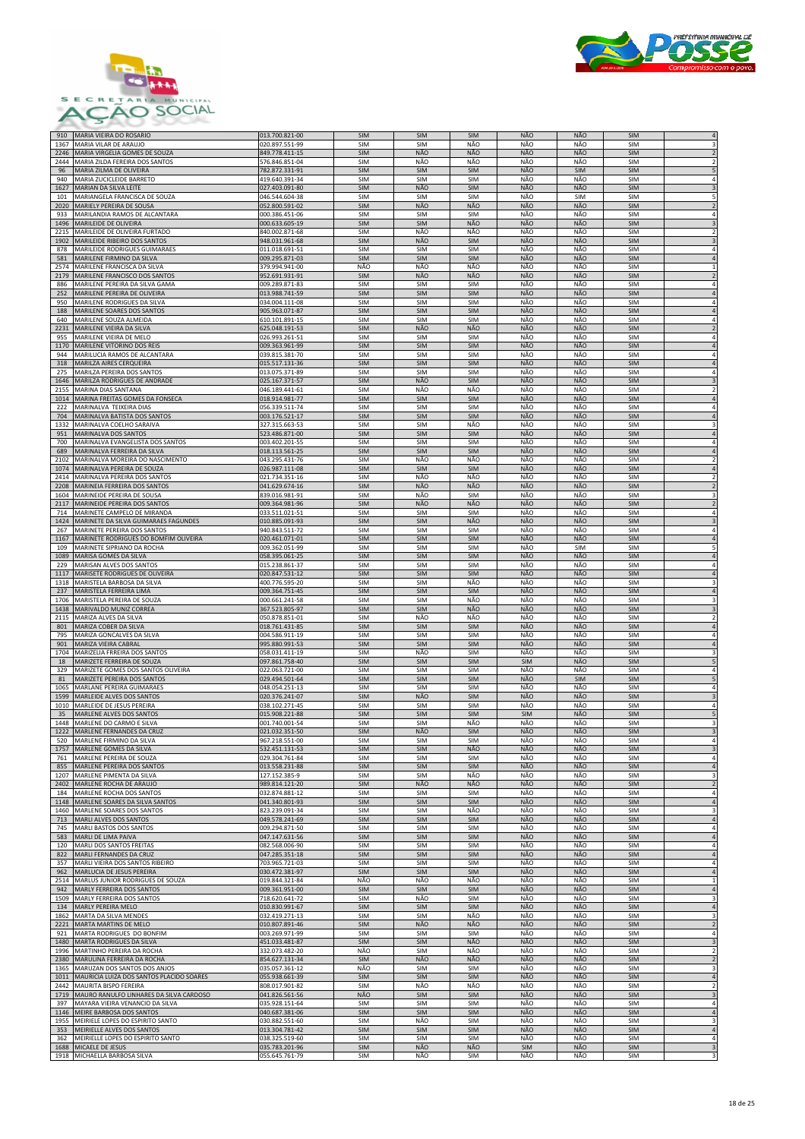



| 1367        | MARIA VILAR DE ARAUJO                                       | 020.897.551-99                   | SIM               | SIM        | NÃO               | NÃO        | NÃO        | SIM                      | 3                            |
|-------------|-------------------------------------------------------------|----------------------------------|-------------------|------------|-------------------|------------|------------|--------------------------|------------------------------|
| 2246        | MARIA VIRGELIA GOMES DE SOUZA                               | 849.778.411-15                   | SIM               | NÃO        | NÃO               | NÃO        | NÃO        | <b>SIM</b>               |                              |
| 2444        | MARIA ZILDA FEREIRA DOS SANTOS                              | 576.846.851-04                   | SIM               | NÃO        | NÃO               | NÃO        | NÃO        | <b>SIM</b>               | $\overline{2}$               |
| 96          | MARIA ZILMA DE OLIVEIRA                                     | 782.872.331-91                   | SIM               | SIM        | <b>SIM</b>        | NÃO        | <b>SIM</b> | <b>SIM</b>               | 5                            |
| 940         | MARIA ZUCICLEIDE BARRETO                                    | 419.640.391-34                   | SIM               | SIM        | <b>SIM</b>        | NÃO        | NÃO        | <b>SIM</b>               | 4                            |
| 1627        | MARIAN DA SILVA LEITE                                       | 027.403.091-80                   | SIM               | NÃO        | <b>SIM</b>        | NÃO        | NÃO        | <b>SIM</b>               | $\overline{3}$               |
| 101         | MARIANGELA FRANCISCA DE SOUZA                               | 046.544.604-38                   | SIM               | SIM        | SIM               | NÃO        | <b>SIM</b> | <b>SIM</b>               | 5                            |
| 2020        | MARIELY PEREIRA DE SOUSA                                    | 052.800.591-02                   | <b>SIM</b>        | NÃO        | NÃO               | <b>NÃO</b> | <b>NÃO</b> | SIM                      | $\overline{2}$               |
| 933         | MARILANDIA RAMOS DE ALCANTARA                               | 000.386.451-06                   | SIM               | SIM        | SIM               | NÃO        | NÃO        | <b>SIM</b>               | 4                            |
| 1496        | MARILEIDE DE OLIVEIRA                                       | 000.633.605-19                   | SIM               | SIM        | NÃO               | NÃO        | NÃO        | SIM                      | $\ensuremath{\mathsf{3}}$    |
| 2215        | MARILEIDE DE OLIVEIRA FURTADO                               | 840.002.871-68                   | SIM               | NÃO        | NÃO               | NÃO        | NÃO        | SIM                      | $\overline{2}$               |
| 1902        | MARILEIDE RIBEIRO DOS SANTOS                                | 948.031.961-68                   | SIM               | NÃO        | <b>SIM</b>        | NÃO        | NÃO        | <b>SIM</b>               | $\overline{3}$               |
| 878         | MARILEIDE RODRIGUES GUIMARAES                               | 011.018.691-51                   | SIM               | SIM        | SIM               | NÃO        | NÃO        | SIM                      | 4                            |
| 581         | MARILENE FIRMINO DA SILVA                                   | 009.295.871-03                   | <b>SIM</b>        | SIM        | SIM               | NÃO        | NÃO        | <b>SIM</b>               | $\overline{4}$               |
| 2574        | MARILENE FRANCISCA DA SILVA                                 | 379.994.941-00                   | NÃO               | NÃO        | NÃO               | NÃO        | NÃO        | SIM                      |                              |
| 2179        | MARILENE FRANCISCO DOS SANTOS                               | 952.691.931-91                   | SIM               | NÃO        | NÃO               | NÃO        | NÃO        | SIM                      | $\sqrt{2}$                   |
| 886         | MARILENE PEREIRA DA SILVA GAMA                              | 009.289.871-83                   | SIM               | SIM        | SIM               | NÃO        | NÃO        | SIM                      | 4                            |
| 252<br>950  | MARILENE PEREIRA DE OLIVEIRA<br>MARILENE RODRIGUES DA SILVA | 013.988.741-59<br>034.004.111-08 | SIM<br>SIM        | SIM<br>SIM | SIM<br><b>SIM</b> | NÃO<br>NÃO | NÃO<br>NÃO | SIM<br><b>SIM</b>        | $\sqrt{4}$<br>$\sqrt{4}$     |
|             |                                                             |                                  |                   |            |                   | NÃO        | NÃO        |                          |                              |
| 188<br>640  | MARILENE SOARES DOS SANTOS<br>MARILENE SOUZA ALMEIDA        | 905.963.071-87<br>610.101.891-15 | SIM<br>SIM        | SIM<br>SIM | SIM<br>SIM        | NÃO        | NÃO        | <b>SIM</b><br><b>SIM</b> |                              |
| 2231        | MARILENE VIEIRA DA SILVA                                    | 625.048.191-53                   | SIM               | NÃO        | NÃO               | NÃO        | NÃO        | SIM                      | 4<br>$\mathbf 2$             |
| 955         | MARILENE VIEIRA DE MELO                                     | 026.993.261-51                   | SIM               | SIM        | SIM               | NÃO        | NÃO        | SIM                      | 4                            |
| 1170        | MARILENE VITORINO DOS REIS                                  | 009.363.961-99                   | SIM               | SIM        | SIM               | NÃO        | NÃO        | SIM                      | $\overline{4}$               |
| 944         | MARILUCIA RAMOS DE ALCANTARA                                | 039.815.381-70                   | SIM               | SIM        | SIM               | NÃO        | NÃO        | <b>SIM</b>               | $\overline{4}$               |
| 318         | MARILZA AIRES CERQUEIRA                                     | 015.517.131-36                   | <b>SIM</b>        | SIM        | <b>SIM</b>        | NÃO        | NÃO        | <b>SIM</b>               | $\overline{4}$               |
| 275         | MARILZA PEREIRA DOS SANTOS                                  | 013.075.371-89                   | SIM               | SIM        | <b>SIM</b>        | NÃO        | NÃO        | SIM                      |                              |
| 1646        | MARILZA RODRIGUES DE ANDRADE                                | 025.167.371-57                   | SIM               | NÃO        | <b>SIM</b>        | NÃO        | NÃO        | <b>SIM</b>               | 3                            |
| 2155        | MARINA DIAS SANTANA                                         | 046.189.441-61                   | <b>SIM</b>        | NÃO        | NÃO               | NÃO        | NÃO        | <b>SIM</b>               | 2                            |
| 1014        | MARINA FREITAS GOMES DA FONSECA                             | 018.914.981-77                   | SIM               | SIM        | SIM               | NÃO        | NÃO        | SIM                      | $\sqrt{4}$                   |
| 222         | MARINALVA TEIXEIRA DIAS                                     | 056.339.511-74                   | SIM               | SIM        | <b>SIM</b>        | NÃO        | NÃO        | <b>SIM</b>               | $\sqrt{4}$                   |
| 704         | MARINALVA BATISTA DOS SANTOS                                | 003.176.521-17                   | SIM               | SIM        | <b>SIM</b>        | NÃO        | NÃO        | <b>SIM</b>               | $\overline{4}$               |
| 1332        | MARINALVA COELHO SARAIVA                                    | 327.315.663-53                   | SIM               | SIM        | NÃO               | NÃO        | NÃO        | SIM                      | 3                            |
| 951         | <b>MARINALVA DOS SANTOS</b>                                 | 523.486.871-00                   | SIM               | SIM        | SIM               | NÃO        | NÃO        | SIM                      | $\overline{4}$               |
| 700         | MARINALVA EVANGELISTA DOS SANTOS                            | 003.402.201-55                   | <b>SIM</b>        | SIM        | SIM               | NÃO        | NÃO        | <b>SIM</b>               | 4                            |
| 689         | MARINALVA FERREIRA DA SILVA                                 | 018.113.561-25                   | <b>SIM</b>        | SIM        | SIM               | <b>NÃO</b> | <b>NÃO</b> | SIM                      | $\overline{4}$               |
| 2102        | MARINALVA MOREIRA DO NASCIMENTO                             | 043.295.431-76                   | SIM               | NÃO        | NÃO               | NÃO        | NÃO        | SIM                      | $\overline{2}$               |
| 1074        | MARINALVA PEREIRA DE SOUZA                                  | 026.987.111-08                   | SIM               | SIM        | SIM               | NÃO        | NÃO        | <b>SIM</b>               | $\overline{4}$               |
| 2414        | MARINALVA PEREIRA DOS SANTOS                                | 021.734.351-16                   | <b>SIM</b>        | NÃO        | NÃO               | NÃO        | NÃO        | SIM                      | $\mathfrak{p}$               |
| 2208        | MARINEIA FERREIRA DOS SANTOS                                | 041.629.674-16                   | SIM               | NÃO        | NÃO               | NÃO        | <b>NÃO</b> | SIM                      |                              |
| 1604        | MARINEIDE PEREIRA DE SOUSA                                  | 839.016.981-91                   | SIM               | NÃO        | SIM               | NÃO        | NÃO        | SIM                      | 3                            |
| 2117        | MARINEIDE PEREIRA DOS SANTOS                                | 009.364.981-96                   | <b>SIM</b>        | NÃO        | NÃO               | NÃO        | NÃO        | <b>SIM</b>               | $\overline{2}$               |
| 714         | MARINETE CAMPELO DE MIRANDA                                 | 033.511.021-51                   | SIM               | SIM        | SIM               | NÃO        | NÃO        | <b>SIM</b>               | $\overline{4}$               |
| 1424        | MARINETE DA SILVA GUIMARAES FAGUNDES                        | 010.885.091-93                   | SIM               | SIM        | NÃO               | NÃO        | NÃO        | <b>SIM</b>               | $\overline{3}$               |
| 267         | MARINETE PEREIRA DOS SANTOS                                 | 940.843.511-72                   | SIM               | SIM        | SIM               | NÃO        | NÃO        | SIM                      | $\Delta$                     |
| 1167        | MARINETE RODRIGUES DO BOMFIM OLIVEIRA                       | 020.461.071-01                   | SIM               | SIM        | <b>SIM</b>        | NÃO        | <b>NÃO</b> | <b>SIM</b>               |                              |
| 109         | MARINETE SIPRIANO DA ROCHA                                  | 009.362.051-99                   | SIM               | SIM        | <b>SIM</b>        | NÃO        | SIM        | <b>SIM</b>               | 5                            |
| 1089        | MARISA GOMES DA SILVA                                       | 058.395.061-25                   | SIM               | SIM        | SIM               | NÃO        | NÃO        | SIM                      | $\sqrt{4}$                   |
| 229         | MARISAN ALVES DOS SANTOS                                    | 015.238.861-37                   | SIM               | SIM        | SIM               | NÃO        | NÃO        | SIM                      | $\sqrt{4}$                   |
| 1117        | MARISETE RODRIGUES DE OLIVEIRA                              | 020.847.531-12                   | SIM               | SIM        | <b>SIM</b>        | NÃO        | NÃO        | <b>SIM</b>               | $\overline{4}$               |
| 1318        | MARISTELA BARBOSA DA SILVA                                  | 400.776.595-20                   | SIM               | SIM        | NÃO               | NÃO        | NÃO        | SIM                      | $\overline{3}$               |
| 237<br>1706 | MARISTELA FERREIRA LIMA<br>MARISTELA PEREIRA DE SOUZA       | 009.364.751-45<br>000.661.241-58 | SIM<br>SIM        | SIM<br>SIM | <b>SIM</b><br>NÃO | NÃO<br>NÃO | NÃO<br>NÃO | <b>SIM</b><br><b>SIM</b> | 3                            |
| 1438        | MARIVALDO MUNIZ CORREA                                      | 367.523.805-97                   | <b>SIM</b>        | SIM        | <b>NÃO</b>        | NÃO        | NÃO        | <b>SIM</b>               | 3                            |
| 2115        | MARIZA ALVES DA SILVA                                       | 050.878.851-01                   | SIM               | NÃO        | NÃO               | NÃO        | NÃO        | SIM                      | $\overline{2}$               |
| 801         | MARIZA COBER DA SILVA                                       | 018.761.431-85                   | SIM               | SIM        | <b>SIM</b>        | NÃO        | NÃO        | <b>SIM</b>               |                              |
| 795         | MARIZA GONCALVES DA SILVA                                   | 004.586.911-19                   | SIM               | SIM        | SIM               | NÃO        | NÃO        | SIM                      | $\overline{4}$               |
| 901         | MARIZA VIEIRA CABRAL                                        | 995.880.991-53                   | SIM               | SIM        | <b>SIM</b>        | NÃO        | NÃO        | <b>SIM</b>               |                              |
| 1704        | MARIZELIA FRREIRA DOS SANTOS                                | 058.031.411-19                   | SIM               | NÃO        | SIM               | NÃO        | NÃO        | <b>SIM</b>               | 3                            |
| 18          | MARIZETE FERREIRA DE SOUZA                                  | 097.861.758-40                   | <b>SIM</b>        | SIM        | <b>SIM</b>        | <b>SIM</b> | NÃO        | <b>SIM</b>               | 5                            |
| 329         | MARIZETE GOMES DOS SANTOS OLIVEIRA                          | 022.063.721-00                   | SIM               | SIM        | SIM               | NÃO        | NÃO        | SIM                      | $\sqrt{4}$                   |
| 81          | MARIZETE PEREIRA DOS SANTOS                                 | 029.494.501-64                   | SIM               | SIM        | <b>SIM</b>        | NÃO        | SIM        | <b>SIM</b>               | $\overline{5}$               |
| 1065        | MARLANE PEREIRA GUIMARAES                                   | 048.054.251-13                   | SIM               | SIM        | SIM               | NÃO        | NÃO        | SIM                      | $\overline{4}$               |
| 1599        | MARLEIDE ALVES DOS SANTOS                                   | 020.376.241-07                   | <b>SIM</b>        | NÃO        | SIM               | <b>NÃO</b> | <b>NÃO</b> | <b>SIM</b>               | $\overline{3}$               |
| 1010        | MARLEIDE DE JESUS PEREIRA                                   | 038.102.271-45                   | SIM               | SIM        | <b>SIM</b>        | NÃO        | NÃO        | <b>SIM</b>               | $\sqrt{4}$                   |
| 35          | MARLENE ALVES DOS SANTOS                                    | 015.908.221-88                   | <b>SIM</b>        | SIM        | <b>SIM</b>        | SIM        | NÃO        | <b>SIM</b>               | 5                            |
| 1448        | MARLENE DO CARMO E SILVA                                    | 001.740.001-54                   | <b>SIM</b>        | SIM        | NÃO               | NÃO        | NÃO        | <b>SIM</b>               | 3                            |
| 1222        | MARLENE FERNANDES DA CRUZ                                   | 021.032.351-50                   | SIM               | <b>NÃO</b> | SIM               | NÃO        | NÃO        | <b>SIM</b>               |                              |
| 520         | MARLENE FIRMINO DA SILVA                                    | 967.218.551-00                   | SIM               | SIM        | <b>SIM</b>        | NÃO        | NÃO        | SIM                      | 4                            |
| 1757        | MARLENE GOMES DA SILVA                                      | 532.451.131-53                   | <b>SIM</b>        | <b>SIM</b> | NÃO               | NÃO        | NÃO        | <b>SIM</b>               |                              |
| 761         | MARLENE PEREIRA DE SOUZA                                    | 029.304.761-84                   | SIM               | SIM        | SIM               | NÃO        | NÃO        | SIM                      | 4                            |
| 855         | MARLENE PEREIRA DOS SANTOS                                  | 013.558.231-88                   | SIM               | SIM        | SIM               | NÃO        | NÃO        | SIM                      | $\sqrt{4}$                   |
| 1207        | MARLENE PIMENTA DA SILVA                                    | 127.152.385-9                    | SIM               | SIM        | NÃO               | NÃO        | NÃO        | SIM                      | 3                            |
| 2402        | MARLENE ROCHA DE ARAUJO                                     | 989.814.121-20                   | SIM               | NÃO        | NÃO               | NÃO        | NÃO        | SIM                      | $\overline{2}$               |
| 184         | MARLENE ROCHA DOS SANTOS                                    | 032.874.881-12                   | SIM               | SIM        | SIM<br>SIM        | NÃO<br>NÃO | NÃO<br>NÃO | <b>SIM</b><br><b>SIM</b> | $\overline{4}$<br>$\sqrt{4}$ |
| 1148        | MARLENE SOARES DA SILVA SANTOS                              | 041.340.801-93                   | SIM               | SIM        |                   |            |            |                          |                              |
| 1460<br>713 | MARLENE SOARES DOS SANTOS<br>MARLI ALVES DOS SANTOS         | 823.239.091-34<br>049.578.241-69 | SIM<br>SIM        | SIM<br>SIM | NÃO<br>SIM        | NÃO<br>NÃO | NÃO<br>NÃO | <b>SIM</b><br>SIM        | 3<br>$\sqrt{4}$              |
| 745         | MARLI BASTOS DOS SANTOS                                     | 009.294.871-50                   | SIM               | SIM        | SIM               | NÃO        | NÃO        | SIM                      | $\sqrt{4}$                   |
| 583         |                                                             |                                  |                   | SIM        | SIM               | NÃO        | NÃO        |                          | $\overline{4}$               |
| 120         | MARLI DE LIMA PAIVA<br>MARLI DOS SANTOS FREITAS             | 047.147.631-56<br>082.568.006-90 | <b>SIM</b><br>SIM | SIM        | SIM               | NÃO        | NÃO        | SIM<br>SIM               | $\overline{4}$               |
| 822         | MARLI FERNANDES DA CRUZ                                     | 047.285.351-18                   | SIM               | SIM        | SIM               | NÃO        | NÃO        | SIM                      | $\sqrt{4}$                   |
| 357         | MARLI VIEIRA DOS SANTOS RIBEIRO                             | 703.965.721-03                   | SIM               | SIM        | SIM               | NÃO        | NÃO        | SIM                      | 4                            |
| 962         | MARLUCIA DE JESUS PEREIRA                                   | 030.472.381-97                   | SIM               | SIM        | SIM               | NÃO        | NÃO        | <b>SIM</b>               | $\sqrt{4}$                   |
| 2514        | MARLUS JUNIOR RODRIGUES DE SOUZA                            | 019.844.321-84                   | NÃO               | NÃO        | NÃO               | NÃO        | NÃO        | SIM                      | 1                            |
| 942         | MARLY FERREIRA DOS SANTOS                                   | 009.361.951-00                   | SIM               | SIM        | SIM               | NÃO        | NÃO        | SIM                      | $\overline{4}$               |
| 1509        | MARLY FERREIRA DOS SANTOS                                   | 718.620.641-72                   | SIM               | NÃO        | <b>SIM</b>        | NÃO        | NÃO        | SIM                      | 3                            |
| 134         | MARLY PEREIRA MELO                                          | 010.830.991-67                   | SIM               | SIM        | <b>SIM</b>        | NÃO        | NÃO        | SIM                      | $\sqrt{4}$                   |
| 1862        | MARTA DA SILVA MENDES                                       | 032.419.271-13                   | <b>SIM</b>        | SIM        | NÃO               | NÃO        | NÃO        | SIM                      | 3                            |
| 2221        | MARTA MARTINS DE MELO                                       | 010.807.891-46                   | <b>SIM</b>        | NÃO        | NÃO               | NÃO        | NÃO        | SIM                      | $\overline{2}$               |
| 921         | MARTA RODRIGUES DO BONFIM                                   | 003.269.971-99                   | <b>SIM</b>        | SIM        | <b>SIM</b>        | NÃO        | NÃO        | <b>SIM</b>               | $\sqrt{4}$                   |
| 1480        | MARTA RODRIGUES DA SILVA                                    | 451.033.481-87                   | SIM               | SIM        | <b>NÃO</b>        | <b>NÃO</b> | NÃO        | SIM                      | $\overline{\mathbf{3}}$      |
| 1996        | MARTINHO PEREIRA DA ROCHA                                   | 332.073.482-20                   | NÃO               | SIM        | NÃO               | NÃO        | NÃO        | <b>SIM</b>               | $\overline{2}$               |
| 2380        | MARULINA FERREIRA DA ROCHA                                  | 854.627.131-34                   | SIM               | NÃO        | NÃO               | NÃO        | NÃO        | <b>SIM</b>               | $\mathbf 2$                  |
| 1365        | MARUZAN DOS SANTOS DOS ANJOS                                | 035.057.361-12                   | NÃO               | SIM        | SIM               | NÃO        | NÃO        | SIM                      | 3                            |
| 1011        | MAURICIA LUIZA DOS SANTOS PLACIDO SOARES                    | 055.938.661-39                   | <b>SIM</b>        | SIM        | SIM               | NÃO        | NÃO        | SIM                      | $\overline{4}$               |
| 2442        | MAURITA BISPO FEREIRA                                       | 808.017.901-82                   | SIM               | NÃO        | NÃO               | NÃO        | NÃO        | SIM                      | $\overline{2}$               |
| 1719        | MAURO RANULFO LINHARES DA SILVA CARDOSO                     | 041.826.561-56                   | NÃO               | SIM        | SIM               | NÃO        | NÃO        | SIM                      | 3                            |
| 397         | MAYARA VIEIRA VENANCIO DA SILVA                             | 035.928.151-64                   | SIM               | SIM        | SIM               | NÃO        | NÃO        | SIM                      | $\overline{4}$               |
| 1146        | MEIRE BARBOSA DOS SANTOS                                    | 040.687.381-06                   | SIM               | SIM        | SIM               | NÃO        | NÃO        | <b>SIM</b>               | $\overline{4}$               |
| 1955        | MEIRIELE LOPES DO ESPIRITO SANTO                            | 030.882.551-60                   | SIM               | NÃO        | SIM               | NÃO        | NÃO        | SIM                      | $\overline{3}$               |
| 353         | MEIRIELLE ALVES DOS SANTOS                                  | 013.304.781-42                   | <b>SIM</b>        | SIM        | SIM               | NÃO        | NÃO        | <b>SIM</b>               | $\sqrt{4}$                   |
| 362         | MEIRIELLE LOPES DO ESPIRITO SANTO                           | 038.325.519-60                   | <b>SIM</b>        | SIM        | <b>SIM</b>        | NÃO        | NÃO        | SIM                      | $\sqrt{4}$                   |
|             | 1688 MICAELE DE JESUS                                       | 035.783.201-96                   | SIM               | NÃO        | NÃO               | SIM        | NÃO        | SIM                      | $\overline{\mathbf{3}}$      |
|             | 1918 MICHAELLA BARBOSA SILVA                                | 055.645.761-79                   | SIM               | NÃO        | SIM               | NÃO        | NÃO        | SIM                      | 3                            |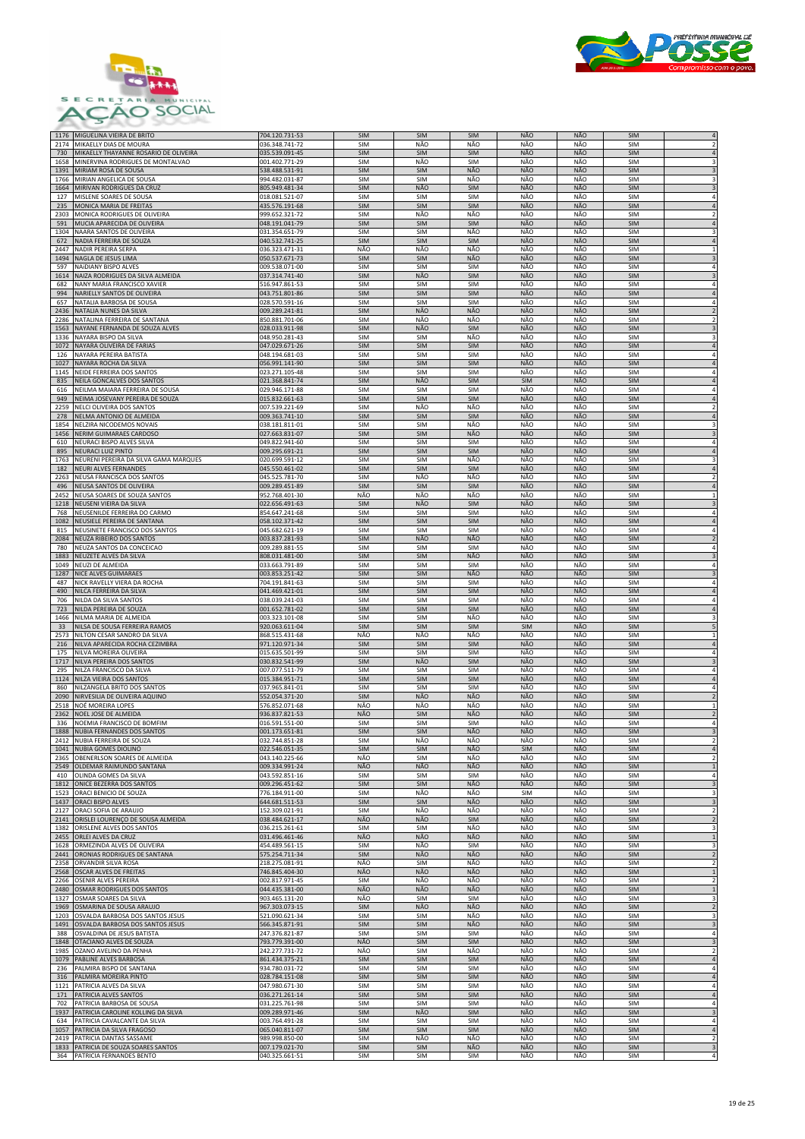



| 2174         | MIKAELLY DIAS DE MOURA                                         | 036.348.741-72                   | <b>SIM</b>               | NÃO        | NÃO                      | NÃO               | NÃO               | <b>SIM</b>               | $\overline{2}$                          |
|--------------|----------------------------------------------------------------|----------------------------------|--------------------------|------------|--------------------------|-------------------|-------------------|--------------------------|-----------------------------------------|
| 730          | MIKAELLY THAYANNE ROSARIO DE OLIVEIRA                          | 035.539.091-45                   | SIM                      | SIM        | <b>SIM</b>               | NÃO               | NÃO               | <b>SIM</b>               |                                         |
| 1658         | MINERVINA RODRIGUES DE MONTALVAO                               | 001.402.771-29                   | SIM                      | NÃO        | <b>SIM</b>               | NÃO               | NÃO               | <b>SIM</b>               | 3                                       |
| 1391<br>1766 | MIRIAM ROSA DE SOUSA<br>MIRIAN ANGELICA DE SOUSA               | 538.488.531-91<br>994.482.031-87 | <b>SIM</b><br>SIM        | SIM<br>SIM | NÃO<br>NÃO               | NÃO<br>NÃO        | NÃO<br>NÃO        | <b>SIM</b><br>SIM        | 3<br>3                                  |
| 1664         | MIRIVAN RODRIGUES DA CRUZ                                      | 805.949.481-34                   | <b>SIM</b>               | NÃO        | SIM                      | NÃO               | NÃO               | <b>SIM</b>               | $\overline{3}$                          |
| 127          | MISLENE SOARES DE SOUSA                                        | 018.081.521-07                   | SIM                      | SIM        | SIM                      | NÃO               | NÃO               | SIM                      |                                         |
| 235          | MONICA MARIA DE FREITAS                                        | 435.576.191-68                   | SIM                      | SIM        | SIM                      | NÃO               | NÃO               | <b>SIM</b>               |                                         |
| 2303         | MONICA RODRIGUES DE OLIVEIRA                                   | 999.652.321-72                   | SIM                      | NÃO<br>SIM | NÃO                      | NÃO<br>NÃO        | NÃO<br>NÃO        | SIM                      | $\overline{4}$                          |
| 591<br>1304  | MUCIA APARECIDA DE OLIVEIRA<br>NAARA SANTOS DE OLIVEIRA        | 048.191.041-79<br>031.354.651-79 | SIM<br>SIM               | SIM        | <b>SIM</b><br>NÃO        | NÃO               | NÃO               | SIM<br>SIM               | 3                                       |
| 672          | NADIA FERREIRA DE SOUZA                                        | 040.532.741-25                   | <b>SIM</b>               | SIM        | <b>SIM</b>               | NÃO               | NÃO               | <b>SIM</b>               | $\overline{4}$                          |
| 2447         | NADIR PEREIRA SERPA                                            | 036.323.471-31                   | NÃO                      | NÃO        | NÃO                      | NÃO               | NÃO               | <b>SIM</b>               |                                         |
| 1494         | NAGLA DE JESUS LIMA                                            | 050.537.671-73                   | SIM                      | SIM        | NÃO                      | NÃO               | <b>NÃO</b>        | <b>SIM</b>               | $\overline{\mathbf{3}}$                 |
| 597<br>1614  | NAIDIANY BISPO ALVES<br>NAIZA RODRIGUES DA SILVA ALMEIDA       | 009.538.071-00<br>037.314.741-40 | SIM<br>SIM               | SIM<br>NÃO | <b>SIM</b><br>SIM        | NÃO<br>NÃO        | NÃO<br>NÃO        | <b>SIM</b><br>SIM        | 4<br>3                                  |
| 682          | NANY MARIA FRANCISCO XAVIER                                    | 516.947.861-53                   | SIM                      | SIM        | SIM                      | NÃO               | NÃO               | SIM                      | 4                                       |
| 994          | NARIELLY SANTOS DE OLIVEIRA                                    | 043.751.801-86                   | SIM                      | SIM        | SIM                      | NÃO               | NÃO               | <b>SIM</b>               |                                         |
| 657<br>2436  | NATALIA BARBOSA DE SOUSA<br>NATALIA NUNES DA SILVA             | 028.570.591-16<br>009.289.241-81 | SIM<br>SIM               | SIM<br>NÃO | SIM<br>NÃO               | NÃO<br>NÃO        | NÃO<br>NÃO        | SIM<br>SIM               | $\overline{4}$                          |
| 2286         | NATALINA FERREIRA DE SANTANA                                   | 850.881.701-06                   | SIM                      | NÃO        | NÃO                      | NÃO               | NÃO               | <b>SIM</b>               |                                         |
| 1563         | NAYANE FERNANDA DE SOUZA ALVES                                 | 028.033.911-98                   | SIM                      | NÃO        | SIM                      | NÃO               | NÃO               | SIM                      | $\sqrt{3}$                              |
| 1336         | NAYARA BISPO DA SILVA                                          | 048.950.281-43                   | <b>SIM</b>               | SIM        | NÃO                      | NÃO               | NÃO               | SIM                      | 3                                       |
| 1072<br>126  | NAYARA OLIVEIRA DE FARIAS<br>NAYARA PEREIRA BATISTA            | 047.029.671-26<br>048.194.681-03 | SIM<br>SIM               | SIM<br>SIM | SIM<br>SIM               | NÃO<br>NÃO        | NÃO<br>NÃO        | <b>SIM</b><br><b>SIM</b> | $\sqrt{4}$<br>$\sqrt{4}$                |
| 1027         | NAYARA ROCHA DA SILVA                                          | 056.991.141-90                   | <b>SIM</b>               | SIM        | <b>SIM</b>               | NÃO               | NÃO               | <b>SIM</b>               | $\overline{4}$                          |
| 1145         | NEIDE FERREIRA DOS SANTOS                                      | 023.271.105-48                   | SIM                      | SIM        | <b>SIM</b>               | NÃO               | NÃO               | <b>SIM</b>               | 4                                       |
| 835<br>616   | NEILA GONCALVES DOS SANTOS<br>NEILMA MAIARA FERREIRA DE SOUSA  | 021.368.841-74<br>029.946.171-88 | SIM<br><b>SIM</b>        | NÃO<br>SIM | <b>SIM</b><br>SIM        | <b>SIM</b><br>NÃO | NÃO<br>NÃO        | <b>SIM</b><br><b>SIM</b> | $\sqrt{4}$                              |
| 949          | NEIMA JOSEVANY PEREIRA DE SOUZA                                | 015.832.661-63                   | SIM                      | SIM        | <b>SIM</b>               | NÃO               | NÃO               | <b>SIM</b>               | $\overline{a}$<br>$\overline{4}$        |
| 2259         | NELCI OLIVEIRA DOS SANTOS                                      | 007.539.221-69                   | SIM                      | NÃO        | NÃO                      | NÃO               | NÃO               | SIM                      | $\overline{2}$                          |
| 278          | NELMA ANTONIO DE ALMEIDA                                       | 009.363.741-10                   | <b>SIM</b>               | SIM        | SIM                      | NÃO               | NÃO               | <b>SIM</b>               |                                         |
| 1854<br>1456 | NELZIRA NICODEMOS NOVAIS<br>NERIM GUIMARAES CARDOSO            | 038.181.811-01<br>027.663.831-07 | SIM<br>SIM               | SIM<br>SIM | NÃO<br>NÃO               | NÃO<br>NÃO        | NÃO<br>NÃO        | SIM<br>SIM               | $\sqrt{3}$                              |
| 610          | NEURACI BISPO ALVES SILVA                                      | 049.822.941-60                   | <b>SIM</b>               | SIM        | SIM                      | NÃO               | NÃO               | SIM                      | 4                                       |
| 895          | NEURACI LUIZ PINTO                                             | 009.295.691-21                   | SIM                      | SIM        | SIM                      | NÃO               | NÃO               | SIM                      | $\sqrt{4}$                              |
| 1763         | NEURENI PEREIRA DA SILVA GAMA MARQUES                          | 020.699.591-12                   | SIM                      | SIM        | NÃO                      | NÃO               | NÃO               | SIM                      | 3                                       |
| 182<br>2263  | NEURI ALVES FERNANDES<br>NEUSA FRANCISCA DOS SANTOS            | 045.550.461-02<br>045.525.781-70 | <b>SIM</b><br><b>SIM</b> | SIM<br>NÃO | SIM<br>NÃO               | NÃO<br>NÃO        | NÃO<br>NÃO        | <b>SIM</b><br><b>SIM</b> | $\overline{4}$                          |
| 496          | NEUSA SANTOS DE OLIVEIRA                                       | 009.289.451-89                   | SIM                      | SIM        | <b>SIM</b>               | NÃO               | NÃO               | SIM                      | $\sqrt{4}$                              |
| 2452         | NEUSA SOARES DE SOUZA SANTOS                                   | 952.768.401-30                   | NÃO                      | NÃO        | NÃO                      | NÃO               | NÃO               | SIM                      | 1                                       |
| 1218         | NEUSENI VIEIRA DA SILVA                                        | 022.656.491-63                   | SIM                      | NÃO        | <b>SIM</b>               | NÃO<br>NÃO        | <b>NÃO</b><br>NÃO | SIM                      | $\overline{\mathbf{3}}$                 |
| 768<br>1082  | NEUSENILDE FERREIRA DO CARMO<br>NEUSIELE PEREIRA DE SANTANA    | 854.647.241-68<br>058.102.371-42 | SIM<br>SIM               | SIM<br>SIM | <b>SIM</b><br>SIM        | NÃO               | NÃO               | <b>SIM</b><br>SIM        | 4                                       |
| 815          | NEUSINETE FRANCISCO DOS SANTOS                                 | 045.682.621-19                   | SIM                      | SIM        | SIM                      | NÃO               | NÃO               | SIM                      |                                         |
| 2084         | NEUZA RIBEIRO DOS SANTOS                                       | 003.837.281-93                   | SIM                      | NÃO        | NÃO                      | NÃO               | NÃO               | SIM                      | $\sqrt{2}$                              |
| 780<br>1883  | NEUZA SANTOS DA CONCEICAO                                      | 009.289.881-55                   | SIM                      | SIM<br>SIM | SIM<br>NÃO               | NÃO<br>NÃO        | NÃO<br>NÃO        | SIM<br>SIM               | 4<br>$\overline{\mathbf{3}}$            |
| 1049         | NEUZETE ALVES DA SILVA<br>NEUZI DE ALMEIDA                     | 808.031.481-00<br>033.663.791-89 | <b>SIM</b><br>SIM        | SIM        | SIM                      | NÃO               | NÃO               | <b>SIM</b>               | $\overline{4}$                          |
| 1287         | NICE ALVES GUIMARAES                                           | 003.853.251-42                   | <b>SIM</b>               | SIM        | NÃO                      | NÃO               | NÃO               | <b>SIM</b>               | $\overline{3}$                          |
| 487          | NICK RAVELLY VIERA DA ROCHA                                    | 704.191.841-63                   | <b>SIM</b>               | SIM        | SIM                      | NÃO               | NÃO               | <b>SIM</b>               |                                         |
| 490<br>706   | NILCA FERREIRA DA SILVA<br>NILDA DA SILVA SANTOS               | 041.469.421-01<br>038.039.241-03 | SIM<br><b>SIM</b>        | SIM<br>SIM | <b>SIM</b><br><b>SIM</b> | NÃO<br>NÃO        | NÃO<br>NÃO        | <b>SIM</b><br><b>SIM</b> | 4                                       |
| 723          | NILDA PEREIRA DE SOUZA                                         | 001.652.781-02                   | SIM                      | SIM        | SIM                      | NÃO               | NÃO               | SIM                      | $\sqrt{4}$                              |
| 1466         | NILMA MARIA DE ALMEIDA                                         | 003.323.101-08                   | SIM                      | SIM        | NÃO                      | NÃO               | NÃO               | SIM                      | 3                                       |
| 33           | NILSA DE SOUSA FERREIRA RAMOS                                  | 920.063.611-04                   | SIM                      | SIM        | <b>SIM</b>               | <b>SIM</b>        | NÃO               | <b>SIM</b>               | $\mathsf S$                             |
| 2573<br>216  | NILTON CESAR SANDRO DA SILVA<br>NILVA APARECIDA ROCHA CEZIMBRA | 868.515.431-68<br>971.120.971-34 | NÃO<br>SIM               | NÃO<br>SIM | NÃO<br><b>SIM</b>        | NÃO<br>NÃO        | NÃO<br>NÃO        | SIM<br>SIM               | $\overline{4}$                          |
| 175          | NILVA MOREIRA OLIVEIRA                                         | 015.635.501-99                   | SIM                      | SIM        | <b>SIM</b>               | NÃO               | NÃO               | SIM                      | 4                                       |
| 1717         | NILVA PEREIRA DOS SANTOS                                       | 030.832.541-99                   | <b>SIM</b>               | NÃO        | <b>SIM</b>               | NÃO               | NÃO               | <b>SIM</b>               | 3                                       |
| 295<br>1124  | NILZA FRANCISCO DA SILVA<br>NILZA VIEIRA DOS SANTOS            | 007.077.511-79<br>015.384.951-71 | SIM                      | SIM<br>SIM | <b>SIM</b><br><b>SIM</b> | NÃO<br>NÃO        | NÃO<br>NÃO        | <b>SIM</b><br><b>SIM</b> | $\overline{4}$<br>$\overline{4}$        |
| 860          | NILZANGELA BRITO DOS SANTOS                                    | 037.965.841-01                   | <b>SIM</b><br><b>SIM</b> | SIM        | SIM                      | NÃO               | NÃO               | SIM                      | $\overline{4}$                          |
| 2090         | NIRVESILIA DE OLIVEIRA AQUINO                                  | 552.054.371-20                   | SIM                      | NÃO        | NÃO                      | NÃO               | <b>NÃO</b>        | <b>SIM</b>               |                                         |
| 2518         | NOÉ MOREIRA LOPES                                              | 576.852.071-68                   | NÃO                      | NÃO        | NÃO                      | NÃO               | NÃO               | <b>SIM</b>               | $\mathbf{1}$                            |
| 2362<br>336  | NOEL JOSE DE ALMEIDA<br>NOEMIA FRANCISCO DE BOMFIM             | 936.837.821-53<br>016.591.551-00 | <b>NÃO</b><br>SIM        | SIM<br>SIM | NÃO<br>SIM               | NÃO<br>NÃO        | NÃO<br>NÃO        | SIM<br><b>SIM</b>        | 4                                       |
| 1888         | NUBIA FERNANDES DOS SANTOS                                     | 001.173.651-81                   | SIM                      | SIM        | NÃO                      | NÃO               | NÃO               | <b>SIM</b>               |                                         |
| 2412         | NUBIA FERREIRA DE SOUZA                                        | 032.744.851-28                   | SIM                      | NÃO        | NÃO                      | NÃO               | NÃO               | SIM                      |                                         |
| 1041         | NUBIA GOMES DIOLINO                                            | 022.546.051-35                   | <b>SIM</b>               | <b>SIM</b> | NÃO                      | <b>SIM</b>        | NÃO               | <b>SIM</b>               | 4                                       |
| 2365         | OBENERLSON SOARES DE ALMEIDA<br>2549 OLDEMAR RAIMUNDO SANTANA  | 043.140.225-66<br>009.334.991-24 | NÃO<br>NÃO               | SIM<br>NÃO | NÃO<br>NÃO               | NÃO<br>NÃO        | NÃO<br>NÃO        | <b>SIM</b><br>SIM        | $\overline{\mathbf{c}}$<br>$\mathbf{1}$ |
| 410          | OLINDA GOMES DA SILVA                                          | 043.592.851-16                   | SIM                      | SIM        | SIM                      | NÃO               | NÃO               | SIM                      | 4                                       |
| 1812         | ONICE BEZERRA DOS SANTOS                                       | 009.296.451-62                   | <b>SIM</b>               | SIM        | NÃO                      | NÃO               | NÃO               | SIM                      | $\overline{\mathbf{3}}$                 |
| 1437         | 1523 ORACI BENICIO DE SOUZA<br><b>ORACI BISPO ALVES</b>        | 776.184.911-00<br>644.681.511-53 | SIM<br><b>SIM</b>        | NÃO<br>SIM | NÃO<br>NÃO               | <b>SIM</b><br>NÃO | NÃO<br>NÃO        | SIM<br><b>SIM</b>        | 3<br>$\overline{\mathbf{3}}$            |
| 2127         | ORACI SOFIA DE ARAUJO                                          | 152.309.021-91                   | SIM                      | NÃO        | NÃO                      | NÃO               | NÃO               | <b>SIM</b>               | $\boldsymbol{2}$                        |
| 2141         | ORISLEI LOURENÇO DE SOUSA ALMEIDA                              | 038.484.621-17                   | NÃO                      | NÃO        | SIM                      | NÃO               | NÃO               | SIM                      | $\overline{2}$                          |
| 1382         | ORISLENE ALVES DOS SANTOS                                      | 036.215.261-61                   | SIM                      | SIM        | NÃO                      | NÃO               | NÃO               | SIM                      | 3                                       |
| 2455<br>1628 | ORLEI ALVES DA CRUZ<br>ORMEZINDA ALVES DE OLIVEIRA             | 031.496.461-46<br>454.489.561-15 | NÃO<br>SIM               | NÃO<br>NÃO | NÃO<br>SIM               | NÃO<br>NÃO        | NÃO<br>NÃO        | SIM<br>SIM               | $\mathbf{1}$<br>3                       |
| 2441         | ORONIAS RODRIGUES DE SANTANA                                   | 575.254.711-34                   | <b>SIM</b>               | NÃO        | NÃO                      | NÃO               | NÃO               | SIM                      | $\overline{2}$                          |
| 2358         | ORVANDIR SILVA ROSA                                            | 218.275.081-91                   | NÃO                      | SIM        | NÃO                      | NÃO               | NÃO               | SIM                      | $\overline{2}$                          |
| 2568<br>2266 | OSCAR ALVES DE FREITAS<br><b>OSENIR ALVES PEREIRA</b>          | 746.845.404-30<br>002.817.971-45 | NÃO<br>SIM               | NÃO<br>NÃO | NÃO<br>NÃO               | NÃO<br>NÃO        | NÃO<br>NÃO        | SIM<br>SIM               | $\,1\,$<br>$\overline{2}$               |
| 2480         | OSMAR RODRIGUES DOS SANTOS                                     | 044.435.381-00                   | NÃO                      | NÃO        | NÃO                      | NÃO               | NÃO               | SIM                      | $\mathbf 1$                             |
| 1327         | OSMAR SOARES DA SILVA                                          | 903.465.131-20                   | NÃO                      | SIM        | SIM                      | NÃO               | NÃO               | SIM                      | $\overline{\mathbf{3}}$                 |
| 1969<br>1203 | OSMARINA DE SOUSA ARAUJO<br>OSVALDA BARBOSA DOS SANTOS JESUS   | 967.303.073-15<br>521.090.621-34 | <b>SIM</b><br>SIM        | NÃO<br>SIM | NÃO<br>NÃO               | NÃO<br>NÃO        | NÃO<br>NÃO        | SIM<br>SIM               | $\overline{2}$                          |
| 1491         | OSVALDA BARBOSA DOS SANTOS JESUS                               | 566.345.871-91                   | SIM                      | SIM        | NÃO                      | NÃO               | NÃO               | <b>SIM</b>               | 3<br>$\ensuremath{\mathsf{3}}$          |
| 388          | OSVALDINA DE JESUS BATISTA                                     | 247.376.821-87                   | SIM                      | SIM        | SIM                      | NÃO               | NÃO               | SIM                      | 4                                       |
|              | 1848   OTACIANO ALVES DE SOUZA                                 | 793.779.391-00                   | NÃO                      | SIM        | SIM                      | NÃO               | NÃO               | SIM                      | $\overline{3}$                          |
| 1985<br>1079 | OZANO AVELINO DA PENHA<br>PABLINE ALVES BARBOSA                | 242.277.731-72<br>861.434.375-21 | NÃO<br>SIM               | SIM<br>SIM | NÃO<br>SIM               | NÃO<br>NÃO        | NÃO<br>NÃO        | SIM<br>SIM               | $\overline{2}$<br>$\sqrt{4}$            |
| 236          | PALMIRA BISPO DE SANTANA                                       | 934.780.031-72                   | SIM                      | SIM        | SIM                      | NÃO               | NÃO               | SIM                      | 4                                       |
| 316          | PALMIRA MOREIRA PINTO                                          | 028.784.151-08                   | SIM                      | SIM        | SIM                      | NÃO               | NÃO               | SIM                      | $\sqrt{4}$                              |
| 1121         | PATRICIA ALVES DA SILVA                                        | 047.980.671-30                   | SIM                      | SIM        | SIM                      | NÃO<br>NÃO        | NÃO<br>NÃO        | SIM                      | $\sqrt{4}$                              |
| 171<br>702   | PATRICIA ALVES SANTOS<br>PATRICIA BARBOSA DE SOUSA             | 036.271.261-14<br>031.225.761-98 | SIM<br>SIM               | SIM<br>SIM | SIM<br>SIM               | NÃO               | NÃO               | SIM<br>SIM               | $\overline{4}$<br>$\overline{4}$        |
| 1937         | PATRICIA CAROLINE KOLLING DA SILVA                             | 009.289.971-46                   | <b>SIM</b>               | NÃO        | <b>SIM</b>               | NÃO               | NÃO               | <b>SIM</b>               | $\overline{3}$                          |
| 634          | PATRICIA CAVALCANTE DA SILVA                                   | 003.764.491-28                   | SIM                      | SIM        | <b>SIM</b>               | NÃO               | NÃO               | SIM                      | $\overline{4}$                          |
| 1057<br>2419 | PATRICIA DA SILVA FRAGOSO<br>PATRICIA DANTAS SASSAME           | 065.040.811-07<br>989.998.850-00 | SIM<br><b>SIM</b>        | SIM<br>NÃO | SIM<br>NÃO               | NÃO<br>NÃO        | NÃO<br>NÃO        | SIM<br><b>SIM</b>        | $\sqrt{4}$<br>$\overline{2}$            |
| 1833         | PATRICIA DE SOUZA SOARES SANTOS                                | 007.179.021-70                   | SIM                      | SIM        | NÃO                      | NÃO               | NÃO               | SIM                      | $\overline{\mathbf{3}}$                 |
|              | 364 PATRICIA FERNANDES BENTO                                   | 040.325.661-51                   | SIM                      | SIM        | SIM                      | NÃO               | NÃO               | SIM                      | 4                                       |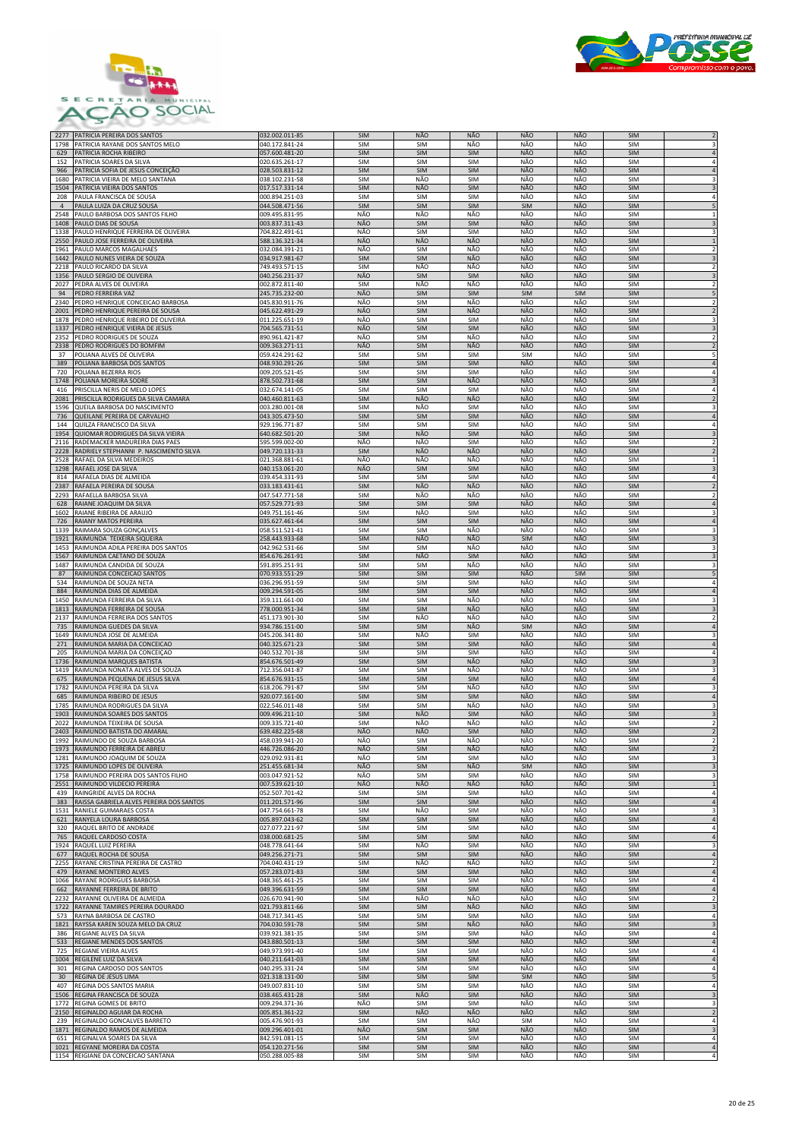



| 1798                   | PATRICIA RAYANE DOS SANTOS MELO                                          | 040.172.841-24                   | <b>SIM</b>               | <b>SIM</b>        | NÃO                      | NÃO               | NÃO               | <b>SIM</b>               | 3                                |
|------------------------|--------------------------------------------------------------------------|----------------------------------|--------------------------|-------------------|--------------------------|-------------------|-------------------|--------------------------|----------------------------------|
| 629                    | PATRICIA ROCHA RIBEIRO                                                   | 057.600.481-20                   | SIM                      | SIM               | <b>SIM</b>               | NÃO               | NÃO               | SIM                      | $\overline{4}$                   |
| 152                    | PATRICIA SOARES DA SILVA<br>PATRICIA SOFIA DE JESUS CONCEIÇÃO            | 020.635.261-17                   | <b>SIM</b><br><b>SIM</b> | SIM<br>SIM        | <b>SIM</b><br><b>SIM</b> | NÃO<br>NÃO        | NÃO<br>NÃO        | <b>SIM</b><br><b>SIM</b> | 4<br>$\sqrt{4}$                  |
| 966<br>1680            | PATRICIA VIEIRA DE MELO SANTANA                                          | 028.503.831-12<br>038.102.231-58 | SIM                      | NÃO               | <b>SIM</b>               | NÃO               | NÃO               | <b>SIM</b>               | 3                                |
| 1504                   | PATRICIA VIEIRA DOS SANTOS                                               | 017.517.331-14                   | SIM                      | NÃO               | SIM                      | NÃO               | NÃO               | <b>SIM</b>               | $\overline{3}$                   |
| 208                    | PAULA FRANCISCA DE SOUSA                                                 | 000.894.251-03                   | SIM                      | SIM               | SIM                      | NÃO               | NÃO               | SIM                      |                                  |
| $\overline{4}$<br>2548 | PAULA LUIZA DA CRUZ SOUSA<br>PAULO BARBOSA DOS SANTOS FILHO              | 044.508.471-56<br>009.495.831-95 | SIM<br>NÃO               | SIM<br>NÃO        | SIM<br>NÃO               | <b>SIM</b><br>NÃO | NÃO<br>NÃO        | SIM<br>SIM               | $\mathbf{1}$                     |
| 1408                   | PAULO DIAS DE SOUSA                                                      | 003.837.311-43                   | NÃO                      | SIM               | <b>SIM</b>               | NÃO               | NÃO               | <b>SIM</b>               | $\overline{3}$                   |
| 1338                   | PAULO HENRIQUE FERREIRA DE OLIVEIRA                                      | 704.822.491-61                   | NÃO                      | SIM               | <b>SIM</b>               | NÃO               | NÃO               | SIM                      | 3                                |
| 2550                   | PAULO JOSE FERREIRA DE OLIVEIRA                                          | 588.136.321-34                   | NÃO                      | NÃO               | NÃO                      | NÃO               | NÃO               | <b>SIM</b>               | $\mathbf{1}$<br>$\overline{2}$   |
| 1961<br>1442           | PAULO MARCOS MAGALHAES<br>PAULO NUNES VIEIRA DE SOUZA                    | 032.084.391-21<br>034.917.981-67 | NÃO<br>SIM               | SIM<br>SIM        | NÃO<br>NÃO               | NÃO<br>NÃO        | NÃO<br>NÃO        | SIM<br><b>SIM</b>        |                                  |
| 2218                   | PAULO RICARDO DA SILVA                                                   | 749.493.571-15                   | SIM                      | NÃO               | NÃO                      | NÃO               | NÃO               | <b>SIM</b>               | $\overline{\mathbf{c}}$          |
| 1356                   | PAULO SERGIO DE OLIVEIRA                                                 | 040.256.231-37                   | NÃO                      | SIM               | SIM                      | NÃO               | NÃO               | <b>SIM</b>               | 3                                |
| 2027<br>94             | PEDRA ALVES DE OLIVEIRA<br>PEDRO FERREIRA VAZ                            | 002.872.811-40<br>245.735.232-00 | SIM<br>NÃO               | NÃO<br>SIM        | NÃO<br>SIM               | NÃO<br><b>SIM</b> | NÃO<br><b>SIM</b> | <b>SIM</b><br>SIM        | $\overline{2}$                   |
| 2340                   | PEDRO HENRIQUE CONCEICAO BARBOSA                                         | 045.830.911-76                   | NÃO                      | SIM               | NÃO                      | NÃO               | NÃO               | SIM                      | $\overline{2}$                   |
| 2001                   | EDRO HENRIQUE PEREIRA DE SOUSA                                           | 045.622.491-29                   | NÃO                      | SIM               | NÃO                      | NÃO               | NÃO               | <b>SIM</b>               |                                  |
| 1878                   | PEDRO HENRIQUE RIBEIRO DE OLIVEIRA                                       | 011.225.651-19                   | NÃO<br>NÃO               | SIM               | SIM<br>SIM               | NÃO               | NÃO               | <b>SIM</b>               | 3                                |
| 1337<br>2352           | PEDRO HENRIQUE VIEIRA DE JESUS<br>PEDRO RODRIGUES DE SOUZA               | 704.565.731-51<br>890.961.421-87 | NÃO                      | SIM<br>SIM        | NÃO                      | NÃO<br>NÃO        | NÃO<br>NÃO        | SIM<br><b>SIM</b>        | 3<br>$\overline{2}$              |
| 2338                   | PEDRO RODRIGUES DO BOMFIM                                                | 009.363.271-11                   | NÃO                      | SIM               | NÃO                      | NÃO               | NÃO               | <b>SIM</b>               | $\overline{\phantom{0}}$         |
| 37                     | POLIANA ALVES DE OLIVEIRA                                                | 059.424.291-62                   | SIM                      | SIM               | <b>SIM</b>               | <b>SIM</b>        | NÃO               | <b>SIM</b>               | 5                                |
| 389<br>720             | POLIANA BARBOSA DOS SANTOS<br>POLIANA BEZERRA RIOS                       | 048.930.291-26<br>009.205.521-45 | <b>SIM</b><br>SIM        | SIM<br><b>SIM</b> | SIM<br><b>SIM</b>        | <b>NÃO</b><br>NÃO | <b>NÃO</b><br>NÃO | SIM<br><b>SIM</b>        | $\overline{4}$<br>$\sqrt{4}$     |
| 1748                   | POLIANA MOREIRA SODRE                                                    | 878.502.731-68                   | <b>SIM</b>               | SIM               | <b>NÃO</b>               | NÃO               | NÃO               | <b>SIM</b>               | $\ensuremath{\mathsf{3}}$        |
| 416                    | PRISCILLA NERIS DE MELO LOPES                                            | 032.674.141-05                   | SIM                      | SIM               | SIM                      | NÃO               | NÃO               | SIM                      | 4                                |
| 2081<br>1596           | PRISCILLA RODRIGUES DA SILVA CAMARA                                      | 040.460.811-63                   | <b>SIM</b><br><b>SIM</b> | NÃO<br>NÃO        | NÃO<br>SIM               | NÃO<br>NÃO        | NÃO<br>NÃO        | <b>SIM</b><br><b>SIM</b> | $\overline{\phantom{0}}$<br>3    |
| 736                    | QUEILA BARBOSA DO NASCIMENTO<br>QUEILANE PEREIRA DE CARVALHO             | 003.280.001-08<br>043.305.473-50 | <b>SIM</b>               | SIM               | <b>SIM</b>               | NÃO               | NÃO               | <b>SIM</b>               | $\overline{4}$                   |
| 144                    | QUILZA FRANCISCO DA SILVA                                                | 929.196.771-87                   | <b>SIM</b>               | SIM               | SIM                      | NÃO               | NÃO               | <b>SIM</b>               |                                  |
| 1954                   | QUIOMAR RODRIGUES DA SILVA VIEIRA                                        | 640.682.501-20                   | SIM                      | NÃO               | SIM                      | NÃO               | NÃO               | SIM                      | 3                                |
| 2116<br>2228           | RADEMACKER MADUREIRA DIAS PAES<br>RADRIELY STEPHANNI P. NASCIMENTO SILVA | 595.599.002-00<br>049.720.131-33 | NÃO<br><b>SIM</b>        | NÃO<br>NÃO        | SIM<br>NÃO               | NÃO<br>NÃO        | NÃO<br>NÃO        | SIM<br>SIM               | $\overline{2}$<br>$\overline{2}$ |
| 2528                   | RAFAEL DA SILVA MEDEIROS                                                 | 021.368.881-61                   | NÃO                      | NÃO               | NÃO                      | NÃO               | NÃO               | SIM                      | $\mathbf{1}$                     |
| 1298                   | RAFAEL JOSE DA SILVA                                                     | 040.153.061-20                   | NÃO                      | SIM               | <b>SIM</b>               | NÃO               | NÃO               | <b>SIM</b>               | $\overline{3}$                   |
| 814                    | RAFAELA DIAS DE ALMEIDA                                                  | 039.454.331-93                   | <b>SIM</b>               | <b>SIM</b>        | <b>SIM</b>               | NÃO               | NÃO               | <b>SIM</b>               |                                  |
| 2387<br>2293           | RAFAELA PEREIRA DE SOUSA<br>RAFAELLA BARBOSA SILVA                       | 033.183.431-61<br>047.547.771-58 | <b>SIM</b><br>SIM        | NÃO<br>NÃO        | NÃO<br>NÃO               | NÃO<br>NÃO        | NÃO<br>NÃO        | <b>SIM</b><br><b>SIM</b> | $\mathbf 2$<br>$\overline{2}$    |
| 628                    | RAIANE JOAQUIM DA SILVA                                                  | 057.529.771-93                   | SIM                      | SIM               | <b>SIM</b>               | NÃO               | NÃO               | <b>SIM</b>               | $\sqrt{4}$                       |
| 1602                   | RAIANE RIBEIRA DE ARAUJO                                                 | 049.751.161-46                   | SIM                      | NÃO               | <b>SIM</b>               | NÃO               | NÃO               | SIM                      | 3                                |
| 726<br>1339            | RAIANY MATOS PEREIRA<br>RAIMARA SOUZA GONÇALVES                          | 035.627.461-64<br>058.511.521-41 | SIM<br>SIM               | SIM<br>SIM        | SIM<br>NÃO               | NÃO<br>NÃO        | NÃO<br>NÃO        | <b>SIM</b><br>SIM        | $\overline{\mathbf{4}}$          |
| 1921                   | RAIMUNDA TEIXEIRA SIQUEIRA                                               | 258.443.933-68                   | <b>SIM</b>               | NÃO               | NÃO                      | <b>SIM</b>        | NÃO               | SIM                      |                                  |
| 1453                   | RAIMUNDA ADILA PEREIRA DOS SANTOS                                        | 042.962.531-66                   | SIM                      | SIM               | NÃO                      | NÃO               | NÃO               | SIM                      | 3                                |
| 1567                   | RAIMUNDA CAETANO DE SOUZA                                                | 854.676.261-91                   | <b>SIM</b>               | NÃO               | SIM                      | NÃO               | NÃO               | <b>SIM</b>               | $\overline{\mathbf{3}}$          |
| 1487<br>87             | RAIMUNDA CANDIDA DE SOUZA<br>RAIMUNDA CONCEICAO SANTOS                   | 591.895.251-91<br>070.933.551-29 | SIM<br><b>SIM</b>        | SIM<br>SIM        | NÃO<br>SIM               | NÃO<br>NÃO        | NÃO<br><b>SIM</b> | <b>SIM</b><br><b>SIM</b> | 3<br>5                           |
| 534                    | RAIMUNDA DE SOUZA NETA                                                   | 036.296.951-59                   | <b>SIM</b>               | SIM               | <b>SIM</b>               | NÃO               | NÃO               | <b>SIM</b>               |                                  |
| 884                    | RAIMUNDA DIAS DE ALMEIDA                                                 | 009.294.591-05                   | <b>SIM</b>               | SIM               | <b>SIM</b>               | NÃO               | NÃO               | <b>SIM</b>               | $\overline{4}$                   |
| 1450<br>1813           | RAIMUNDA FERREIRA DA SILVA<br>RAIMUNDA FERREIRA DE SOUSA                 | 359.111.661-00<br>778.000.951-34 | <b>SIM</b><br>SIM        | SIM<br>SIM        | NÃO<br><b>NÃO</b>        | NÃO<br><b>NÃO</b> | NÃO<br><b>NÃO</b> | <b>SIM</b><br><b>SIM</b> | 3<br>$\overline{3}$              |
| 2137                   | RAIMUNDA FERREIRA DOS SANTOS                                             | 451.173.901-30                   | SIM                      | NÃO               | NÃO                      | NÃO               | NÃO               | SIM                      | $\overline{\phantom{a}}$         |
| 735                    | RAIMUNDA GUEDES DA SILVA                                                 | 934.786.151-00                   | <b>SIM</b>               | SIM               | NÃO                      | <b>SIM</b>        | NÃO               | <b>SIM</b>               | $\sqrt{4}$                       |
| 1649                   | RAIMUNDA JOSE DE ALMEIDA                                                 | 045.206.341-80                   | SIM                      | NÃO               | SIM                      | NÃO               | NÃO               | SIM                      | 3                                |
| 271<br>205             | RAIMUNDA MARIA DA CONCEICAO<br>RAIMUNDA MARIA DA CONCEIÇÃO               | 040.325.671-23<br>040.532.701-38 | <b>SIM</b><br>SIM        | SIM<br>SIM        | <b>SIM</b><br>SIM        | NÃO<br>NÃO        | NÃO<br>NÃO        | SIM<br><b>SIM</b>        | $\overline{4}$<br>4              |
| 1736                   | RAIMUNDA MARQUES BATISTA                                                 | 854.676.501-49                   | <b>SIM</b>               | SIM               | NÃO                      | NÃO               | NÃO               | <b>SIM</b>               | 3                                |
| 1419                   | RAIMUNDA NONATA ALVES DE SOUZA                                           | 712.356.041-87                   | <b>SIM</b>               | SIM               | NÃO                      | NÃO               | NÃO               | <b>SIM</b>               | 3                                |
| 675<br>1782            | RAIMUNDA PEQUENA DE JESUS SILVA<br>RAIMUNDA PEREIRA DA SILVA             | 854.676.931-15<br>618.206.791-87 | <b>SIM</b><br><b>SIM</b> | SIM<br>SIM        | SIM<br>NÃO               | NÃO<br>NÃO        | NÃO<br>NÃO        | <b>SIM</b><br>SIM        | $\sqrt{4}$<br>3                  |
| 685                    | RAIMUNDA RIBEIRO DE JESUS                                                | 920.077.161-00                   | <b>SIM</b>               | SIM               | SIM                      | NÃO               | <b>NÃO</b>        | SIM                      |                                  |
| 1785                   | RAIMUNDA RODRIGUES DA SILVA                                              | 022.546.011-48                   | SIM                      | SIM               | NÃO                      | NÃO               | NÃO               | SIM                      | 3                                |
| 1903                   | RAIMUNDA SOARES DOS SANTOS                                               | 009.496.211-10                   | <b>SIM</b>               | NÃO               | <b>SIM</b>               | NÃO               | NÃO               | SIM                      |                                  |
| 2022<br>2403           | RAIMUNDA TEIXEIRA DE SOUSA<br>RAIMUNDO BATISTA DO AMARAL                 | 009.335.721-40<br>639.482.225-68 | SIM<br>NÃO               | NÃO<br>NÃO        | NÃO<br><b>SIM</b>        | NÃO<br>NÃO        | NÃO<br>NÃO        | SIM<br><b>SIM</b>        | $\boldsymbol{2}$                 |
|                        | 1992 RAIMUNDO DE SOUZA BARBOSA                                           | 458.039.941-20                   | NÃO                      | SIM               | NÃO                      | NÃO               | NÃO               | <b>SIM</b>               |                                  |
| 1973                   | RAIMUNDO FERREIRA DE ABREU                                               | 446.726.086-20                   | NÃO                      | SIM               | NÃO                      | NÃO               | NÃO               | <b>SIM</b>               |                                  |
| 1281                   | RAIMUNDO JOAQUIM DE SOUZA                                                | 029.092.931-81                   | NÃO<br>NÃO               | SIM<br>SIM        | SIM<br>NÃO               | NÃO<br>SIM        | NÃO<br>NÃO        | SIM<br>SIM               | 3<br>$\overline{\mathbf{3}}$     |
| 1725<br>1758           | RAIMUNDO LOPES DE OLIVEIRA<br>RAIMUNDO PEREIRA DOS SANTOS FILHO          | 251.455.681-34<br>003.047.921-52 | NÃO                      | SIM               | SIM                      | NÃO               | NÃO               | SIM                      | 3                                |
| 2551                   | RAIMUNDO VILDECIO PEREIRA                                                | 007.539.621-10                   | NÃO                      | NÃO               | NÃO                      | NÃO               | NÃO               | SIM                      | $\mathbf 1$                      |
| 439                    | RAINGRIDE ALVES DA ROCHA                                                 | 052.507.701-42                   | SIM                      | SIM<br>SIM        | SIM<br><b>SIM</b>        | NÃO<br>NÃO        | NÃO<br>NÃO        | SIM<br><b>SIM</b>        | $\overline{4}$                   |
| 383<br>1531            | RAISSA GABRIELA ALVES PEREIRA DOS SANTOS<br>RANIELE GUIMARAES COSTA      | 011.201.571-96<br>047.754.661-78 | SIM<br>SIM               | NÃO               | SIM                      | NÃO               | NÃO               | SIM                      | $\sqrt{4}$<br>3                  |
| 621                    | RANYELA LOURA BARBOSA                                                    | 005.897.043-62                   | <b>SIM</b>               | SIM               | <b>SIM</b>               | NÃO               | NÃO               | SIM                      | 4                                |
| 320                    | RAQUEL BRITO DE ANDRADE<br>RAQUEL CARDOSO COSTA                          | 027.077.221-97                   | SIM                      | SIM               | SIM                      | NÃO               | NÃO               | SIM                      | $\overline{4}$                   |
| 765<br>1924            | RAQUEL LUIZ PEREIRA                                                      | 038.000.681-25<br>048.778.641-64 | SIM<br>SIM               | SIM<br>NÃO        | SIM<br>SIM               | NÃO<br>NÃO        | NÃO<br>NÃO        | SIM<br>SIM               | $\sqrt{4}$<br>3                  |
| 677                    | RAQUEL ROCHA DE SOUSA                                                    | 049.256.271-71                   | <b>SIM</b>               | SIM               | SIM                      | <b>NÃO</b>        | <b>NÃO</b>        | SIM                      | $\overline{4}$                   |
| 2255                   | RAYANE CRISTINA PEREIRA DE CASTRO                                        | 704.040.431-19                   | SIM                      | NÃO               | NÃO                      | NÃO               | NÃO               | SIM                      | $\overline{2}$                   |
| 479<br>1066            | RAYANE MONTEIRO ALVES<br>RAYANE RODRIGUES BARBOSA                        | 057.283.071-83<br>048.365.461-25 | <b>SIM</b><br>SIM        | SIM<br>SIM        | SIM<br>SIM               | NÃO<br>NÃO        | NÃO<br>NÃO        | <b>SIM</b><br>SIM        | $\sqrt{4}$<br>$\overline{4}$     |
| 662                    | RAYANNE FERREIRA DE BRITO                                                | 049.396.631-59                   | SIM                      | SIM               | SIM                      | NÃO               | NÃO               | SIM                      | $\sqrt{4}$                       |
| 2232                   | RAYANNE OLIVEIRA DE ALMEIDA                                              | 026.670.941-90                   | SIM                      | NÃO               | NÃO                      | NÃO               | NÃO               | SIM                      | $\overline{2}$                   |
| 1722                   | RAYANNE TAMIRES PEREIRA DOURADO                                          | 021.793.811-66                   | <b>SIM</b>               | SIM               | NÃO                      | NÃO               | NÃO               | SIM                      | 3                                |
| 573<br>1821            | RAYNA BARBOSA DE CASTRO<br>RAYSSA KAREN SOUZA MELO DA CRUZ               | 048.717.341-45<br>704.030.591-78 | <b>SIM</b><br><b>SIM</b> | SIM<br>SIM        | SIM<br>NÃO               | NÃO<br>NÃO        | NÃO<br>NÃO        | SIM<br>SIM               | 4<br>3                           |
| 386                    | REGIANE ALVES DA SILVA                                                   | 039.921.381-35                   | <b>SIM</b>               | SIM               | SIM                      | NÃO               | NÃO               | SIM                      | $\overline{4}$                   |
| 533                    | REGIANE MENDES DOS SANTOS                                                | 043.880.501-13                   | SIM                      | SIM               | SIM                      | NÃO               | NÃO               | SIM                      | $\overline{4}$                   |
| 725<br>1004            | REGIANE VIEIRA ALVES<br>REGILENE LUIZ DA SILVA                           | 049.973.991-40<br>040.211.641-03 | SIM<br><b>SIM</b>        | SIM<br>SIM        | SIM<br><b>SIM</b>        | NÃO<br>NÃO        | NÃO<br>NÃO        | SIM<br>SIM               | $\sqrt{4}$<br>$\sqrt{4}$         |
| 301                    | REGINA CARDOSO DOS SANTOS                                                | 040.295.331-24                   | SIM                      | SIM               | SIM                      | NÃO               | NÃO               | SIM                      | $\overline{4}$                   |
| 30                     | REGINA DE JESUS LIMA                                                     | 021.318.131-00                   | <b>SIM</b>               | SIM               | <b>SIM</b>               | <b>SIM</b>        | NÃO               | <b>SIM</b>               | 5                                |
| 407                    | REGINA DOS SANTOS MARIA                                                  | 049.007.831-10                   | SIM                      | SIM               | SIM                      | NÃO               | NÃO               | SIM                      | $\sqrt{4}$                       |
| 1506<br>1772           | REGINA FRANCISCA DE SOUZA<br>REGINA GOMES DE BRITO                       | 038.465.431-28<br>009.294.371-36 | <b>SIM</b><br>NÃO        | NÃO<br>SIM        | SIM<br>SIM               | NÃO<br>NÃO        | NÃO<br>NÃO        | SIM<br>SIM               | $\overline{\mathbf{3}}$<br>3     |
| 2150                   | REGINALDO AGUIAR DA ROCHA                                                | 005.851.361-22                   | SIM                      | NÃO               | NÃO                      | NÃO               | NÃO               | SIM                      | $\overline{2}$                   |
| 239                    | REGINALDO GONCALVES BARRETO                                              | 005.476.901-93                   | <b>SIM</b>               | SIM               | NÃO                      | <b>SIM</b>        | NÃO               | SIM                      | 4                                |
| 1871<br>651            | REGINALDO RAMOS DE ALMEIDA<br>REGINALVA SOARES DA SILVA                  | 009.296.401-01<br>842.591.081-15 | NÃO<br>SIM               | SIM<br>SIM        | <b>SIM</b><br><b>SIM</b> | NÃO<br>NÃO        | NÃO<br>NÃO        | <b>SIM</b><br>SIM        | 3<br>$\sqrt{4}$                  |
| 1021                   | REGYANE MOREIRA DA COSTA                                                 | 054.120.271-56                   | <b>SIM</b>               | SIM               | SIM                      | NÃO               | NÃO               | SIM                      | $\sqrt{4}$                       |
|                        | 1154 REIGIANE DA CONCEICAO SANTANA                                       | 050.288.005-88                   | SIM                      | SIM               | SIM                      | NÃO               | NÃO               | SIM                      | 4                                |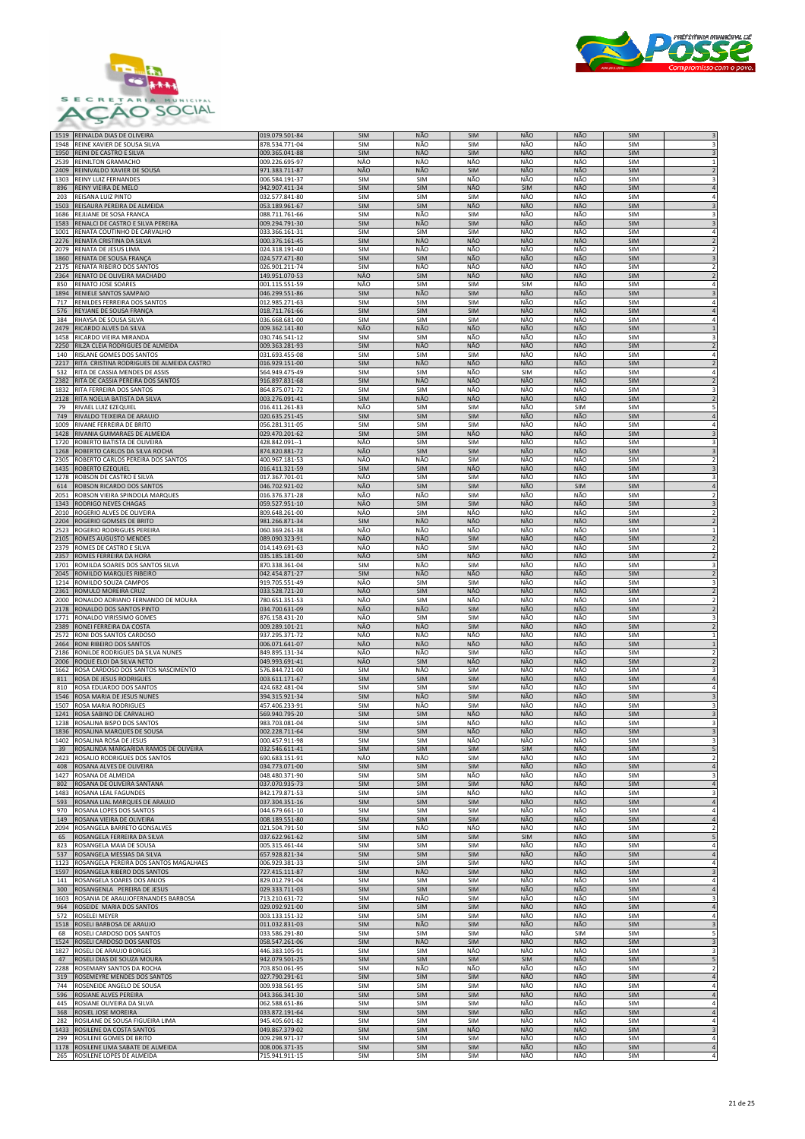



| 1519         | REINALDA DIAS DE OLIVEIRA                                     | 019.079.501-84                   | <b>SIM</b>               | NÃO                      | <b>SIM</b>               | NÃO        | <b>NÃO</b> | <b>SIM</b>               |                                           |
|--------------|---------------------------------------------------------------|----------------------------------|--------------------------|--------------------------|--------------------------|------------|------------|--------------------------|-------------------------------------------|
| 1948         | REINE XAVIER DE SOUSA SILVA                                   | 878.534.771-04                   | SIM                      | NÃO                      | SIM                      | NÃO        | NÃO        | <b>SIM</b>               | 3                                         |
| 1950         | REINI DE CASTRO E SILVA                                       | 009.365.041-88                   | SIM                      | NÃO                      | <b>SIM</b>               | NÃO        | NÃO        | <b>SIM</b>               | $\overline{3}$                            |
| 2539         | REINILTON GRAMACHO<br>REINIVALDO XAVIER DE SOUSA              | 009.226.695-97                   | NÃO                      | NÃO                      | NÃO                      | NÃO        | NÃO        | <b>SIM</b>               |                                           |
| 2409<br>1303 | REINY LUIZ FERNANDES                                          | 971.383.711-87<br>006.584.191-37 | NÃO<br>SIM               | NÃO<br><b>SIM</b>        | SIM<br>NÃO               | NÃO<br>NÃO | NÃO<br>NÃO | <b>SIM</b><br><b>SIM</b> |                                           |
| 896          | REINY VIEIRA DE MELO                                          | 942.907.411-34                   | <b>SIM</b>               | SIM                      | NÃO                      | SIM        | NÃO        | SIM                      |                                           |
| 203          | REISANA LUIZ PINTO                                            | 032.577.841-80                   | SIM                      | <b>SIM</b>               | SIM                      | NÃO        | NÃO        | SIM                      |                                           |
| 1503         | REISAURA PEREIRA DE ALMEIDA                                   | 053.189.961-67                   | SIM                      | SIM                      | <b>NÃO</b>               | NÃO        | NÃO        | <b>SIM</b>               | $\overline{\mathbf{3}}$                   |
| 1686<br>1583 | REJIJANE DE SOSA FRANCA<br>RENALCI DE CASTRO E SILVA PEREIRA  | 088.711.761-66<br>009.294.791-30 | <b>SIM</b><br><b>SIM</b> | NÃO<br>NÃO               | SIM<br>SIM               | NÃO<br>NÃO | NÃO<br>NÃO | <b>SIM</b><br><b>SIM</b> | $\overline{3}$                            |
| 1001         | RENATA COUTINHO DE CARVALHO                                   | 033.366.161-31                   | <b>SIM</b>               | <b>SIM</b>               | <b>SIM</b>               | NÃO        | NÃO        | <b>SIM</b>               |                                           |
| 2276         | RENATA CRISTINA DA SILVA                                      | 000.376.161-45                   | <b>SIM</b>               | NÃO                      | NÃO                      | NÃO        | NÃO        | <b>SIM</b>               |                                           |
| 2079         | RENATA DE JESUS LIMA                                          | 024.318.191-40                   | <b>SIM</b>               | NÃO                      | NÃO                      | NÃO        | NÃO        | <b>SIM</b>               |                                           |
| 1860<br>2175 | RENATA DE SOUSA FRANÇA<br>RENATA RIBEIRO DOS SANTOS           | 024.577.471-80<br>026.901.211-74 | <b>SIM</b><br><b>SIM</b> | SIM<br>NÃO               | NÃO<br>NÃO               | NÃO<br>NÃO | NÃO<br>NÃO | <b>SIM</b><br>SIM        |                                           |
| 2364         | RENATO DE OLIVEIRA MACHADO                                    | 149.951.070-53                   | NÃO                      | SIM                      | NÃO                      | NÃO        | NÃO        | SIM                      |                                           |
| 850          | RENATO JOSE SOARES                                            | 001.115.551-59                   | NÃO                      | SIM                      | SIM                      | SIM        | NÃO        | <b>SIM</b>               |                                           |
| 1894<br>717  | RENIELE SANTOS SAMPAIO<br>RENILDES FERREIRA DOS SANTOS        | 046.299.551-86                   | <b>SIM</b><br><b>SIM</b> | NÃO<br><b>SIM</b>        | SIM<br>SIM               | NÃO<br>NÃO | NÃO<br>NÃO | <b>SIM</b><br>SIM        | $\overline{4}$                            |
| 576          | REYJANE DE SOUSA FRANÇA                                       | 012.985.271-63<br>018.711.761-66 | SIM                      | SIM                      | <b>SIM</b>               | NÃO        | NÃO        | <b>SIM</b>               |                                           |
| 384          | RHAYSA DE SOUSA SILVA                                         | 036.668.681-00                   | SIM                      | <b>SIM</b>               | SIM                      | NÃO        | NÃO        | <b>SIM</b>               |                                           |
| 2479         | RICARDO ALVES DA SILVA                                        | 009.362.141-80                   | NÃO                      | NÃO                      | NÃO                      | NÃO        | NÃO        | <b>SIM</b>               |                                           |
| 1458<br>2250 | RICARDO VIEIRA MIRANDA<br>RILZA CLEIA RODRIGUES DE ALMEIDA    | 030.746.541-12<br>009.363.281-93 | SIM<br>SIM               | <b>SIM</b><br>NÃO        | NÃO<br>NÃO               | NÃO<br>NÃO | NÃO<br>NÃO | <b>SIM</b><br><b>SIM</b> |                                           |
| 140          | RISLANE GOMES DOS SANTOS                                      | 031.693.455-08                   | <b>SIM</b>               | <b>SIM</b>               | <b>SIM</b>               | NÃO        | NÃO        | <b>SIM</b>               | $\overline{4}$                            |
| 2217         | RITA CRISTINA RODRIGUES DE ALMEIDA CASTRO                     | 016.929.151-00                   | <b>SIM</b>               | <b>NÃO</b>               | NÃO                      | NÃO        | NÃO        | <b>SIM</b>               | $\overline{2}$                            |
| 532          | RITA DE CASSIA MENDES DE ASSIS                                | 564.949.475-49                   | <b>SIM</b>               | <b>SIM</b>               | NÃO                      | SIM        | NÃO        | SIM                      | $\overline{4}$                            |
| 2382<br>1832 | RITA DE CASSIA PEREIRA DOS SANTOS<br>RITA FERREIRA DOS SANTOS | 916.897.831-68<br>864.875.071-72 | SIM<br>SIM               | NÃO<br>SIM               | NÃO<br>NÃO               | NÃO<br>NÃO | NÃO<br>NÃO | <b>SIM</b><br>SIM        | 3                                         |
| 2128         | RITA NOELIA BATISTA DA SILVA                                  | 003.276.091-41                   | <b>SIM</b>               | NÃO                      | NÃO                      | NÃO        | NÃO        | <b>SIM</b>               |                                           |
| 79           | RIVAEL LUIZ EZEQUIEL                                          | 016.411.261-83                   | NÃO                      | <b>SIM</b>               | SIM                      | NÃO        | SIM        | SIM                      | 5                                         |
| 749<br>1009  | RIVALDO TEIXEIRA DE ARAUJO<br>RIVANE FERREIRA DE BRITO        | 020.635.251-45<br>056.281.311-05 | <b>SIM</b><br><b>SIM</b> | SIM<br><b>SIM</b>        | <b>SIM</b><br>SIM        | NÃO<br>NÃO | NÃO<br>NÃO | <b>SIM</b><br>SIM        | $\overline{4}$                            |
| 1428         | RIVANIA GUIMARAES DE ALMEIDA                                  | 029.470.201-62                   | <b>SIM</b>               | SIM                      | NÃO                      | NÃO        | NÃO        | <b>SIM</b>               |                                           |
| 1720         | ROBERTO BATISTA DE OLIVEIRA                                   | 428.842.091--1                   | NÃO                      | SIM                      | SIM                      | NÃO        | NÃO        | SIM                      |                                           |
| 1268         | ROBERTO CARLOS DA SILVA ROCHA                                 | 874.820.881-72                   | NÃO                      | <b>SIM</b>               | <b>SIM</b>               | NÃO        | NÃO        | <b>SIM</b>               |                                           |
| 2305<br>1435 | ROBERTO CARLOS PEREIRA DOS SANTOS<br>ROBERTO EZEQUIEL         | 400.967.181-53<br>016.411.321-59 | NÃO<br><b>SIM</b>        | NÃO<br>SIM               | SIM<br>NÃO               | NÃO<br>NÃO | NÃO<br>NÃO | <b>SIM</b><br><b>SIM</b> |                                           |
| 1278         | ROBSON DE CASTRO E SILVA                                      | 017.367.701-01                   | NÃO                      | <b>SIM</b>               | SIM                      | NÃO        | NÃO        | <b>SIM</b>               | 3                                         |
| 614          | ROBSON RICARDO DOS SANTOS                                     | 046.702.921-02                   | NÃO                      | SIM                      | <b>SIM</b>               | NÃO        | <b>SIM</b> | <b>SIM</b>               | $\overline{4}$                            |
| 2051<br>1343 | ROBSON VIEIRA SPINDOLA MARQUES<br>RODRIGO NEVES CHAGAS        | 016.376.371-28<br>059.527.951-10 | NÃO<br><b>NÃO</b>        | NÃO<br>SIM               | SIM<br>SIM               | NÃO<br>NÃO | NÃO<br>NÃO | SIM<br>SIM               | $\overline{2}$                            |
| 2010         | ROGERIO ALVES DE OLIVEIRA                                     | 809.648.261-00                   | NÃO                      | <b>SIM</b>               | NÃO                      | NÃO        | NÃO        | <b>SIM</b>               | $\overline{2}$                            |
| 2204         | ROGERIO GOMSES DE BRITO                                       | 981.266.871-34                   | <b>SIM</b>               | NÃO                      | NÃO                      | NÃO        | NÃO        | <b>SIM</b>               | $\overline{2}$                            |
| 2523         | ROGERIO RODRIGUES PEREIRA                                     | 060.369.261-38                   | NÃO                      | NÃO                      | NÃO                      | NÃO        | NÃO        | <b>SIM</b>               | $\mathbf{1}$                              |
| 2105<br>2379 | ROMES AUGUSTO MENDES<br>ROMES DE CASTRO E SILVA               | 089.090.323-91<br>014.149.691-63 | <b>NÃO</b><br>NÃO        | NÃO<br>NÃO               | <b>SIM</b><br>SIM        | NÃO<br>NÃO | NÃO<br>NÃO | SIM<br><b>SIM</b>        | $\overline{2}$<br>$\overline{2}$          |
| 2357         | ROMES FERREIRA DA HORA                                        | 035.185.181-00                   | NÃO                      | <b>SIM</b>               | NÃO                      | NÃO        | NÃO        | <b>SIM</b>               |                                           |
| 1701         | ROMILDA SOARES DOS SANTOS SILVA                               | 870.338.361-04                   | SIM                      | NÃO                      | SIM                      | NÃO        | NÃO        | <b>SIM</b>               | $\overline{3}$                            |
| 2045<br>1214 | ROMILDO MARQUES RIBEIRO<br>ROMILDO SOUZA CAMPOS               | 042.454.871-27<br>919.705.551-49 | SIM<br>NÃO               | NÃO<br>SIM               | NÃO<br>SIM               | NÃO<br>NÃO | NÃO<br>NÃO | <b>SIM</b><br><b>SIM</b> | $\overline{2}$                            |
| 2361         | ROMULO MOREIRA CRUZ                                           | 033.528.721-20                   | NÃO                      | SIM                      | NÃO                      | NÃO        | NÃO        | SIM                      | $\overline{\phantom{0}}$                  |
| 2000         | RONALDO ADRIANO FERNANDO DE MOURA                             | 780.651.351-53                   | NÃO                      | <b>SIM</b>               | NÃO                      | NÃO        | NÃO        | SIM                      | $\overline{\mathbf{2}}$                   |
| 2178         | RONALDO DOS SANTOS PINTO                                      | 034.700.631-09                   | NÃO                      | NÃO<br>SIM               | SIM                      | NÃO<br>NÃO | NÃO<br>NÃO | <b>SIM</b>               | $\overline{2}$<br>3                       |
| 1771<br>2389 | RONALDO VIRISSIMO GOMES<br>RONEI FERREIRA DA COSTA            | 876.158.431-20<br>009.289.101-21 | NÃO<br>NÃO               | NÃO                      | <b>SIM</b><br>SIM        | NÃO        | NÃO        | <b>SIM</b><br>SIM        |                                           |
| 2572         | RONI DOS SANTOS CARDOSC                                       | 937.295.371-72                   | NÃO                      | NÃO                      | NÃO                      | NÃO        | NÃO        | SIM                      | 1                                         |
| 2464         | RONI RIBEIRO DOS SANTOS                                       | 006.071.641-07                   | NÃO                      | NÃO                      | NÃO                      | NÃO        | NÃO        | <b>SIM</b>               | $\overline{1}$                            |
| 2186<br>2006 | RONILDE RODRIGUES DA SILVA NUNES<br>ROQUE ELOI DA SILVA NETO  | 849.895.131-34<br>049.993.691-41 | NÃO<br>NÃO               | NÃO<br>SIM               | SIM<br>NÃO               | NÃO<br>NÃO | NÃO<br>NÃO | <b>SIM</b><br><b>SIM</b> | $\overline{2}$<br>$\overline{2}$          |
| 1662         | ROSA CARDOSO DOS SANTOS NASCIMENTO                            | 576.844.721-00                   | <b>SIM</b>               | NÃO                      | <b>SIM</b>               | NÃO        | NÃO        | <b>SIM</b>               |                                           |
| 811          | ROSA DE JESUS RODRIGUES                                       | 003.611.171-67                   | SIM                      | SIM                      | SIM                      | NÃO        | NÃO        | <b>SIM</b>               |                                           |
| 810          | ROSA EDUARDO DOS SANTOS                                       | 424.682.481-04<br>394.315.921-34 | <b>SIM</b><br><b>SIM</b> | <b>SIM</b><br>NÃO        | SIM<br><b>SIM</b>        | NÃO<br>NÃO | NÃO<br>NÃO | <b>SIM</b><br><b>SIM</b> | $\overline{4}$<br>$\overline{\mathbf{3}}$ |
| 1546<br>1507 | ROSA MARIA DE JESUS NUNES<br>ROSA MARIA RODRIGUES             | 457.406.233-91                   | SIM                      | NÃO                      | SIM                      | NÃO        | NÃO        | SIM                      | $\overline{3}$                            |
| 1241         | ROSA SABINO DE CARVALHO                                       | 569.940.795-20                   | <b>SIM</b>               | SIM                      | NÃO                      | NÃO        | NÃO        | SIM                      |                                           |
| 1238         | ROSALINA BISPO DOS SANTOS                                     | 983.703.081-04                   | <b>SIM</b>               | <b>SIM</b>               | NÃO                      | NÃO        | NÃO        | <b>SIM</b>               |                                           |
| 1836<br>1402 | ROSALINA MARQUES DE SOUSA<br>ROSALINA ROSA DE JESUS           | 002.228.711-64<br>000.457.911-98 | SIM<br>SIM               | <b>SIM</b><br><b>SIM</b> | NÃO<br>NÃO               | NÃO<br>NÃO | NÃO<br>NÃO | <b>SIM</b><br><b>SIM</b> | 3                                         |
| 39           | ROSALINDA MARGARIDA RAMOS DE OLIVEIRA                         | 032.546.611-41                   | SIM                      | SIM                      | SIM                      | SIM        | NÃO        | <b>SIM</b>               | 5                                         |
| 2423         | ROSALIO RODRIGUES DOS SANTOS                                  | 690.683.151-91                   | NÃO                      | NÃO                      | <b>SIM</b>               | NÃO        | NÃO        | SIM                      | $\overline{2}$                            |
| 408<br>1427  | ROSANA ALVES DE OLIVEIRA<br>ROSANA DE ALMEIDA                 | 034.773.071-00<br>048.480.371-90 | SIM<br>SIM               | SIM<br>SIM               | SIM<br>NÃO               | NÃO<br>NÃO | NÃO<br>NÃO | SIM<br><b>SIM</b>        | $\overline{a}$                            |
| 802          | ROSANA DE OLIVEIRA SANTANA                                    | 037.070.935-73                   | SIM                      | <b>SIM</b>               | SIM                      | NÃO        | NÃO        | SIM                      | $\overline{4}$                            |
| 1483         | ROSANA LEAL FAGUNDES                                          | 842.179.871-53                   | <b>SIM</b>               | <b>SIM</b>               | NÃO                      | NÃO        | NÃO        | <b>SIM</b>               | $\overline{3}$                            |
| 593<br>970   | ROSANA LIAL MARQUES DE ARAUJO<br>ROSANA LOPES DOS SANTOS      | 037.304.351-16<br>044.679.661-10 | SIM<br>SIM               | SIM<br><b>SIM</b>        | SIM<br>SIM               | NÃO<br>NÃO | NÃO<br>NÃO | <b>SIM</b><br><b>SIM</b> | $\overline{4}$<br>$\overline{4}$          |
| 149          | ROSANA VIEIRA DE OLIVEIRA                                     | 008.189.551-80                   | SIM                      | SIM                      | SIM                      | NÃO        | NÃO        | SIM                      | $\sqrt{4}$                                |
| 2094         | ROSANGELA BARRETO GONSALVES                                   | 021.504.791-50                   | SIM                      | NÃO                      | NÃO                      | NÃO        | NÃO        | SIM                      | $\overline{2}$                            |
| 65<br>823    | ROSANGELA FERREIRA DA SILVA<br>ROSANGELA MAIA DE SOUSA        | 037.622.961-62<br>005.315.461-44 | SIM<br><b>SIM</b>        | <b>SIM</b><br><b>SIM</b> | SIM<br>SIM               | SIM<br>NÃO | NÃO<br>NÃO | SIM<br>SIM               | 5<br>$\overline{4}$                       |
| 537          | ROSANGELA MESSIAS DA SILVA                                    | 657.928.821-34                   | SIM                      | SIM                      | SIM                      | NÃO        | NÃO        | SIM                      | $\overline{4}$                            |
| 1123         | ROSANGELA PEREIRA DOS SANTOS MAGALHAES                        | 006.929.381-33                   | SIM                      | <b>SIM</b>               | <b>SIM</b>               | NÃO        | NÃO        | <b>SIM</b>               | $\overline{4}$                            |
| 1597         | ROSANGELA RIBERO DOS SANTOS                                   | 727.415.111-87                   | SIM                      | NÃO                      | SIM                      | NÃO        | NÃO        | SIM                      | $\overline{\mathbf{3}}$                   |
| 141<br>300   | ROSANGELA SOARES DOS ANJOS<br>ROSANGENLA PEREIRA DE JESUS     | 829.012.791-04<br>029.333.711-03 | SIM<br>SIM               | SIM<br><b>SIM</b>        | SIM<br><b>SIM</b>        | NÃO<br>NÃO | NÃO<br>NÃO | SIM<br>SIM               | $\overline{4}$<br>$\overline{4}$          |
| 1603         | ROSANIA DE ARAUJOFERNANDES BARBOSA                            | 713.210.631-72                   | <b>SIM</b>               | NÃO                      | SIM                      | NÃO        | NÃO        | SIM                      | $\overline{3}$                            |
| 964          | ROSEIDE MARIA DOS SANTOS                                      | 029.092.921-00                   | <b>SIM</b>               | SIM                      | <b>SIM</b>               | NÃO        | NÃO        | <b>SIM</b>               | $\overline{4}$                            |
| 572<br>1518  | <b>ROSELEI MEYER</b><br>ROSELI BARBOSA DE ARAUJO              | 003.133.151-32<br>011.032.831-03 | <b>SIM</b><br>SIM        | <b>SIM</b><br>NÃO        | SIM<br>SIM               | NÃO<br>NÃO | NÃO<br>NÃO | <b>SIM</b><br><b>SIM</b> | $\overline{4}$<br>$\overline{3}$          |
| 68           | ROSELI CARDOSO DOS SANTOS                                     | 033.586.291-80                   | SIM                      | SIM                      | SIM                      | NÃO        | SIM        | SIM                      | 5                                         |
| 1524         | ROSELI CARDOSO DOS SANTOS                                     | 058.547.261-06                   | SIM                      | NÃO                      | <b>SIM</b>               | NÃO        | NÃO        | <b>SIM</b>               | $\overline{\mathbf{3}}$                   |
| 1827         | ROSELI DE ARAUJO BORGES<br>ROSELI DIAS DE SOUZA MOURA         | 446.383.105-91                   | SIM<br><b>SIM</b>        | SIM<br>SIM               | NÃO<br>SIM               | NÃO<br>SIM | NÃO<br>NÃO | SIM<br><b>SIM</b>        | $\overline{\mathbf{3}}$<br>5              |
| 47<br>2288   | ROSEMARY SANTOS DA ROCHA                                      | 942.079.501-25<br>703.850.061-95 | SIM                      | NÃO                      | NÃO                      | NÃO        | NÃO        | SIM                      | $\overline{2}$                            |
| 319          | ROSEMEYRE MENDES DOS SANTOS                                   | 027.790.291-61                   | SIM                      | SIM                      | <b>SIM</b>               | NÃO        | NÃO        | <b>SIM</b>               | $\overline{4}$                            |
| 744          | ROSENEIDE ANGELO DE SOUSA                                     | 009.938.561-95                   | SIM                      | SIM                      | SIM                      | NÃO        | NÃO        | SIM                      | $\overline{4}$                            |
| 596<br>445   | ROSIANE ALVES PEREIRA<br>ROSIANE OLIVEIRA DA SILVA            | 043.366.341-30<br>062.588.651-86 | <b>SIM</b><br><b>SIM</b> | <b>SIM</b><br><b>SIM</b> | <b>SIM</b><br><b>SIM</b> | NÃO<br>NÃO | NÃO<br>NÃO | <b>SIM</b><br>SIM        | $\overline{4}$<br>$\overline{4}$          |
| 368          | ROSIEL JOSE MOREIRA                                           | 033.872.191-64                   | SIM                      | SIM                      | SIM                      | NÃO        | NÃO        | SIM                      | $\overline{a}$                            |
| 282          | ROSILANE DE SOUSA FIGUEIRA LIMA                               | 945.405.601-82                   | <b>SIM</b>               | SIM                      | SIM                      | NÃO        | NÃO        | <b>SIM</b>               | $\overline{4}$                            |
| 1433<br>299  | ROSILENE DA COSTA SANTOS<br>ROSILENE GOMES DE BRITO           | 049.867.379-02<br>009.298.971-37 | SIM<br>SIM               | SIM<br>SIM               | NÃO<br>SIM               | NÃO<br>NÃO | NÃO<br>NÃO | <b>SIM</b><br>SIM        | $\overline{3}$<br>$\sqrt{4}$              |
| 1178         | ROSILENE LIMA SABATE DE ALMEIDA                               | 008.006.371-35                   | <b>SIM</b>               | SIM                      | SIM                      | NÃO        | NÃO        | SIM                      | $\overline{4}$                            |
| 265          | ROSILENE LOPES DE ALMEIDA                                     | 715.941.911-15                   | SIM                      | SIM                      | SIM                      | NÃO        | NÃO        | SIM                      | $\sqrt{4}$                                |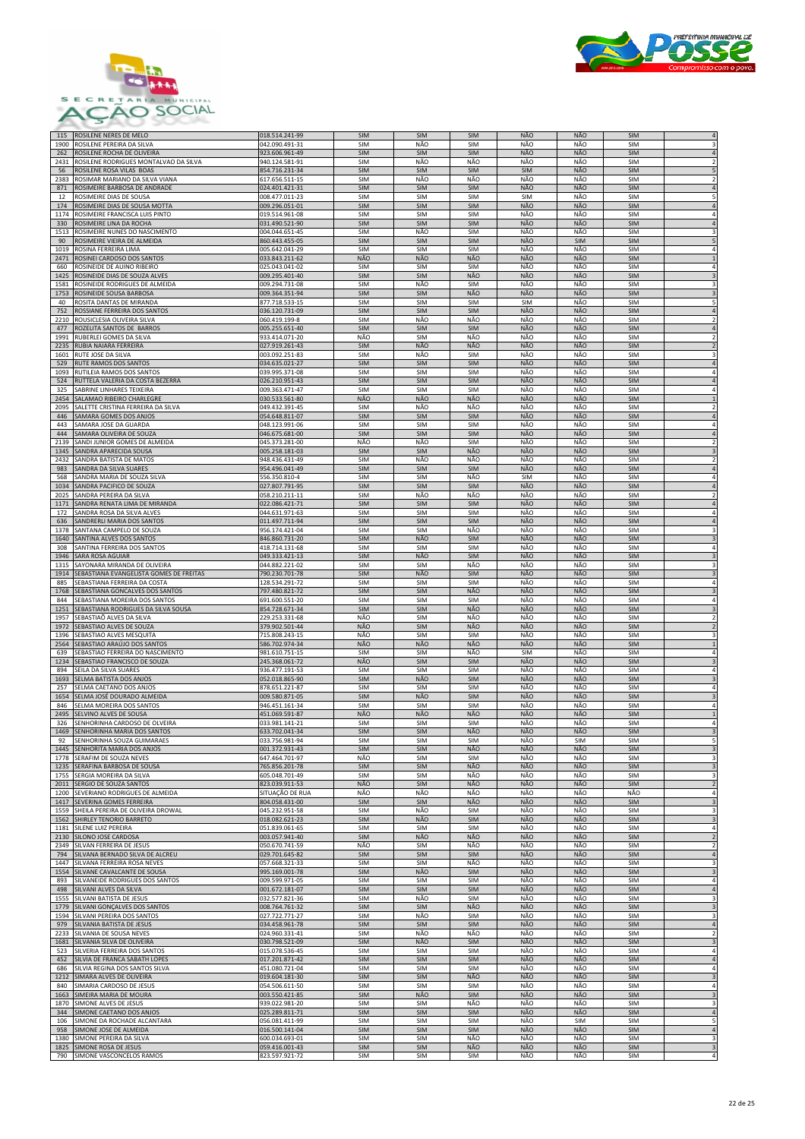



|              | ROSILENE NERES DE MELO                                          | 018.514.241-99                   | <b>SIM</b>               | <b>SIM</b>               | <b>SIM</b>               | NÃO        | <b>NÃO</b> | <b>SIM</b>               |                                           |
|--------------|-----------------------------------------------------------------|----------------------------------|--------------------------|--------------------------|--------------------------|------------|------------|--------------------------|-------------------------------------------|
| 115<br>1900  | ROSILENE PEREIRA DA SILVA                                       | 042.090.491-31                   | SIM                      | NÃO                      | SIM                      | NÃO        | NÃO        | <b>SIM</b>               | 3                                         |
| 262          | ROSILENE ROCHA DE OLIVEIRA                                      | 923.606.961-49                   | SIM                      | SIM                      | <b>SIM</b>               | NÃO        | NÃO        | <b>SIM</b>               | $\overline{A}$                            |
| 2431         | ROSILENE RODRIGUES MONTALVAO DA SILVA                           | 940.124.581-91                   | SIM                      | NÃO                      | NÃO                      | NÃO        | NÃO        | SIM                      |                                           |
| 56           | ROSILENE ROSA VILAS BOAS                                        | 854.716.231-34                   | SIM                      | SIM                      | SIM                      | SIM        | NÃO        | <b>SIM</b>               |                                           |
| 2383         | ROSIMAR MARIANO DA SILVA VIANA                                  | 617.656.511-15                   | SIM                      | NÃO                      | NÃO                      | NÃO        | NÃO        | <b>SIM</b>               |                                           |
| 871          | ROSIMEIRE BARBOSA DE ANDRADE                                    | 024.401.421-31                   | <b>SIM</b>               | SIM                      | SIM                      | NÃO        | NÃO        | SIM                      |                                           |
| 12<br>174    | ROSIMEIRE DIAS DE SOUSA<br>ROSIMEIRE DIAS DE SOUSA MOTTA        | 008.477.011-23<br>009.296.051-01 | SIM<br>SIM               | <b>SIM</b><br>SIM        | <b>SIM</b><br><b>SIM</b> | SIM<br>NÃO | NÃO<br>NÃO | <b>SIM</b><br><b>SIM</b> |                                           |
| 1174         | ROSIMEIRE FRANCISCA LUIS PINTO                                  | 019.514.961-08                   | <b>SIM</b>               | SIM                      | SIM                      | NÃO        | NÃO        | <b>SIM</b>               |                                           |
| 330          | ROSIMEIRE LINA DA ROCHA                                         | 031.490.521-90                   | <b>SIM</b>               | SIM                      | <b>SIM</b>               | NÃO        | NÃO        | <b>SIM</b>               |                                           |
| 1513         | ROSIMEIRE NUNES DO NASCIMENTO                                   | 004.044.651-45                   | <b>SIM</b>               | NÃO                      | <b>SIM</b>               | NÃO        | NÃO        | <b>SIM</b>               |                                           |
| 90           | ROSIMEIRE VIEIRA DE ALMEIDA                                     | 860.443.455-05                   | <b>SIM</b>               | SIM                      | <b>SIM</b>               | NÃO        | SIM        | <b>SIM</b>               |                                           |
| 1019         | ROSINA FERREIRA LIMA                                            | 005.642.041-29                   | <b>SIM</b>               | <b>SIM</b>               | <b>SIM</b>               | NÃO        | NÃO        | <b>SIM</b>               |                                           |
| 2471<br>660  | ROSINEI CARDOSO DOS SANTOS<br>ROSINEIDE DE AUINO RIBEIRO        | 033.843.211-62<br>025.043.041-02 | <b>NÃO</b><br><b>SIM</b> | <b>NÃO</b><br><b>SIM</b> | <b>NÃO</b><br>SIM        | NÃO<br>NÃO | NÃO<br>NÃO | <b>SIM</b><br><b>SIM</b> |                                           |
| 1425         | ROSINEIDE DIAS DE SOUZA ALVES                                   | 009.295.401-40                   | <b>SIM</b>               | SIM                      | NÃO                      | NÃO        | NÃO        | <b>SIM</b>               |                                           |
| 1581         | ROSINEIDE RODRIGUES DE ALMEIDA                                  | 009.294.731-08                   | <b>SIM</b>               | NÃO                      | SIM                      | NÃO        | NÃO        | <b>SIM</b>               |                                           |
| 1753         | ROSINEIDE SOUSA BARBOSA                                         | 009.364.351-94                   | <b>SIM</b>               | <b>SIM</b>               | NÃO                      | NÃO        | NÃO        | <b>SIM</b>               |                                           |
| 40           | ROSITA DANTAS DE MIRANDA                                        | 877.718.533-15                   | <b>SIM</b>               | <b>SIM</b>               | SIM                      | SIM        | NÃO        | SIM                      |                                           |
| 752          | ROSSIANE FERREIRA DOS SANTOS                                    | 036.120.731-09                   | SIM                      | SIM                      | <b>SIM</b>               | NÃO        | NÃO        | <b>SIM</b>               |                                           |
| 2210         | ROUSICLESIA OLIVEIRA SILVA                                      | 060.419.199-8                    | SIM                      | NÃO                      | NÃO<br><b>SIM</b>        | NÃO<br>NÃO | NÃO<br>NÃO | <b>SIM</b><br><b>SIM</b> |                                           |
| 477<br>1991  | ROZELITA SANTOS DE BARROS<br>RUBERLEI GOMES DA SILVA            | 005.255.651-40<br>933.414.071-20 | SIM<br>NÃO               | SIM<br><b>SIM</b>        | NÃO                      | NÃO        | NÃO        | <b>SIM</b>               |                                           |
| 2235         | RUBIA NAIARA FERREIRA                                           | 027.919.261-43                   | SIM                      | NÃO                      | NÃO                      | NÃO        | NÃO        | <b>SIM</b>               |                                           |
| 1601         | RUTE JOSE DA SILVA                                              | 003.092.251-83                   | <b>SIM</b>               | NÃO                      | SIM                      | NÃO        | NÃO        | <b>SIM</b>               | 3                                         |
| 529          | RUTE RAMOS DOS SANTOS                                           | 034.635.021-27                   | <b>SIM</b>               | SIM                      | SIM                      | NÃO        | NÃO        | SIM                      | $\overline{A}$                            |
| 1093         | RUTILEIA RAMOS DOS SANTOS                                       | 039.995.371-08                   | <b>SIM</b>               | <b>SIM</b>               | SIM                      | NÃO        | NÃO        | <b>SIM</b>               | $\overline{4}$                            |
| 524<br>325   | RUTTELA VALERIA DA COSTA BEZERRA<br>SABRINE LINHARES TEIXEIRA   | 026.210.951-43<br>009.363.471-47 | SIM<br>SIM               | <b>SIM</b><br>SIM        | <b>SIM</b><br>SIM        | NÃO<br>NÃO | NÃO<br>NÃO | <b>SIM</b><br>SIM        | $\overline{4}$                            |
| 2454         | SALAMAO RIBEIRO CHARLEGRE                                       | 030.533.561-80                   | NÃO                      | NÃO                      | NÃO                      | NÃO        | NÃO        | <b>SIM</b>               |                                           |
| 2095         | SALETTE CRISTINA FERREIRA DA SILVA                              | 049.432.391-45                   | <b>SIM</b>               | NÃO                      | NÃO                      | NÃO        | NÃO        | <b>SIM</b>               |                                           |
| 446          | SAMARA GOMES DOS ANJOS                                          | 054.648.811-07                   | <b>SIM</b>               | SIM                      | <b>SIM</b>               | NÃO        | NÃO        | <b>SIM</b>               |                                           |
| 443          | SAMARA JOSE DA GUARDA                                           | 048.123.991-06                   | <b>SIM</b>               | SIM                      | SIM                      | NÃO        | NÃO        | SIM                      | $\overline{4}$                            |
| 444          | SAMARA OLIVEIRA DE SOUZA                                        | 046.675.681-00                   | <b>SIM</b>               | SIM                      | <b>SIM</b>               | NÃO<br>NÃO | NÃO<br>NÃO | <b>SIM</b>               |                                           |
| 2139<br>1345 | SANDI JUNIOR GOMES DE ALMEIDA<br>SANDRA APARECIDA SOUSA         | 045.373.281-00<br>005.258.181-03 | NÃO<br>SIM               | NÃO<br><b>SIM</b>        | SIM<br>NÃO               | NÃO        | NÃO        | SIM<br><b>SIM</b>        |                                           |
| 2432         | SANDRA BATISTA DE MATOS                                         | 948.436.431-49                   | <b>SIM</b>               | NÃO                      | NÃO                      | NÃO        | NÃO        | <b>SIM</b>               |                                           |
| 983          | SANDRA DA SILVA SUARES                                          | 954.496.041-49                   | <b>SIM</b>               | SIM                      | <b>SIM</b>               | NÃO        | NÃO        | <b>SIM</b>               |                                           |
| 568          | SANDRA MARIA DE SOUZA SILVA                                     | 556.350.810-4                    | <b>SIM</b>               | <b>SIM</b>               | NÃO                      | SIM        | NÃO        | SIM                      | $\overline{4}$                            |
| 1034         | SANDRA PACIFICO DE SOUZA                                        | 027.807.791-95                   | <b>SIM</b>               | SIM                      | <b>SIM</b>               | NÃO        | NÃO        | <b>SIM</b>               | $\overline{A}$                            |
| 2025<br>1171 | SANDRA PEREIRA DA SILVA<br>SANDRA RENATA LIMA DE MIRANDA        | 058.210.211-11<br>022.086.421-71 | SIM<br><b>SIM</b>        | NÃO<br>SIM               | NÃO<br>SIM               | NÃO<br>NÃO | NÃO<br>NÃO | SIM<br><b>SIM</b>        | $\overline{2}$                            |
| 172          | SANDRA ROSA DA SILVA ALVES                                      | 044.631.971-63                   | <b>SIM</b>               | <b>SIM</b>               | <b>SIM</b>               | NÃO        | NÃO        | SIM                      | $\overline{4}$                            |
| 636          | SANDRERLI MARIA DOS SANTOS                                      | 011.497.711-94                   | <b>SIM</b>               | SIM                      | SIM                      | NÃO        | NÃO        | <b>SIM</b>               | $\overline{4}$                            |
| 1378         | SANTANA CAMPELO DE SOUZA                                        | 956.174.421-04                   | <b>SIM</b>               | <b>SIM</b>               | NÃO                      | NÃO        | NÃO        | <b>SIM</b>               | 3                                         |
| 1640         | SANTINA ALVES DOS SANTOS                                        | 846.860.731-20                   | SIM                      | NÃO                      | <b>SIM</b>               | NÃO        | NÃO        | <b>SIM</b>               | $\overline{\mathbf{3}}$                   |
| 308<br>1946  | SANTINA FERREIRA DOS SANTOS<br><b>SARA ROSA AGUIAR</b>          | 418.714.131-68<br>049.333.421-13 | SIM<br><b>SIM</b>        | <b>SIM</b><br>NÃO        | SIM<br><b>SIM</b>        | NÃO<br>NÃO | NÃO<br>NÃO | SIM<br><b>SIM</b>        | $\overline{4}$                            |
| 1315         | SAYONARA MIRANDA DE OLIVEIRA                                    | 044.882.221-02                   | SIM                      | <b>SIM</b>               | NÃO                      | NÃO        | NÃO        | <b>SIM</b>               | $\overline{3}$                            |
| 1914         | SEBASTIANA EVANGELISTA GOMES DE FREITAS                         | 790.230.701-78                   | SIM                      | NÃO                      | SIM                      | NÃO        | NÃO        | <b>SIM</b>               | $\overline{3}$                            |
| 885          | SEBASTIANA FERREIRA DA COSTA                                    | 128.534.291-72                   | <b>SIM</b>               | SIM                      | SIM                      | NÃO        | NÃO        | SIM                      | $\overline{4}$                            |
| 1768         | SEBASTIANA GONCALVES DOS SANTOS                                 | 797.480.821-72                   | SIM                      | SIM                      | NÃO                      | NÃO        | NÃO        | <b>SIM</b>               | $\overline{3}$                            |
| 844          | SEBASTIANA MOREIRA DOS SANTOS                                   | 691.600.551-20                   | SIM                      | <b>SIM</b><br>SIM        | SIM<br>NÃO               | NÃO<br>NÃO | NÃO<br>NÃO | <b>SIM</b><br><b>SIM</b> | $\overline{4}$<br>$\overline{\mathbf{3}}$ |
| 1251<br>1957 | SEBASTIANA RODRIGUES DA SILVA SOUSA<br>SEBASTIAÕ ALVES DA SILVA | 854.728.671-34<br>229.253.331-68 | <b>SIM</b><br>NÃO        | <b>SIM</b>               | NÃO                      | NÃO        | NÃO        | <b>SIM</b>               | $\overline{\phantom{a}}$                  |
| 1972         | SEBASTIAO ALVES DE SOUZA                                        | 379.902.501-44                   | NÃO                      | SIM                      | NÃO                      | NÃO        | NÃO        | SIM                      | $\overline{2}$                            |
| 1396         | SEBASTIAO ALVES MESQUITA                                        | 715.808.243-15                   | NÃO                      | <b>SIM</b>               | SIM                      | NÃO        | NÃO        | <b>SIM</b>               | 3                                         |
|              | SEBASTIAO ARAÚJO DOS SANTOS                                     | 586.702.974-34                   | NÃO                      | NÃO                      | NÃO                      | NÃO        | NÃO        | SIM                      | $\overline{1}$                            |
| 2564         |                                                                 |                                  |                          | SIM                      | NÃO                      | <b>SIM</b> | NÃO        | <b>SIM</b>               | $\overline{4}$<br>$\overline{3}$          |
| 639          | SEBASTIAO FERREIRA DO NASCIMENTO                                | 981.610.751-15                   | SIM                      |                          | <b>SIM</b>               | NÃO        | NÃO        |                          |                                           |
| 1234         | SEBASTIAO FRANCISCO DE SOUZA                                    | 245.368.061-72                   | NÃO                      | SIM                      |                          |            |            | <b>SIM</b>               |                                           |
| 894          | SEILA DA SILVA SUARES                                           | 936.477.191-53                   | <b>SIM</b>               | <b>SIM</b>               | <b>SIM</b>               | NÃO        | NÃO        | <b>SIM</b>               |                                           |
| 1693<br>257  | SELMA BATISTA DOS ANJOS<br>SELMA CAETANO DOS ANJOS              | 052.018.865-90<br>878.651.221-87 | <b>SIM</b><br><b>SIM</b> | NÃO<br>SIM               | SIM<br><b>SIM</b>        | NÃO<br>NÃO | NÃO<br>NÃO | <b>SIM</b><br><b>SIM</b> | $\overline{4}$                            |
| 1654         | SELMA JOSÉ DOURADO ALMEIDA                                      | 009.580.871-05                   | SIM                      | NÃO                      | SIM                      | NÃO        | NÃO        | <b>SIM</b>               | $\overline{\mathbf{3}}$                   |
| 846          | SELMA MOREIRA DOS SANTOS                                        | 946.451.161-34                   | SIM                      | SIM                      | SIM                      | NÃO        | NÃO        | SIM                      | $\overline{4}$                            |
| 2495         | SELVINO ALVES DE SOUSA                                          | 451.069.591-87                   | NÃO                      | NÃO                      | NÃO                      | NÃO        | NÃO        | <b>SIM</b>               |                                           |
| 326<br>1469  | SENHORINHA CARDOSO DE OLVEIRA<br>SENHORINHA MARIA DOS SANTOS    | 033.981.141-21<br>633.702.041-34 | <b>SIM</b><br>SIM        | <b>SIM</b><br><b>SIM</b> | <b>SIM</b><br>NÃO        | NÃO<br>NÃO | NÃO<br>NÃO | <b>SIM</b><br><b>SIM</b> |                                           |
| 92           | SENHORINHA SOUZA GUIMARAES                                      | 033.756.981-94                   | SIM                      | <b>SIM</b>               | <b>SIM</b>               | NÃO        | <b>SIM</b> | <b>SIM</b>               | 5                                         |
| 1445         | SENHORITA MARIA DOS ANJOS                                       | 001.372.931-43                   | SIM                      | SIM                      | NÃO                      | NÃO        | NÃO        | SIM                      | $\overline{\mathbf{3}}$                   |
| 1778         | SERAFIM DE SOUZA NEVES                                          | 647.464.701-97                   | NÃO                      | <b>SIM</b>               | SIM                      | NÃO        | NÃO        | <b>SIM</b>               | 3                                         |
| 1235         | SERAFINA BARBOSA DE SOUSA                                       | 765.856.201-78                   | SIM                      | SIM                      | NÃO                      | NÃO        | NÃO        | SIM                      | $\overline{\mathbf{3}}$                   |
| 1755<br>2011 | SERGIA MOREIRA DA SILVA<br>SERGIO DE SOUZA SANTOS               | 605.048.701-49<br>823.039.911-53 | <b>SIM</b><br>NÃO        | SIM<br><b>SIM</b>        | NÃO<br>NÃO               | NÃO<br>NÃO | NÃO<br>NÃO | <b>SIM</b><br>SIM        | $\overline{2}$                            |
| 1200         | SEVERIANO RODRIGUES DE ALMEIDA                                  | SITUAÇÃO DE RUA                  | NÃO                      | NÃO                      | NÃO                      | NÃO        | NÃO        | NÃO                      | $\overline{4}$                            |
| 1417         | SEVERINA GOMES FERREIRA                                         | 804.058.431-00                   | SIM                      | SIM                      | NÃO                      | NÃO        | NÃO        | <b>SIM</b>               | $\overline{\mathbf{3}}$                   |
| 1559         | SHEILA PEREIRA DE OLIVEIRA DROWAL                               | 045.232.951-58                   | SIM                      | NÃO                      | SIM                      | NÃO        | NÃO        | <b>SIM</b>               | 3                                         |
| 1562         | SHIRLEY TENORIO BARRETO                                         | 018.082.621-23                   | SIM                      | NÃO                      | SIM                      | NÃO        | NÃO        | <b>SIM</b>               | $\mathsf 3$                               |
| 1181<br>2130 | SILENE LUIZ PEREIRA<br>SILONO JOSE CARDOSA                      | 051.839.061-65<br>003.057.941-40 | SIM<br>SIM               | SIM<br>NÃO               | SIM<br>NÃO               | NÃO<br>NÃO | NÃO<br>NÃO | SIM<br>SIM               | $\overline{4}$<br>$\overline{2}$          |
| 2349         | SILVAN FERREIRA DE JESUS                                        | 050.670.741-59                   | NÃO                      | <b>SIM</b>               | NÃO                      | NÃO        | NÃO        | SIM                      | $\overline{2}$                            |
| 794          | SILVANA BERNADO SILVA DE ALCREU                                 | 029.701.645-82                   | SIM                      | SIM                      | SIM                      | NÃO        | NÃO        | SIM                      | $\overline{4}$                            |
| 1447         | SILVANA FERREIRA ROSA NEVES                                     | 057.668.321-33                   | SIM                      | <b>SIM</b>               | NÃO                      | NÃO        | NÃO        | <b>SIM</b>               | 3                                         |
| 1554         | SILVANE CAVALCANTE DE SOUSA                                     | 995.169.001-78                   | SIM                      | NÃO                      | SIM                      | NÃO        | NÃO        | <b>SIM</b>               | $\overline{\mathbf{3}}$<br>$\overline{4}$ |
| 893<br>498   | SILVANEIDE RODRIGUES DOS SANTOS<br>SILVANI ALVES DA SILVA       | 009.599.971-05<br>001.672.181-07 | SIM<br>SIM               | SIM<br><b>SIM</b>        | SIM<br><b>SIM</b>        | NÃO<br>NÃO | NÃO<br>NÃO | SIM<br>SIM               | $\overline{4}$                            |
| 1555         | SILVANI BATISTA DE JESUS                                        | 032.577.821-36                   | <b>SIM</b>               | NÃO                      | <b>SIM</b>               | NÃO        | NÃO        | SIM                      | $\overline{3}$                            |
| 1779         | SILVANI GONÇALVES DOS SANTOS                                    | 008.764.761-32                   | <b>SIM</b>               | SIM                      | NÃO                      | NÃO        | NÃO        | <b>SIM</b>               | $\overline{\mathbf{3}}$                   |
| 1594         | SILVANI PEREIRA DOS SANTOS                                      | 027.722.771-27                   | <b>SIM</b>               | NÃO                      | SIM                      | NÃO        | NÃO        | <b>SIM</b>               | 3                                         |
| 979          | SILVANIA BATISTA DE JESUS                                       | 034.458.961-78                   | SIM                      | SIM                      | SIM                      | NÃO        | NÃO        | <b>SIM</b>               | $\overline{a}$                            |
| 2233<br>1681 | SILVANIA DE SOUSA NEVES<br>SILVANIA SILVA DE OLIVEIRA           | 024.960.331-41<br>030.798.521-09 | SIM<br>SIM               | NÃO<br>NÃO               | NÃO<br><b>SIM</b>        | NÃO<br>NÃO | NÃO<br>NÃO | SIM<br><b>SIM</b>        | $\overline{2}$<br>$\overline{\mathbf{3}}$ |
| 523          | SILVERIA FERREIRA DOS SANTOS                                    | 015.078.536-45                   | SIM                      | SIM                      | SIM                      | NÃO        | NÃO        | SIM                      | 4                                         |
| 452          | SILVIA DE FRANCA SABATH LOPES                                   | 017.201.871-42                   | <b>SIM</b>               | SIM                      | <b>SIM</b>               | NÃO        | NÃO        | SIM                      | $\sqrt{4}$                                |
| 686          | SILVIA REGINA DOS SANTOS SILVA                                  | 451.080.721-04                   | SIM                      | <b>SIM</b>               | SIM                      | NÃO        | NÃO        | <b>SIM</b>               | $\overline{4}$                            |
| 1212         | SIMARA ALVES DE OLIVEIRA                                        | 019.604.181-30                   | SIM                      | <b>SIM</b>               | NÃO                      | NÃO        | NÃO        | <b>SIM</b>               | $\overline{\mathbf{3}}$<br>$\overline{4}$ |
| 840<br>1663  | SIMARIA CARDOSO DE JESUS<br>SIMEIRA MARIA DE MOURA              | 054.506.611-50<br>003.550.421-85 | SIM<br><b>SIM</b>        | SIM<br>NÃO               | SIM<br><b>SIM</b>        | NÃO<br>NÃO | NÃO<br>NÃO | SIM<br>SIM               | $\overline{\mathbf{3}}$                   |
| 1870         | SIMONE ALVES DE JESUS                                           | 939.022.981-20                   | <b>SIM</b>               | <b>SIM</b>               | NÃO                      | NÃO        | NÃO        | <b>SIM</b>               | $\overline{3}$                            |
| 344          | SIMONE CAETANO DOS ANJOS                                        | 025.289.811-71                   | SIM                      | SIM                      | SIM                      | NÃO        | NÃO        | SIM                      | $\overline{a}$                            |
| 106          | SIMONE DA ROCHADE ALCANTARA                                     | 056.081.411-99                   | <b>SIM</b>               | SIM                      | SIM                      | NÃO        | SIM        | <b>SIM</b>               | 5                                         |
| 958<br>1380  | SIMONE JOSE DE ALMEIDA<br>SIMONE PEREIRA DA SILVA               | 016.500.141-04<br>600.034.693-01 | SIM<br>SIM               | SIM<br>SIM               | SIM<br>NÃO               | NÃO<br>NÃO | NÃO<br>NÃO | <b>SIM</b><br>SIM        | $\overline{4}$<br>3                       |
| 1825<br>790  | SIMONE ROSA DE JESUS<br>SIMONE VASCONCELOS RAMOS                | 059.416.001-43<br>823.597.921-72 | <b>SIM</b><br>SIM        | SIM<br>SIM               | NÃO<br>SIM               | NÃO<br>NÃO | NÃO<br>NÃO | <b>SIM</b><br>SIM        | $\overline{3}$<br>4                       |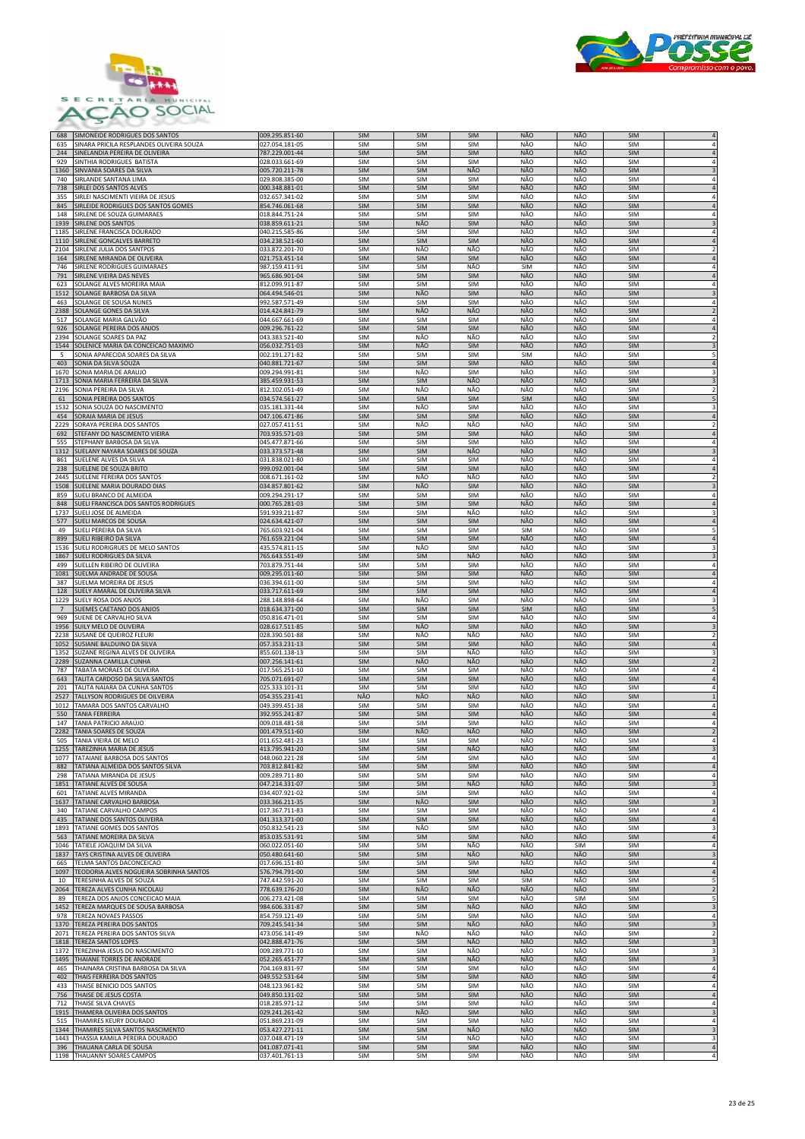



| 688                   | SIMONEIDE RODRIGUES DOS SANTOS                                           | 009.295.851-60                   | <b>SIM</b>               | SIM        | SIM                      | <b>NÃO</b>        | <b>NÃO</b>        | <b>SIM</b>               |                                           |
|-----------------------|--------------------------------------------------------------------------|----------------------------------|--------------------------|------------|--------------------------|-------------------|-------------------|--------------------------|-------------------------------------------|
| 635                   | SINARA PRICILA RESPLANDES OLIVEIRA SOUZA                                 | 027.054.181-05                   | SIM                      | SIM        | SIM                      | NÃO               | NÃO               | SIM                      | $\overline{4}$                            |
| 244                   | SINELANDIA PEREIRA DE OLIVEIRA                                           | 787.229.001-44                   | SIM                      | SIM        | SIM                      | NÃO               | NÃO               | SIM                      | $\overline{A}$                            |
| 929                   | SINTHIA RODRIGUES BATISTA                                                | 028.033.661-69                   | SIM                      | SIM        | SIM                      | NÃO               | NÃO               | <b>SIM</b>               | $\overline{4}$                            |
| 1360                  | SINVANIA SOARES DA SILVA                                                 | 005.720.211-78                   | <b>SIM</b>               | SIM        | NÃO                      | NÃO               | NÃO               | <b>SIM</b>               |                                           |
| 740                   | SIRLANDE SANTANA LIMA                                                    | 029.808.385-00                   | SIM                      | SIM        | SIM                      | NÃO               | NÃO               | <b>SIM</b>               |                                           |
| 738                   | SIRLEI DOS SANTOS ALVES                                                  | 000.348.881-01                   | SIM                      | SIM        | SIM                      | NÃO               | NÃO               | SIM                      |                                           |
| 355<br>845            | SIRLEI NASCIMENTI VIEIRA DE JESUS<br>SIRLEIDE RODRIGUES DOS SANTOS GOMES | 032.657.341-02<br>854.746.061-68 | <b>SIM</b><br><b>SIM</b> | SIM<br>SIM | <b>SIM</b><br>SIM        | NÃO<br>NÃO        | NÃO<br><b>NÃO</b> | SIM<br>SIM               | $\overline{4}$<br>$\overline{4}$          |
| 148                   | SIRLENE DE SOUZA GUIMARAES                                               | 018.844.751-24                   | SIM                      | SIM        | SIM                      | NÃO               | NÃO               | SIM                      | $\overline{4}$                            |
| 1939                  | SIRLENE DOS SANTOS                                                       | 038.859.611-21                   | <b>SIM</b>               | NÃO        | SIM                      | NÃO               | NÃO               | <b>SIM</b>               | $\overline{3}$                            |
| 1185                  | SIRLENE FRANCISCA DOURADO                                                | 040.215.585-86                   | <b>SIM</b>               | SIM        | SIM                      | NÃO               | NÃO               | <b>SIM</b>               |                                           |
| 1110                  | SIRLENE GONCALVES BARRETO                                                | 034.238.521-60                   | SIM                      | SIM        | SIM                      | NÃO               | NÃO               | <b>SIM</b>               | $\overline{4}$                            |
| 2104                  | SIRLENE JULIA DOS SANTPOS                                                | 033.872.201-70                   | SIM                      | NÃO        | NÃO                      | NÃO               | NÃO               | <b>SIM</b>               | $\overline{2}$                            |
| 164                   | SIRLENE MIRANDA DE OLIVEIRA                                              | 021.753.451-14                   | SIM                      | SIM        | SIM                      | NÃO               | <b>NÃO</b>        | SIM                      | $\overline{4}$                            |
| 746<br>791            | SIRLENE RODRIGUES GUIMARAES<br>SIRLENE VIEIRA DAS NEVES                  | 987.159.411-91<br>965.686.901-04 | SIM<br>SIM               | SIM<br>SIM | NÃO<br>SIM               | <b>SIM</b><br>NÃO | NÃO<br>NÃO        | SIM<br><b>SIM</b>        | $\overline{4}$<br>$\overline{4}$          |
| 623                   | SOLANGE ALVES MOREIRA MAIA                                               | 812.099.911-87                   | SIM                      | SIM        | SIM                      | NÃO               | NÃO               | <b>SIM</b>               |                                           |
| 1512                  | SOLANGE BARBOSA DA SILVA                                                 | 064.494.546-01                   | SIM                      | NÃO        | SIM                      | NÃO               | NÃO               | <b>SIM</b>               | $\overline{3}$                            |
| 463                   | SOLANGE DE SOUSA NUNES                                                   | 992.587.571-49                   | SIM                      | SIM        | SIM                      | NÃO               | NÃO               | <b>SIM</b>               | $\overline{4}$                            |
| 2388                  | SOLANGE GONES DA SILVA                                                   | 014.424.841-79                   | SIM                      | NÃO        | <b>NÃO</b>               | NÃO               | NÃO               | SIM                      | $\overline{2}$                            |
| 517                   | SOLANGE MARIA GALVÃO                                                     | 044.667.661-69                   | SIM                      | SIM        | SIM                      | NÃO               | NÃO               | SIM                      | $\overline{4}$                            |
| 926<br>2394           | SOLANGE PEREIRA DOS ANJOS<br>SOLANGE SOARES DA PAZ                       | 009.296.761-22                   | SIM<br>SIM               | SIM<br>NÃO | SIM<br>NÃO               | NÃO<br>NÃO        | NÃO<br>NÃO        | SIM<br><b>SIM</b>        | $\overline{4}$                            |
| 1544                  | SOLENICE MARIA DA CONCEICAO MAXIMO                                       | 043.383.521-40<br>056.032.751-03 | SIM                      | NÃO        | <b>SIM</b>               | NÃO               | NÃO               | <b>SIM</b>               | $\overline{a}$                            |
| 5                     | SONIA APARECIDA SOARES DA SILVA                                          | 002.191.271-82                   | SIM                      | SIM        | SIM                      | <b>SIM</b>        | NÃO               | <b>SIM</b>               | 5                                         |
| 403                   | SONIA DA SILVA SOUZA                                                     | 040.881.721-67                   | SIM                      | SIM        | SIM                      | NÃO               | NÃO               | SIM                      | $\overline{4}$                            |
| 1670                  | SONIA MARIA DE ARAUJO                                                    | 009.294.991-81                   | SIM                      | NÃO        | SIM                      | NÃO               | NÃO               | <b>SIM</b>               | 3                                         |
| 1713                  | SONIA MARIA FERREIRA DA SILVA                                            | 385.459.931-53                   | SIM                      | SIM        | NÃO                      | NÃO               | NÃO               | <b>SIM</b>               | $\overline{\mathbf{3}}$                   |
| 2196<br>61            | SONIA PEREIRA DA SILVA<br><b>SONIA PEREIRA DOS SANTOS</b>                | 812.102.051-49<br>034.574.561-27 | SIM<br>SIM               | NÃO<br>SIM | NÃO<br>SIM               | NÃO<br><b>SIM</b> | NÃO<br>NÃO        | SIM<br><b>SIM</b>        | $\overline{2}$                            |
| 1532                  | SONIA SOUZA DO NASCIMENTO                                                | 035.181.331-44                   | SIM                      | NÃO        | SIM                      | NÃO               | NÃO               | <b>SIM</b>               | 3                                         |
| 454                   | SORAIA MARIA DE JESUS                                                    | 047.106.471-86                   | <b>SIM</b>               | SIM        | SIM                      | NÃO               | NÃO               | SIM                      | $\overline{4}$                            |
| 2229                  | SORAYA PEREIRA DOS SANTOS                                                | 027.057.411-52                   | SIM                      | NÃO        | NÃO                      | NÃO               | NÃO               | <b>SIM</b>               | $\overline{\phantom{a}}$                  |
| 692                   | STEFANY DO NASCIMENTO VIEIRA                                             | 703.935.571-03                   | SIM                      | SIM        | SIM                      | NÃO               | NÃO               | SIM                      |                                           |
| 555<br>1312           | STEPHANY BARBOSA DA SILVA<br>SUELANY NAYARA SOARES DE SOUZA              | 045.477.871-66<br>033.373.571-48 | <b>SIM</b><br>SIM        | SIM<br>SIM | SIM<br>NÃO               | NÃO<br>NÃO        | NÃO<br>NÃO        | SIM<br><b>SIM</b>        |                                           |
| 861                   | SUELENE ALVES DA SILVA                                                   | 031.838.021-80                   | SIM                      | SIM        | SIM                      | NÃO               | NÃO               | <b>SIM</b>               | 4                                         |
| 238                   | SUELENE DE SOUZA BRITO                                                   | 999.092.001-04                   | <b>SIM</b>               | SIM        | SIM                      | NÃO               | NÃO               | SIM                      | $\overline{4}$                            |
| 2445                  | SUELENE FEREIRA DOS SANTOS                                               | 008.671.161-02                   | SIM                      | NÃO        | NÃO                      | NÃO               | NÃO               | SIM                      | $\overline{2}$                            |
| 1508                  | SUELENE MARIA DOURADO DIAS                                               | 034.857.801-62                   | SIM                      | NÃO        | SIM                      | NÃO               | NÃO               | SIM                      | $\overline{\mathbf{3}}$                   |
| 859                   | SUELI BRANCO DE ALMEIDA                                                  | 009.294.291-17                   | SIM                      | SIM        | SIM                      | NÃO               | NÃO               | SIM                      | $\overline{4}$                            |
| 848<br>1737           | SUELI FRANCISCA DOS SANTOS RODRIGUES<br>SUELI JOSE DE ALMEIDA            | 000.765.281-03<br>591.939.211-87 | SIM<br>SIM               | SIM<br>SIM | SIM<br>NÃO               | NÃO<br>NÃO        | NÃO<br>NÃO        | SIM<br><b>SIM</b>        | $\overline{4}$<br>$\overline{\mathbf{3}}$ |
| 577                   | SUELI MARCOS DE SOUSA                                                    | 024.634.421-07                   | SIM                      | SIM        | SIM                      | NÃO               | NÃO               | SIM                      | $\sqrt{4}$                                |
| 49                    | SUELI PEREIRA DA SILVA                                                   | 765.603.921-04                   | <b>SIM</b>               | SIM        | SIM                      | <b>SIM</b>        | NÃO               | <b>SIM</b>               | 5                                         |
| 899                   | SUELI RIBEIRO DA SILVA                                                   | 761.659.221-04                   | SIM                      | SIM        | SIM                      | NÃO               | NÃO               | SIM                      | $\overline{4}$                            |
| 1536                  | SUELI RODRIGRUES DE MELO SANTOS                                          | 435.574.811-15                   | SIM                      | NÃO        | SIM                      | NÃO               | NÃO               | SIM                      | 3                                         |
| 1867<br>499           | SUELI RODRIGUES DA SILVA<br>SUELLEN RIBEIRO DE OLIVEIRA                  | 765.643.551-49<br>703.879.751-44 | SIM<br>SIM               | SIM<br>SIM | <b>NÃO</b><br><b>SIM</b> | NÃO<br>NÃO        | NÃO<br>NÃO        | SIM<br><b>SIM</b>        | 4                                         |
| 1081                  | SUELMA ANDRADE DE SOUSA                                                  | 009.295.011-60                   | SIM                      | SIM        | SIM                      | <b>NÃO</b>        | <b>NÃO</b>        | <b>SIM</b>               |                                           |
| 387                   | SUELMA MOREIRA DE JESUS                                                  | 036.394.611-00                   | SIM                      | SIM        | SIM                      | NÃO               | NÃO               | SIM                      | $\overline{4}$                            |
| 128                   | SUELY AMARAL DE OLIVEIRA SILVA                                           | 033.717.611-69                   | SIM                      | SIM        | SIM                      | NÃO               | NÃO               | SIM                      |                                           |
| 1229                  | SUELY ROSA DOS ANJOS                                                     | 288.148.898-64                   | SIM                      | NÃO        | SIM                      | NÃO               | NÃO               | SIM                      | $\overline{3}$                            |
| $\overline{7}$<br>969 | SUEMES CAETANO DOS ANJOS<br>SUENE DE CARVALHO SILVA                      | 018.634.371-00<br>050.816.471-01 | SIM<br>SIM               | SIM<br>SIM | SIM<br>SIM               | SIM<br>NÃO        | <b>NÃO</b><br>NÃO | SIM<br><b>SIM</b>        | 5<br>$\overline{A}$                       |
| 1956                  | SUILY MELO DE OLIVEIRA                                                   | 028.617.511-85                   | SIM                      | NÃO        | SIM                      | NÃO               | NÃO               | SIM                      |                                           |
| 2238                  | SUSANE DE QUEIROZ FLEUR                                                  | 028.390.501-88                   | <b>SIM</b>               | NÃO        | NÃO                      | NÃO               | NÃO               | SIM                      | $\overline{2}$                            |
| 1052                  | SUSIANE BALDUINO DA SILVA                                                | 057.353.231-13                   | SIM                      | SIM        | SIM                      | NÃO               | NÃO               | SIM                      | $\overline{A}$                            |
| 1352                  | SUZANE REGINA ALVES DE OLIVEIRA                                          | 855.601.138-13                   | <b>SIM</b>               | SIM        | NÃO                      | NÃO               | NÃO               | SIM                      | 3                                         |
| 2289<br>787           | SUZANNA CAMILLA CUNHA<br>TABATA MORAES DE OLIVEIRA                       | 007.256.141-61<br>017.565.251-10 | <b>SIM</b><br>SIM        | NÃO<br>SIM | NÃO<br>SIM               | NÃO<br>NÃO        | NÃO<br>NÃO        | <b>SIM</b><br><b>SIM</b> |                                           |
| 643                   | TALITA CARDOSO DA SILVA SANTOS                                           | 705.071.691-07                   | SIM                      | SIM        | SIM                      | NÃO               | NÃO               | <b>SIM</b>               |                                           |
| 201                   | TALITA NAIARA DA CUNHA SANTOS                                            | 025.333.101-31                   | <b>SIM</b>               | SIM        | SIM                      | NÃO               | NÃO               | <b>SIM</b>               | $\overline{4}$                            |
| 2527                  | TALLYSON RODRIGUES DE OILVEIRA                                           | 054.355.231-41                   | NÃO                      | NÃO        | NÃO                      | NÃO               | NÃO               | SIM                      | $\mathbf{1}$                              |
| 1012                  | TAMARA DOS SANTOS CARVALHO                                               | 049.399.451-38                   | SIM                      | SIM        | SIM                      | NÃO               | NÃO               | SIM                      | 4                                         |
| 550                   | TANIA FERREIRA                                                           | 392.955.241-87                   | SIM                      | SIM        | SIM                      | NÃO               | NÃO               | <b>SIM</b>               |                                           |
| 147<br>2282           | TANIA PATRICIO ARAÚJO<br>TANIA SOARES DE SOUZA                           | 009.018.481-58<br>001.479.511-60 | <b>SIM</b><br>SIM        | SIM<br>NÃO | SIM<br>NÃO               | NÃO<br>NÃO        | NÃO<br>NÃO        | <b>SIM</b><br><b>SIM</b> |                                           |
| 505                   | TANIA VIEIRA DE MELO                                                     | 011.652.481-23                   | <b>SIM</b>               | <b>SIM</b> | <b>SIM</b>               | NÃO               | NÃO               | <b>SIM</b>               | 4                                         |
| 1255                  | TAREZINHA MARIA DE JESUS                                                 | 413.795.941-20                   | SIM                      | SIM        | NÃO                      | NÃO               | <b>NÃO</b>        | SIM                      | $\overline{\mathbf{3}}$                   |
| 1077                  | TATAIANE BARBOSA DOS SANTOS                                              | 048.060.221-28                   | SIM                      | SIM        | SIM                      | NÃO               | NÃO               | SIM                      | $\overline{4}$                            |
| 882                   | TATIANA ALMEIDA DOS SANTOS SILVA                                         | 703.812.841-82                   | SIM                      | SIM        | SIM                      | NÃO               | NÃO               | SIM                      | $\overline{4}$                            |
| 298<br>1851           | TATIANA MIRANDA DE JESUS<br>TATIANE ALVES DE SOUSA                       | 009.289.711-80<br>047.214.331-07 | SIM<br>SIM               | SIM<br>SIM | SIM<br>NÃO               | NÃO<br>NÃO        | NÃO<br>NÃO        | <b>SIM</b><br>SIM        | $\overline{4}$<br>$\overline{3}$          |
| 601                   | TATIANE ALVES MIRANDA                                                    | 034.407.921-02                   | SIM                      | SIM        | SIM                      | NÃO               | NÃO               | <b>SIM</b>               | $\overline{4}$                            |
| 1637                  | TATIANE CARVALHO BARBOSA                                                 | 033.366.211-35                   | SIM                      | NÃO        | SIM                      | NÃO               | NÃO               | SIM                      | $\overline{\mathbf{3}}$                   |
| 340                   | TATIANE CARVALHO CAMPOS                                                  | 017.367.711-83                   | SIM                      | SIM        | SIM                      | NÃO               | NÃO               | SIM                      | $\overline{4}$                            |
| 435                   | TATIANE DOS SANTOS OLIVEIRA                                              | 041.313.371-00                   | SIM                      | SIM        | SIM                      | NÃO               | NÃO               | SIM                      | $\sqrt{4}$                                |
| 1893<br>563           | TATIANE GOMES DOS SANTOS<br>TATIANE MOREIRA DA SILVA                     | 050.832.541-23<br>853.035.531-91 | SIM<br>SIM               | NÃO<br>SIM | SIM<br>SIM               | NÃO<br>NÃO        | NÃO<br>NÃO        | SIM<br>SIM               | 3<br>$\overline{4}$                       |
| 1046                  | TATIELE JOAQUIM DA SILVA                                                 | 060.022.051-60                   | <b>SIM</b>               | SIM        | NÃO                      | NÃO               | <b>SIM</b>        | SIM                      | $\overline{4}$                            |
| 1837                  | TAYS CRISTINA ALVES DE OLIVEIRA                                          | 050.480.641-60                   | SIM                      | SIM        | NÃO                      | <b>NÃO</b>        | <b>NÃO</b>        | SIM                      | $\overline{\mathbf{3}}$                   |
| 665                   | TELMA SANTOS DACONCEICAO                                                 | 017.696.151-80                   | SIM                      | SIM        | SIM                      | NÃO               | NÃO               | SIM                      | $\overline{a}$                            |
| 1097                  | TEODORIA ALVES NOGUEIRA SOBRINHA SANTOS                                  | 576.794.791-00                   | SIM                      | SIM        | SIM                      | NÃO               | NÃO               | SIM                      | $\overline{a}$                            |
| 10<br>2064            | TERESINHA ALVES DE SOUZA<br>TEREZA ALVES CUNHA NICOLAU                   | 747.442.591-20<br>778.639.176-20 | SIM<br><b>SIM</b>        | SIM<br>NÃO | SIM<br>NÃO               | SIM<br>NÃO        | NÃO<br>NÃO        | SIM<br><b>SIM</b>        | 5<br>$\overline{2}$                       |
| 89                    | TEREZA DOS ANJOS CONCEICAO MAIA                                          | 006.273.421-08                   | SIM                      | SIM        | SIM                      | NÃO               | <b>SIM</b>        | <b>SIM</b>               | 5                                         |
| 1452                  | TEREZA MARQUES DE SOUSA BARBOSA                                          | 984.606.331-87                   | <b>SIM</b>               | SIM        | NÃO                      | NÃO               | NÃO               | SIM                      | $\overline{\mathbf{3}}$                   |
| 978                   | TEREZA NOVAES PASSOS                                                     | 854.759.121-49                   | SIM                      | SIM        | SIM                      | NÃO               | NÃO               | SIM                      | $\overline{4}$                            |
| 1370                  | TEREZA PEREIRA DOS SANTOS                                                | 709.245.541-34                   | SIM                      | SIM        | NÃO                      | NÃO               | NÃO               | SIM                      | $\overline{\mathbf{3}}$                   |
| 2071<br>1818          | TEREZA PEREIRA DOS SANTOS SILVA<br>TEREZA SANTOS LOPES                   | 473.056.141-49<br>042.888.471-76 | SIM<br><b>SIM</b>        | NÃO<br>SIM | NÃO<br>NÃO               | NÃO<br>NÃO        | NÃO<br>NÃO        | SIM<br>SIM               | $\overline{2}$<br>$\overline{\mathbf{3}}$ |
| 1372                  | TEREZINHA JESUS DO NASCIMENTO                                            | 009.289.771-10                   | SIM                      | SIM        | NÃO                      | NÃO               | NÃO               | <b>SIM</b>               | $\overline{\mathbf{3}}$                   |
| 1495                  | THAIANE TORRES DE ANDRADE                                                | 052.265.451-77                   | <b>SIM</b>               | SIM        | NÃO                      | NÃO               | NÃO               | SIM                      | $\overline{\mathbf{3}}$                   |
| 465                   | THAINARA CRISTINA BARBOSA DA SILVA                                       | 704.169.831-97                   | SIM                      | SIM        | SIM                      | NÃO               | NÃO               | SIM                      | $\overline{4}$                            |
| 402                   | THAIS FERREIRA DOS SANTOS                                                | 049.552.531-64                   | <b>SIM</b>               | SIM        | SIM                      | NÃO               | NÃO               | SIM                      | $\overline{4}$                            |
| 433<br>756            | THAISE BENICIO DOS SANTOS<br>THAISE DE JESUS COSTA                       | 048.123.961-82<br>049.850.131-02 | SIM<br><b>SIM</b>        | SIM<br>SIM | SIM<br>SIM               | NÃO<br>NÃO        | NÃO<br>NÃO        | SIM<br>SIM               | $\overline{4}$<br>$\overline{4}$          |
| 712                   | THAISE SILVA CHAVES                                                      | 018.285.971-12                   | SIM                      | SIM        | SIM                      | NÃO               | NÃO               | <b>SIM</b>               | $\overline{4}$                            |
| 1915                  | THAMERA OLIVEIRA DOS SANTOS                                              | 029.241.261-42                   | SIM                      | NÃO        | SIM                      | NÃO               | NÃO               | SIM                      | $\overline{3}$                            |
| 515                   | THAMIRES KEURY DOURADO                                                   | 051.869.231-09                   | SIM                      | SIM        | SIM                      | NÃO               | NÃO               | SIM                      | $\overline{4}$                            |
| 1344                  | THAMIRES SILVA SANTOS NASCIMENTO                                         | 053.427.271-11                   | <b>SIM</b>               | SIM        | NÃO                      | NÃO               | NÃO               | SIM                      | $\overline{\mathbf{3}}$                   |
| 1443<br>396           | THASSIA KAMILA PEREIRA DOURADO<br>THAUANA CARLA DE SOUSA                 | 037.048.471-19<br>041.087.071-41 | SIM<br>SIM               | SIM<br>SIM | NÃO<br>SIM               | NÃO<br>NÃO        | NÃO<br>NÃO        | SIM<br>SIM               | 3<br>$\overline{4}$                       |
| 1198                  | THAUANNY SOARES CAMPOS                                                   | 037.401.761-13                   | SIM                      | SIM        | SIM                      | NÃO               | NÃO               | SIM                      | 4                                         |
|                       |                                                                          |                                  |                          |            |                          |                   |                   |                          |                                           |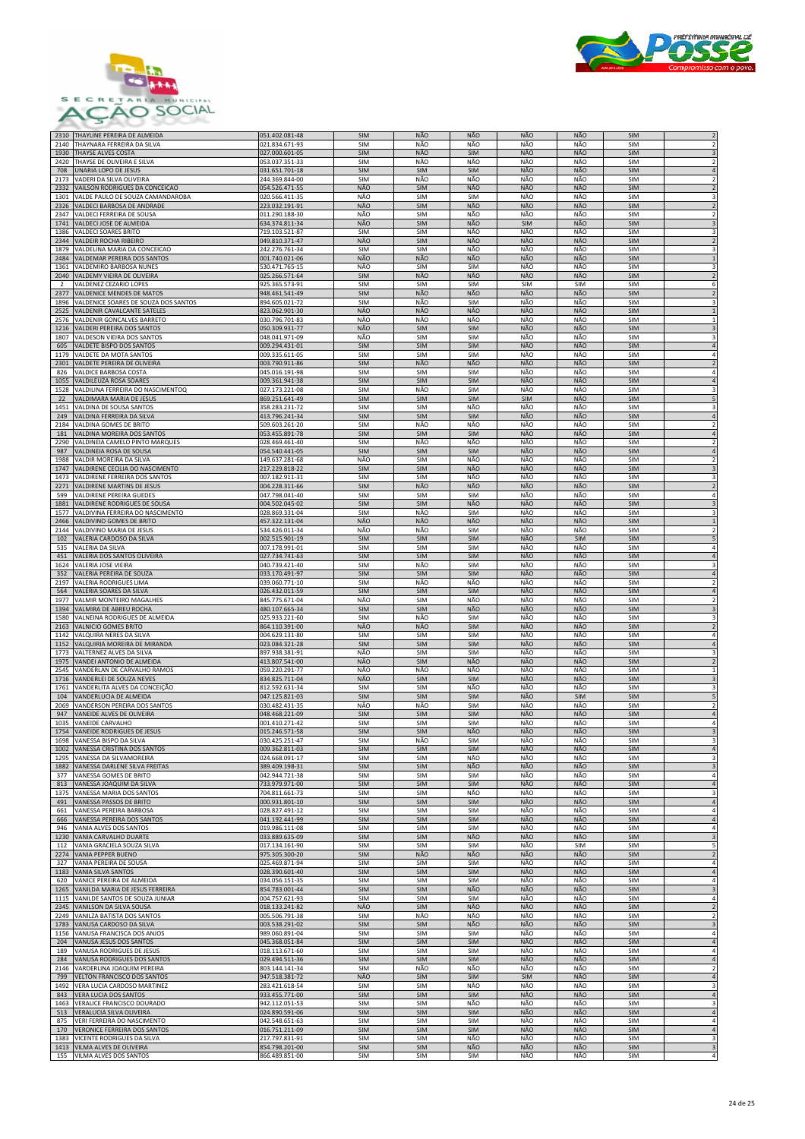



| 2310           | THAYLINE PEREIRA DE ALMEIDA                                        | 051.402.081-48                   | <b>SIM</b>               | NÃO                      | <b>NÃO</b>        | NÃO        | <b>NÃO</b> | <b>SIM</b>               |                                  |
|----------------|--------------------------------------------------------------------|----------------------------------|--------------------------|--------------------------|-------------------|------------|------------|--------------------------|----------------------------------|
| 2140           | THAYNARA FERREIRA DA SILVA                                         | 021.834.671-93                   | SIM                      | NÃO                      | NÃO               | NÃO        | NÃO        | SIM                      | $\overline{2}$                   |
| 1930           | THAYSE ALVES COSTA                                                 | 027.000.601-05                   | SIM                      | NÃO                      | <b>SIM</b>        | NÃO        | NÃO        | <b>SIM</b>               | $\overline{3}$                   |
| 2420           | THAYSE DE OLIVEIRA E SILVA                                         | 053.037.351-33                   | SIM                      | NÃO                      | NÃO               | NÃO        | NÃO        | SIM                      |                                  |
| 708            | UNARIA LOPO DE JESUS                                               | 031.651.701-18                   | SIM                      | SIM                      | SIM               | NÃO        | NÃO        | <b>SIM</b>               |                                  |
| 2173           | VADERI DA SILVA OLIVEIRA                                           | 244.369.844-00                   | SIM                      | NÃO                      | NÃO               | NÃO        | NÃO        | <b>SIM</b>               |                                  |
| 2332           | VAILSON RODRIGUES DA CONCEICAO                                     | 054.526.471-55                   | NÃO                      | SIM                      | NÃO               | NÃO        | NÃO        | SIM                      |                                  |
| 1301           | VALDE PAULO DE SOUZA CAMANDAROBA                                   | 020.566.411-35                   | NÃO                      | <b>SIM</b>               | SIM               | NÃO        | NÃO        | SIM                      |                                  |
| 2326           | VALDECI BARBOSA DE ANDRADE                                         | 223.032.191-91                   | <b>NÃO</b>               | SIM                      | <b>NÃO</b>        | NÃO        | NÃO        | <b>SIM</b>               |                                  |
| 2347           | VALDECI FERREIRA DE SOUSA                                          | 011.290.188-30                   | NÃO                      | SIM                      | NÃO               | NÃO        | NÃO        | <b>SIM</b>               |                                  |
| 1741           | VALDECI JOSE DE ALMEIDA                                            | 634.374.811-34                   | NÃO                      | SIM                      | NÃO               | SIM        | NÃO        | <b>SIM</b>               |                                  |
| 1386           | <b>VALDECI SOARES BRITO</b>                                        | 719.103.521-87                   | <b>SIM</b>               | <b>SIM</b>               | NÃO               | NÃO        | NÃO        | <b>SIM</b>               |                                  |
| 2344           | <b>VALDEIR ROCHA RIBEIRO</b>                                       | 049.810.371-47                   | NÃO                      | SIM                      | NÃO               | NÃO        | NÃO        | <b>SIM</b>               |                                  |
| 1879           | VALDELINA MARIA DA CONCEICAO                                       | 242.276.761-34                   | <b>SIM</b>               | <b>SIM</b>               | NÃO               | NÃO        | NÃO        | <b>SIM</b>               |                                  |
| 2484           | VALDEMAR PEREIRA DOS SANTOS                                        | 001.740.021-06                   | <b>NÃO</b>               | NÃO                      | NÃO               | NÃO<br>NÃO | NÃO<br>NÃO | <b>SIM</b>               | $\overline{\mathbf{3}}$          |
| 1361<br>2040   | VALDEMIRO BARBOSA NUNES<br>VALDEMY VIEIRA DE OLIVEIRA              | 530.471.765-15<br>025.266.571-64 | NÃO<br><b>SIM</b>        | <b>SIM</b><br>NÃO        | SIM<br>NÃO        | NÃO        | NÃO        | SIM<br><b>SIM</b>        |                                  |
| $\overline{2}$ | VALDENEZ CEZARIO LOPES                                             | 925.365.573-91                   | <b>SIM</b>               | SIM                      | SIM               | SIM        | SIM        | <b>SIM</b>               |                                  |
| 2377           | VALDENICE MENDES DE MATOS                                          | 948.461.541-49                   | <b>SIM</b>               | NÃO                      | NÃO               | NÃO        | NÃO        | <b>SIM</b>               |                                  |
| 1896           | VALDENICE SOARES DE SOUZA DOS SANTOS                               | 894.605.021-72                   | <b>SIM</b>               | NÃO                      | SIM               | NÃO        | NÃO        | SIM                      | 3                                |
| 2525           | VALDENIR CAVALCANTE SATELES                                        | 823.062.901-30                   | <b>NÃO</b>               | NÃO                      | NÃO               | NÃO        | NÃO        | SIM                      |                                  |
| 2576           | VALDENIR GONCALVES BARRETO                                         | 030.796.701-83                   | NÃO                      | NÃO                      | NÃO               | NÃO        | NÃO        | SIM                      | $\overline{1}$                   |
| 1216           | VALDERI PEREIRA DOS SANTOS                                         | 050.309.931-77                   | NÃO                      | SIM                      | <b>SIM</b>        | NÃO        | NÃO        | <b>SIM</b>               | $\overline{\mathbf{3}}$          |
| 1807           | VALDESON VIEIRA DOS SANTOS                                         | 048.041.971-09                   | NÃO                      | SIM                      | SIM               | NÃO        | NÃO        | <b>SIM</b>               |                                  |
| 605            | VALDETE BISPO DOS SANTOS                                           | 009.294.431-01                   | SIM                      | <b>SIM</b>               | <b>SIM</b>        | NÃO        | NÃO        | <b>SIM</b>               |                                  |
| 1179           | VALDETE DA MOTA SANTOS                                             | 009.335.611-05                   | <b>SIM</b>               | <b>SIM</b>               | <b>SIM</b>        | NÃO        | NÃO        | <b>SIM</b>               | $\overline{4}$                   |
| 2301           | VALDETE PEREIRA DE OLIVEIRA                                        | 003.790.911-86                   | SIM                      | NÃO                      | NÃO               | NÃO        | NÃO        | SIM                      | $\overline{2}$                   |
| 826            | VALDICE BARBOSA COSTA<br>VALDILEUZA ROSA SOARES                    | 045.016.191-98<br>009.361.941-38 | <b>SIM</b><br>SIM        | <b>SIM</b><br><b>SIM</b> | SIM<br><b>SIM</b> | NÃO<br>NÃO | NÃO<br>NÃO | <b>SIM</b><br><b>SIM</b> |                                  |
| 1055<br>1528   | VALDILINA FERREIRA DO NASCIMENTOQ                                  | 027.173.221-08                   | SIM                      | NÃO                      | SIM               | NÃO        | NÃO        | SIM                      | 3                                |
| 22             | VALDIMARA MARIA DE JESUS                                           | 869.251.641-49                   | SIM                      | <b>SIM</b>               | SIM               | <b>SIM</b> | NÃO        | <b>SIM</b>               |                                  |
| 1451           | VALDINA DE SOUSA SANTOS                                            | 358.283.231-72                   | <b>SIM</b>               | <b>SIM</b>               | NÃO               | NÃO        | NÃO        | SIM                      | 3                                |
| 249            | VALDINA FERREIRA DA SILVA                                          | 413.796.241-34                   | <b>SIM</b>               | SIM                      | <b>SIM</b>        | NÃO        | NÃO        | <b>SIM</b>               | $\overline{4}$                   |
| 2184           | VALDINA GOMES DE BRITO                                             | 509.603.261-20                   | <b>SIM</b>               | NÃO                      | NÃO               | NÃO        | NÃO        | SIM                      | $\overline{\phantom{a}}$         |
| 181            | VALDINA MOREIRA DOS SANTOS                                         | 053.455.891-78                   | <b>SIM</b>               | SIM                      | SIM               | NÃO        | NÃO        | <b>SIM</b>               |                                  |
| 2290           | VALDINEIA CAMELO PINTO MARQUES                                     | 028.469.461-40                   | SIM                      | NÃO                      | NÃO               | NÃO        | NÃO        | SIM                      |                                  |
| 987            | VALDINEIA ROSA DE SOUSA                                            | 054.540.441-05                   | SIM                      | <b>SIM</b>               | SIM               | NÃO        | NÃO        | <b>SIM</b>               |                                  |
| 1988           | VALDIR MOREIRA DA SILVA                                            | 149.637.281-68                   | NÃO                      | <b>SIM</b>               | NÃO               | NÃO        | NÃO        | <b>SIM</b>               |                                  |
| 1747           | VALDIRENE CECILIA DO NASCIMENTO                                    | 217.229.818-22                   | <b>SIM</b>               | SIM                      | NÃO               | NÃO        | NÃO        | <b>SIM</b>               |                                  |
| 1473<br>2271   | <b>VALDIRENE FERREIRA DOS SANTOS</b><br>VALDIRENE MARTINS DE JESUS | 007.182.911-31<br>004.228.311-66 | <b>SIM</b><br><b>SIM</b> | <b>SIM</b><br>NÃO        | NÃO<br>NÃO        | NÃO<br>NÃO | NÃO<br>NÃO | <b>SIM</b><br>SIM        | 3<br>$\overline{2}$              |
| 599            | VALDIRENE PEREIRA GUEDES                                           | 047.798.041-40                   | SIM                      | SIM                      | SIM               | NÃO        | NÃO        | SIM                      | $\overline{4}$                   |
| 1881           | VALDIRENE RODRIGUES DE SOUSA                                       | 004.502.045-02                   | <b>SIM</b>               | SIM                      | NÃO               | NÃO        | NÃO        | <b>SIM</b>               | $\overline{3}$                   |
| 1577           | VALDIVINA FERREIRA DO NASCIMENTO                                   | 028.869.331-04                   | <b>SIM</b>               | NÃO                      | <b>SIM</b>        | NÃO        | NÃO        | <b>SIM</b>               | $\overline{\mathbf{3}}$          |
| 2466           | VALDIVINO GOMES DE BRITO                                           | 457.322.131-04                   | NÃO                      | NÃO                      | NÃO               | NÃO        | NÃO        | SIM                      | $1\,$                            |
| 2144           | VALDIVINO MARIA DE JESUS                                           | 534.426.011-34                   | NÃO                      | NÃO                      | SIM               | NÃO        | NÃO        | <b>SIM</b>               | $\overline{2}$                   |
| 102            | VALERIA CARDOSO DA SILVA                                           | 002.515.901-19                   | SIM                      | SIM                      | <b>SIM</b>        | NÃO        | SIM        | <b>SIM</b>               | 5                                |
| 535            | VALERIA DA SILVA                                                   | 007.178.991-01                   | <b>SIM</b>               | SIM                      | SIM               | NÃO        | NÃO        | <b>SIM</b>               | $\overline{4}$                   |
| 451            | VALERIA DOS SANTOS OLIVEIRA                                        | 027.734.741-63                   | <b>SIM</b>               | <b>SIM</b>               | <b>SIM</b>        | NÃO        | NÃO        | <b>SIM</b>               | $\overline{4}$                   |
| 1624           | VALERIA JOSE VIEIRA                                                | 040.739.421-40                   | SIM                      | NÃO                      | <b>SIM</b>        | NÃO        | NÃO        | <b>SIM</b>               | $\overline{3}$                   |
| 352            | VALERIA PEREIRA DE SOUZA                                           | 033.170.491-97                   | SIM                      | SIM                      | <b>SIM</b>        | NÃO        | NÃO        | <b>SIM</b>               | $\overline{4}$                   |
| 2197           | <b>VALERIA RODRIGUES LIMA</b>                                      | 039.060.771-10                   | <b>SIM</b>               | NÃO                      | NÃO               | NÃO        | NÃO        | <b>SIM</b>               | $\overline{2}$                   |
| 564<br>1977    | VALERIA SOARES DA SILVA<br>VALMIR MONTEIRO MAGALHES                | 026.432.011-59                   | SIM<br>NÃO               | SIM<br>SIM               | SIM<br>NÃO        | NÃO<br>NÃO | NÃO<br>NÃO | <b>SIM</b><br>SIM        | $\overline{\mathbf{2}}$          |
| 1394           | VALMIRA DE ABREU ROCHA                                             | 845.775.671-04<br>480.107.665-34 | <b>SIM</b>               | SIM                      | NÃO               | NÃO        | NÃO        | <b>SIM</b>               | 3                                |
| 1580           | VALNEINA RODRIGUES DE ALMEIDA                                      | 025.933.221-60                   | SIM                      | NÃO                      | <b>SIM</b>        | NÃO        | NÃO        | <b>SIM</b>               | 3                                |
|                |                                                                    |                                  |                          |                          |                   |            | NÃO        | SIM                      |                                  |
|                |                                                                    |                                  |                          |                          |                   |            |            |                          |                                  |
| 2163<br>1142   | VALNICIO GOMES BRITO<br>VALQUIRA NERES DA SILVA                    | 864.110.391-00<br>004.629.131-80 | NÃO<br><b>SIM</b>        | NÃO<br>SIM               | SIM<br>SIM        | NÃO<br>NÃO | NÃO        | SIM                      | $\overline{4}$                   |
| 1152           | VALQUIRIA MOREIRA DE MIRANDA                                       | 023.084.321-28                   | SIM                      | SIM                      | <b>SIM</b>        | NÃO        | NÃO        | <b>SIM</b>               | $\overline{4}$                   |
| 1773           | VALTERNEZ ALVES DA SILVA                                           | 897.938.381-91                   | NÃO                      | SIM                      | SIM               | NÃO        | NÃO        | <b>SIM</b>               | $\overline{\mathbf{3}}$          |
| 1975           | VANDEI ANTONIO DE ALMEIDA                                          | 413.807.541-00                   | NÃO                      | SIM                      | NÃO               | NÃO        | NÃO        | <b>SIM</b>               |                                  |
| 2545           | VANDERLAN DE CARVALHO RAMOS                                        | 059.220.291-77                   | NÃO                      | NÃO                      | NÃO               | NÃO        | NÃO        | <b>SIM</b>               |                                  |
| 1716           | VANDERLEI DE SOUZA NEVES                                           | 834.825.711-04                   | NÃO                      | SIM                      | SIM               | NÃO        | NÃO        | <b>SIM</b>               |                                  |
| 1761           | VANDERLITA ALVES DA CONCEIÇÃO                                      | 812.592.631-34                   | <b>SIM</b>               | <b>SIM</b>               | NÃO               | NÃO        | NÃO        | <b>SIM</b>               | 3                                |
| 104            | VANDERLUCIA DE ALMEIDA                                             | 047.125.821-03                   | <b>SIM</b>               | SIM                      | <b>SIM</b>        | NÃO        | SIM        | <b>SIM</b>               | 5                                |
| 2069           | VANDERSON PEREIRA DOS SANTOS                                       | 030.482.431-35                   | NÃO                      | NÃO                      | SIM               | NÃO        | NÃO        | SIM                      | $\overline{2}$                   |
| 947<br>1035    | VANEIDE ALVES DE OLIVEIRA<br>VANEIDE CARVALHO                      | 048.468.221-09<br>001.410.271-42 | SIM<br><b>SIM</b>        | SIM<br><b>SIM</b>        | SIM<br><b>SIM</b> | NÃO        | NÃO        | <b>SIM</b><br><b>SIM</b> |                                  |
|                | 1754 VANEIDE RODRIGUES DE JESUS                                    | 015.246.571-58                   | SIM                      | <b>SIM</b>               | NÃO               | NÃO<br>NÃO | NÃO<br>NÃO | <b>SIM</b>               |                                  |
|                | 1698 VANESSA BISPO DA SILVA                                        | 030.425.251-47                   | SIM                      | NÃO                      | <b>SIM</b>        | NÃO        | NÃO        | <b>SIM</b>               | 3                                |
| 1002           | VANESSA CRISTINA DOS SANTOS                                        | 009.362.811-03                   | SIM                      | SIM                      | SIM               | NÃO        | NÃO        | <b>SIM</b>               | $\overline{4}$                   |
| 1295           | VANESSA DA SILVAMOREIRA                                            | 024.668.091-17                   | SIM                      | <b>SIM</b>               | NÃO               | NÃO        | NÃO        | SIM                      | 3                                |
| 1882           | VANESSA DARLENE SILVA FREITAS                                      | 389.409.198-31                   | SIM                      | SIM                      | NÃO               | NÃO        | NÃO        | SIM                      | $\overline{\mathbf{3}}$          |
| 377            | VANESSA GOMES DE BRITO                                             | 042.944.721-38                   | SIM                      | SIM                      | SIM               | NÃO        | NÃO        | <b>SIM</b>               |                                  |
| 813            | VANESSA JOAQUIM DA SILVA                                           | 733.979.971-00                   | SIM                      | <b>SIM</b>               | SIM               | NÃO        | NÃO        | SIM                      | $\overline{4}$                   |
| 1375           | VANESSA MARIA DOS SANTOS                                           | 704.811.661-73                   | <b>SIM</b>               | <b>SIM</b>               | NÃO               | NÃO        | NÃO        | <b>SIM</b>               | $\overline{3}$                   |
| 491<br>661     | VANESSA PASSOS DE BRITO<br>VANESSA PEREIRA BARBOSA                 | 000.931.801-10<br>028.827.491-12 | SIM<br>SIM               | SIM<br><b>SIM</b>        | SIM<br>SIM        | NÃO<br>NÃO | NÃO<br>NÃO | <b>SIM</b><br>SIM        | $\overline{4}$<br>$\overline{4}$ |
| 666            | VANESSA PEREIRA DOS SANTOS                                         | 041.192.441-99                   | SIM                      | SIM                      | SIM               | NÃO        | NÃO        | SIM                      | $\sqrt{4}$                       |
| 946            | VANIA ALVES DOS SANTOS                                             | 019.986.111-08                   | SIM                      | SIM                      | SIM               | NÃO        | NÃO        | SIM                      | $\overline{4}$                   |
| 1230           | VANIA CARVALHO DUARTE                                              | 033.889.635-09                   | SIM                      | <b>SIM</b>               | NÃO               | NÃO        | NÃO        | <b>SIM</b>               | $\overline{\mathbf{3}}$          |
| 112            | VANIA GRACIELA SOUZA SILVA                                         | 017.134.161-90                   | <b>SIM</b>               | SIM                      | SIM               | NÃO        | SIM        | SIM                      | 5                                |
| 2274           | VANIA PEPPER BUENO                                                 | 975.305.300-20                   | SIM                      | NÃO                      | NÃO               | NÃO        | NÃO        | SIM                      | $\overline{2}$                   |
| 327            | VANIA PEREIRA DE SOUSA                                             | 025.469.871-94                   | SIM                      | <b>SIM</b>               | SIM               | NÃO        | NÃO        | <b>SIM</b>               | $\overline{a}$                   |
| 1183           | <b>VANIA SILVA SANTOS</b>                                          | 028.390.601-40                   | SIM                      | SIM                      | SIM               | NÃO        | NÃO        | SIM                      | $\overline{a}$                   |
| 620            | VANICE PEREIRA DE ALMEIDA                                          | 034.056.151-35                   | SIM                      | SIM                      | SIM               | NÃO        | NÃO        | SIM                      | $\overline{4}$                   |
| 1265           | VANILDA MARIA DE JESUS FERREIRA                                    | 854.783.001-44                   | SIM                      | <b>SIM</b>               | NÃO               | NÃO        | NÃO        | <b>SIM</b>               | $\overline{3}$                   |
| 1115           | VANILDE SANTOS DE SOUZA JUNIAR                                     | 004.757.621-93                   | <b>SIM</b>               | SIM                      | SIM               | NÃO        | NÃO        | SIM                      | 4                                |
| 2345<br>2249   | VANILSON DA SILVA SOUSA<br>VANILZA BATISTA DOS SANTOS              | 018.133.241-82<br>005.506.791-38 | NÃO<br>SIM               | SIM<br>NÃO               | NÃO<br>NÃO        | NÃO<br>NÃO | NÃO<br>NÃO | <b>SIM</b><br>SIM        | $\overline{2}$<br>$\overline{2}$ |
| 1783           | VANUSA CARDOSO DA SILVA                                            | 003.538.291-02                   | SIM                      | SIM                      | NÃO               | NÃO        | NÃO        | <b>SIM</b>               | $\overline{3}$                   |
| 1156           | VANUSA FRANCISCA DOS ANJOS                                         | 989.060.891-04                   | SIM                      | SIM                      | SIM               | NÃO        | NÃO        | SIM                      | $\overline{4}$                   |
| 204            | VANUSA JESUS DOS SANTOS                                            | 045.368.051-84                   | SIM                      | SIM                      | <b>SIM</b>        | NÃO        | NÃO        | <b>SIM</b>               | $\overline{4}$                   |
| 189            | VANUSA RODRIGUES DE JESUS                                          | 018.113.671-60                   | SIM                      | SIM                      | SIM               | NÃO        | NÃO        | SIM                      | $\overline{4}$                   |
| 284            | VANUSA RODRIGUES DOS SANTOS                                        | 029.494.511-36                   | <b>SIM</b>               | SIM                      | <b>SIM</b>        | NÃO        | NÃO        | SIM                      | $\sqrt{4}$                       |
| 2146           | VARDERLINA JOAQUIM PEREIRA                                         | 803.144.141-34                   | SIM                      | NÃO                      | NÃO               | NÃO        | NÃO        | SIM                      | $\overline{2}$                   |
| 799            | <b>VELTON FRANCISCO DOS SANTOS</b>                                 | 947.518.381-72                   | NÃO                      | SIM                      | <b>SIM</b>        | SIM        | NÃO        | <b>SIM</b>               | $\overline{4}$                   |
| 1492           | VERA LUCIA CARDOSO MARTINEZ                                        | 283.421.618-54                   | SIM                      | SIM                      | NÃO               | NÃO        | NÃO        | SIM                      | $\overline{3}$                   |
| 843            | <b>VERA LUCIA DOS SANTOS</b>                                       | 933.455.771-00                   | <b>SIM</b>               | <b>SIM</b>               | SIM               | NÃO        | NÃO        | <b>SIM</b>               | $\overline{4}$                   |
| 1463           | VERALICE FRANCISCO DOURADO                                         | 942.112.051-53                   | <b>SIM</b>               | <b>SIM</b>               | NÃO               | NÃO        | NÃO        | <b>SIM</b>               | $\overline{3}$                   |
| 513<br>875     | VERALUCIA SILVA OLIVEIRA<br>VERI FERREIRA DO NASCIMENTO            | 024.890.591-06<br>042.548.651-63 | SIM<br><b>SIM</b>        | SIM<br>SIM               | SIM<br>SIM        | NÃO<br>NÃO | NÃO<br>NÃO | SIM<br><b>SIM</b>        | $\overline{a}$<br>$\overline{4}$ |
| 170            | <b>VERONICE FERREIRA DOS SANTOS</b>                                | 016.751.211-09                   | SIM                      | <b>SIM</b>               | SIM               | NÃO        | NÃO        | <b>SIM</b>               | $\overline{A}$                   |
| 1383           | VICENTE RODRIGUES DA SILVA                                         | 217.797.831-91                   | SIM                      | SIM                      | NÃO               | NÃO        | NÃO        | SIM                      | 3                                |
| 1413<br>155    | VILMA ALVES DE OLIVEIRA<br>VILMA ALVES DOS SANTOS                  | 854.798.201-00<br>866.489.851-00 | <b>SIM</b><br>SIM        | SIM<br>SIM               | NÃO<br>SIM        | NÃO<br>NÃO | NÃO<br>NÃO | SIM<br><b>SIM</b>        | $\overline{3}$<br>4              |